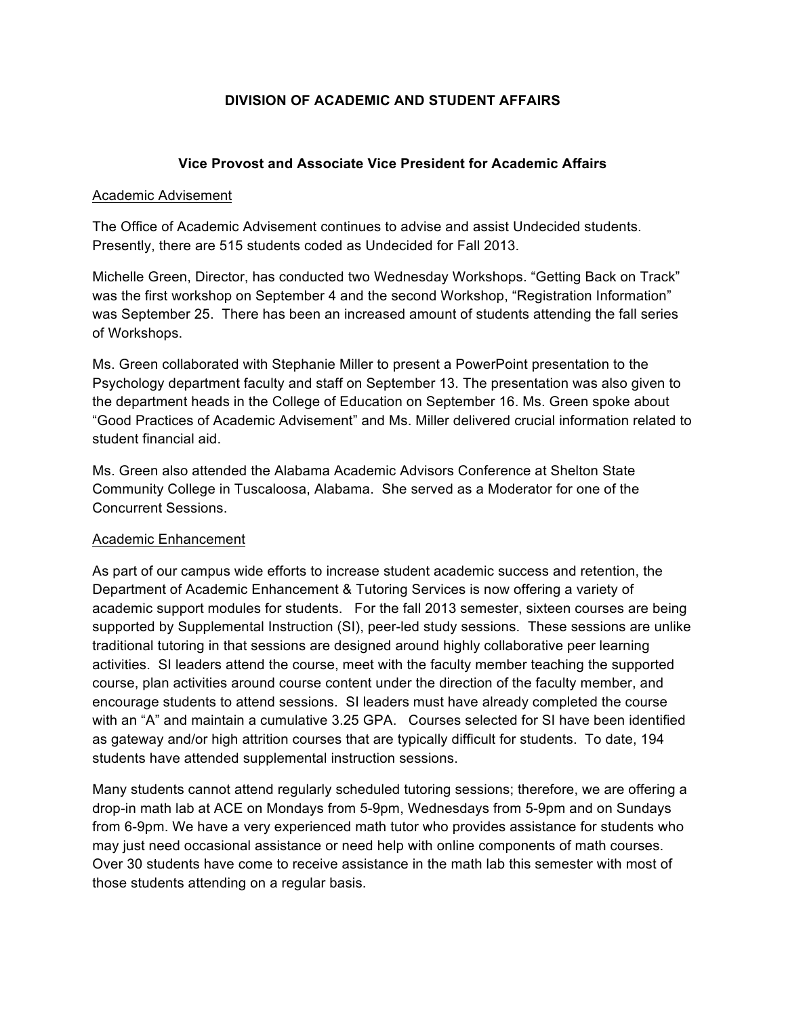## **DIVISION OF ACADEMIC AND STUDENT AFFAIRS**

#### **Vice Provost and Associate Vice President for Academic Affairs**

#### Academic Advisement

The Office of Academic Advisement continues to advise and assist Undecided students. Presently, there are 515 students coded as Undecided for Fall 2013.

Michelle Green, Director, has conducted two Wednesday Workshops. "Getting Back on Track" was the first workshop on September 4 and the second Workshop, "Registration Information" was September 25. There has been an increased amount of students attending the fall series of Workshops.

Ms. Green collaborated with Stephanie Miller to present a PowerPoint presentation to the Psychology department faculty and staff on September 13. The presentation was also given to the department heads in the College of Education on September 16. Ms. Green spoke about "Good Practices of Academic Advisement" and Ms. Miller delivered crucial information related to student financial aid.

Ms. Green also attended the Alabama Academic Advisors Conference at Shelton State Community College in Tuscaloosa, Alabama. She served as a Moderator for one of the Concurrent Sessions.

#### Academic Enhancement

As part of our campus wide efforts to increase student academic success and retention, the Department of Academic Enhancement & Tutoring Services is now offering a variety of academic support modules for students. For the fall 2013 semester, sixteen courses are being supported by Supplemental Instruction (SI), peer-led study sessions. These sessions are unlike traditional tutoring in that sessions are designed around highly collaborative peer learning activities. SI leaders attend the course, meet with the faculty member teaching the supported course, plan activities around course content under the direction of the faculty member, and encourage students to attend sessions. SI leaders must have already completed the course with an "A" and maintain a cumulative 3.25 GPA. Courses selected for SI have been identified as gateway and/or high attrition courses that are typically difficult for students. To date, 194 students have attended supplemental instruction sessions.

Many students cannot attend regularly scheduled tutoring sessions; therefore, we are offering a drop-in math lab at ACE on Mondays from 5-9pm, Wednesdays from 5-9pm and on Sundays from 6-9pm. We have a very experienced math tutor who provides assistance for students who may just need occasional assistance or need help with online components of math courses. Over 30 students have come to receive assistance in the math lab this semester with most of those students attending on a regular basis.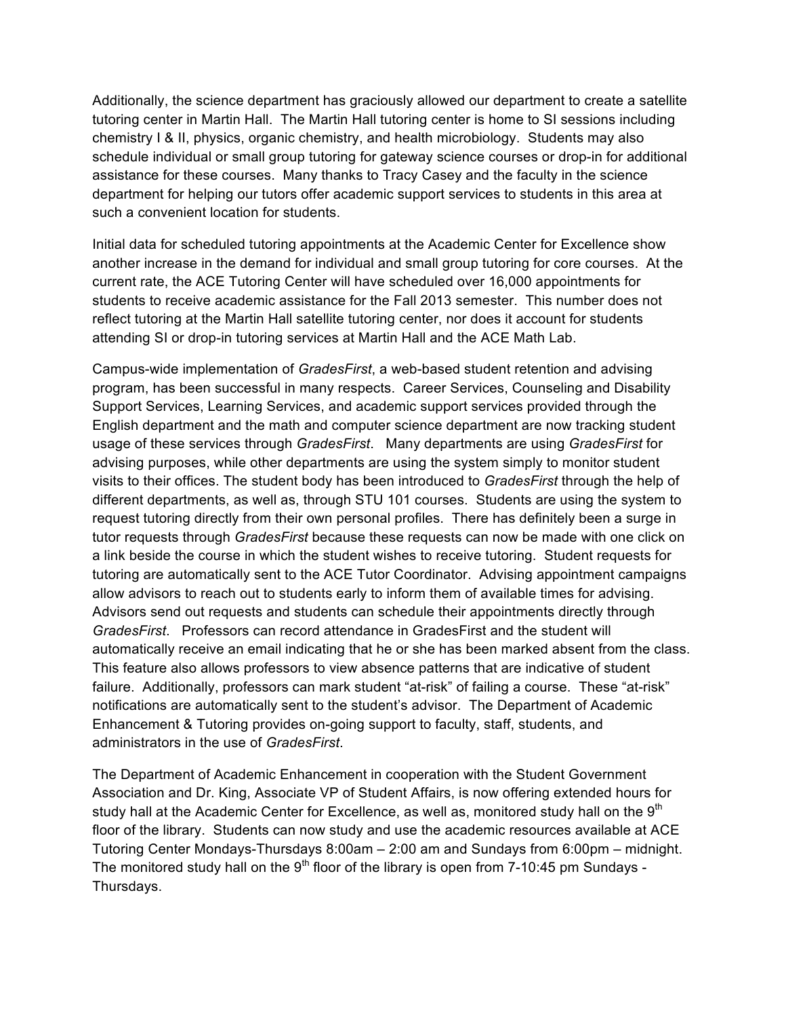Additionally, the science department has graciously allowed our department to create a satellite tutoring center in Martin Hall. The Martin Hall tutoring center is home to SI sessions including chemistry I & II, physics, organic chemistry, and health microbiology. Students may also schedule individual or small group tutoring for gateway science courses or drop-in for additional assistance for these courses. Many thanks to Tracy Casey and the faculty in the science department for helping our tutors offer academic support services to students in this area at such a convenient location for students.

Initial data for scheduled tutoring appointments at the Academic Center for Excellence show another increase in the demand for individual and small group tutoring for core courses. At the current rate, the ACE Tutoring Center will have scheduled over 16,000 appointments for students to receive academic assistance for the Fall 2013 semester. This number does not reflect tutoring at the Martin Hall satellite tutoring center, nor does it account for students attending SI or drop-in tutoring services at Martin Hall and the ACE Math Lab.

Campus-wide implementation of *GradesFirst*, a web-based student retention and advising program, has been successful in many respects. Career Services, Counseling and Disability Support Services, Learning Services, and academic support services provided through the English department and the math and computer science department are now tracking student usage of these services through *GradesFirst*. Many departments are using *GradesFirst* for advising purposes, while other departments are using the system simply to monitor student visits to their offices. The student body has been introduced to *GradesFirst* through the help of different departments, as well as, through STU 101 courses. Students are using the system to request tutoring directly from their own personal profiles. There has definitely been a surge in tutor requests through *GradesFirst* because these requests can now be made with one click on a link beside the course in which the student wishes to receive tutoring. Student requests for tutoring are automatically sent to the ACE Tutor Coordinator. Advising appointment campaigns allow advisors to reach out to students early to inform them of available times for advising. Advisors send out requests and students can schedule their appointments directly through *GradesFirst*. Professors can record attendance in GradesFirst and the student will automatically receive an email indicating that he or she has been marked absent from the class. This feature also allows professors to view absence patterns that are indicative of student failure. Additionally, professors can mark student "at-risk" of failing a course. These "at-risk" notifications are automatically sent to the student's advisor. The Department of Academic Enhancement & Tutoring provides on-going support to faculty, staff, students, and administrators in the use of *GradesFirst*.

The Department of Academic Enhancement in cooperation with the Student Government Association and Dr. King, Associate VP of Student Affairs, is now offering extended hours for study hall at the Academic Center for Excellence, as well as, monitored study hall on the  $9<sup>th</sup>$ floor of the library. Students can now study and use the academic resources available at ACE Tutoring Center Mondays-Thursdays 8:00am – 2:00 am and Sundays from 6:00pm – midnight. The monitored study hall on the  $9<sup>th</sup>$  floor of the library is open from 7-10:45 pm Sundays -Thursdays.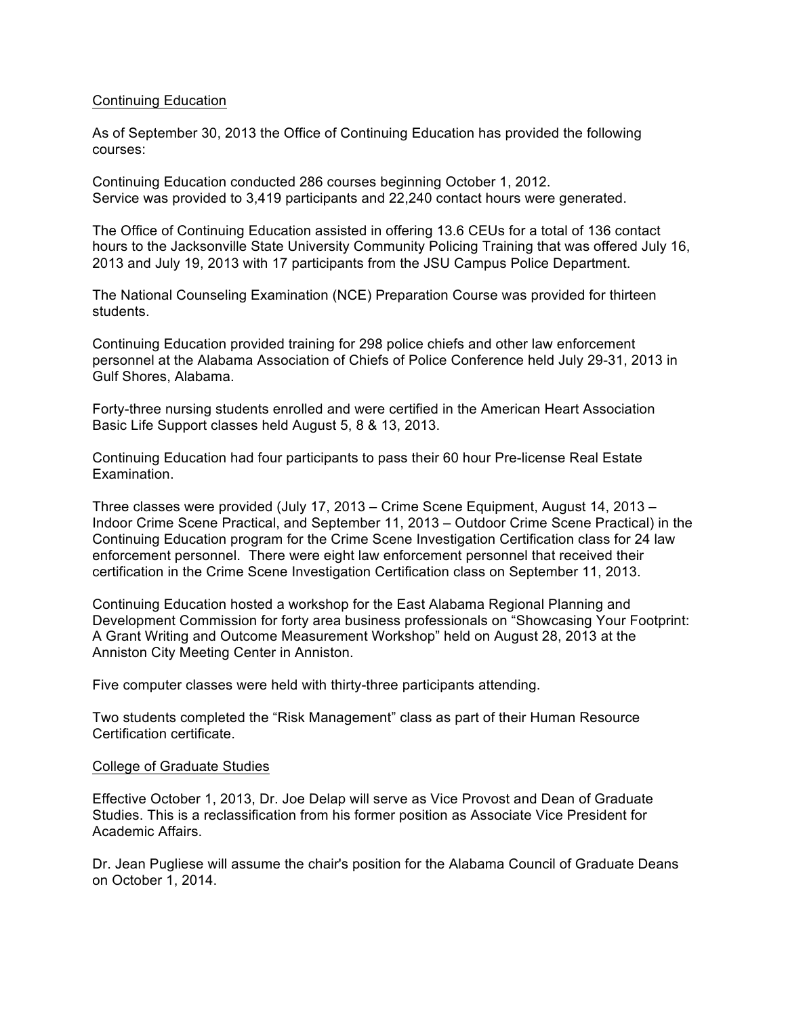#### Continuing Education

As of September 30, 2013 the Office of Continuing Education has provided the following courses:

Continuing Education conducted 286 courses beginning October 1, 2012. Service was provided to 3,419 participants and 22,240 contact hours were generated.

The Office of Continuing Education assisted in offering 13.6 CEUs for a total of 136 contact hours to the Jacksonville State University Community Policing Training that was offered July 16, 2013 and July 19, 2013 with 17 participants from the JSU Campus Police Department.

The National Counseling Examination (NCE) Preparation Course was provided for thirteen students.

Continuing Education provided training for 298 police chiefs and other law enforcement personnel at the Alabama Association of Chiefs of Police Conference held July 29-31, 2013 in Gulf Shores, Alabama.

Forty-three nursing students enrolled and were certified in the American Heart Association Basic Life Support classes held August 5, 8 & 13, 2013.

Continuing Education had four participants to pass their 60 hour Pre-license Real Estate Examination.

Three classes were provided (July 17, 2013 – Crime Scene Equipment, August 14, 2013 – Indoor Crime Scene Practical, and September 11, 2013 – Outdoor Crime Scene Practical) in the Continuing Education program for the Crime Scene Investigation Certification class for 24 law enforcement personnel. There were eight law enforcement personnel that received their certification in the Crime Scene Investigation Certification class on September 11, 2013.

Continuing Education hosted a workshop for the East Alabama Regional Planning and Development Commission for forty area business professionals on "Showcasing Your Footprint: A Grant Writing and Outcome Measurement Workshop" held on August 28, 2013 at the Anniston City Meeting Center in Anniston.

Five computer classes were held with thirty-three participants attending.

Two students completed the "Risk Management" class as part of their Human Resource Certification certificate.

#### College of Graduate Studies

Effective October 1, 2013, Dr. Joe Delap will serve as Vice Provost and Dean of Graduate Studies. This is a reclassification from his former position as Associate Vice President for Academic Affairs.

Dr. Jean Pugliese will assume the chair's position for the Alabama Council of Graduate Deans on October 1, 2014.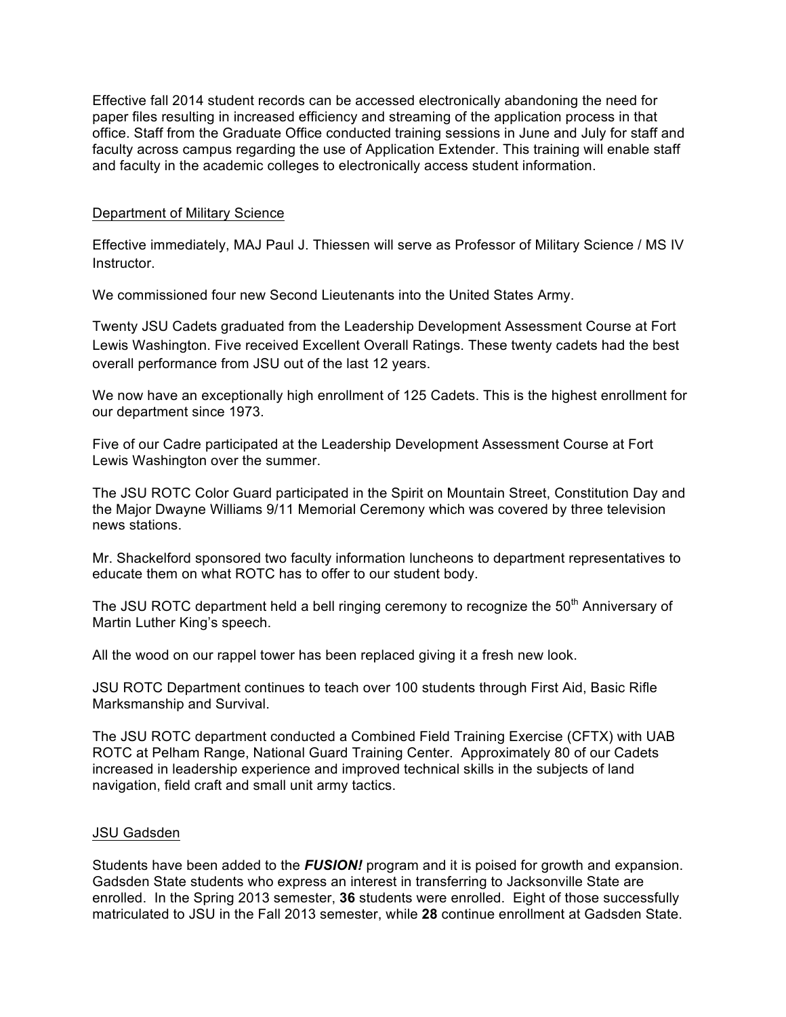Effective fall 2014 student records can be accessed electronically abandoning the need for paper files resulting in increased efficiency and streaming of the application process in that office. Staff from the Graduate Office conducted training sessions in June and July for staff and faculty across campus regarding the use of Application Extender. This training will enable staff and faculty in the academic colleges to electronically access student information.

#### Department of Military Science

Effective immediately, MAJ Paul J. Thiessen will serve as Professor of Military Science / MS IV Instructor.

We commissioned four new Second Lieutenants into the United States Army.

Twenty JSU Cadets graduated from the Leadership Development Assessment Course at Fort Lewis Washington. Five received Excellent Overall Ratings. These twenty cadets had the best overall performance from JSU out of the last 12 years.

We now have an exceptionally high enrollment of 125 Cadets. This is the highest enrollment for our department since 1973.

Five of our Cadre participated at the Leadership Development Assessment Course at Fort Lewis Washington over the summer.

The JSU ROTC Color Guard participated in the Spirit on Mountain Street, Constitution Day and the Major Dwayne Williams 9/11 Memorial Ceremony which was covered by three television news stations.

Mr. Shackelford sponsored two faculty information luncheons to department representatives to educate them on what ROTC has to offer to our student body.

The JSU ROTC department held a bell ringing ceremony to recognize the 50<sup>th</sup> Anniversary of Martin Luther King's speech.

All the wood on our rappel tower has been replaced giving it a fresh new look.

JSU ROTC Department continues to teach over 100 students through First Aid, Basic Rifle Marksmanship and Survival.

The JSU ROTC department conducted a Combined Field Training Exercise (CFTX) with UAB ROTC at Pelham Range, National Guard Training Center. Approximately 80 of our Cadets increased in leadership experience and improved technical skills in the subjects of land navigation, field craft and small unit army tactics.

#### JSU Gadsden

Students have been added to the *FUSION!* program and it is poised for growth and expansion. Gadsden State students who express an interest in transferring to Jacksonville State are enrolled. In the Spring 2013 semester, **36** students were enrolled. Eight of those successfully matriculated to JSU in the Fall 2013 semester, while **28** continue enrollment at Gadsden State.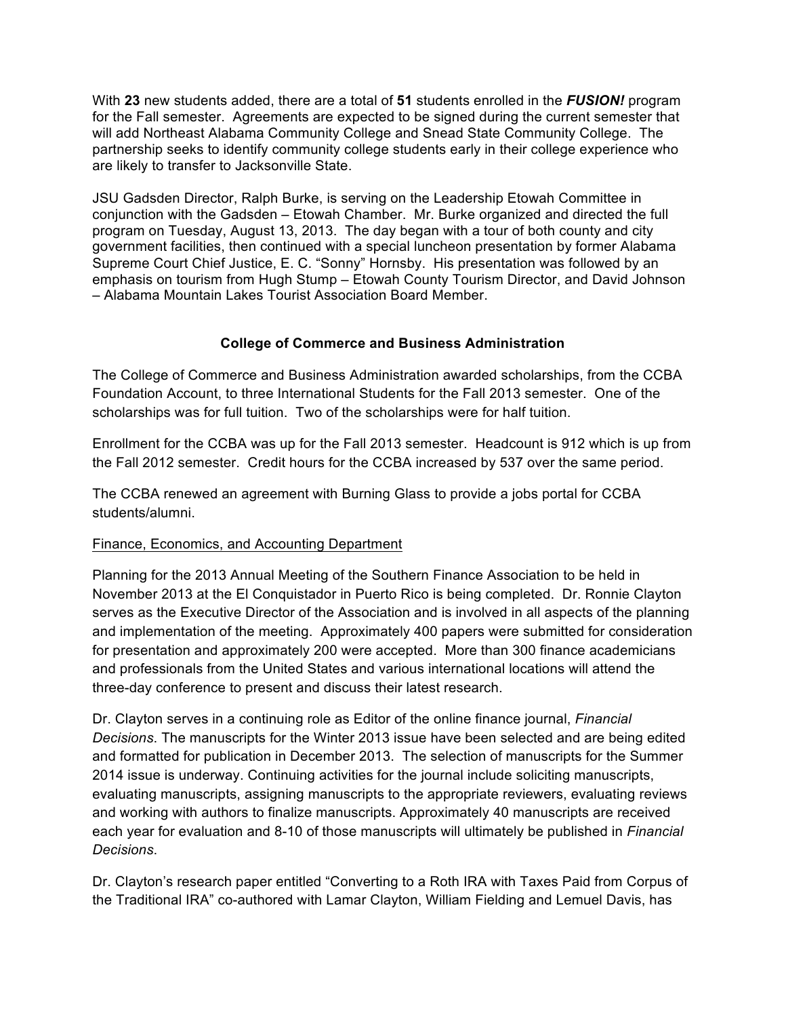With **23** new students added, there are a total of **51** students enrolled in the *FUSION!* program for the Fall semester. Agreements are expected to be signed during the current semester that will add Northeast Alabama Community College and Snead State Community College. The partnership seeks to identify community college students early in their college experience who are likely to transfer to Jacksonville State.

JSU Gadsden Director, Ralph Burke, is serving on the Leadership Etowah Committee in conjunction with the Gadsden – Etowah Chamber. Mr. Burke organized and directed the full program on Tuesday, August 13, 2013. The day began with a tour of both county and city government facilities, then continued with a special luncheon presentation by former Alabama Supreme Court Chief Justice, E. C. "Sonny" Hornsby. His presentation was followed by an emphasis on tourism from Hugh Stump – Etowah County Tourism Director, and David Johnson – Alabama Mountain Lakes Tourist Association Board Member.

### **College of Commerce and Business Administration**

The College of Commerce and Business Administration awarded scholarships, from the CCBA Foundation Account, to three International Students for the Fall 2013 semester. One of the scholarships was for full tuition. Two of the scholarships were for half tuition.

Enrollment for the CCBA was up for the Fall 2013 semester. Headcount is 912 which is up from the Fall 2012 semester. Credit hours for the CCBA increased by 537 over the same period.

The CCBA renewed an agreement with Burning Glass to provide a jobs portal for CCBA students/alumni.

## Finance, Economics, and Accounting Department

Planning for the 2013 Annual Meeting of the Southern Finance Association to be held in November 2013 at the El Conquistador in Puerto Rico is being completed. Dr. Ronnie Clayton serves as the Executive Director of the Association and is involved in all aspects of the planning and implementation of the meeting. Approximately 400 papers were submitted for consideration for presentation and approximately 200 were accepted. More than 300 finance academicians and professionals from the United States and various international locations will attend the three-day conference to present and discuss their latest research.

Dr. Clayton serves in a continuing role as Editor of the online finance journal, *Financial Decisions*. The manuscripts for the Winter 2013 issue have been selected and are being edited and formatted for publication in December 2013. The selection of manuscripts for the Summer 2014 issue is underway. Continuing activities for the journal include soliciting manuscripts, evaluating manuscripts, assigning manuscripts to the appropriate reviewers, evaluating reviews and working with authors to finalize manuscripts. Approximately 40 manuscripts are received each year for evaluation and 8-10 of those manuscripts will ultimately be published in *Financial Decisions*.

Dr. Clayton's research paper entitled "Converting to a Roth IRA with Taxes Paid from Corpus of the Traditional IRA" co-authored with Lamar Clayton, William Fielding and Lemuel Davis, has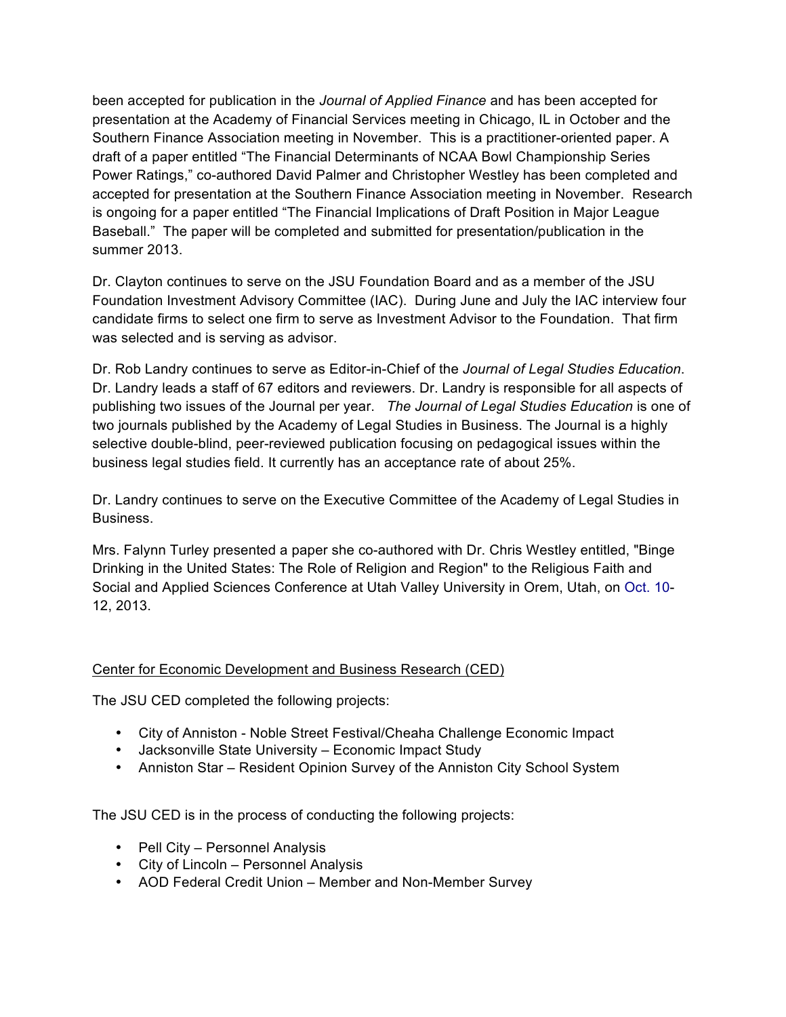been accepted for publication in the *Journal of Applied Finance* and has been accepted for presentation at the Academy of Financial Services meeting in Chicago, IL in October and the Southern Finance Association meeting in November. This is a practitioner-oriented paper. A draft of a paper entitled "The Financial Determinants of NCAA Bowl Championship Series Power Ratings," co-authored David Palmer and Christopher Westley has been completed and accepted for presentation at the Southern Finance Association meeting in November. Research is ongoing for a paper entitled "The Financial Implications of Draft Position in Major League Baseball." The paper will be completed and submitted for presentation/publication in the summer 2013.

Dr. Clayton continues to serve on the JSU Foundation Board and as a member of the JSU Foundation Investment Advisory Committee (IAC). During June and July the IAC interview four candidate firms to select one firm to serve as Investment Advisor to the Foundation. That firm was selected and is serving as advisor.

Dr. Rob Landry continues to serve as Editor-in-Chief of the *Journal of Legal Studies Education*. Dr. Landry leads a staff of 67 editors and reviewers. Dr. Landry is responsible for all aspects of publishing two issues of the Journal per year. *The Journal of Legal Studies Education* is one of two journals published by the Academy of Legal Studies in Business. The Journal is a highly selective double-blind, peer-reviewed publication focusing on pedagogical issues within the business legal studies field. It currently has an acceptance rate of about 25%.

Dr. Landry continues to serve on the Executive Committee of the Academy of Legal Studies in Business.

Mrs. Falynn Turley presented a paper she co-authored with Dr. Chris Westley entitled, "Binge Drinking in the United States: The Role of Religion and Region" to the Religious Faith and Social and Applied Sciences Conference at Utah Valley University in Orem, Utah, on Oct. 10- 12, 2013.

## Center for Economic Development and Business Research (CED)

The JSU CED completed the following projects:

- City of Anniston Noble Street Festival/Cheaha Challenge Economic Impact
- Jacksonville State University Economic Impact Study
- Anniston Star Resident Opinion Survey of the Anniston City School System

The JSU CED is in the process of conducting the following projects:

- Pell City Personnel Analysis
- City of Lincoln Personnel Analysis
- AOD Federal Credit Union Member and Non-Member Survey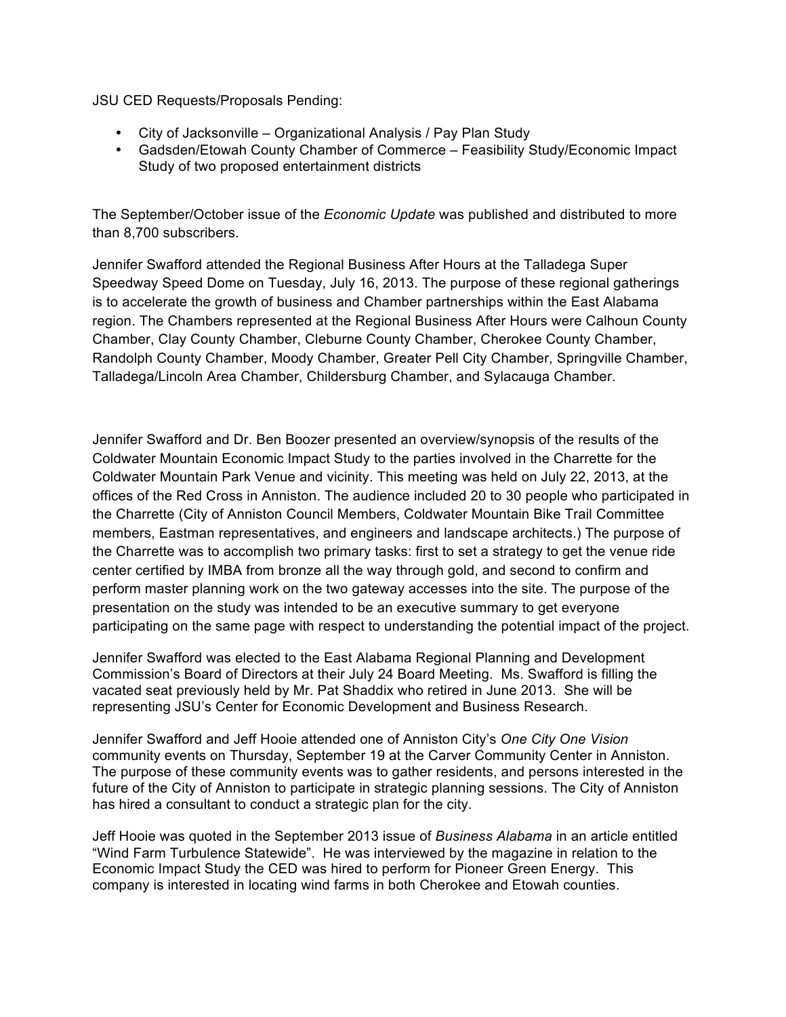JSU CED Requests/Proposals Pending:

- City of Jacksonville Organizational Analysis / Pay Plan Study
- Gadsden/Etowah County Chamber of Commerce Feasibility Study/Economic Impact Study of two proposed entertainment districts

The September/October issue of the *Economic Update* was published and distributed to more than 8,700 subscribers.

Jennifer Swafford attended the Regional Business After Hours at the Talladega Super Speedway Speed Dome on Tuesday, July 16, 2013. The purpose of these regional gatherings is to accelerate the growth of business and Chamber partnerships within the East Alabama region. The Chambers represented at the Regional Business After Hours were Calhoun County Chamber, Clay County Chamber, Cleburne County Chamber, Cherokee County Chamber, Randolph County Chamber, Moody Chamber, Greater Pell City Chamber, Springville Chamber, Talladega/Lincoln Area Chamber, Childersburg Chamber, and Sylacauga Chamber.

Jennifer Swafford and Dr. Ben Boozer presented an overview/synopsis of the results of the Coldwater Mountain Economic Impact Study to the parties involved in the Charrette for the Coldwater Mountain Park Venue and vicinity. This meeting was held on July 22, 2013, at the offices of the Red Cross in Anniston. The audience included 20 to 30 people who participated in the Charrette (City of Anniston Council Members, Coldwater Mountain Bike Trail Committee members, Eastman representatives, and engineers and landscape architects.) The purpose of the Charrette was to accomplish two primary tasks: first to set a strategy to get the venue ride center certified by IMBA from bronze all the way through gold, and second to confirm and perform master planning work on the two gateway accesses into the site. The purpose of the presentation on the study was intended to be an executive summary to get everyone participating on the same page with respect to understanding the potential impact of the project.

Jennifer Swafford was elected to the East Alabama Regional Planning and Development Commission's Board of Directors at their July 24 Board Meeting. Ms. Swafford is filling the vacated seat previously held by Mr. Pat Shaddix who retired in June 2013. She will be representing JSU's Center for Economic Development and Business Research.

Jennifer Swafford and Jeff Hooie attended one of Anniston City's *One City One Vision*  community events on Thursday, September 19 at the Carver Community Center in Anniston. The purpose of these community events was to gather residents, and persons interested in the future of the City of Anniston to participate in strategic planning sessions. The City of Anniston has hired a consultant to conduct a strategic plan for the city.

Jeff Hooie was quoted in the September 2013 issue of *Business Alabama* in an article entitled "Wind Farm Turbulence Statewide". He was interviewed by the magazine in relation to the Economic Impact Study the CED was hired to perform for Pioneer Green Energy. This company is interested in locating wind farms in both Cherokee and Etowah counties.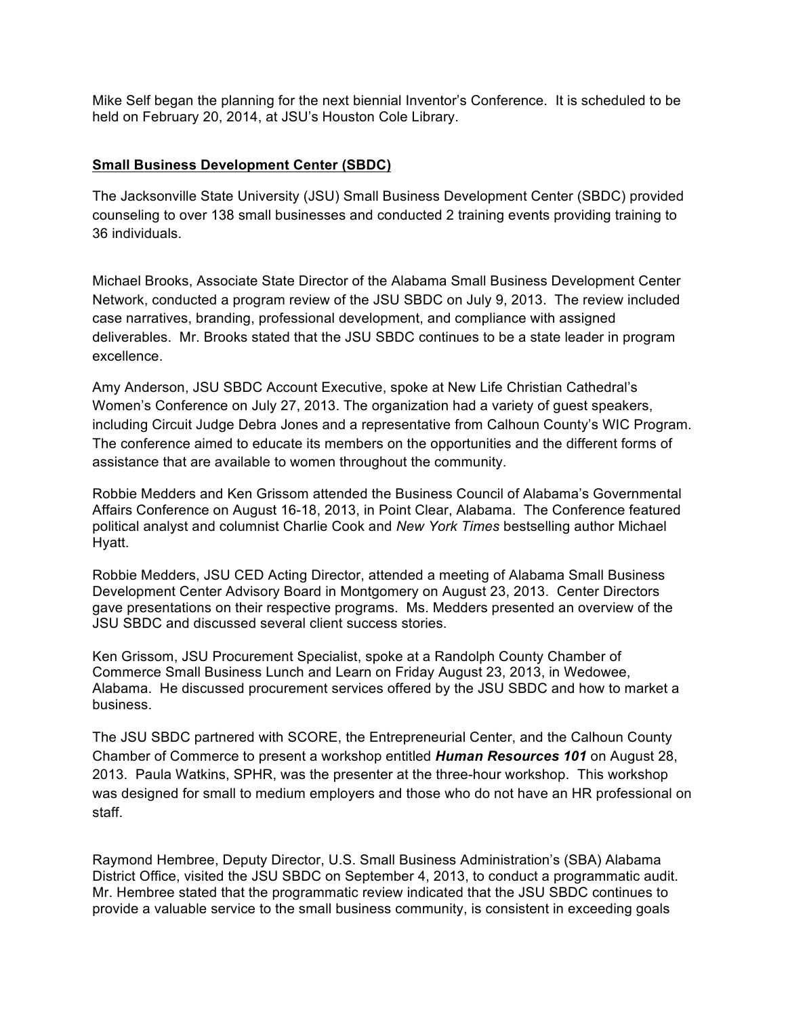Mike Self began the planning for the next biennial Inventor's Conference. It is scheduled to be held on February 20, 2014, at JSU's Houston Cole Library.

#### **Small Business Development Center (SBDC)**

The Jacksonville State University (JSU) Small Business Development Center (SBDC) provided counseling to over 138 small businesses and conducted 2 training events providing training to 36 individuals.

Michael Brooks, Associate State Director of the Alabama Small Business Development Center Network, conducted a program review of the JSU SBDC on July 9, 2013. The review included case narratives, branding, professional development, and compliance with assigned deliverables. Mr. Brooks stated that the JSU SBDC continues to be a state leader in program excellence.

Amy Anderson, JSU SBDC Account Executive, spoke at New Life Christian Cathedral's Women's Conference on July 27, 2013. The organization had a variety of guest speakers, including Circuit Judge Debra Jones and a representative from Calhoun County's WIC Program. The conference aimed to educate its members on the opportunities and the different forms of assistance that are available to women throughout the community.

Robbie Medders and Ken Grissom attended the Business Council of Alabama's Governmental Affairs Conference on August 16-18, 2013, in Point Clear, Alabama. The Conference featured political analyst and columnist Charlie Cook and *New York Times* bestselling author Michael Hyatt.

Robbie Medders, JSU CED Acting Director, attended a meeting of Alabama Small Business Development Center Advisory Board in Montgomery on August 23, 2013. Center Directors gave presentations on their respective programs. Ms. Medders presented an overview of the JSU SBDC and discussed several client success stories.

Ken Grissom, JSU Procurement Specialist, spoke at a Randolph County Chamber of Commerce Small Business Lunch and Learn on Friday August 23, 2013, in Wedowee, Alabama. He discussed procurement services offered by the JSU SBDC and how to market a business.

The JSU SBDC partnered with SCORE, the Entrepreneurial Center, and the Calhoun County Chamber of Commerce to present a workshop entitled *Human Resources 101* on August 28, 2013. Paula Watkins, SPHR, was the presenter at the three-hour workshop. This workshop was designed for small to medium employers and those who do not have an HR professional on staff.

Raymond Hembree, Deputy Director, U.S. Small Business Administration's (SBA) Alabama District Office, visited the JSU SBDC on September 4, 2013, to conduct a programmatic audit. Mr. Hembree stated that the programmatic review indicated that the JSU SBDC continues to provide a valuable service to the small business community, is consistent in exceeding goals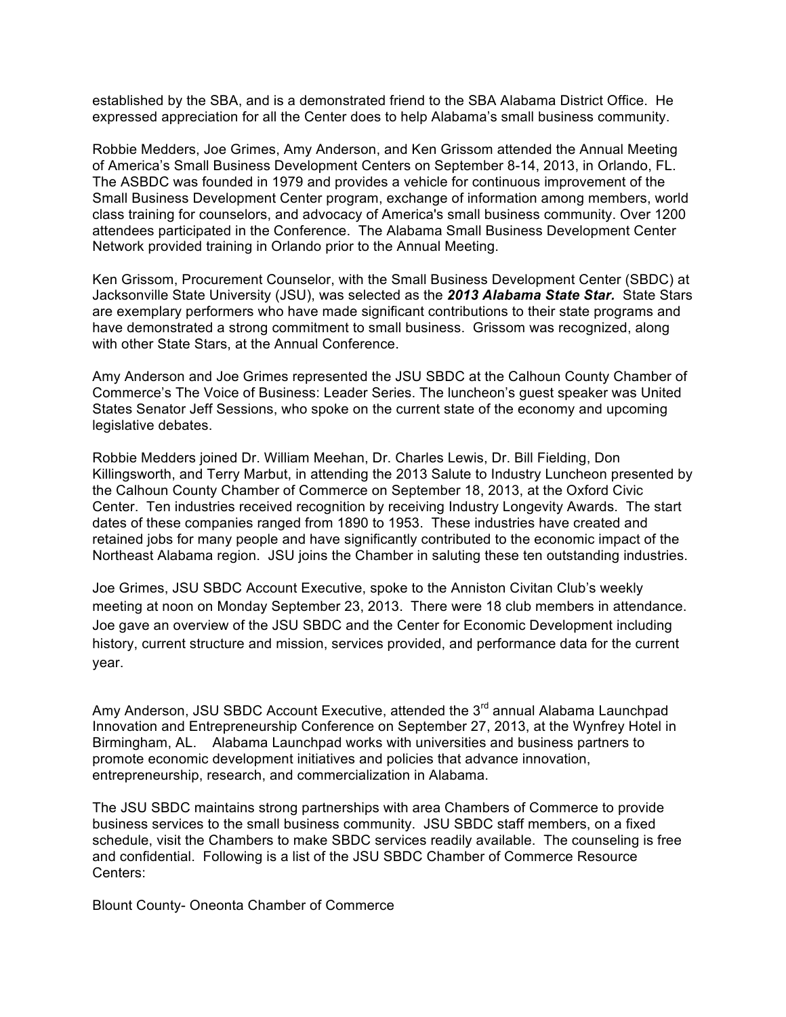established by the SBA, and is a demonstrated friend to the SBA Alabama District Office. He expressed appreciation for all the Center does to help Alabama's small business community.

Robbie Medders, Joe Grimes, Amy Anderson, and Ken Grissom attended the Annual Meeting of America's Small Business Development Centers on September 8-14, 2013, in Orlando, FL. The ASBDC was founded in 1979 and provides a vehicle for continuous improvement of the Small Business Development Center program, exchange of information among members, world class training for counselors, and advocacy of America's small business community. Over 1200 attendees participated in the Conference. The Alabama Small Business Development Center Network provided training in Orlando prior to the Annual Meeting.

Ken Grissom, Procurement Counselor, with the Small Business Development Center (SBDC) at Jacksonville State University (JSU), was selected as the *2013 Alabama State Star.* State Stars are exemplary performers who have made significant contributions to their state programs and have demonstrated a strong commitment to small business. Grissom was recognized, along with other State Stars, at the Annual Conference.

Amy Anderson and Joe Grimes represented the JSU SBDC at the Calhoun County Chamber of Commerce's The Voice of Business: Leader Series. The luncheon's guest speaker was United States Senator Jeff Sessions, who spoke on the current state of the economy and upcoming legislative debates.

Robbie Medders joined Dr. William Meehan, Dr. Charles Lewis, Dr. Bill Fielding, Don Killingsworth, and Terry Marbut, in attending the 2013 Salute to Industry Luncheon presented by the Calhoun County Chamber of Commerce on September 18, 2013, at the Oxford Civic Center. Ten industries received recognition by receiving Industry Longevity Awards. The start dates of these companies ranged from 1890 to 1953. These industries have created and retained jobs for many people and have significantly contributed to the economic impact of the Northeast Alabama region. JSU joins the Chamber in saluting these ten outstanding industries.

Joe Grimes, JSU SBDC Account Executive, spoke to the Anniston Civitan Club's weekly meeting at noon on Monday September 23, 2013. There were 18 club members in attendance. Joe gave an overview of the JSU SBDC and the Center for Economic Development including history, current structure and mission, services provided, and performance data for the current year.

Amy Anderson, JSU SBDC Account Executive, attended the 3<sup>rd</sup> annual Alabama Launchpad Innovation and Entrepreneurship Conference on September 27, 2013, at the Wynfrey Hotel in Birmingham, AL. Alabama Launchpad works with universities and business partners to promote economic development initiatives and policies that advance innovation, entrepreneurship, research, and commercialization in Alabama.

The JSU SBDC maintains strong partnerships with area Chambers of Commerce to provide business services to the small business community. JSU SBDC staff members, on a fixed schedule, visit the Chambers to make SBDC services readily available. The counseling is free and confidential. Following is a list of the JSU SBDC Chamber of Commerce Resource Centers:

Blount County- Oneonta Chamber of Commerce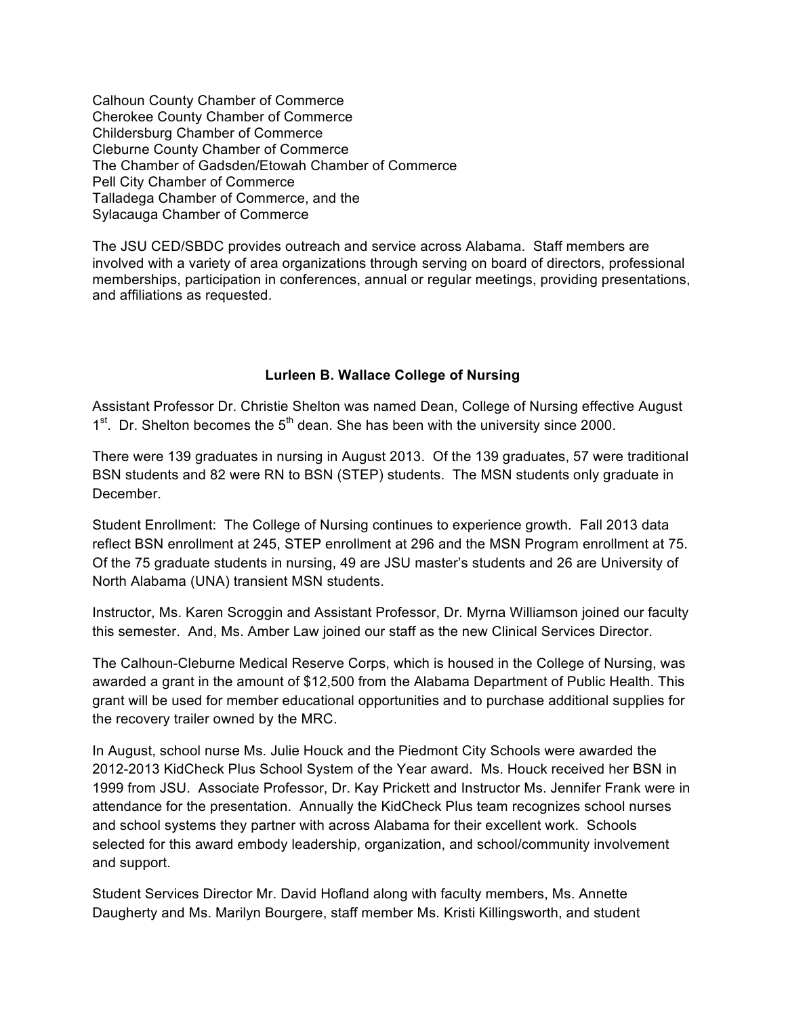Calhoun County Chamber of Commerce Cherokee County Chamber of Commerce Childersburg Chamber of Commerce Cleburne County Chamber of Commerce The Chamber of Gadsden/Etowah Chamber of Commerce Pell City Chamber of Commerce Talladega Chamber of Commerce, and the Sylacauga Chamber of Commerce

The JSU CED/SBDC provides outreach and service across Alabama. Staff members are involved with a variety of area organizations through serving on board of directors, professional memberships, participation in conferences, annual or regular meetings, providing presentations, and affiliations as requested.

### **Lurleen B. Wallace College of Nursing**

Assistant Professor Dr. Christie Shelton was named Dean, College of Nursing effective August  $1<sup>st</sup>$ . Dr. Shelton becomes the  $5<sup>th</sup>$  dean. She has been with the university since 2000.

There were 139 graduates in nursing in August 2013. Of the 139 graduates, 57 were traditional BSN students and 82 were RN to BSN (STEP) students. The MSN students only graduate in December.

Student Enrollment: The College of Nursing continues to experience growth. Fall 2013 data reflect BSN enrollment at 245, STEP enrollment at 296 and the MSN Program enrollment at 75. Of the 75 graduate students in nursing, 49 are JSU master's students and 26 are University of North Alabama (UNA) transient MSN students.

Instructor, Ms. Karen Scroggin and Assistant Professor, Dr. Myrna Williamson joined our faculty this semester. And, Ms. Amber Law joined our staff as the new Clinical Services Director.

The Calhoun-Cleburne Medical Reserve Corps, which is housed in the College of Nursing, was awarded a grant in the amount of \$12,500 from the Alabama Department of Public Health. This grant will be used for member educational opportunities and to purchase additional supplies for the recovery trailer owned by the MRC.

In August, school nurse Ms. Julie Houck and the Piedmont City Schools were awarded the 2012-2013 KidCheck Plus School System of the Year award. Ms. Houck received her BSN in 1999 from JSU. Associate Professor, Dr. Kay Prickett and Instructor Ms. Jennifer Frank were in attendance for the presentation. Annually the KidCheck Plus team recognizes school nurses and school systems they partner with across Alabama for their excellent work. Schools selected for this award embody leadership, organization, and school/community involvement and support.

Student Services Director Mr. David Hofland along with faculty members, Ms. Annette Daugherty and Ms. Marilyn Bourgere, staff member Ms. Kristi Killingsworth, and student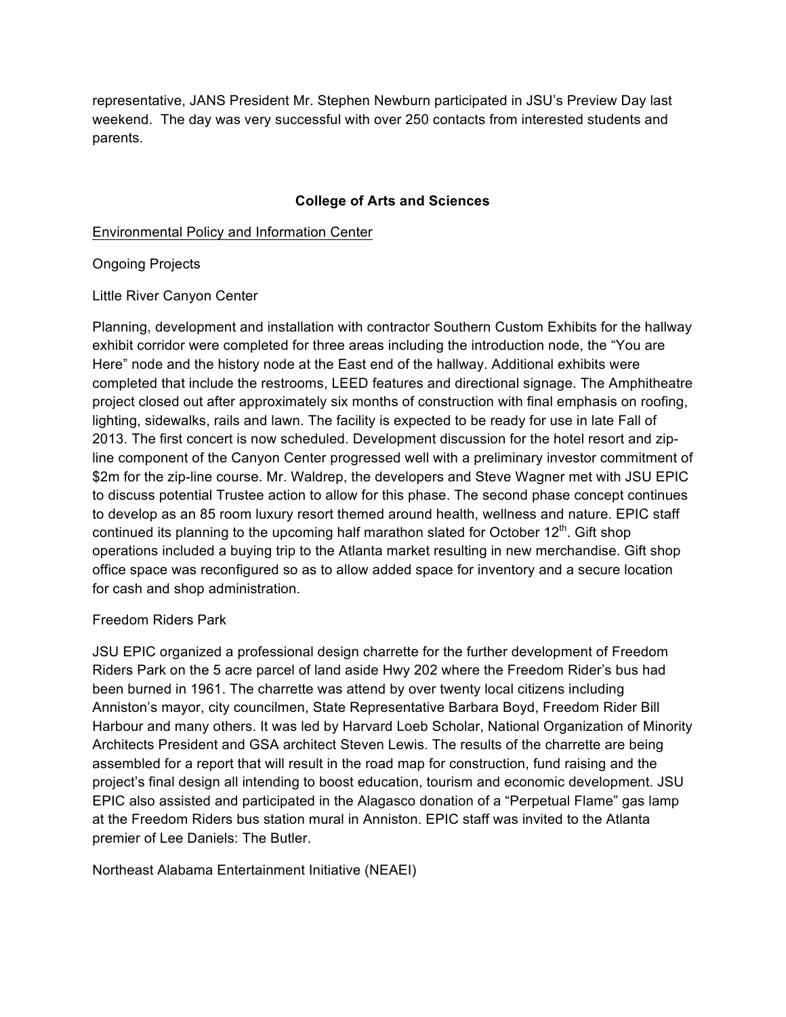representative, JANS President Mr. Stephen Newburn participated in JSU's Preview Day last weekend. The day was very successful with over 250 contacts from interested students and parents.

### **College of Arts and Sciences**

Environmental Policy and Information Center

Ongoing Projects

Little River Canyon Center

Planning, development and installation with contractor Southern Custom Exhibits for the hallway exhibit corridor were completed for three areas including the introduction node, the "You are Here" node and the history node at the East end of the hallway. Additional exhibits were completed that include the restrooms, LEED features and directional signage. The Amphitheatre project closed out after approximately six months of construction with final emphasis on roofing, lighting, sidewalks, rails and lawn. The facility is expected to be ready for use in late Fall of 2013. The first concert is now scheduled. Development discussion for the hotel resort and zipline component of the Canyon Center progressed well with a preliminary investor commitment of \$2m for the zip-line course. Mr. Waldrep, the developers and Steve Wagner met with JSU EPIC to discuss potential Trustee action to allow for this phase. The second phase concept continues to develop as an 85 room luxury resort themed around health, wellness and nature. EPIC staff continued its planning to the upcoming half marathon slated for October  $12<sup>th</sup>$ . Gift shop operations included a buying trip to the Atlanta market resulting in new merchandise. Gift shop office space was reconfigured so as to allow added space for inventory and a secure location for cash and shop administration.

#### Freedom Riders Park

JSU EPIC organized a professional design charrette for the further development of Freedom Riders Park on the 5 acre parcel of land aside Hwy 202 where the Freedom Rider's bus had been burned in 1961. The charrette was attend by over twenty local citizens including Anniston's mayor, city councilmen, State Representative Barbara Boyd, Freedom Rider Bill Harbour and many others. It was led by Harvard Loeb Scholar, National Organization of Minority Architects President and GSA architect Steven Lewis. The results of the charrette are being assembled for a report that will result in the road map for construction, fund raising and the project's final design all intending to boost education, tourism and economic development. JSU EPIC also assisted and participated in the Alagasco donation of a "Perpetual Flame" gas lamp at the Freedom Riders bus station mural in Anniston. EPIC staff was invited to the Atlanta premier of Lee Daniels: The Butler.

Northeast Alabama Entertainment Initiative (NEAEI)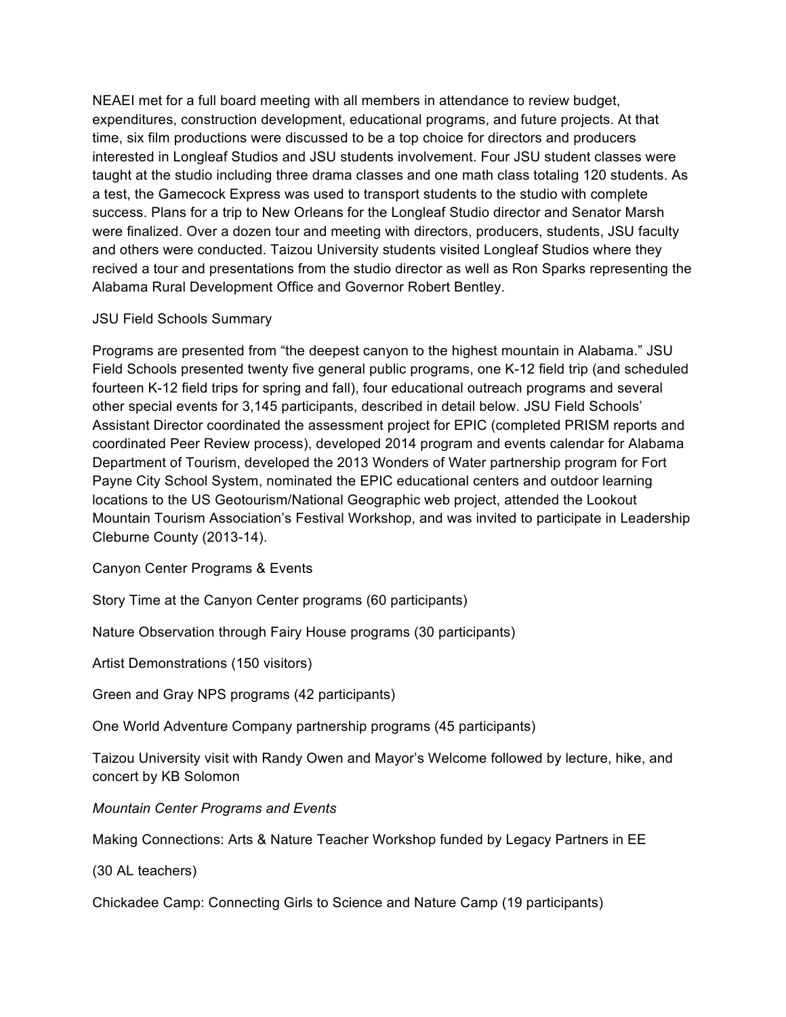NEAEI met for a full board meeting with all members in attendance to review budget, expenditures, construction development, educational programs, and future projects. At that time, six film productions were discussed to be a top choice for directors and producers interested in Longleaf Studios and JSU students involvement. Four JSU student classes were taught at the studio including three drama classes and one math class totaling 120 students. As a test, the Gamecock Express was used to transport students to the studio with complete success. Plans for a trip to New Orleans for the Longleaf Studio director and Senator Marsh were finalized. Over a dozen tour and meeting with directors, producers, students, JSU faculty and others were conducted. Taizou University students visited Longleaf Studios where they recived a tour and presentations from the studio director as well as Ron Sparks representing the Alabama Rural Development Office and Governor Robert Bentley.

#### JSU Field Schools Summary

Programs are presented from "the deepest canyon to the highest mountain in Alabama." JSU Field Schools presented twenty five general public programs, one K-12 field trip (and scheduled fourteen K-12 field trips for spring and fall), four educational outreach programs and several other special events for 3,145 participants, described in detail below. JSU Field Schools' Assistant Director coordinated the assessment project for EPIC (completed PRISM reports and coordinated Peer Review process), developed 2014 program and events calendar for Alabama Department of Tourism, developed the 2013 Wonders of Water partnership program for Fort Payne City School System, nominated the EPIC educational centers and outdoor learning locations to the US Geotourism/National Geographic web project, attended the Lookout Mountain Tourism Association's Festival Workshop, and was invited to participate in Leadership Cleburne County (2013-14).

Canyon Center Programs & Events

Story Time at the Canyon Center programs (60 participants)

Nature Observation through Fairy House programs (30 participants)

Artist Demonstrations (150 visitors)

Green and Gray NPS programs (42 participants)

One World Adventure Company partnership programs (45 participants)

Taizou University visit with Randy Owen and Mayor's Welcome followed by lecture, hike, and concert by KB Solomon

*Mountain Center Programs and Events*

Making Connections: Arts & Nature Teacher Workshop funded by Legacy Partners in EE

(30 AL teachers)

Chickadee Camp: Connecting Girls to Science and Nature Camp (19 participants)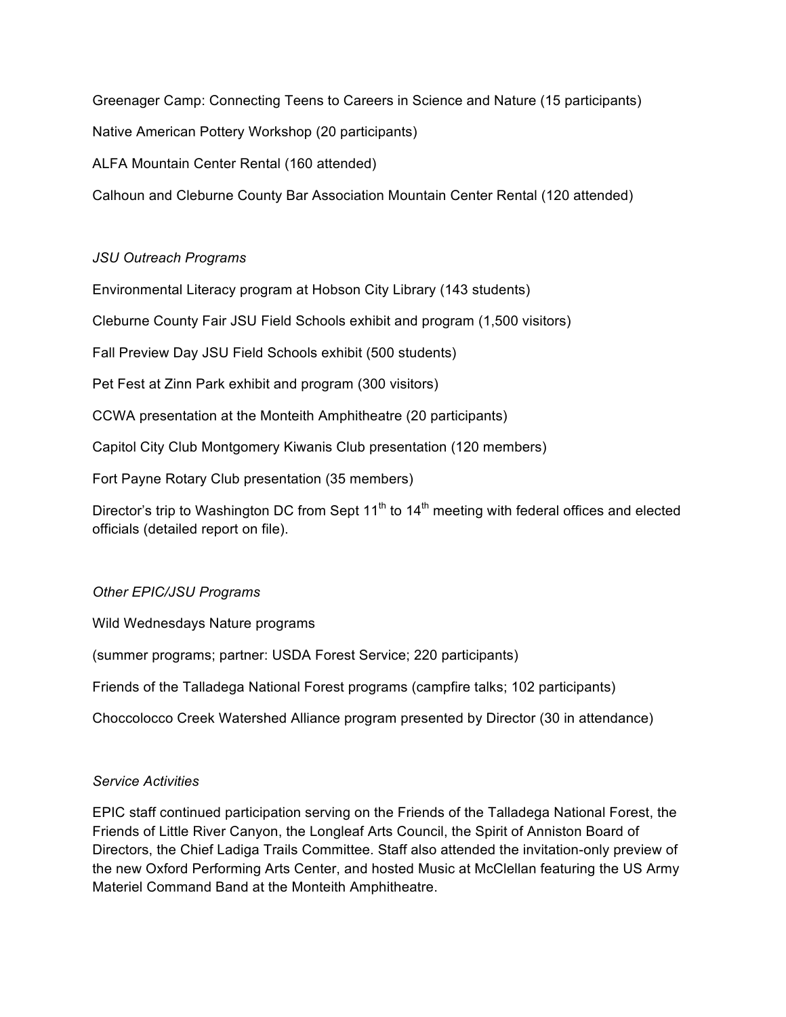Greenager Camp: Connecting Teens to Careers in Science and Nature (15 participants)

Native American Pottery Workshop (20 participants)

ALFA Mountain Center Rental (160 attended)

Calhoun and Cleburne County Bar Association Mountain Center Rental (120 attended)

#### *JSU Outreach Programs*

Environmental Literacy program at Hobson City Library (143 students)

Cleburne County Fair JSU Field Schools exhibit and program (1,500 visitors)

Fall Preview Day JSU Field Schools exhibit (500 students)

Pet Fest at Zinn Park exhibit and program (300 visitors)

CCWA presentation at the Monteith Amphitheatre (20 participants)

Capitol City Club Montgomery Kiwanis Club presentation (120 members)

Fort Payne Rotary Club presentation (35 members)

Director's trip to Washington DC from Sept 11<sup>th</sup> to 14<sup>th</sup> meeting with federal offices and elected officials (detailed report on file).

#### *Other EPIC/JSU Programs*

Wild Wednesdays Nature programs

(summer programs; partner: USDA Forest Service; 220 participants)

Friends of the Talladega National Forest programs (campfire talks; 102 participants)

Choccolocco Creek Watershed Alliance program presented by Director (30 in attendance)

#### *Service Activities*

EPIC staff continued participation serving on the Friends of the Talladega National Forest, the Friends of Little River Canyon, the Longleaf Arts Council, the Spirit of Anniston Board of Directors, the Chief Ladiga Trails Committee. Staff also attended the invitation-only preview of the new Oxford Performing Arts Center, and hosted Music at McClellan featuring the US Army Materiel Command Band at the Monteith Amphitheatre.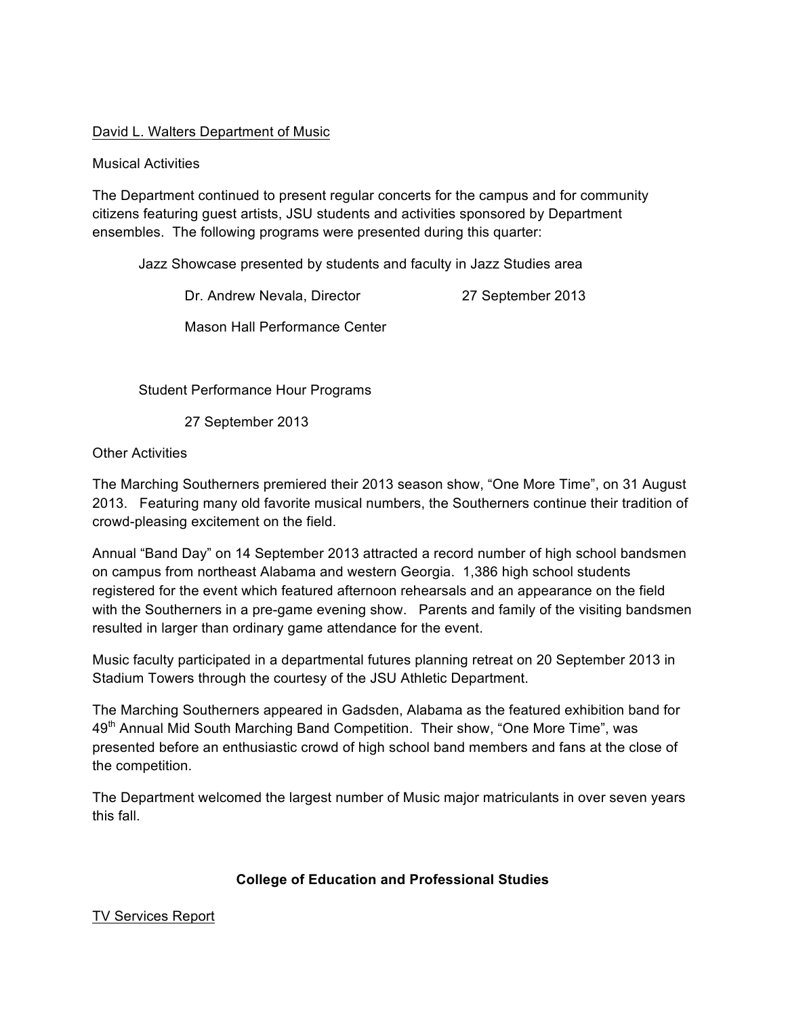### David L. Walters Department of Music

#### Musical Activities

The Department continued to present regular concerts for the campus and for community citizens featuring guest artists, JSU students and activities sponsored by Department ensembles. The following programs were presented during this quarter:

Jazz Showcase presented by students and faculty in Jazz Studies area

Dr. Andrew Nevala, Director 27 September 2013

Mason Hall Performance Center

Student Performance Hour Programs

27 September 2013

### Other Activities

The Marching Southerners premiered their 2013 season show, "One More Time", on 31 August 2013. Featuring many old favorite musical numbers, the Southerners continue their tradition of crowd-pleasing excitement on the field.

Annual "Band Day" on 14 September 2013 attracted a record number of high school bandsmen on campus from northeast Alabama and western Georgia. 1,386 high school students registered for the event which featured afternoon rehearsals and an appearance on the field with the Southerners in a pre-game evening show. Parents and family of the visiting bandsmen resulted in larger than ordinary game attendance for the event.

Music faculty participated in a departmental futures planning retreat on 20 September 2013 in Stadium Towers through the courtesy of the JSU Athletic Department.

The Marching Southerners appeared in Gadsden, Alabama as the featured exhibition band for 49<sup>th</sup> Annual Mid South Marching Band Competition. Their show, "One More Time", was presented before an enthusiastic crowd of high school band members and fans at the close of the competition.

The Department welcomed the largest number of Music major matriculants in over seven years this fall.

## **College of Education and Professional Studies**

TV Services Report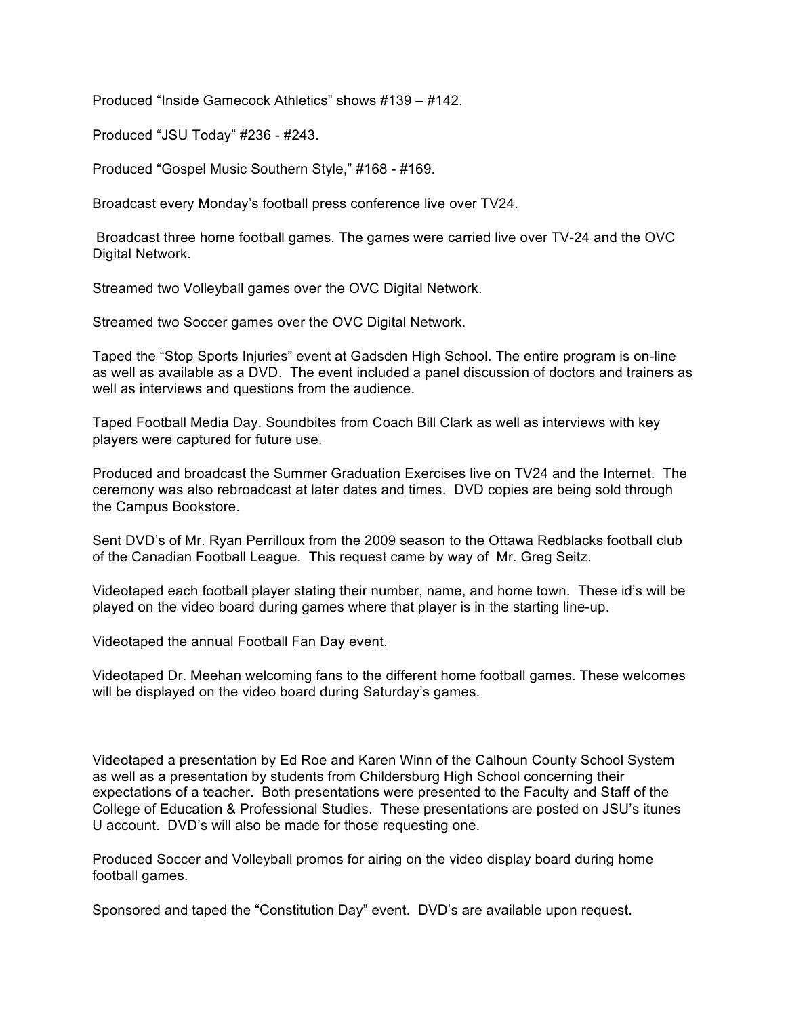Produced "Inside Gamecock Athletics" shows #139 – #142.

Produced "JSU Today" #236 - #243.

Produced "Gospel Music Southern Style," #168 - #169.

Broadcast every Monday's football press conference live over TV24.

Broadcast three home football games. The games were carried live over TV-24 and the OVC Digital Network.

Streamed two Volleyball games over the OVC Digital Network.

Streamed two Soccer games over the OVC Digital Network.

Taped the "Stop Sports Injuries" event at Gadsden High School. The entire program is on-line as well as available as a DVD. The event included a panel discussion of doctors and trainers as well as interviews and questions from the audience.

Taped Football Media Day. Soundbites from Coach Bill Clark as well as interviews with key players were captured for future use.

Produced and broadcast the Summer Graduation Exercises live on TV24 and the Internet. The ceremony was also rebroadcast at later dates and times. DVD copies are being sold through the Campus Bookstore.

Sent DVD's of Mr. Ryan Perrilloux from the 2009 season to the Ottawa Redblacks football club of the Canadian Football League. This request came by way of Mr. Greg Seitz.

Videotaped each football player stating their number, name, and home town. These id's will be played on the video board during games where that player is in the starting line-up.

Videotaped the annual Football Fan Day event.

Videotaped Dr. Meehan welcoming fans to the different home football games. These welcomes will be displayed on the video board during Saturday's games.

Videotaped a presentation by Ed Roe and Karen Winn of the Calhoun County School System as well as a presentation by students from Childersburg High School concerning their expectations of a teacher. Both presentations were presented to the Faculty and Staff of the College of Education & Professional Studies. These presentations are posted on JSU's itunes U account. DVD's will also be made for those requesting one.

Produced Soccer and Volleyball promos for airing on the video display board during home football games.

Sponsored and taped the "Constitution Day" event. DVD's are available upon request.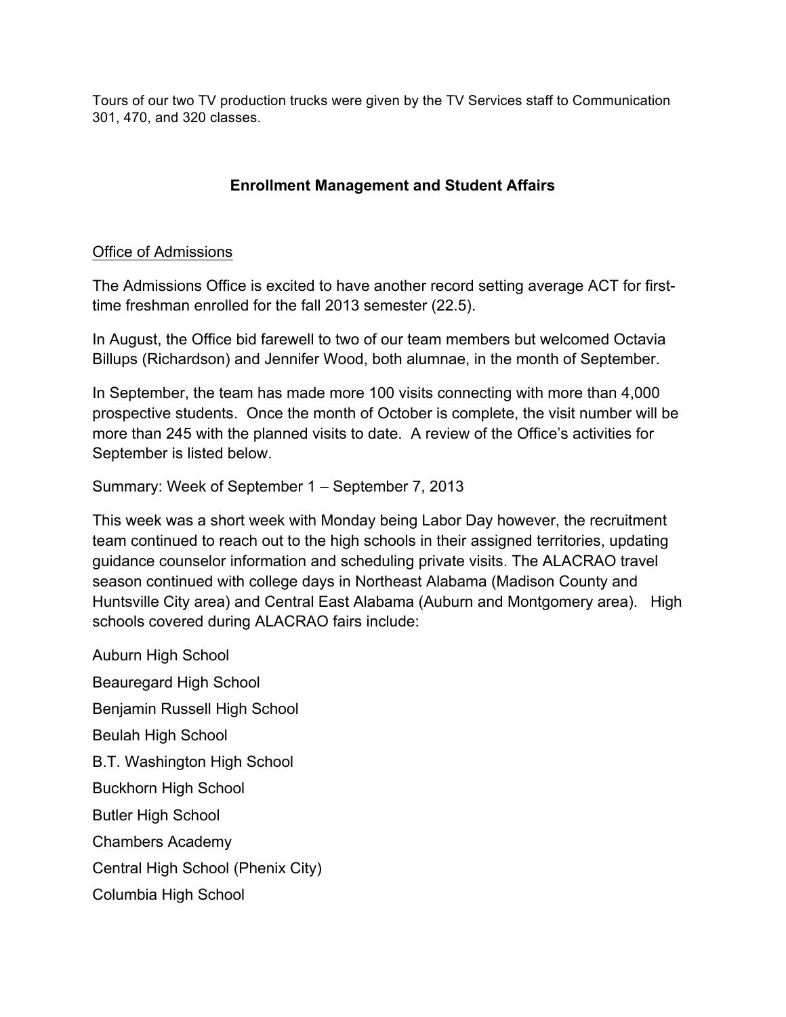Tours of our two TV production trucks were given by the TV Services staff to Communication 301, 470, and 320 classes.

# **Enrollment Management and Student Affairs**

## Office of Admissions

The Admissions Office is excited to have another record setting average ACT for firsttime freshman enrolled for the fall 2013 semester (22.5).

In August, the Office bid farewell to two of our team members but welcomed Octavia Billups (Richardson) and Jennifer Wood, both alumnae, in the month of September.

In September, the team has made more 100 visits connecting with more than 4,000 prospective students. Once the month of October is complete, the visit number will be more than 245 with the planned visits to date. A review of the Office's activities for September is listed below.

Summary: Week of September 1 – September 7, 2013

This week was a short week with Monday being Labor Day however, the recruitment team continued to reach out to the high schools in their assigned territories, updating guidance counselor information and scheduling private visits. The ALACRAO travel season continued with college days in Northeast Alabama (Madison County and Huntsville City area) and Central East Alabama (Auburn and Montgomery area). High schools covered during ALACRAO fairs include:

Auburn High School Beauregard High School Benjamin Russell High School Beulah High School B.T. Washington High School Buckhorn High School Butler High School Chambers Academy Central High School (Phenix City) Columbia High School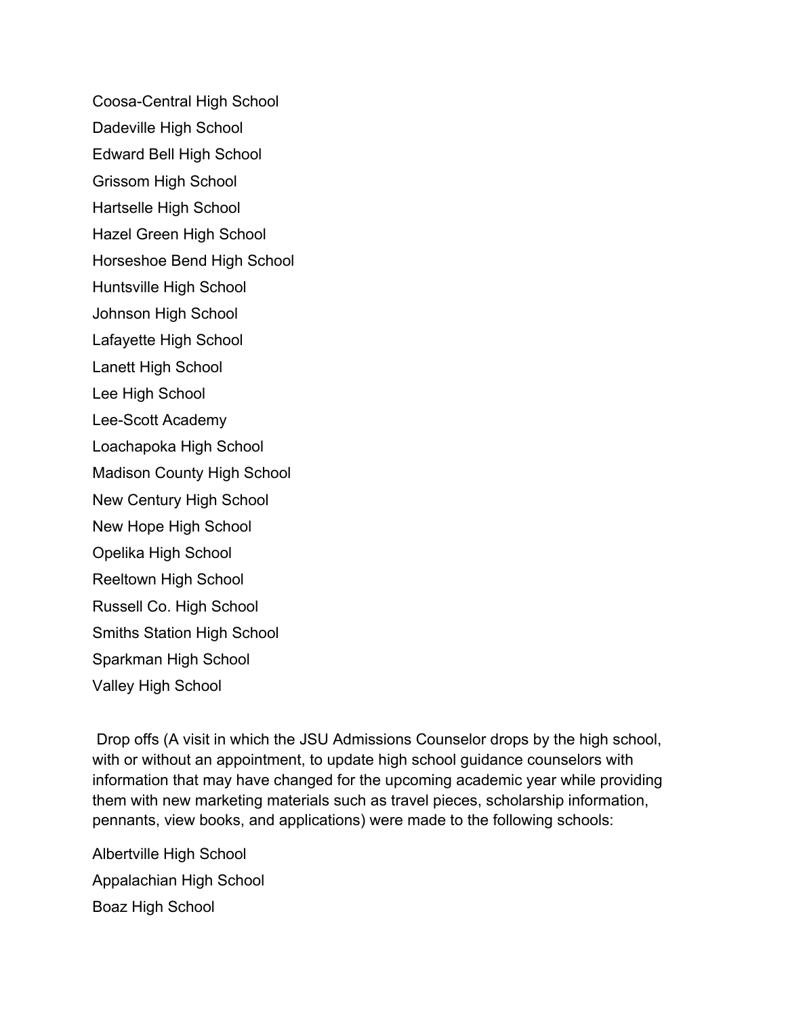Coosa-Central High School

Dadeville High School

Edward Bell High School

Grissom High School

Hartselle High School

Hazel Green High School

Horseshoe Bend High School

Huntsville High School

Johnson High School

Lafayette High School

Lanett High School

Lee High School

Lee-Scott Academy

Loachapoka High School

Madison County High School

New Century High School

New Hope High School

Opelika High School

Reeltown High School

Russell Co. High School

Smiths Station High School

Sparkman High School

Valley High School

Drop offs (A visit in which the JSU Admissions Counselor drops by the high school, with or without an appointment, to update high school guidance counselors with information that may have changed for the upcoming academic year while providing them with new marketing materials such as travel pieces, scholarship information, pennants, view books, and applications) were made to the following schools:

Albertville High School Appalachian High School Boaz High School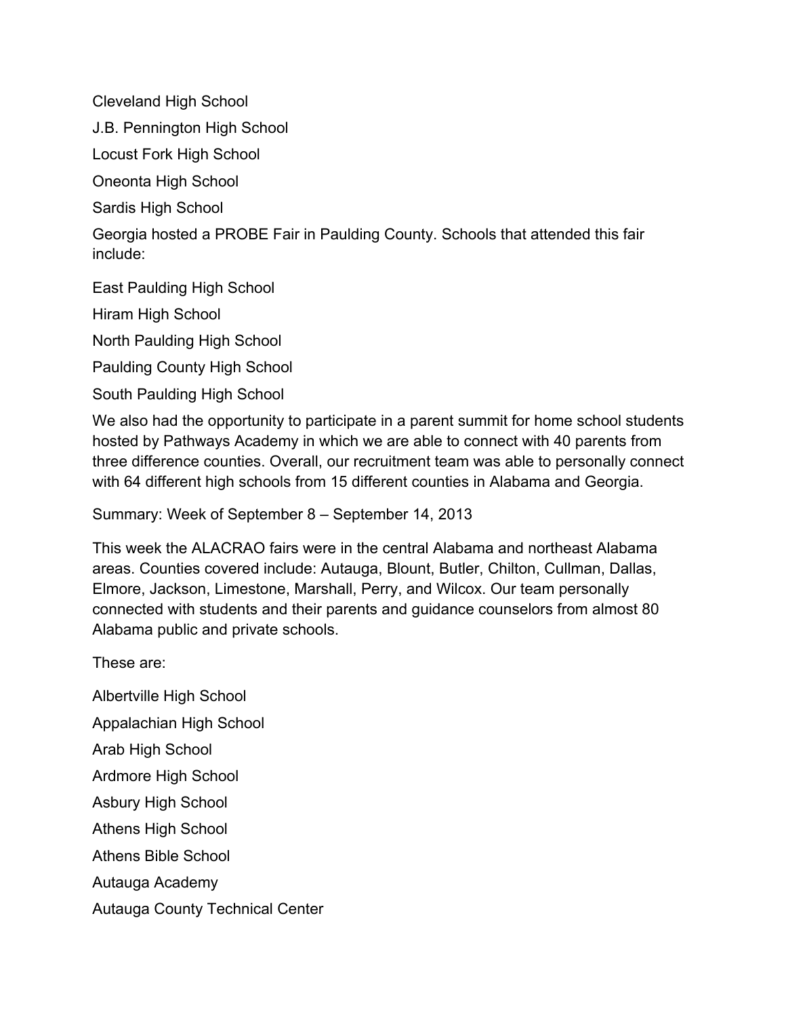Cleveland High School

J.B. Pennington High School

Locust Fork High School

Oneonta High School

Sardis High School

Georgia hosted a PROBE Fair in Paulding County. Schools that attended this fair include:

East Paulding High School

Hiram High School

North Paulding High School

Paulding County High School

South Paulding High School

We also had the opportunity to participate in a parent summit for home school students hosted by Pathways Academy in which we are able to connect with 40 parents from three difference counties. Overall, our recruitment team was able to personally connect with 64 different high schools from 15 different counties in Alabama and Georgia.

Summary: Week of September 8 – September 14, 2013

This week the ALACRAO fairs were in the central Alabama and northeast Alabama areas. Counties covered include: Autauga, Blount, Butler, Chilton, Cullman, Dallas, Elmore, Jackson, Limestone, Marshall, Perry, and Wilcox. Our team personally connected with students and their parents and guidance counselors from almost 80 Alabama public and private schools.

These are:

Albertville High School Appalachian High School Arab High School Ardmore High School Asbury High School Athens High School Athens Bible School Autauga Academy Autauga County Technical Center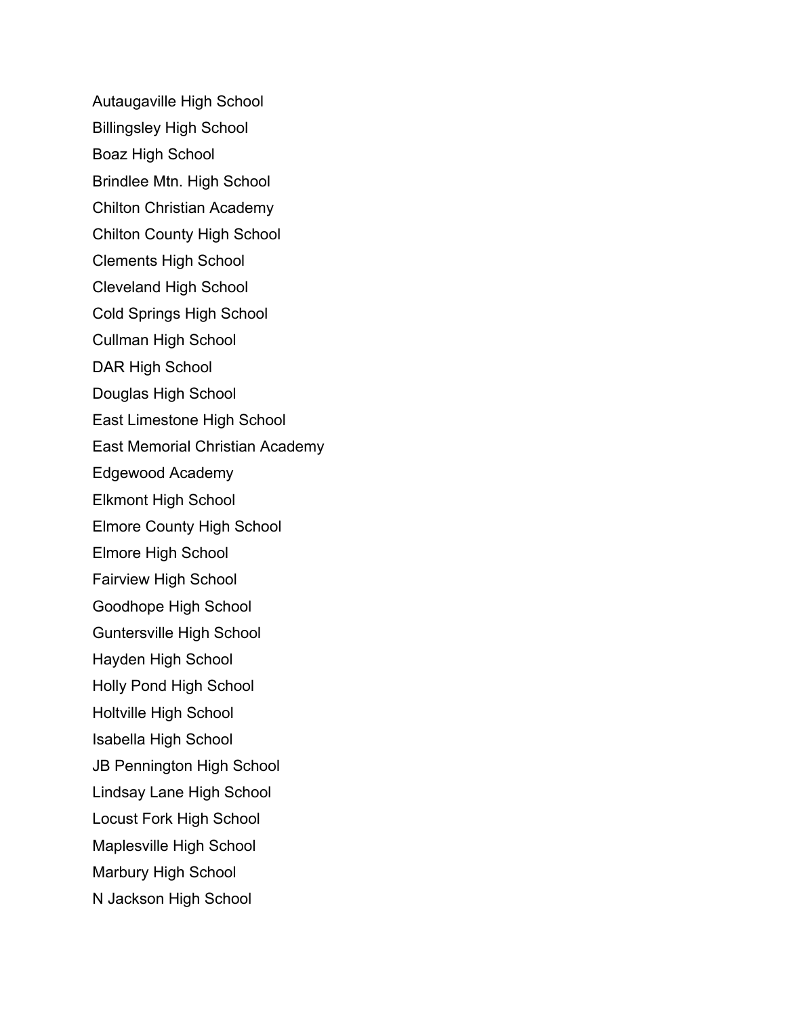Autaugaville High School Billingsley High School Boaz High School Brindlee Mtn. High School Chilton Christian Academy Chilton County High School Clements High School Cleveland High School Cold Springs High School Cullman High School DAR High School Douglas High School East Limestone High School East Memorial Christian Academy Edgewood Academy Elkmont High School Elmore County High School Elmore High School Fairview High School Goodhope High School Guntersville High School Hayden High School Holly Pond High School Holtville High School Isabella High School JB Pennington High School Lindsay Lane High School Locust Fork High School Maplesville High School Marbury High School N Jackson High School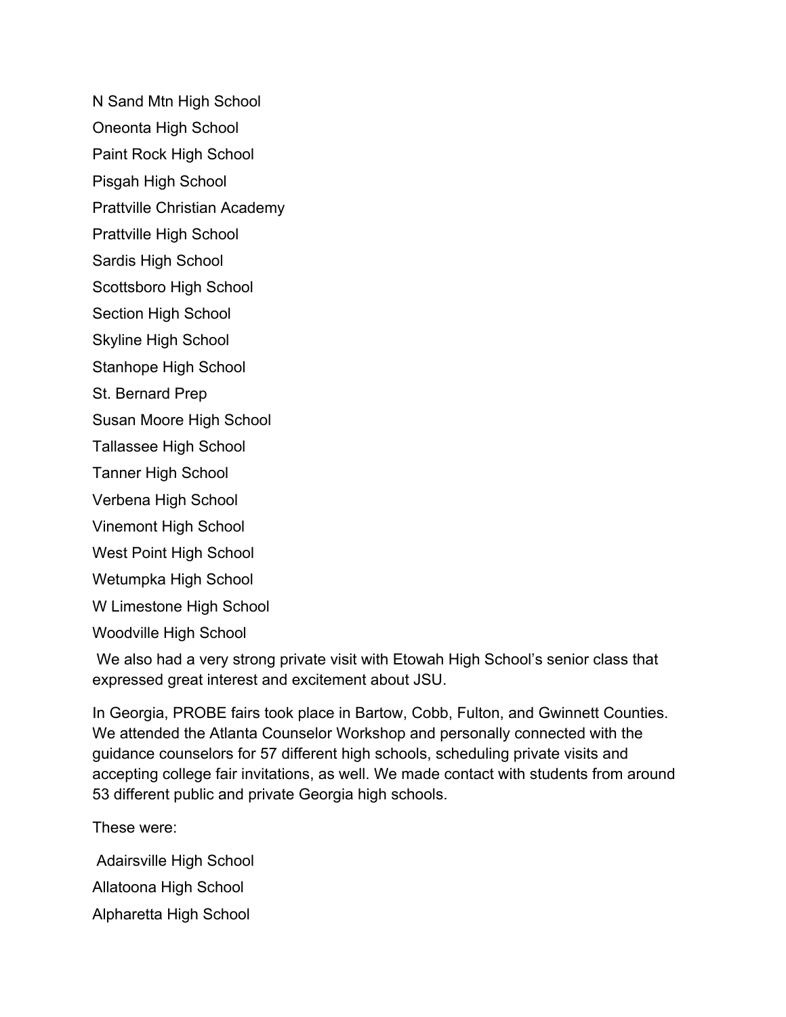N Sand Mtn High School

Oneonta High School

Paint Rock High School

Pisgah High School

Prattville Christian Academy

Prattville High School

Sardis High School

Scottsboro High School

Section High School

Skyline High School

Stanhope High School

St. Bernard Prep

Susan Moore High School

Tallassee High School

Tanner High School

Verbena High School

Vinemont High School

West Point High School

Wetumpka High School

W Limestone High School

Woodville High School

We also had a very strong private visit with Etowah High School's senior class that expressed great interest and excitement about JSU.

In Georgia, PROBE fairs took place in Bartow, Cobb, Fulton, and Gwinnett Counties. We attended the Atlanta Counselor Workshop and personally connected with the guidance counselors for 57 different high schools, scheduling private visits and accepting college fair invitations, as well. We made contact with students from around 53 different public and private Georgia high schools.

These were:

Adairsville High School Allatoona High School Alpharetta High School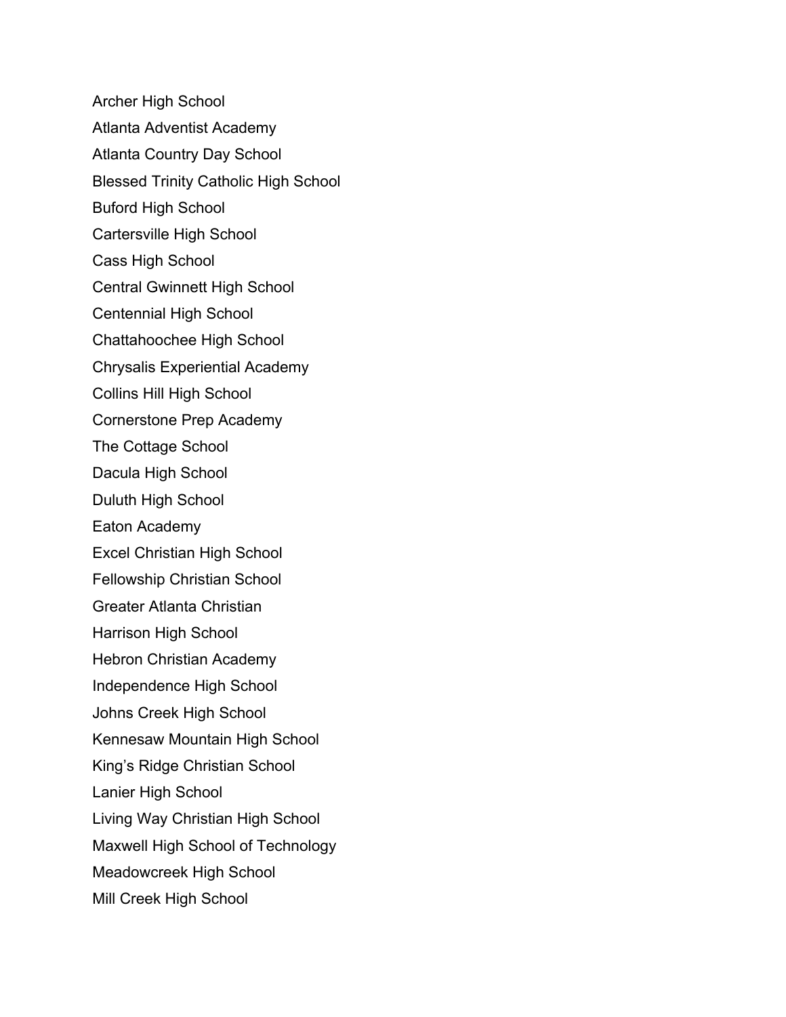Archer High School Atlanta Adventist Academy Atlanta Country Day School Blessed Trinity Catholic High School Buford High School Cartersville High School Cass High School Central Gwinnett High School Centennial High School Chattahoochee High School Chrysalis Experiential Academy Collins Hill High School Cornerstone Prep Academy The Cottage School Dacula High School Duluth High School Eaton Academy Excel Christian High School Fellowship Christian School Greater Atlanta Christian Harrison High School Hebron Christian Academy Independence High School Johns Creek High School Kennesaw Mountain High School King's Ridge Christian School Lanier High School Living Way Christian High School Maxwell High School of Technology Meadowcreek High School Mill Creek High School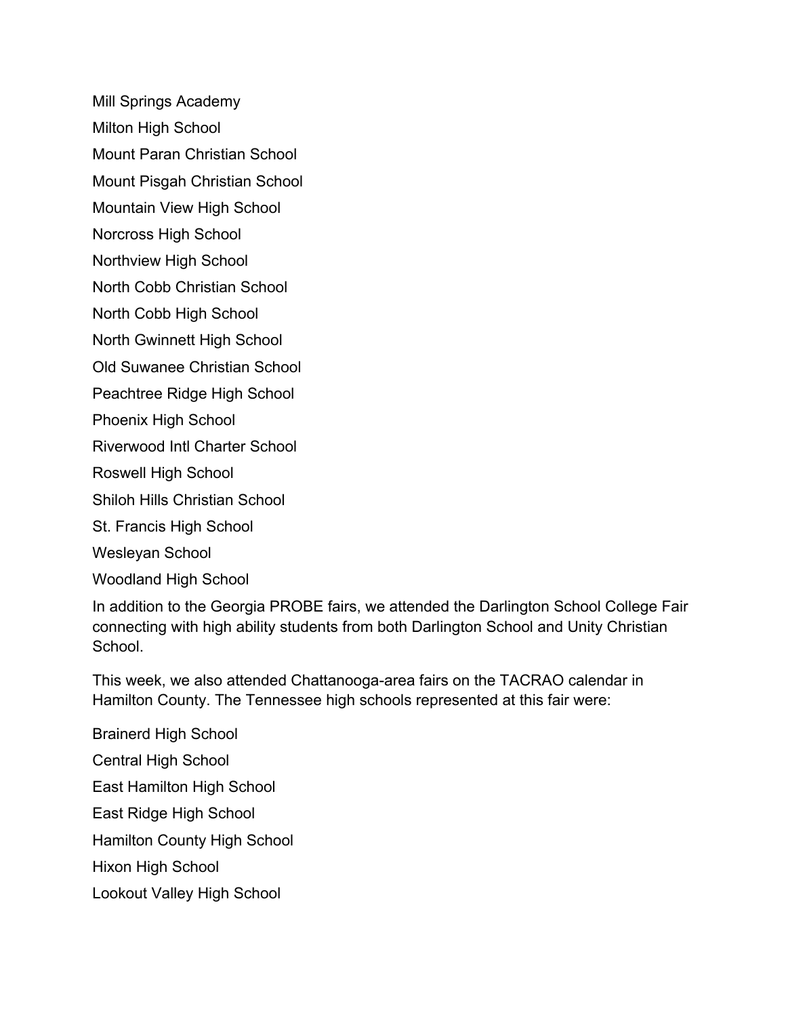Mill Springs Academy

Milton High School

Mount Paran Christian School

Mount Pisgah Christian School

Mountain View High School

Norcross High School

Northview High School

North Cobb Christian School

North Cobb High School

North Gwinnett High School

Old Suwanee Christian School

Peachtree Ridge High School

Phoenix High School

Riverwood Intl Charter School

Roswell High School

Shiloh Hills Christian School

St. Francis High School

Wesleyan School

Woodland High School

In addition to the Georgia PROBE fairs, we attended the Darlington School College Fair connecting with high ability students from both Darlington School and Unity Christian School.

This week, we also attended Chattanooga-area fairs on the TACRAO calendar in Hamilton County. The Tennessee high schools represented at this fair were:

Brainerd High School Central High School East Hamilton High School East Ridge High School Hamilton County High School Hixon High School Lookout Valley High School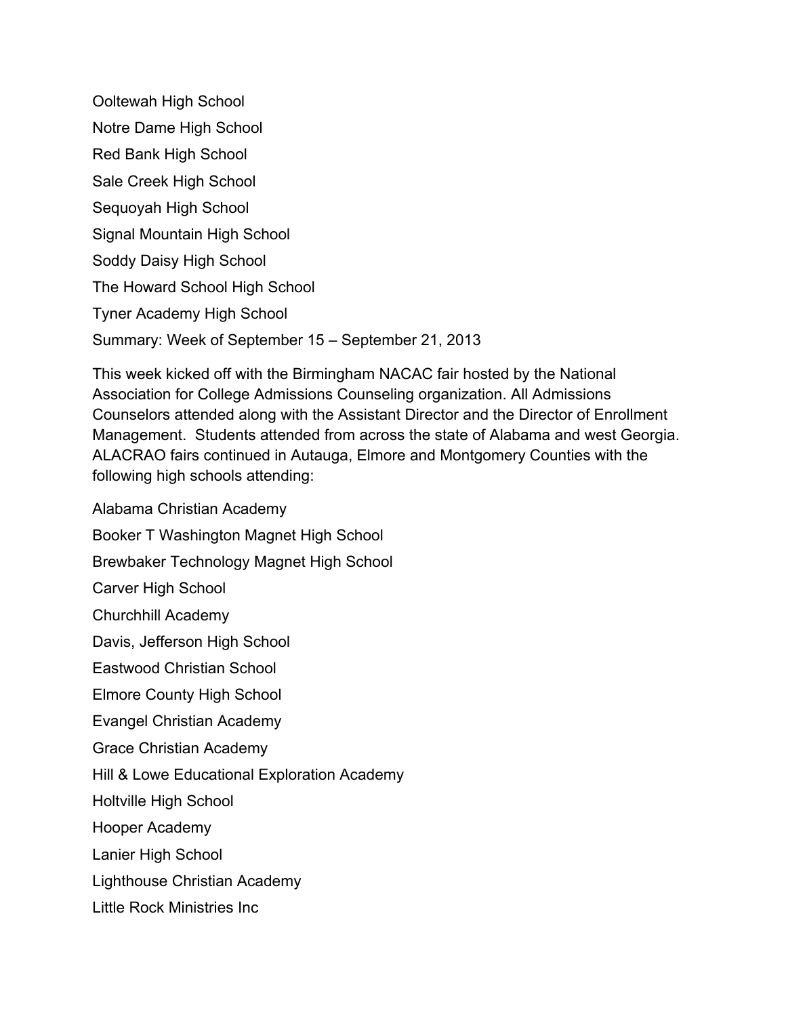Ooltewah High School Notre Dame High School Red Bank High School Sale Creek High School Sequoyah High School Signal Mountain High School Soddy Daisy High School The Howard School High School Tyner Academy High School Summary: Week of September 15 – September 21, 2013

This week kicked off with the Birmingham NACAC fair hosted by the National Association for College Admissions Counseling organization. All Admissions Counselors attended along with the Assistant Director and the Director of Enrollment Management. Students attended from across the state of Alabama and west Georgia. ALACRAO fairs continued in Autauga, Elmore and Montgomery Counties with the following high schools attending:

Alabama Christian Academy Booker T Washington Magnet High School Brewbaker Technology Magnet High School Carver High School Churchhill Academy Davis, Jefferson High School Eastwood Christian School Elmore County High School Evangel Christian Academy Grace Christian Academy Hill & Lowe Educational Exploration Academy Holtville High School Hooper Academy Lanier High School Lighthouse Christian Academy Little Rock Ministries Inc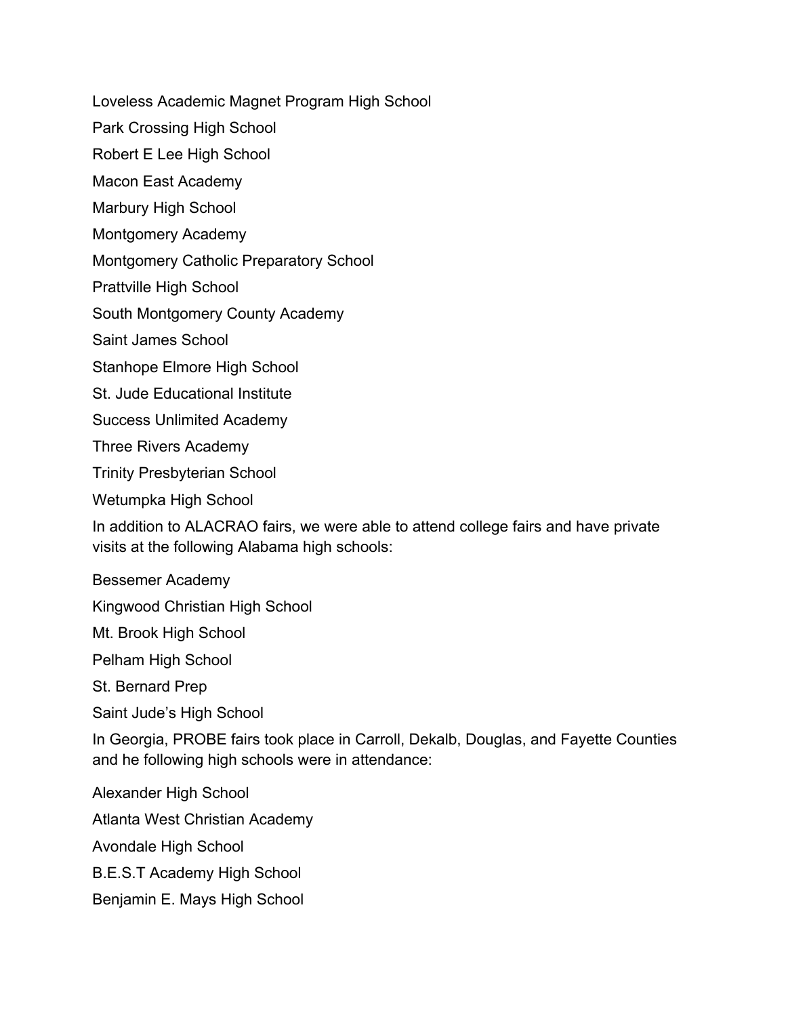Loveless Academic Magnet Program High School

Park Crossing High School

Robert E Lee High School

Macon East Academy

Marbury High School

Montgomery Academy

Montgomery Catholic Preparatory School

Prattville High School

South Montgomery County Academy

Saint James School

Stanhope Elmore High School

St. Jude Educational Institute

Success Unlimited Academy

Three Rivers Academy

Trinity Presbyterian School

Wetumpka High School

In addition to ALACRAO fairs, we were able to attend college fairs and have private visits at the following Alabama high schools:

Bessemer Academy

Kingwood Christian High School

Mt. Brook High School

Pelham High School

St. Bernard Prep

Saint Jude's High School

In Georgia, PROBE fairs took place in Carroll, Dekalb, Douglas, and Fayette Counties and he following high schools were in attendance:

Alexander High School

Atlanta West Christian Academy

Avondale High School

B.E.S.T Academy High School

Benjamin E. Mays High School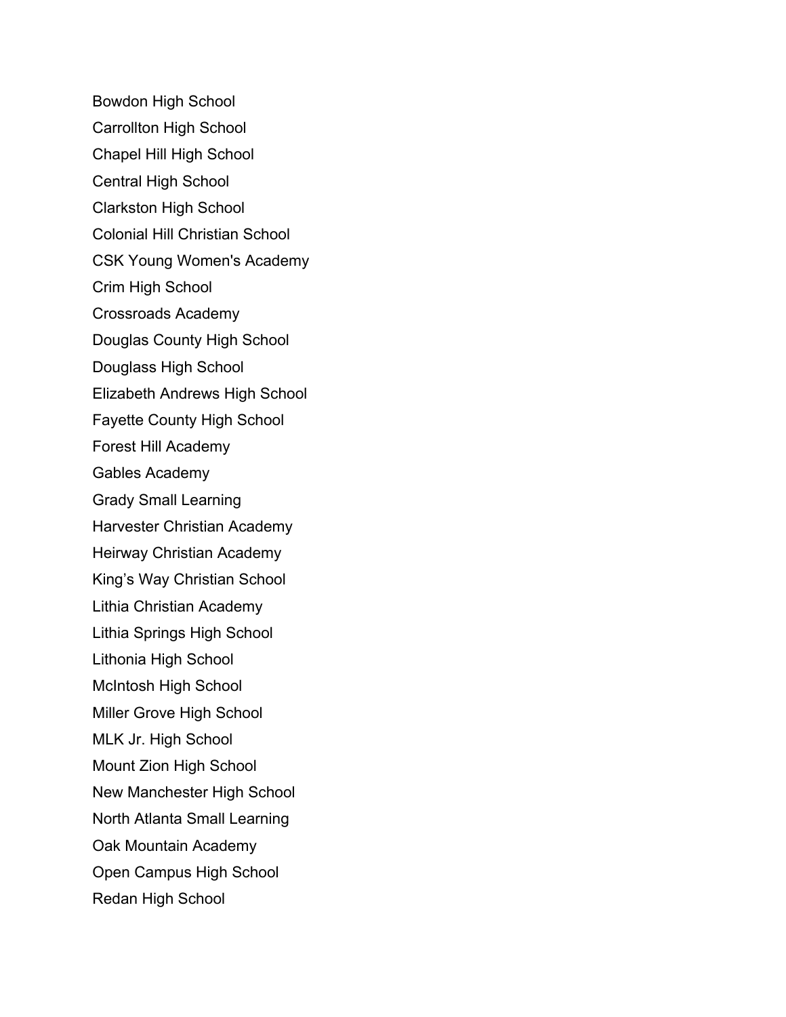Bowdon High School Carrollton High School Chapel Hill High School Central High School Clarkston High School Colonial Hill Christian School CSK Young Women's Academy Crim High School Crossroads Academy Douglas County High School Douglass High School Elizabeth Andrews High School Fayette County High School Forest Hill Academy Gables Academy Grady Small Learning Harvester Christian Academy Heirway Christian Academy King's Way Christian School Lithia Christian Academy Lithia Springs High School Lithonia High School McIntosh High School Miller Grove High School MLK Jr. High School Mount Zion High School New Manchester High School North Atlanta Small Learning Oak Mountain Academy Open Campus High School Redan High School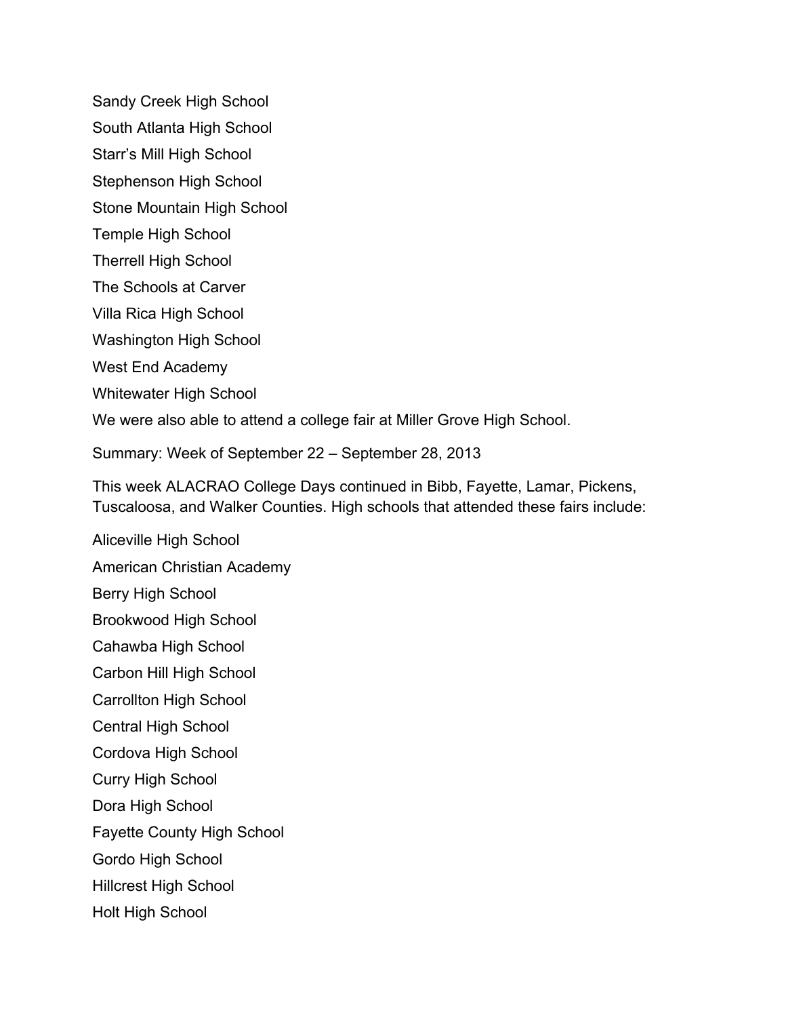Sandy Creek High School

South Atlanta High School

Starr's Mill High School

Stephenson High School

Stone Mountain High School

Temple High School

Therrell High School

The Schools at Carver

Villa Rica High School

Washington High School

West End Academy

Whitewater High School

We were also able to attend a college fair at Miller Grove High School.

Summary: Week of September 22 – September 28, 2013

This week ALACRAO College Days continued in Bibb, Fayette, Lamar, Pickens, Tuscaloosa, and Walker Counties. High schools that attended these fairs include:

Aliceville High School American Christian Academy Berry High School Brookwood High School Cahawba High School Carbon Hill High School Carrollton High School Central High School Cordova High School Curry High School Dora High School Fayette County High School Gordo High School Hillcrest High School Holt High School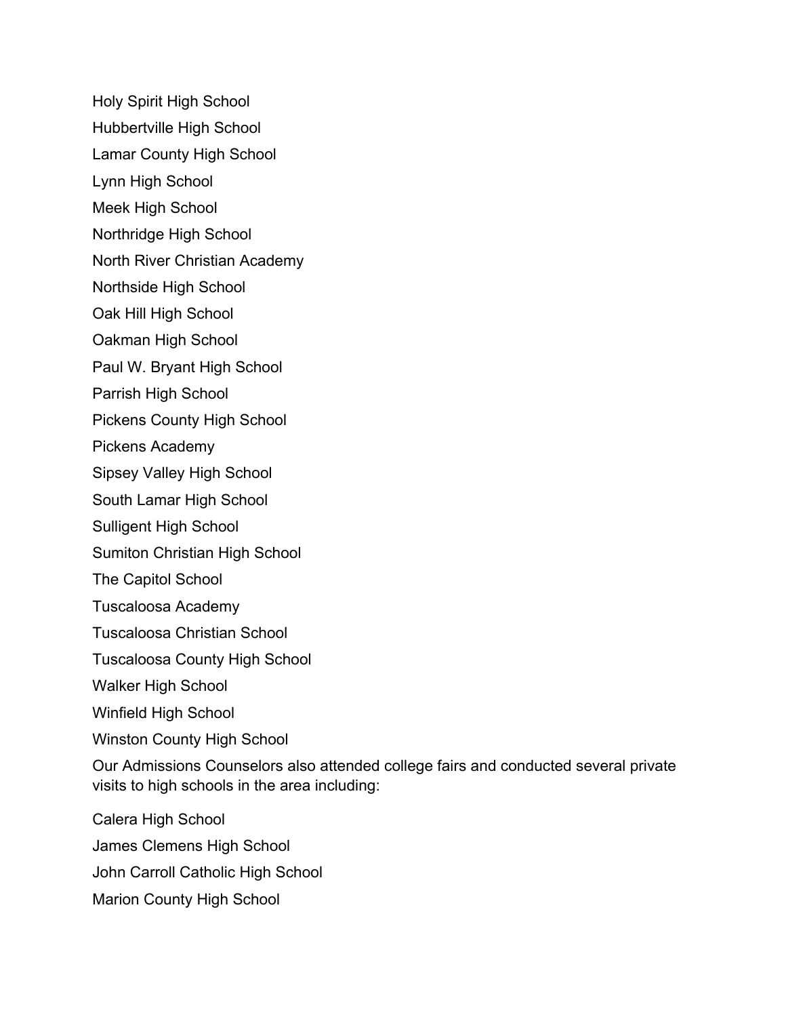- Holy Spirit High School
- Hubbertville High School
- Lamar County High School
- Lynn High School
- Meek High School
- Northridge High School
- North River Christian Academy
- Northside High School
- Oak Hill High School
- Oakman High School
- Paul W. Bryant High School
- Parrish High School
- Pickens County High School
- Pickens Academy
- Sipsey Valley High School
- South Lamar High School
- Sulligent High School
- Sumiton Christian High School
- The Capitol School
- Tuscaloosa Academy
- Tuscaloosa Christian School
- Tuscaloosa County High School
- Walker High School
- Winfield High School
- Winston County High School
- Our Admissions Counselors also attended college fairs and conducted several private visits to high schools in the area including:
- Calera High School
- James Clemens High School
- John Carroll Catholic High School
- Marion County High School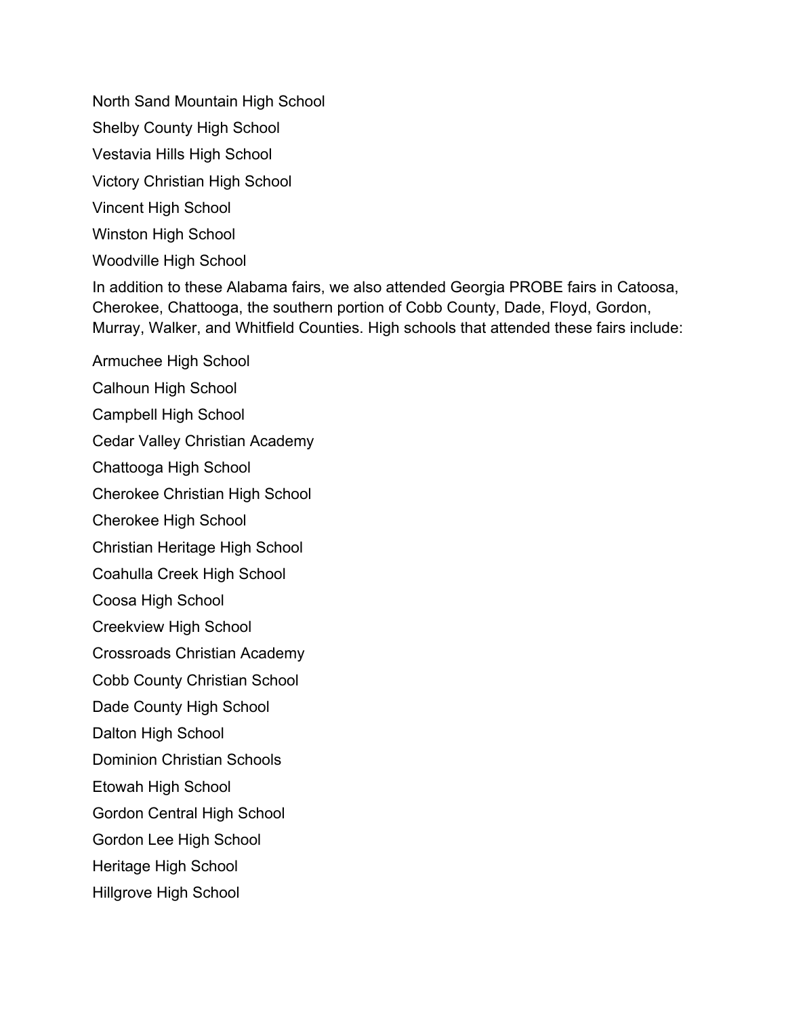North Sand Mountain High School

Shelby County High School

Vestavia Hills High School

Victory Christian High School

Vincent High School

Winston High School

Woodville High School

In addition to these Alabama fairs, we also attended Georgia PROBE fairs in Catoosa, Cherokee, Chattooga, the southern portion of Cobb County, Dade, Floyd, Gordon, Murray, Walker, and Whitfield Counties. High schools that attended these fairs include:

Armuchee High School Calhoun High School Campbell High School Cedar Valley Christian Academy Chattooga High School Cherokee Christian High School Cherokee High School Christian Heritage High School Coahulla Creek High School Coosa High School Creekview High School Crossroads Christian Academy Cobb County Christian School Dade County High School Dalton High School Dominion Christian Schools Etowah High School Gordon Central High School Gordon Lee High School Heritage High School Hillgrove High School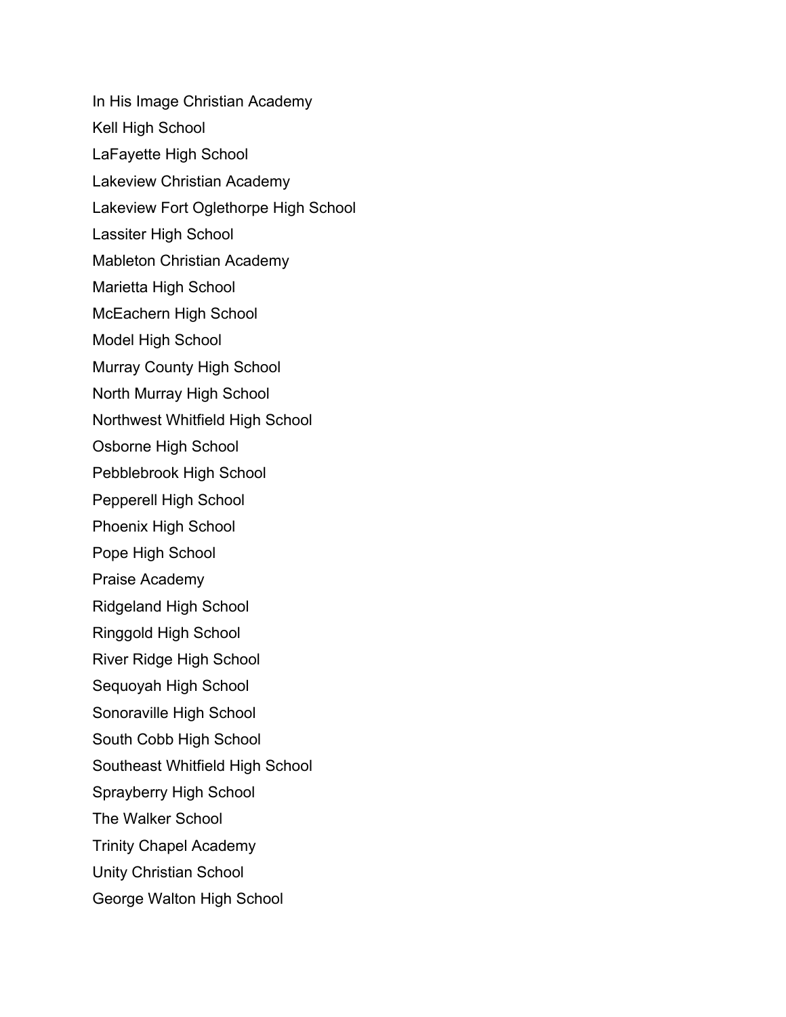In His Image Christian Academy Kell High School LaFayette High School Lakeview Christian Academy Lakeview Fort Oglethorpe High School Lassiter High School Mableton Christian Academy Marietta High School McEachern High School Model High School Murray County High School North Murray High School Northwest Whitfield High School Osborne High School Pebblebrook High School Pepperell High School Phoenix High School Pope High School Praise Academy Ridgeland High School Ringgold High School River Ridge High School Sequoyah High School Sonoraville High School South Cobb High School Southeast Whitfield High School Sprayberry High School The Walker School Trinity Chapel Academy Unity Christian School George Walton High School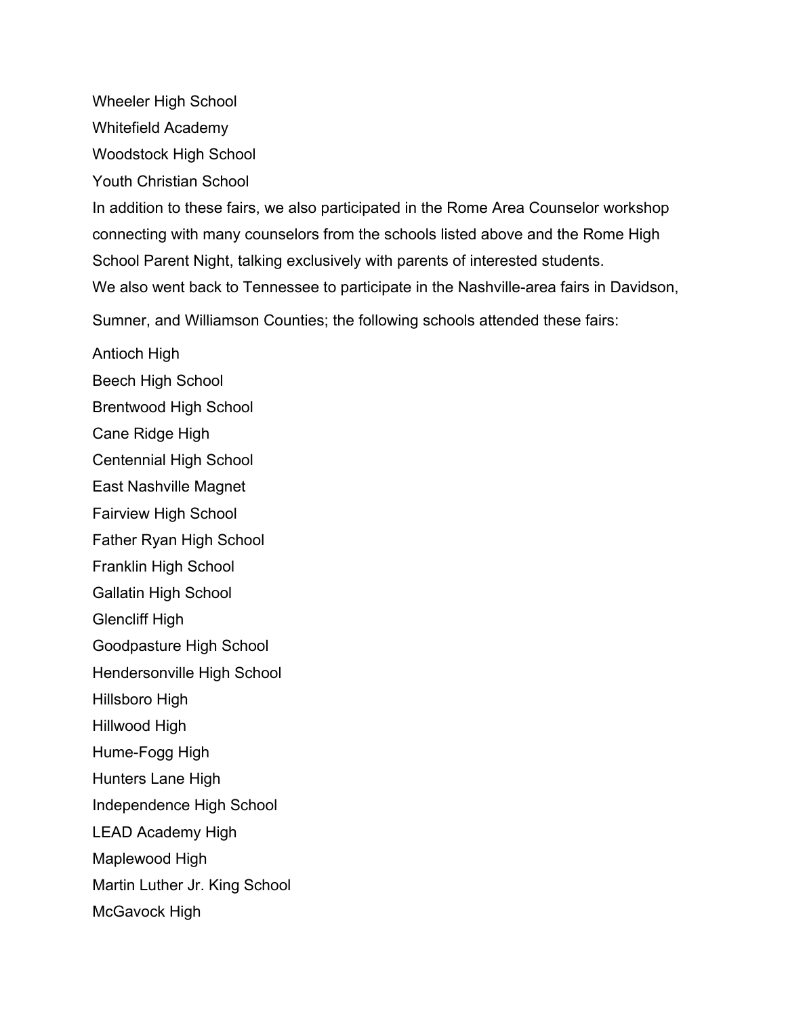Wheeler High School

Whitefield Academy

Woodstock High School

Youth Christian School

In addition to these fairs, we also participated in the Rome Area Counselor workshop connecting with many counselors from the schools listed above and the Rome High School Parent Night, talking exclusively with parents of interested students. We also went back to Tennessee to participate in the Nashville-area fairs in Davidson,

Sumner, and Williamson Counties; the following schools attended these fairs:

Antioch High

Beech High School

Brentwood High School

Cane Ridge High

Centennial High School

East Nashville Magnet

Fairview High School

Father Ryan High School

Franklin High School

Gallatin High School

Glencliff High

Goodpasture High School

Hendersonville High School

Hillsboro High

Hillwood High

Hume-Fogg High

Hunters Lane High

Independence High School

LEAD Academy High

Maplewood High

Martin Luther Jr. King School

McGavock High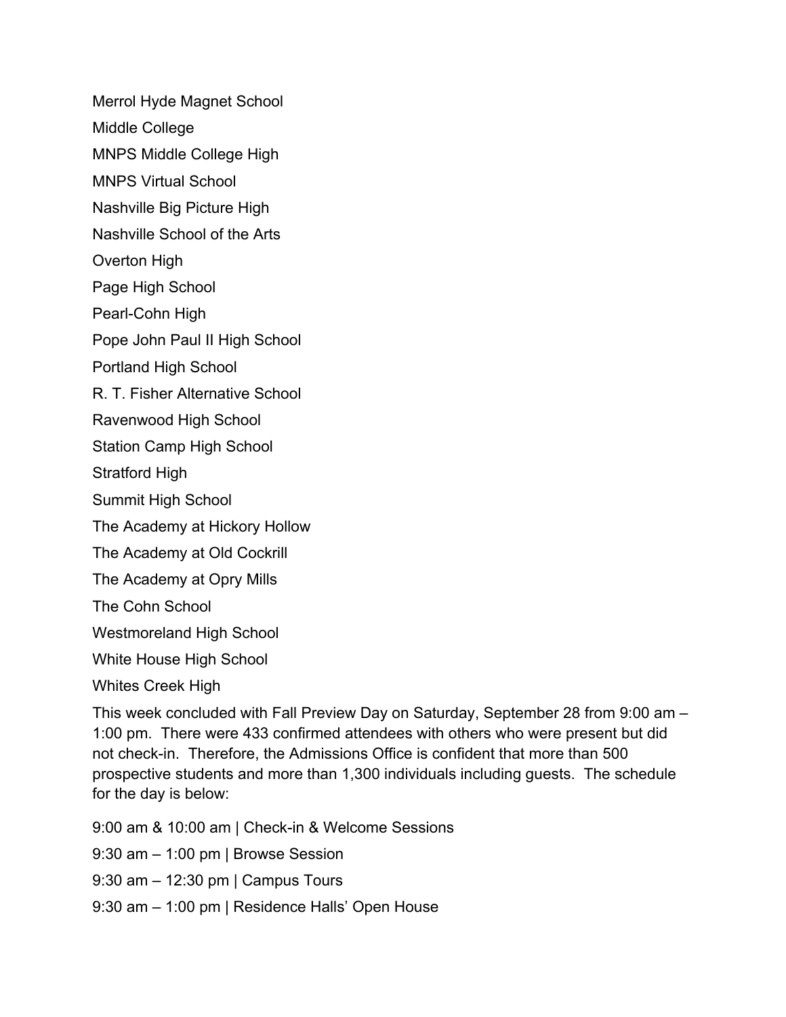Merrol Hyde Magnet School

- Middle College
- MNPS Middle College High
- MNPS Virtual School
- Nashville Big Picture High
- Nashville School of the Arts
- Overton High
- Page High School
- Pearl-Cohn High
- Pope John Paul II High School
- Portland High School
- R. T. Fisher Alternative School
- Ravenwood High School
- Station Camp High School
- Stratford High
- Summit High School
- The Academy at Hickory Hollow
- The Academy at Old Cockrill
- The Academy at Opry Mills
- The Cohn School
- Westmoreland High School
- White House High School
- Whites Creek High

This week concluded with Fall Preview Day on Saturday, September 28 from 9:00 am – 1:00 pm. There were 433 confirmed attendees with others who were present but did not check-in. Therefore, the Admissions Office is confident that more than 500 prospective students and more than 1,300 individuals including guests. The schedule for the day is below:

- 9:00 am & 10:00 am | Check-in & Welcome Sessions
- 9:30 am 1:00 pm | Browse Session
- 9:30 am 12:30 pm | Campus Tours
- 9:30 am 1:00 pm | Residence Halls' Open House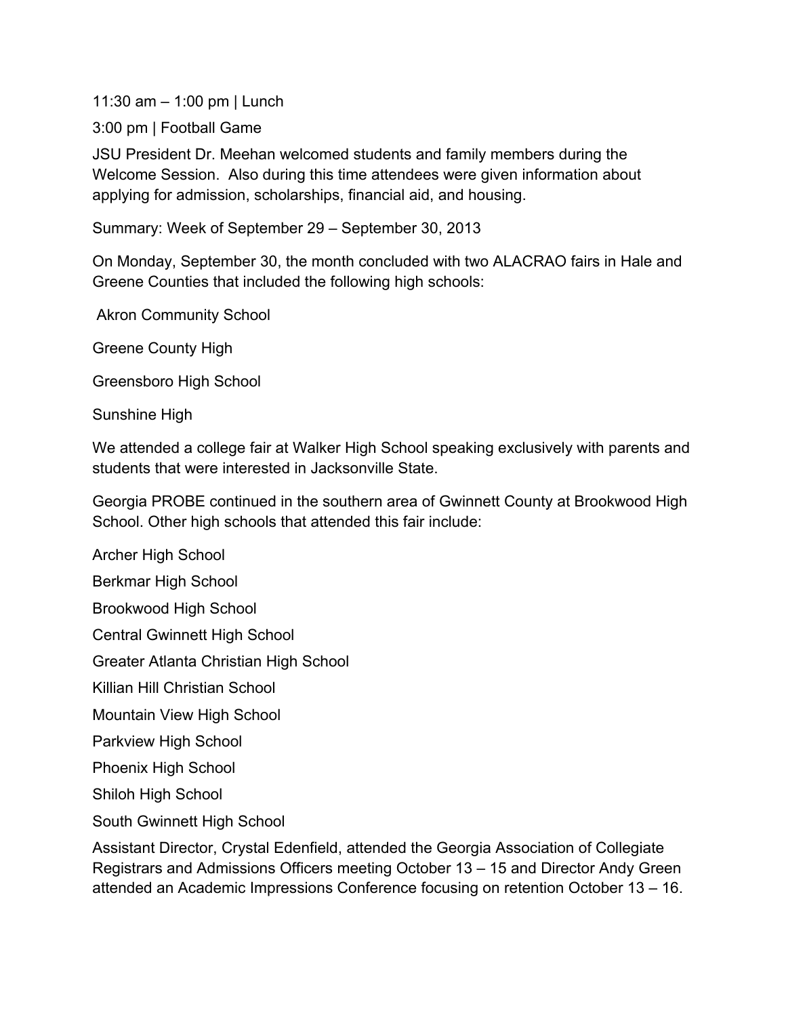11:30 am – 1:00 pm | Lunch

3:00 pm | Football Game

JSU President Dr. Meehan welcomed students and family members during the Welcome Session. Also during this time attendees were given information about applying for admission, scholarships, financial aid, and housing.

Summary: Week of September 29 – September 30, 2013

On Monday, September 30, the month concluded with two ALACRAO fairs in Hale and Greene Counties that included the following high schools:

Akron Community School

Greene County High

Greensboro High School

Sunshine High

We attended a college fair at Walker High School speaking exclusively with parents and students that were interested in Jacksonville State.

Georgia PROBE continued in the southern area of Gwinnett County at Brookwood High School. Other high schools that attended this fair include:

Archer High School Berkmar High School Brookwood High School Central Gwinnett High School Greater Atlanta Christian High School Killian Hill Christian School Mountain View High School Parkview High School Phoenix High School Shiloh High School South Gwinnett High School

Assistant Director, Crystal Edenfield, attended the Georgia Association of Collegiate Registrars and Admissions Officers meeting October 13 – 15 and Director Andy Green attended an Academic Impressions Conference focusing on retention October 13 – 16.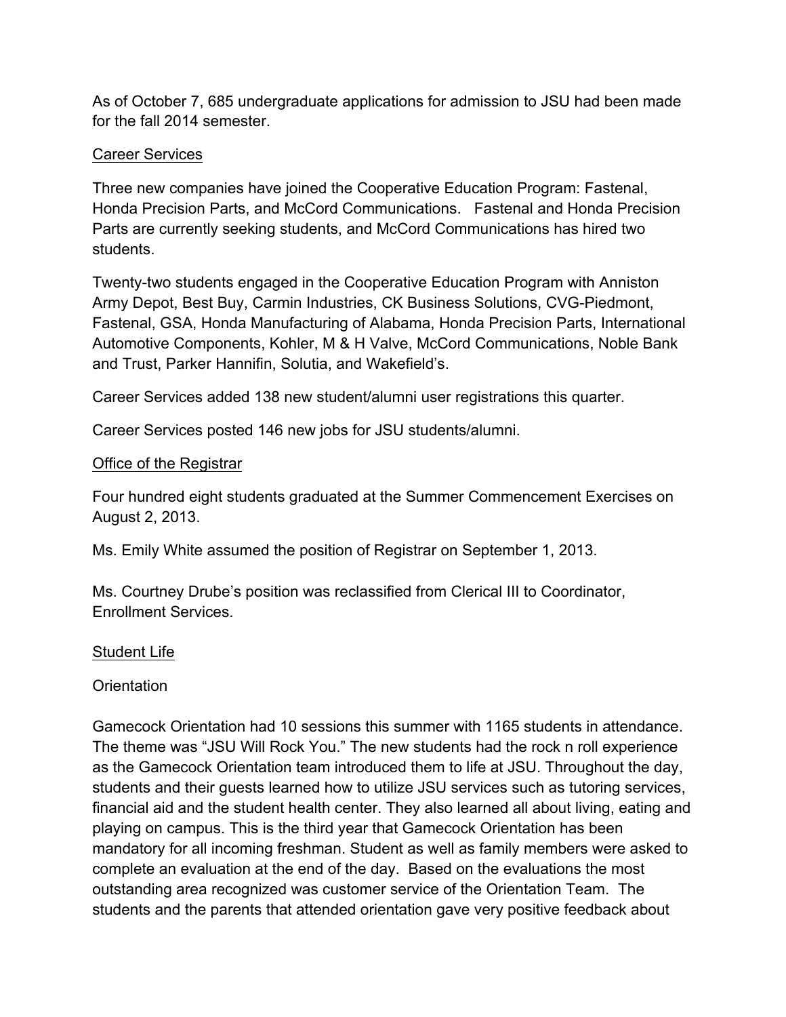As of October 7, 685 undergraduate applications for admission to JSU had been made for the fall 2014 semester.

# Career Services

Three new companies have joined the Cooperative Education Program: Fastenal, Honda Precision Parts, and McCord Communications. Fastenal and Honda Precision Parts are currently seeking students, and McCord Communications has hired two students.

Twenty-two students engaged in the Cooperative Education Program with Anniston Army Depot, Best Buy, Carmin Industries, CK Business Solutions, CVG-Piedmont, Fastenal, GSA, Honda Manufacturing of Alabama, Honda Precision Parts, International Automotive Components, Kohler, M & H Valve, McCord Communications, Noble Bank and Trust, Parker Hannifin, Solutia, and Wakefield's.

Career Services added 138 new student/alumni user registrations this quarter.

Career Services posted 146 new jobs for JSU students/alumni.

## Office of the Registrar

Four hundred eight students graduated at the Summer Commencement Exercises on August 2, 2013.

Ms. Emily White assumed the position of Registrar on September 1, 2013.

Ms. Courtney Drube's position was reclassified from Clerical III to Coordinator, Enrollment Services.

## Student Life

**Orientation** 

Gamecock Orientation had 10 sessions this summer with 1165 students in attendance. The theme was "JSU Will Rock You." The new students had the rock n roll experience as the Gamecock Orientation team introduced them to life at JSU. Throughout the day, students and their guests learned how to utilize JSU services such as tutoring services, financial aid and the student health center. They also learned all about living, eating and playing on campus. This is the third year that Gamecock Orientation has been mandatory for all incoming freshman. Student as well as family members were asked to complete an evaluation at the end of the day. Based on the evaluations the most outstanding area recognized was customer service of the Orientation Team. The students and the parents that attended orientation gave very positive feedback about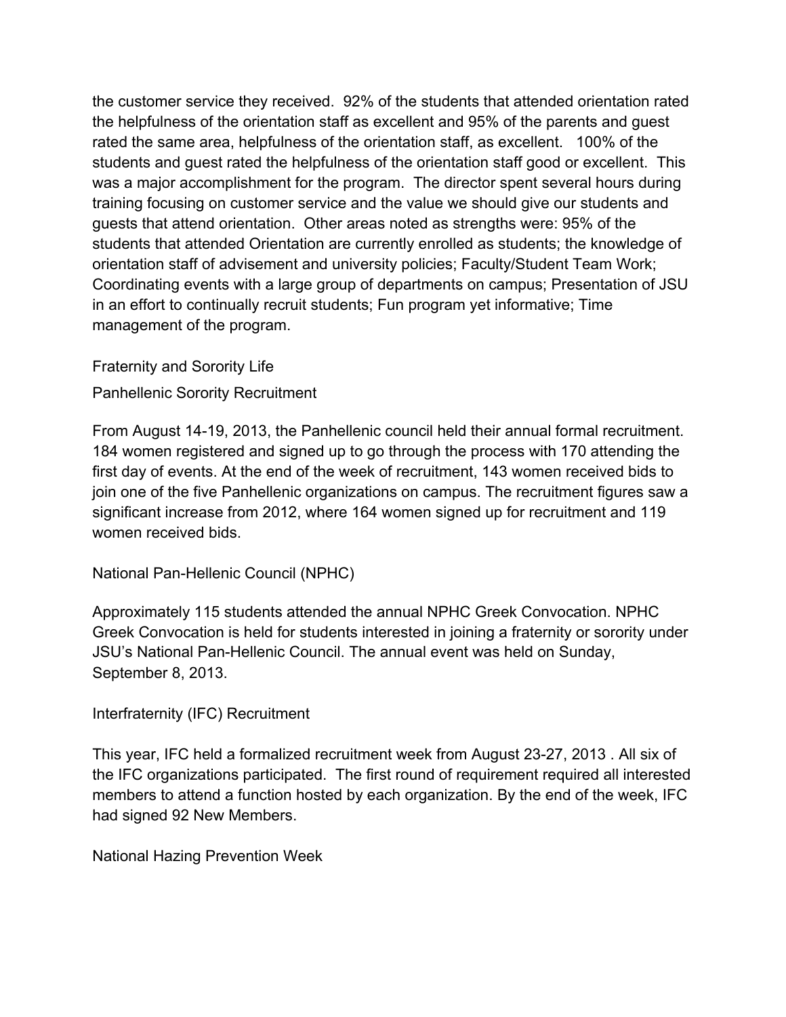the customer service they received. 92% of the students that attended orientation rated the helpfulness of the orientation staff as excellent and 95% of the parents and guest rated the same area, helpfulness of the orientation staff, as excellent. 100% of the students and guest rated the helpfulness of the orientation staff good or excellent. This was a major accomplishment for the program. The director spent several hours during training focusing on customer service and the value we should give our students and guests that attend orientation. Other areas noted as strengths were: 95% of the students that attended Orientation are currently enrolled as students; the knowledge of orientation staff of advisement and university policies; Faculty/Student Team Work; Coordinating events with a large group of departments on campus; Presentation of JSU in an effort to continually recruit students; Fun program yet informative; Time management of the program.

Fraternity and Sorority Life

Panhellenic Sorority Recruitment

From August 14-19, 2013, the Panhellenic council held their annual formal recruitment. 184 women registered and signed up to go through the process with 170 attending the first day of events. At the end of the week of recruitment, 143 women received bids to join one of the five Panhellenic organizations on campus. The recruitment figures saw a significant increase from 2012, where 164 women signed up for recruitment and 119 women received bids.

National Pan-Hellenic Council (NPHC)

Approximately 115 students attended the annual NPHC Greek Convocation. NPHC Greek Convocation is held for students interested in joining a fraternity or sorority under JSU's National Pan-Hellenic Council. The annual event was held on Sunday, September 8, 2013.

Interfraternity (IFC) Recruitment

This year, IFC held a formalized recruitment week from August 23-27, 2013 . All six of the IFC organizations participated. The first round of requirement required all interested members to attend a function hosted by each organization. By the end of the week, IFC had signed 92 New Members.

National Hazing Prevention Week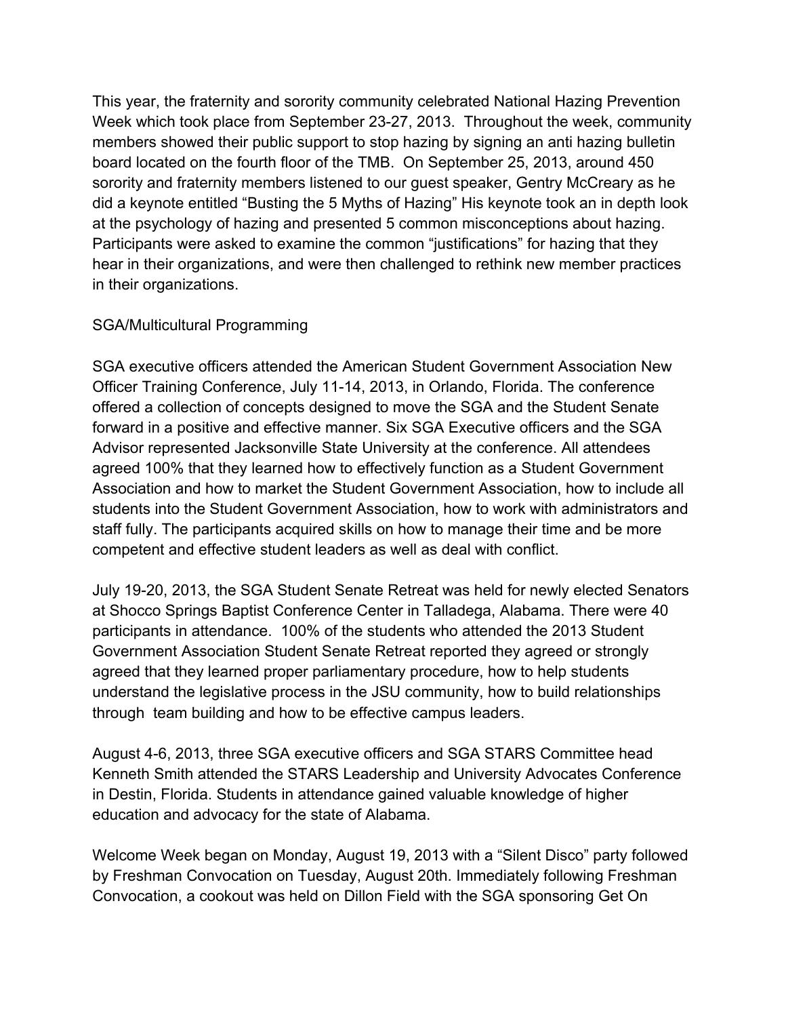This year, the fraternity and sorority community celebrated National Hazing Prevention Week which took place from September 23-27, 2013. Throughout the week, community members showed their public support to stop hazing by signing an anti hazing bulletin board located on the fourth floor of the TMB. On September 25, 2013, around 450 sorority and fraternity members listened to our guest speaker, Gentry McCreary as he did a keynote entitled "Busting the 5 Myths of Hazing" His keynote took an in depth look at the psychology of hazing and presented 5 common misconceptions about hazing. Participants were asked to examine the common "justifications" for hazing that they hear in their organizations, and were then challenged to rethink new member practices in their organizations.

# SGA/Multicultural Programming

SGA executive officers attended the American Student Government Association New Officer Training Conference, July 11-14, 2013, in Orlando, Florida. The conference offered a collection of concepts designed to move the SGA and the Student Senate forward in a positive and effective manner. Six SGA Executive officers and the SGA Advisor represented Jacksonville State University at the conference. All attendees agreed 100% that they learned how to effectively function as a Student Government Association and how to market the Student Government Association, how to include all students into the Student Government Association, how to work with administrators and staff fully. The participants acquired skills on how to manage their time and be more competent and effective student leaders as well as deal with conflict.

July 19-20, 2013, the SGA Student Senate Retreat was held for newly elected Senators at Shocco Springs Baptist Conference Center in Talladega, Alabama. There were 40 participants in attendance. 100% of the students who attended the 2013 Student Government Association Student Senate Retreat reported they agreed or strongly agreed that they learned proper parliamentary procedure, how to help students understand the legislative process in the JSU community, how to build relationships through team building and how to be effective campus leaders.

August 4-6, 2013, three SGA executive officers and SGA STARS Committee head Kenneth Smith attended the STARS Leadership and University Advocates Conference in Destin, Florida. Students in attendance gained valuable knowledge of higher education and advocacy for the state of Alabama.

Welcome Week began on Monday, August 19, 2013 with a "Silent Disco" party followed by Freshman Convocation on Tuesday, August 20th. Immediately following Freshman Convocation, a cookout was held on Dillon Field with the SGA sponsoring Get On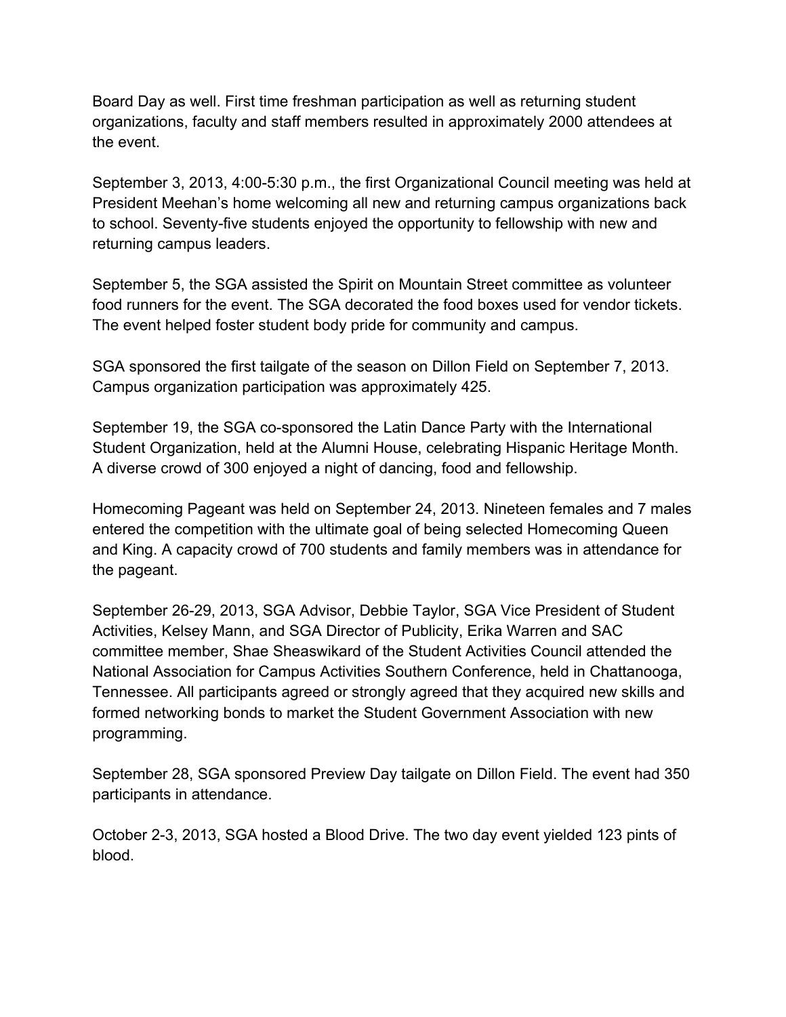Board Day as well. First time freshman participation as well as returning student organizations, faculty and staff members resulted in approximately 2000 attendees at the event.

September 3, 2013, 4:00-5:30 p.m., the first Organizational Council meeting was held at President Meehan's home welcoming all new and returning campus organizations back to school. Seventy-five students enjoyed the opportunity to fellowship with new and returning campus leaders.

September 5, the SGA assisted the Spirit on Mountain Street committee as volunteer food runners for the event. The SGA decorated the food boxes used for vendor tickets. The event helped foster student body pride for community and campus.

SGA sponsored the first tailgate of the season on Dillon Field on September 7, 2013. Campus organization participation was approximately 425.

September 19, the SGA co-sponsored the Latin Dance Party with the International Student Organization, held at the Alumni House, celebrating Hispanic Heritage Month. A diverse crowd of 300 enjoyed a night of dancing, food and fellowship.

Homecoming Pageant was held on September 24, 2013. Nineteen females and 7 males entered the competition with the ultimate goal of being selected Homecoming Queen and King. A capacity crowd of 700 students and family members was in attendance for the pageant.

September 26-29, 2013, SGA Advisor, Debbie Taylor, SGA Vice President of Student Activities, Kelsey Mann, and SGA Director of Publicity, Erika Warren and SAC committee member, Shae Sheaswikard of the Student Activities Council attended the National Association for Campus Activities Southern Conference, held in Chattanooga, Tennessee. All participants agreed or strongly agreed that they acquired new skills and formed networking bonds to market the Student Government Association with new programming.

September 28, SGA sponsored Preview Day tailgate on Dillon Field. The event had 350 participants in attendance.

October 2-3, 2013, SGA hosted a Blood Drive. The two day event yielded 123 pints of blood.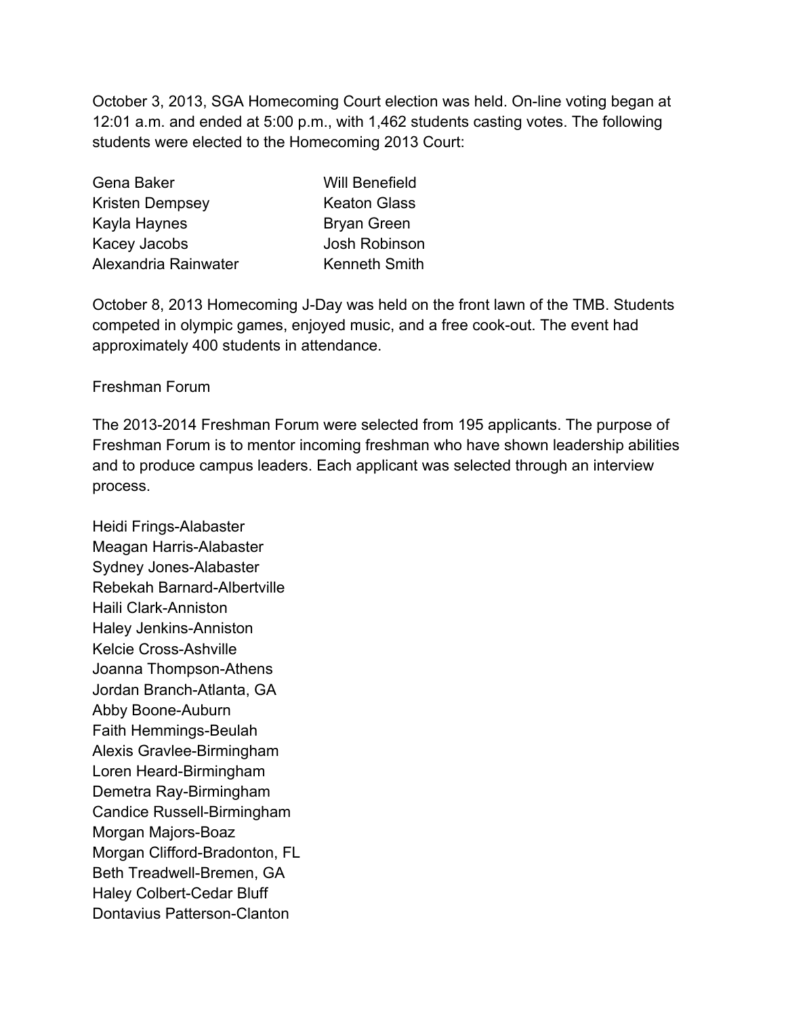October 3, 2013, SGA Homecoming Court election was held. On-line voting began at 12:01 a.m. and ended at 5:00 p.m., with 1,462 students casting votes. The following students were elected to the Homecoming 2013 Court:

| Gena Baker             | <b>Will Benefield</b> |
|------------------------|-----------------------|
| <b>Kristen Dempsey</b> | <b>Keaton Glass</b>   |
| Kayla Haynes           | <b>Bryan Green</b>    |
| Kacey Jacobs           | <b>Josh Robinson</b>  |
| Alexandria Rainwater   | <b>Kenneth Smith</b>  |

October 8, 2013 Homecoming J-Day was held on the front lawn of the TMB. Students competed in olympic games, enjoyed music, and a free cook-out. The event had approximately 400 students in attendance.

## Freshman Forum

The 2013-2014 Freshman Forum were selected from 195 applicants. The purpose of Freshman Forum is to mentor incoming freshman who have shown leadership abilities and to produce campus leaders. Each applicant was selected through an interview process.

Heidi Frings-Alabaster Meagan Harris-Alabaster Sydney Jones-Alabaster Rebekah Barnard-Albertville Haili Clark-Anniston Haley Jenkins-Anniston Kelcie Cross-Ashville Joanna Thompson-Athens Jordan Branch-Atlanta, GA Abby Boone-Auburn Faith Hemmings-Beulah Alexis Gravlee-Birmingham Loren Heard-Birmingham Demetra Ray-Birmingham Candice Russell-Birmingham Morgan Majors-Boaz Morgan Clifford-Bradonton, FL Beth Treadwell-Bremen, GA Haley Colbert-Cedar Bluff Dontavius Patterson-Clanton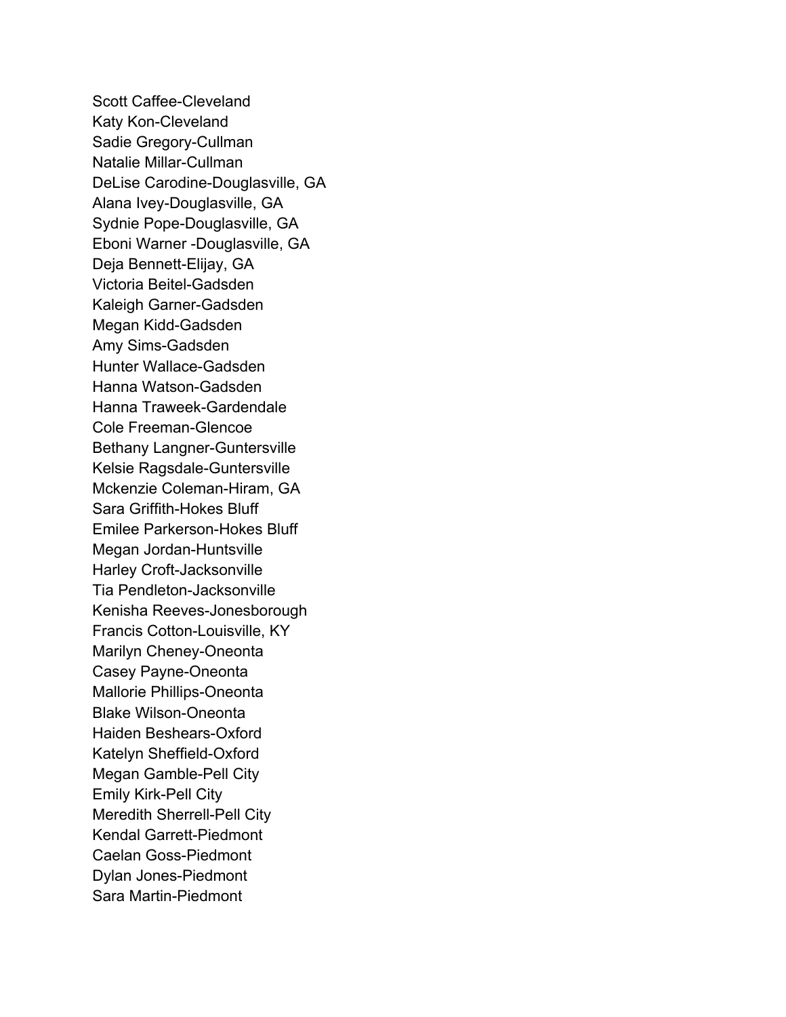Scott Caffee-Cleveland Katy Kon-Cleveland Sadie Gregory-Cullman Natalie Millar-Cullman DeLise Carodine-Douglasville, GA Alana Ivey-Douglasville, GA Sydnie Pope-Douglasville, GA Eboni Warner -Douglasville, GA Deja Bennett-Elijay, GA Victoria Beitel-Gadsden Kaleigh Garner-Gadsden Megan Kidd-Gadsden Amy Sims-Gadsden Hunter Wallace-Gadsden Hanna Watson-Gadsden Hanna Traweek-Gardendale Cole Freeman-Glencoe Bethany Langner-Guntersville Kelsie Ragsdale-Guntersville Mckenzie Coleman-Hiram, GA Sara Griffith-Hokes Bluff Emilee Parkerson-Hokes Bluff Megan Jordan-Huntsville Harley Croft-Jacksonville Tia Pendleton-Jacksonville Kenisha Reeves-Jonesborough Francis Cotton-Louisville, KY Marilyn Cheney-Oneonta Casey Payne-Oneonta Mallorie Phillips-Oneonta Blake Wilson-Oneonta Haiden Beshears-Oxford Katelyn Sheffield-Oxford Megan Gamble-Pell City Emily Kirk-Pell City Meredith Sherrell-Pell City Kendal Garrett-Piedmont Caelan Goss-Piedmont Dylan Jones-Piedmont Sara Martin-Piedmont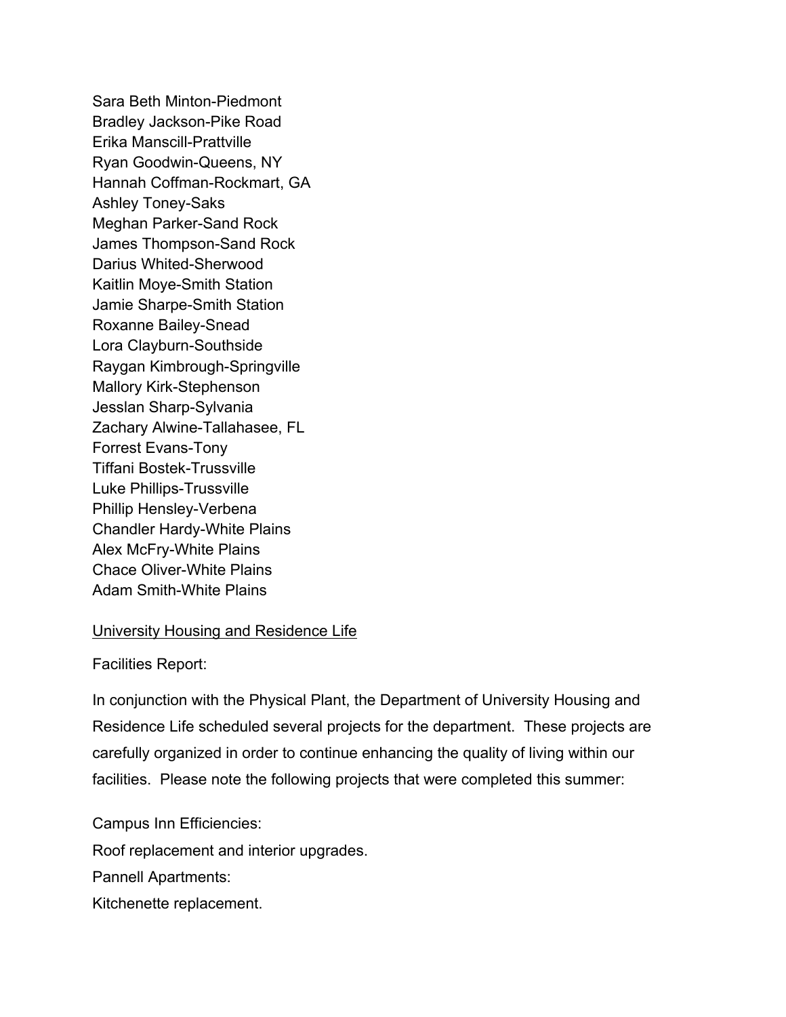Sara Beth Minton-Piedmont Bradley Jackson-Pike Road Erika Manscill-Prattville Ryan Goodwin-Queens, NY Hannah Coffman-Rockmart, GA Ashley Toney-Saks Meghan Parker-Sand Rock James Thompson-Sand Rock Darius Whited-Sherwood Kaitlin Moye-Smith Station Jamie Sharpe-Smith Station Roxanne Bailey-Snead Lora Clayburn-Southside Raygan Kimbrough-Springville Mallory Kirk-Stephenson Jesslan Sharp-Sylvania Zachary Alwine-Tallahasee, FL Forrest Evans-Tony Tiffani Bostek-Trussville Luke Phillips-Trussville Phillip Hensley-Verbena Chandler Hardy-White Plains Alex McFry-White Plains Chace Oliver-White Plains Adam Smith-White Plains

## University Housing and Residence Life

Facilities Report:

In conjunction with the Physical Plant, the Department of University Housing and Residence Life scheduled several projects for the department. These projects are carefully organized in order to continue enhancing the quality of living within our facilities. Please note the following projects that were completed this summer:

Campus Inn Efficiencies: Roof replacement and interior upgrades. Pannell Apartments: Kitchenette replacement.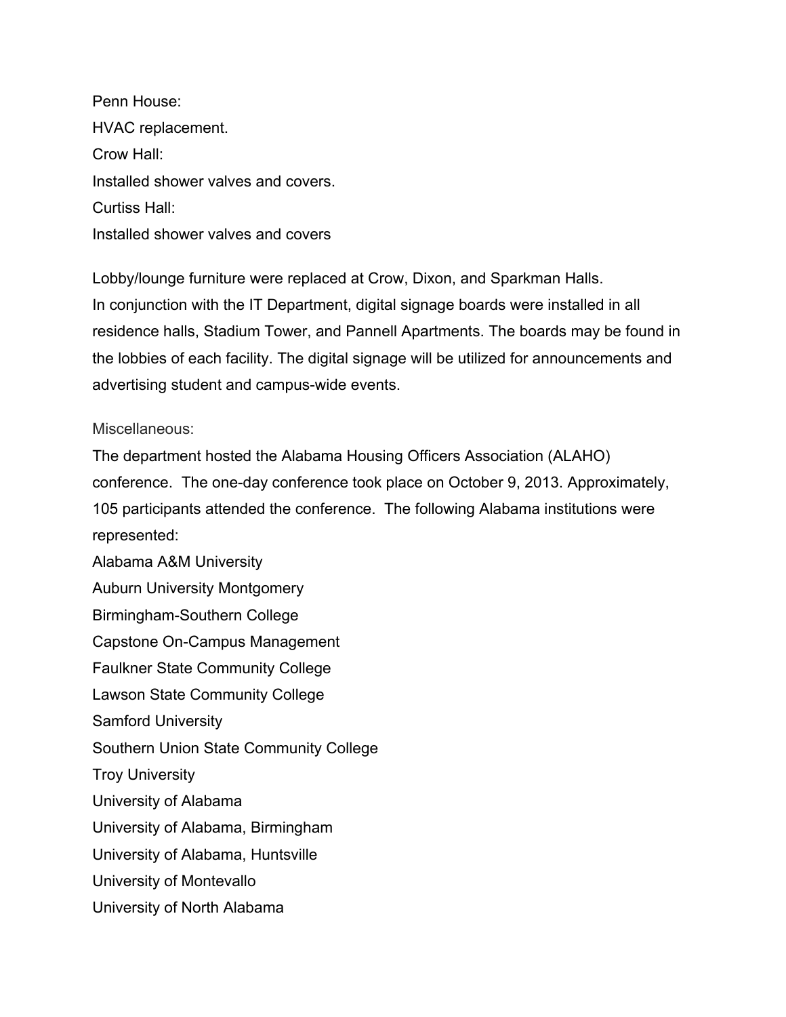Penn House: HVAC replacement. Crow Hall: Installed shower valves and covers. Curtiss Hall: Installed shower valves and covers

Lobby/lounge furniture were replaced at Crow, Dixon, and Sparkman Halls. In conjunction with the IT Department, digital signage boards were installed in all residence halls, Stadium Tower, and Pannell Apartments. The boards may be found in the lobbies of each facility. The digital signage will be utilized for announcements and advertising student and campus-wide events.

Miscellaneous:

The department hosted the Alabama Housing Officers Association (ALAHO) conference. The one-day conference took place on October 9, 2013. Approximately, 105 participants attended the conference. The following Alabama institutions were represented:

Alabama A&M University Auburn University Montgomery Birmingham-Southern College Capstone On-Campus Management Faulkner State Community College Lawson State Community College Samford University Southern Union State Community College Troy University University of Alabama University of Alabama, Birmingham University of Alabama, Huntsville University of Montevallo University of North Alabama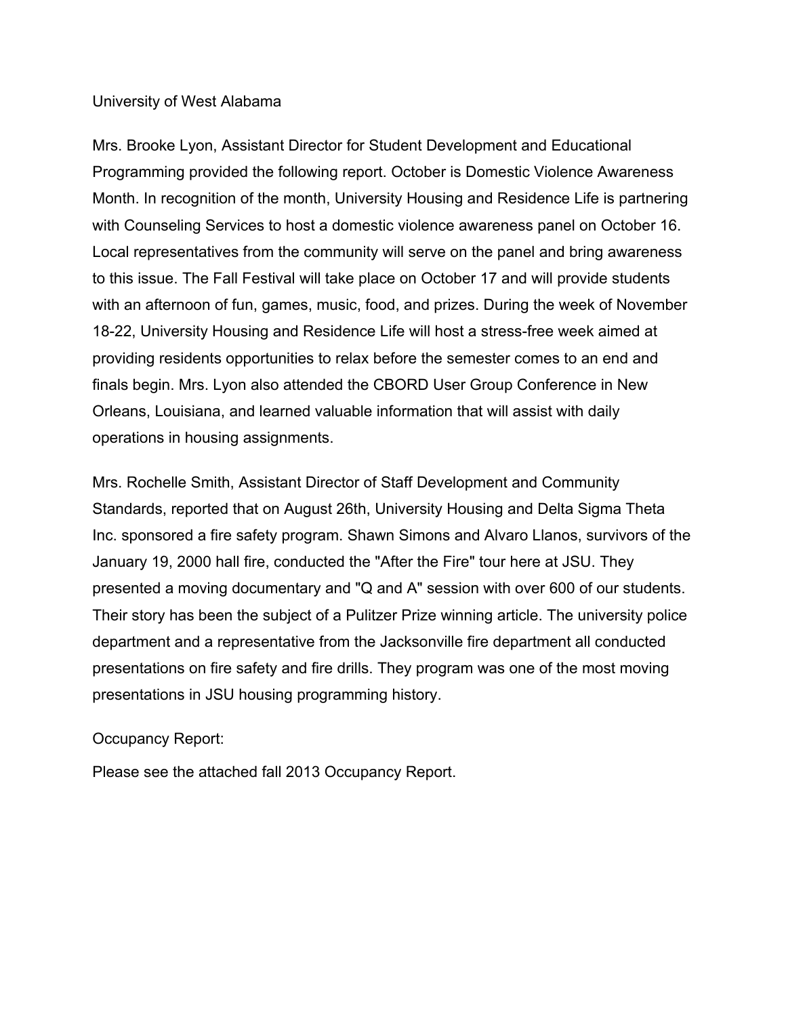## University of West Alabama

Mrs. Brooke Lyon, Assistant Director for Student Development and Educational Programming provided the following report. October is Domestic Violence Awareness Month. In recognition of the month, University Housing and Residence Life is partnering with Counseling Services to host a domestic violence awareness panel on October 16. Local representatives from the community will serve on the panel and bring awareness to this issue. The Fall Festival will take place on October 17 and will provide students with an afternoon of fun, games, music, food, and prizes. During the week of November 18-22, University Housing and Residence Life will host a stress-free week aimed at providing residents opportunities to relax before the semester comes to an end and finals begin. Mrs. Lyon also attended the CBORD User Group Conference in New Orleans, Louisiana, and learned valuable information that will assist with daily operations in housing assignments.

Mrs. Rochelle Smith, Assistant Director of Staff Development and Community Standards, reported that on August 26th, University Housing and Delta Sigma Theta Inc. sponsored a fire safety program. Shawn Simons and Alvaro Llanos, survivors of the January 19, 2000 hall fire, conducted the "After the Fire" tour here at JSU. They presented a moving documentary and "Q and A" session with over 600 of our students. Their story has been the subject of a Pulitzer Prize winning article. The university police department and a representative from the Jacksonville fire department all conducted presentations on fire safety and fire drills. They program was one of the most moving presentations in JSU housing programming history.

# Occupancy Report:

Please see the attached fall 2013 Occupancy Report.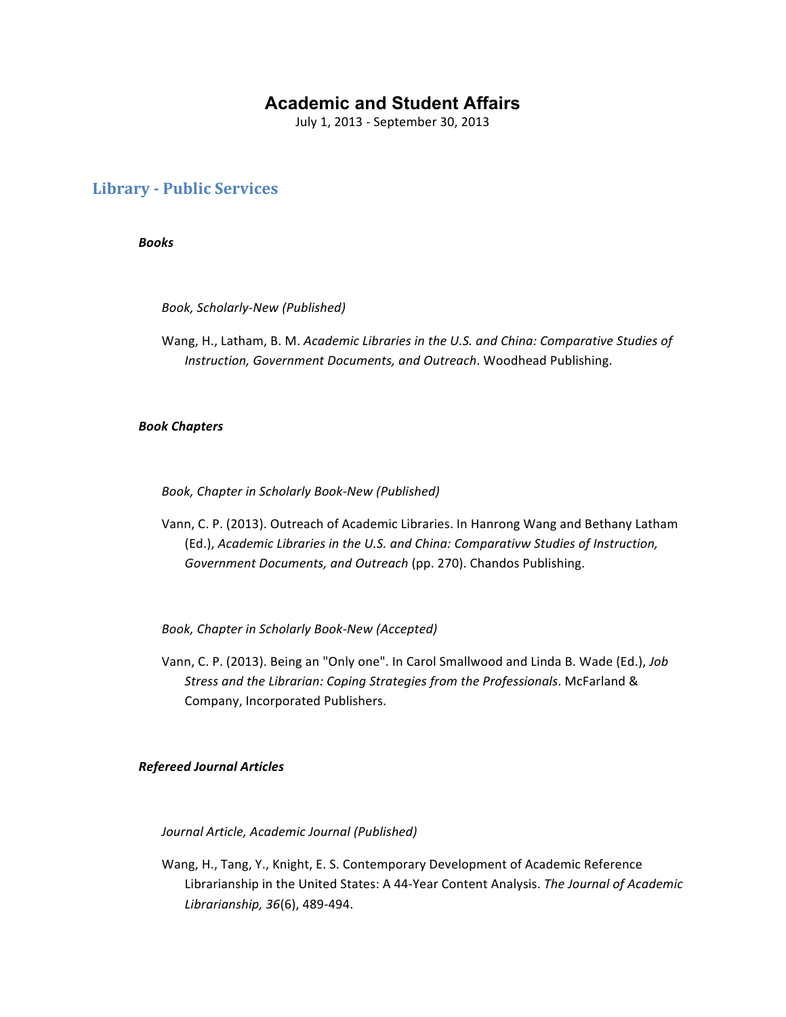# **Academic and Student Affairs**

July 1, 2013 - September 30, 2013

## **Library - Public Services**

*Books*

*Book, Scholarly-New (Published)*

Wang, H., Latham, B. M. *Academic Libraries in the U.S. and China: Comparative Studies of Instruction, Government Documents, and Outreach*. Woodhead Publishing.

## *Book Chapters*

Book, Chapter in Scholarly Book-New (Published)

Vann, C. P. (2013). Outreach of Academic Libraries. In Hanrong Wang and Bethany Latham (Ed.), Academic Libraries in the U.S. and China: Comparativw Studies of Instruction, Government Documents, and Outreach (pp. 270). Chandos Publishing.

Book, Chapter in Scholarly Book-New (Accepted)

Vann, C. P. (2013). Being an "Only one". In Carol Smallwood and Linda B. Wade (Ed.), *Job* Stress and the Librarian: Coping Strategies from the Professionals. McFarland & Company, Incorporated Publishers.

## *Refereed Journal Articles*

*Journal Article, Academic Journal (Published)*

Wang, H., Tang, Y., Knight, E. S. Contemporary Development of Academic Reference Librarianship in the United States: A 44-Year Content Analysis. The Journal of Academic *Librarianship, 36*(6), 489-494.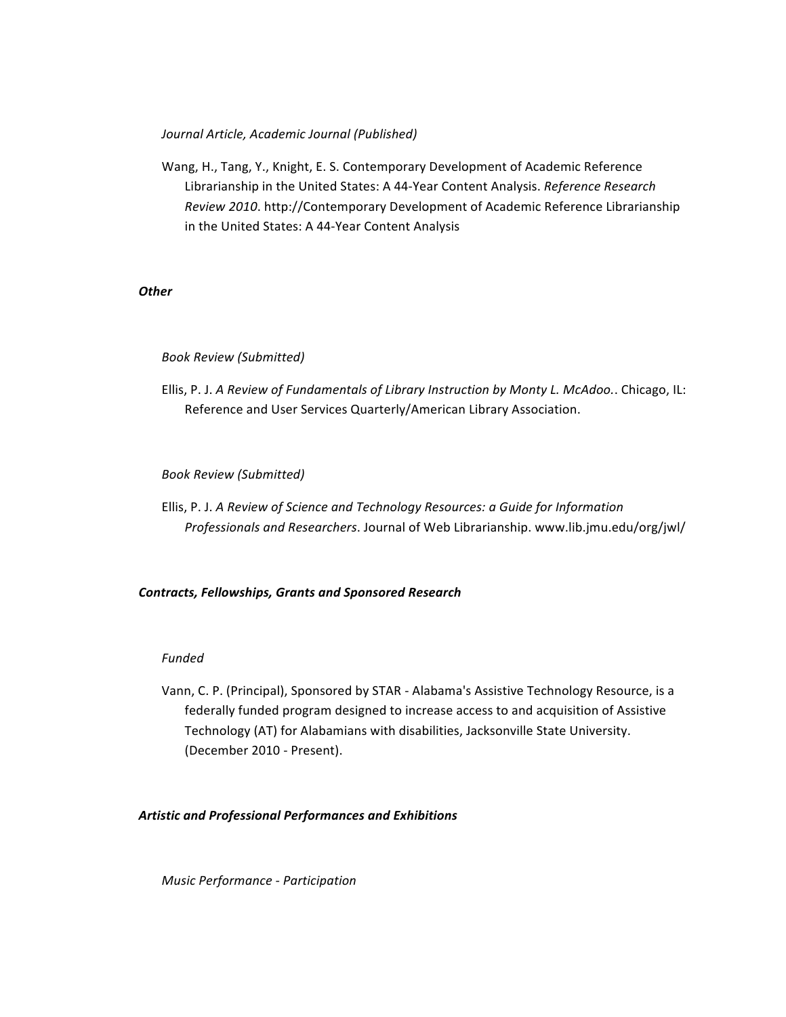## *Journal Article, Academic Journal (Published)*

Wang, H., Tang, Y., Knight, E. S. Contemporary Development of Academic Reference Librarianship in the United States: A 44-Year Content Analysis. *Reference Research Review 2010.* http://Contemporary Development of Academic Reference Librarianship in the United States: A 44-Year Content Analysis

## *Other*

## *Book Review (Submitted)*

Ellis, P. J. A Review of Fundamentals of Library Instruction by Monty L. McAdoo.. Chicago, IL: Reference and User Services Quarterly/American Library Association.

## *Book Review (Submitted)*

Ellis, P. J. A Review of Science and Technology Resources: a Guide for Information *Professionals and Researchers*. Journal of Web Librarianship. www.lib.jmu.edu/org/jwl/

## *Contracts, Fellowships, Grants and Sponsored Research*

## *Funded*

Vann, C. P. (Principal), Sponsored by STAR - Alabama's Assistive Technology Resource, is a federally funded program designed to increase access to and acquisition of Assistive Technology (AT) for Alabamians with disabilities, Jacksonville State University. (December 2010 - Present).

## *Artistic and Professional Performances and Exhibitions*

*Music Performance - Participation*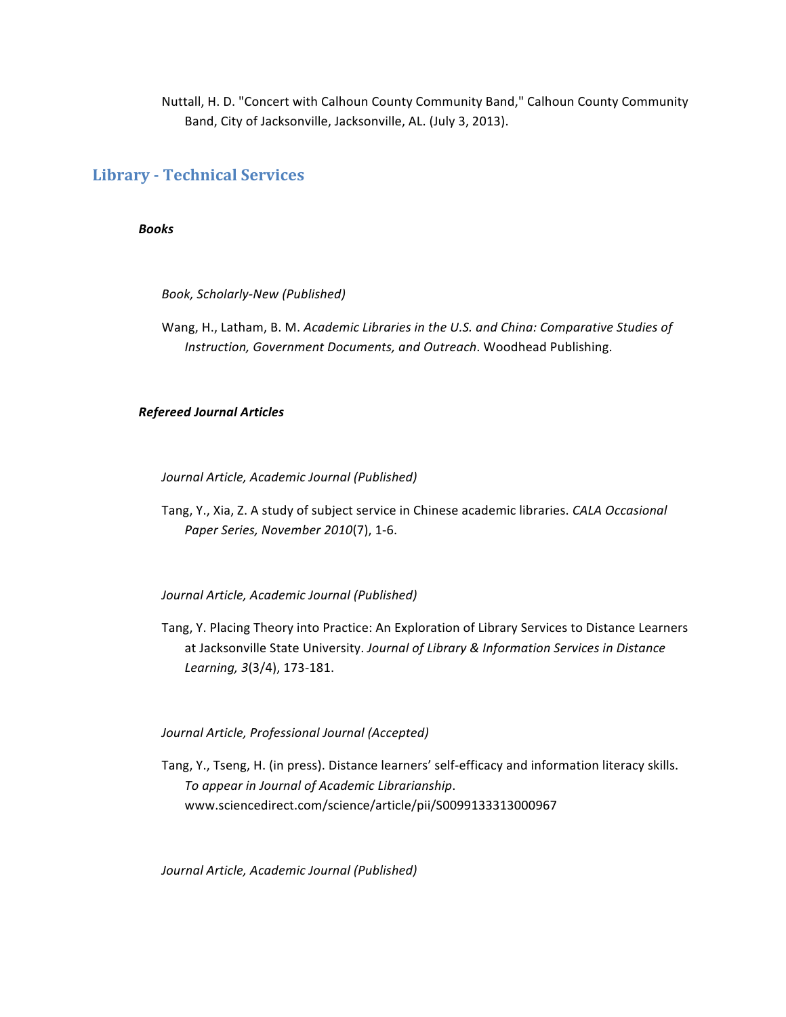Nuttall, H. D. "Concert with Calhoun County Community Band," Calhoun County Community Band, City of Jacksonville, Jacksonville, AL. (July 3, 2013).

## **Library - Technical Services**

*Books*

*Book, Scholarly-New (Published)*

Wang, H., Latham, B. M. *Academic Libraries in the U.S. and China: Comparative Studies of Instruction, Government Documents, and Outreach*. Woodhead Publishing.

## *Refereed Journal Articles*

*Journal Article, Academic Journal (Published)*

Tang, Y., Xia, Z. A study of subject service in Chinese academic libraries. *CALA Occasional Paper Series, November 2010*(7), 1-6.

*Journal Article, Academic Journal (Published)*

Tang, Y. Placing Theory into Practice: An Exploration of Library Services to Distance Learners at Jacksonville State University. Journal of Library & Information Services in Distance *Learning, 3*(3/4), 173-181.

## *Journal Article, Professional Journal (Accepted)*

Tang, Y., Tseng, H. (in press). Distance learners' self-efficacy and information literacy skills. *To appear in Journal of Academic Librarianship*. www.sciencedirect.com/science/article/pii/S0099133313000967

*Journal Article, Academic Journal (Published)*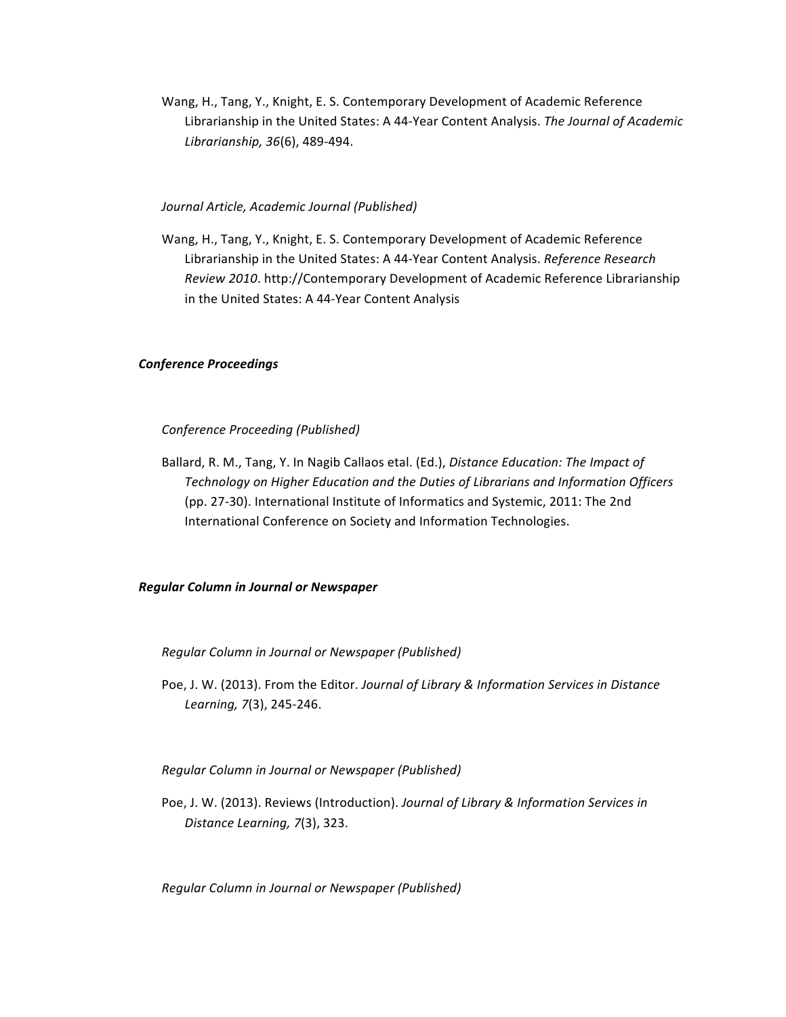Wang, H., Tang, Y., Knight, E. S. Contemporary Development of Academic Reference Librarianship in the United States: A 44-Year Content Analysis. The Journal of Academic *Librarianship, 36*(6), 489-494.

### *Journal Article, Academic Journal (Published)*

Wang, H., Tang, Y., Knight, E. S. Contemporary Development of Academic Reference Librarianship in the United States: A 44-Year Content Analysis. Reference Research *Review 2010.* http://Contemporary Development of Academic Reference Librarianship in the United States: A 44-Year Content Analysis

### *Conference Proceedings*

### *Conference Proceeding (Published)*

Ballard, R. M., Tang, Y. In Nagib Callaos etal. (Ed.), *Distance Education: The Impact of Technology on Higher Education and the Duties of Librarians and Information Officers* (pp. 27-30). International Institute of Informatics and Systemic, 2011: The 2nd International Conference on Society and Information Technologies.

### *Regular Column in Journal or Newspaper*

### *Regular Column in Journal or Newspaper (Published)*

Poe, J. W. (2013). From the Editor. Journal of Library & Information Services in Distance *Learning, 7*(3), 245-246.

### *Regular Column in Journal or Newspaper (Published)*

Poe, J. W. (2013). Reviews (Introduction). *Journal of Library & Information Services in Distance Learning, 7*(3), 323.

*Regular Column in Journal or Newspaper (Published)*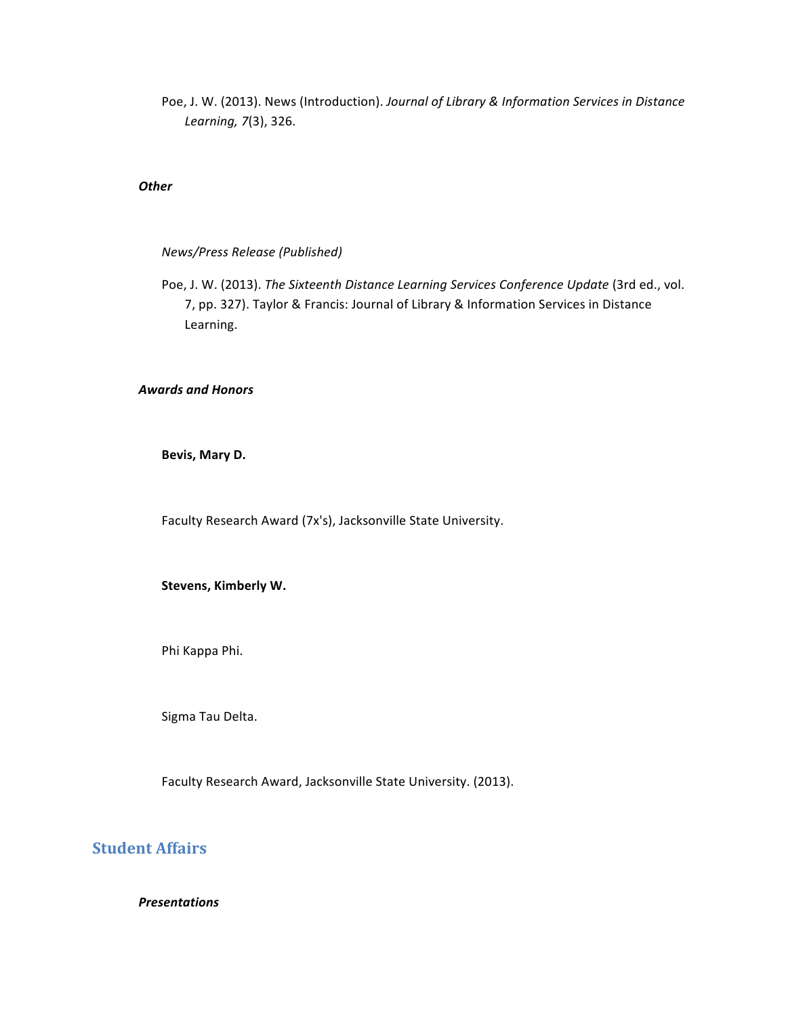Poe, J. W. (2013). News (Introduction). Journal of Library & Information Services in Distance *Learning, 7*(3), 326.

### *Other*

### *News/Press Release (Published)*

Poe, J. W. (2013). The Sixteenth Distance Learning Services Conference Update (3rd ed., vol. 7, pp. 327). Taylor & Francis: Journal of Library & Information Services in Distance Learning.

## *Awards and Honors*

Bevis, Mary D.

Faculty Research Award (7x's), Jacksonville State University.

### **Stevens, Kimberly W.**

Phi Kappa Phi.

Sigma Tau Delta.

Faculty Research Award, Jacksonville State University. (2013).

# **Student Affairs**

*Presentations*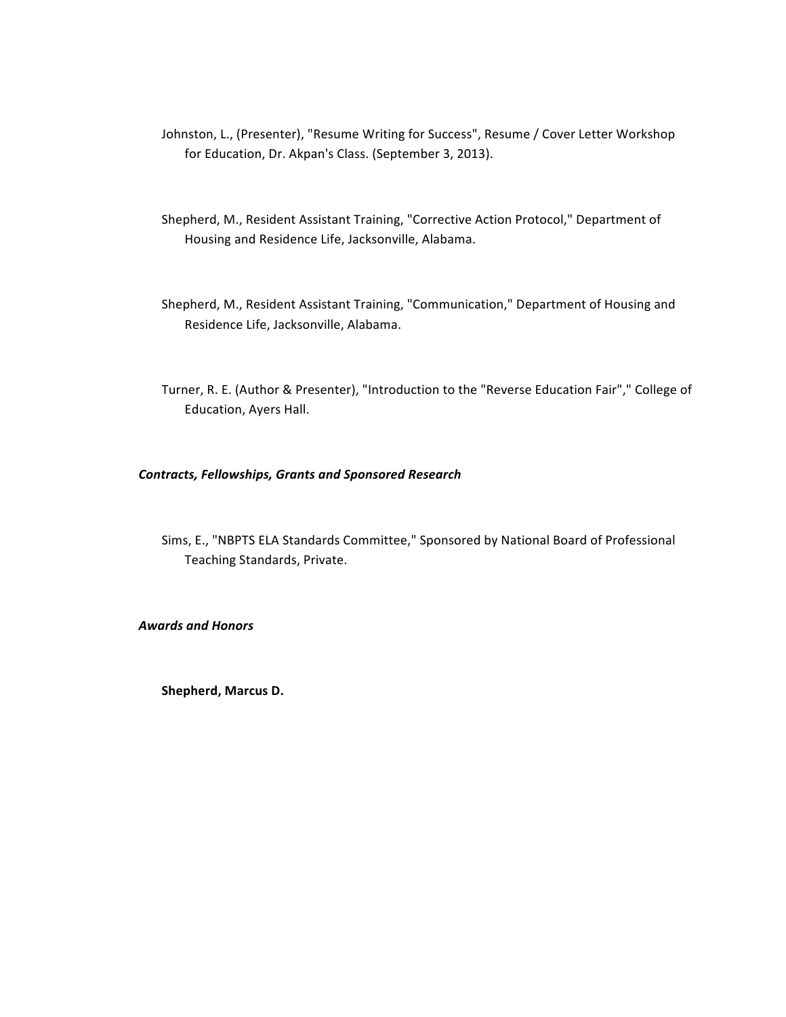- Johnston, L., (Presenter), "Resume Writing for Success", Resume / Cover Letter Workshop for Education, Dr. Akpan's Class. (September 3, 2013).
- Shepherd, M., Resident Assistant Training, "Corrective Action Protocol," Department of Housing and Residence Life, Jacksonville, Alabama.
- Shepherd, M., Resident Assistant Training, "Communication," Department of Housing and Residence Life, Jacksonville, Alabama.
- Turner, R. E. (Author & Presenter), "Introduction to the "Reverse Education Fair"," College of Education, Ayers Hall.

## *Contracts, Fellowships, Grants and Sponsored Research*

Sims, E., "NBPTS ELA Standards Committee," Sponsored by National Board of Professional Teaching Standards, Private.

*Awards and Honors*

**Shepherd, Marcus D.**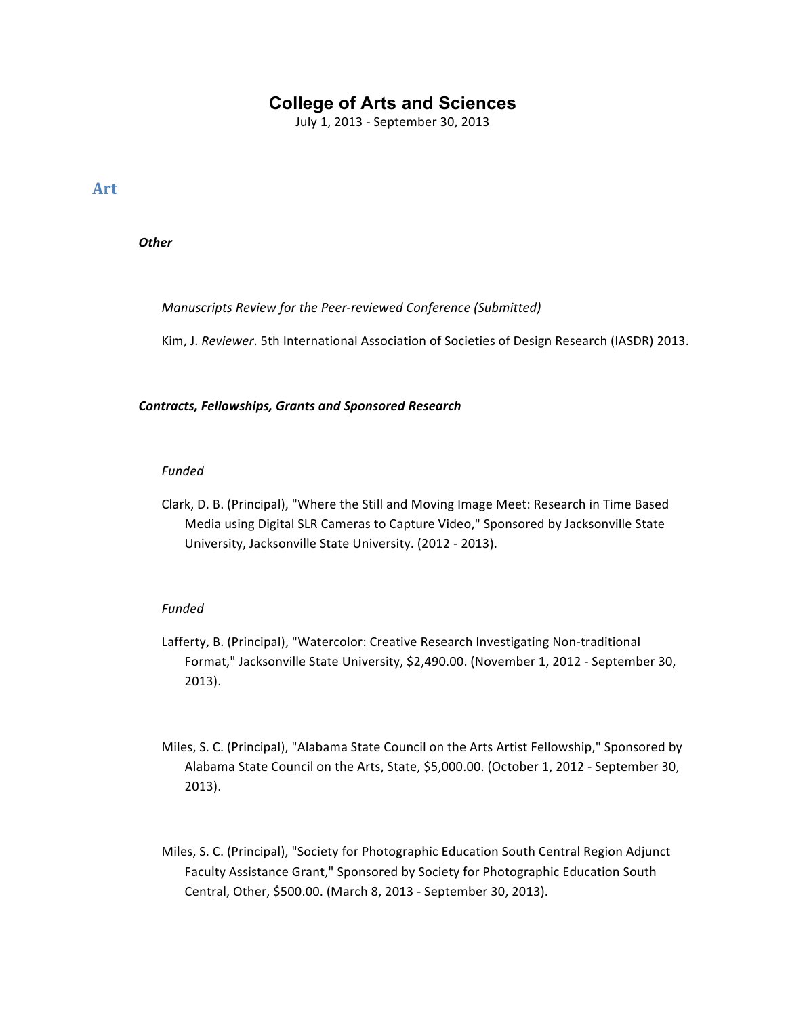# **College of Arts and Sciences**

July 1, 2013 - September 30, 2013

**Art**

*Other*

*Manuscripts Review for the Peer-reviewed Conference (Submitted)*

Kim, J. Reviewer. 5th International Association of Societies of Design Research (IASDR) 2013.

## *Contracts, Fellowships, Grants and Sponsored Research*

## *Funded*

Clark, D. B. (Principal), "Where the Still and Moving Image Meet: Research in Time Based Media using Digital SLR Cameras to Capture Video," Sponsored by Jacksonville State University, Jacksonville State University. (2012 - 2013).

## *Funded*

- Lafferty, B. (Principal), "Watercolor: Creative Research Investigating Non-traditional Format," Jacksonville State University, \$2,490.00. (November 1, 2012 - September 30, 2013).
- Miles, S. C. (Principal), "Alabama State Council on the Arts Artist Fellowship," Sponsored by Alabama State Council on the Arts, State, \$5,000.00. (October 1, 2012 - September 30, 2013).
- Miles, S. C. (Principal), "Society for Photographic Education South Central Region Adjunct Faculty Assistance Grant," Sponsored by Society for Photographic Education South Central, Other, \$500.00. (March 8, 2013 - September 30, 2013).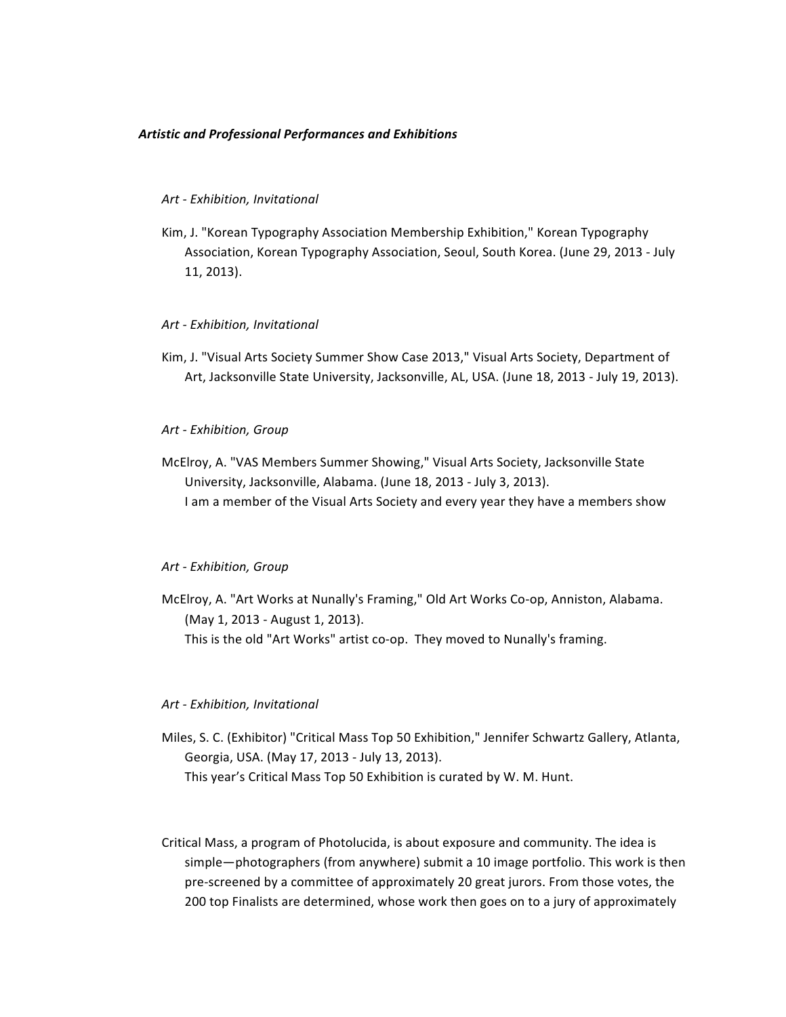## *Artistic and Professional Performances and Exhibitions*

### *Art - Exhibition, Invitational*

Kim, J. "Korean Typography Association Membership Exhibition," Korean Typography Association, Korean Typography Association, Seoul, South Korea. (June 29, 2013 - July 11, 2013).

### *Art - Exhibition, Invitational*

Kim, J. "Visual Arts Society Summer Show Case 2013," Visual Arts Society, Department of Art, Jacksonville State University, Jacksonville, AL, USA. (June 18, 2013 - July 19, 2013).

*Art - Exhibition, Group*

McElroy, A. "VAS Members Summer Showing," Visual Arts Society, Jacksonville State University, Jacksonville, Alabama. (June 18, 2013 - July 3, 2013). I am a member of the Visual Arts Society and every year they have a members show

### *Art - Exhibition, Group*

McElroy, A. "Art Works at Nunally's Framing," Old Art Works Co-op, Anniston, Alabama. (May 1, 2013 - August 1, 2013). This is the old "Art Works" artist co-op. They moved to Nunally's framing.

### *Art - Exhibition, Invitational*

- Miles, S. C. (Exhibitor) "Critical Mass Top 50 Exhibition," Jennifer Schwartz Gallery, Atlanta, Georgia, USA. (May 17, 2013 - July 13, 2013). This year's Critical Mass Top 50 Exhibition is curated by W. M. Hunt.
- Critical Mass, a program of Photolucida, is about exposure and community. The idea is simple—photographers (from anywhere) submit a 10 image portfolio. This work is then pre-screened by a committee of approximately 20 great jurors. From those votes, the 200 top Finalists are determined, whose work then goes on to a jury of approximately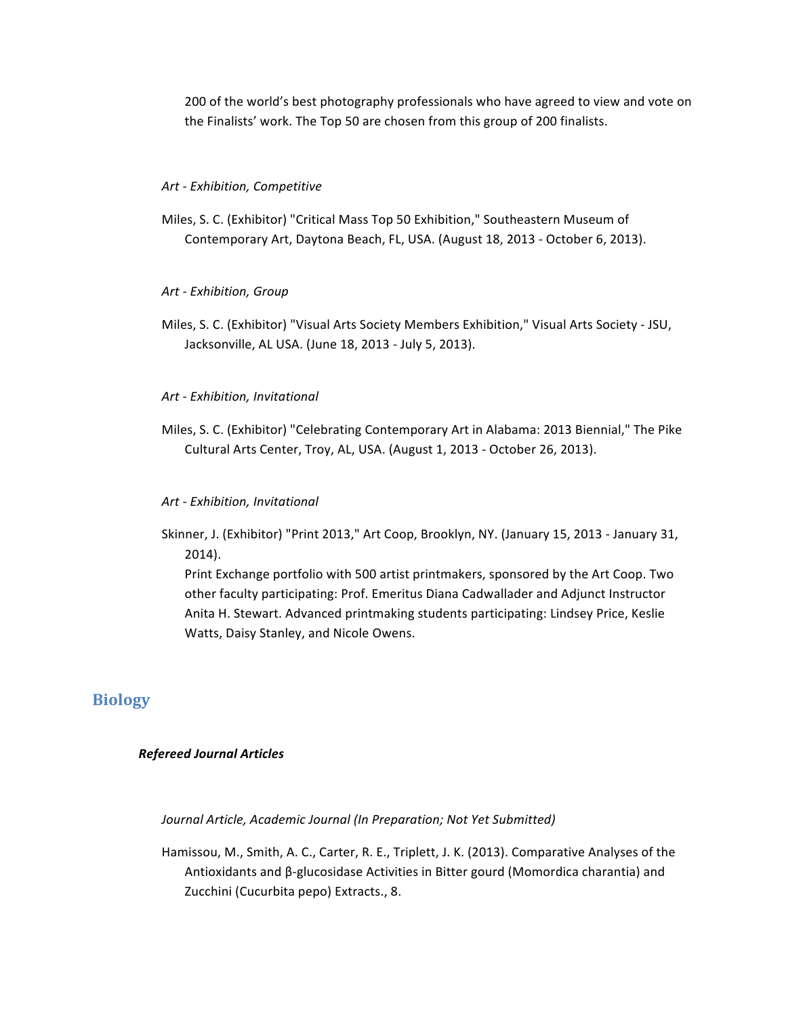200 of the world's best photography professionals who have agreed to view and vote on the Finalists' work. The Top 50 are chosen from this group of 200 finalists.

### *Art - Exhibition, Competitive*

Miles, S. C. (Exhibitor) "Critical Mass Top 50 Exhibition," Southeastern Museum of Contemporary Art, Daytona Beach, FL, USA. (August 18, 2013 - October 6, 2013).

### *Art - Exhibition, Group*

Miles, S. C. (Exhibitor) "Visual Arts Society Members Exhibition," Visual Arts Society - JSU, Jacksonville, AL USA. (June 18, 2013 - July 5, 2013).

### *Art - Exhibition, Invitational*

Miles, S. C. (Exhibitor) "Celebrating Contemporary Art in Alabama: 2013 Biennial," The Pike Cultural Arts Center, Troy, AL, USA. (August 1, 2013 - October 26, 2013).

### *Art - Exhibition, Invitational*

Skinner, J. (Exhibitor) "Print 2013," Art Coop, Brooklyn, NY. (January 15, 2013 - January 31, 2014).

Print Exchange portfolio with 500 artist printmakers, sponsored by the Art Coop. Two other faculty participating: Prof. Emeritus Diana Cadwallader and Adjunct Instructor Anita H. Stewart. Advanced printmaking students participating: Lindsey Price, Keslie Watts, Daisy Stanley, and Nicole Owens.

## **Biology**

## *Refereed Journal Articles*

Journal Article, Academic Journal (In Preparation; Not Yet Submitted)

Hamissou, M., Smith, A. C., Carter, R. E., Triplett, J. K. (2013). Comparative Analyses of the Antioxidants and β-glucosidase Activities in Bitter gourd (Momordica charantia) and Zucchini (Cucurbita pepo) Extracts., 8.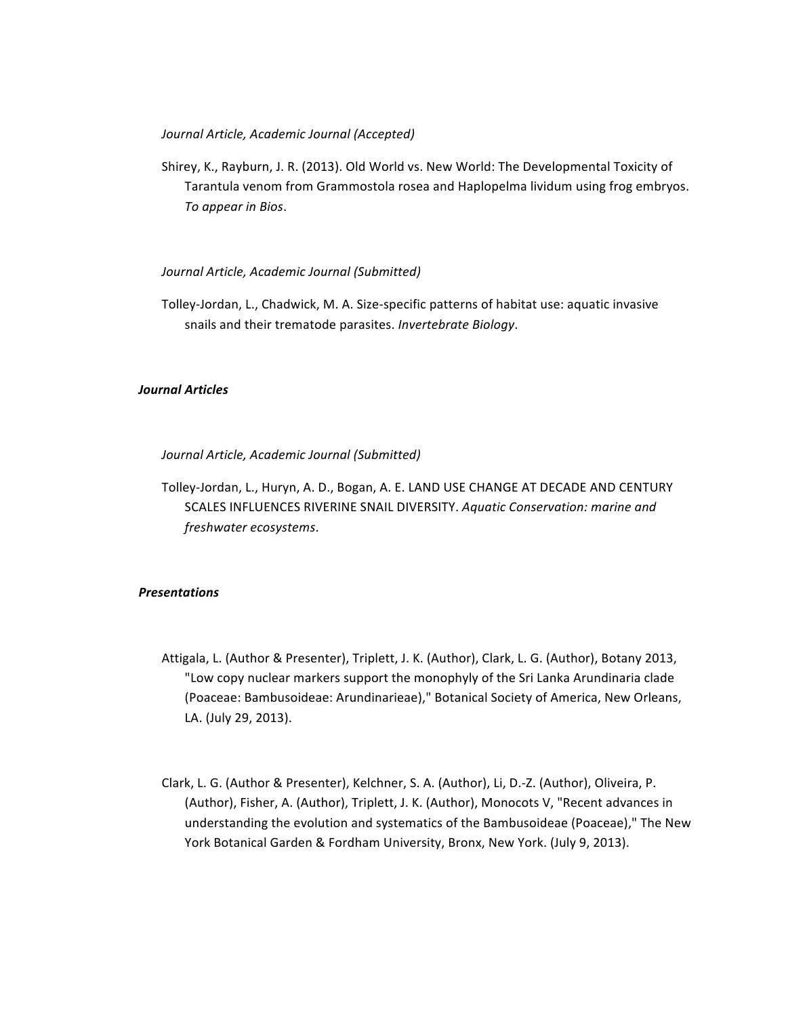## *Journal Article, Academic Journal (Accepted)*

Shirey, K., Rayburn, J. R. (2013). Old World vs. New World: The Developmental Toxicity of Tarantula venom from Grammostola rosea and Haplopelma lividum using frog embryos. *To appear in Bios*.

## *Journal Article, Academic Journal (Submitted)*

Tolley-Jordan, L., Chadwick, M. A. Size-specific patterns of habitat use: aquatic invasive snails and their trematode parasites. Invertebrate Biology.

## *Journal Articles*

*Journal Article, Academic Journal (Submitted)*

Tolley-Jordan, L., Huryn, A. D., Bogan, A. E. LAND USE CHANGE AT DECADE AND CENTURY SCALES INFLUENCES RIVERINE SNAIL DIVERSITY. Aquatic Conservation: marine and *freshwater ecosystems*.

### *Presentations*

- Attigala, L. (Author & Presenter), Triplett, J. K. (Author), Clark, L. G. (Author), Botany 2013, "Low copy nuclear markers support the monophyly of the Sri Lanka Arundinaria clade (Poaceae: Bambusoideae: Arundinarieae)," Botanical Society of America, New Orleans, LA. (July 29, 2013).
- Clark, L. G. (Author & Presenter), Kelchner, S. A. (Author), Li, D.-Z. (Author), Oliveira, P. (Author), Fisher, A. (Author), Triplett, J. K. (Author), Monocots V, "Recent advances in understanding the evolution and systematics of the Bambusoideae (Poaceae)," The New York Botanical Garden & Fordham University, Bronx, New York. (July 9, 2013).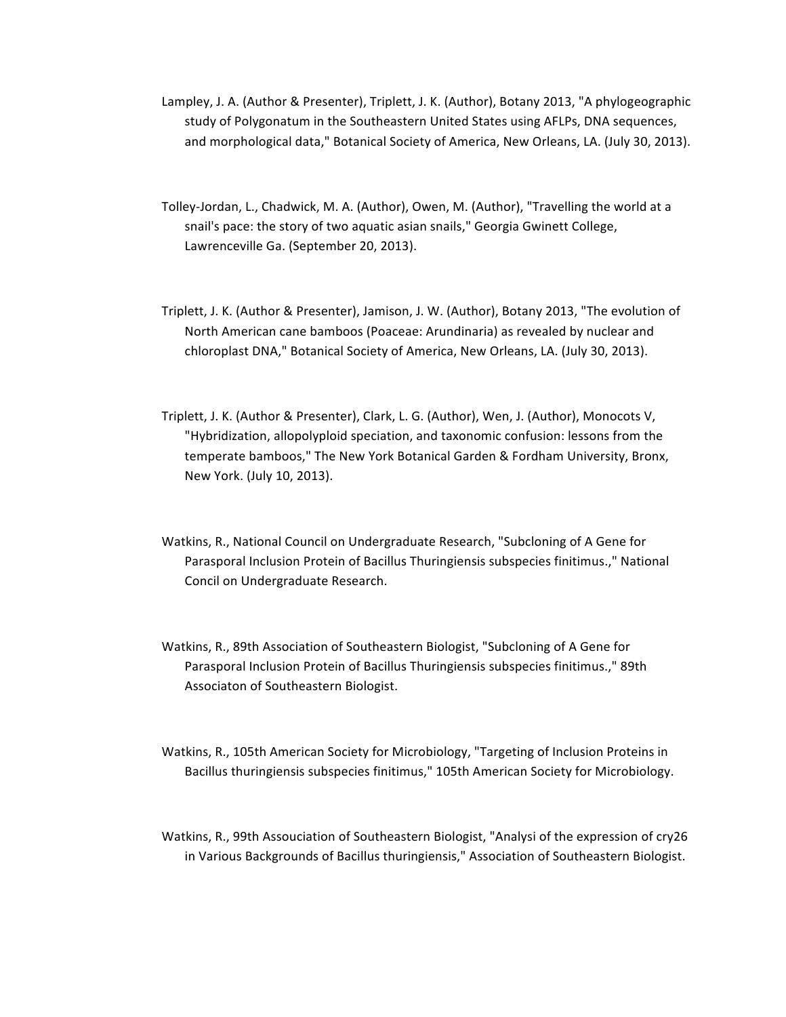- Lampley, J. A. (Author & Presenter), Triplett, J. K. (Author), Botany 2013, "A phylogeographic study of Polygonatum in the Southeastern United States using AFLPs, DNA sequences, and morphological data," Botanical Society of America, New Orleans, LA. (July 30, 2013).
- Tolley-Jordan, L., Chadwick, M. A. (Author), Owen, M. (Author), "Travelling the world at a snail's pace: the story of two aquatic asian snails," Georgia Gwinett College, Lawrenceville Ga. (September 20, 2013).
- Triplett, J. K. (Author & Presenter), Jamison, J. W. (Author), Botany 2013, "The evolution of North American cane bamboos (Poaceae: Arundinaria) as revealed by nuclear and chloroplast DNA," Botanical Society of America, New Orleans, LA. (July 30, 2013).
- Triplett, J. K. (Author & Presenter), Clark, L. G. (Author), Wen, J. (Author), Monocots V, "Hybridization, allopolyploid speciation, and taxonomic confusion: lessons from the temperate bamboos," The New York Botanical Garden & Fordham University, Bronx, New York. (July 10, 2013).
- Watkins, R., National Council on Undergraduate Research, "Subcloning of A Gene for Parasporal Inclusion Protein of Bacillus Thuringiensis subspecies finitimus.," National Concil on Undergraduate Research.
- Watkins, R., 89th Association of Southeastern Biologist, "Subcloning of A Gene for Parasporal Inclusion Protein of Bacillus Thuringiensis subspecies finitimus.," 89th Associaton of Southeastern Biologist.
- Watkins, R., 105th American Society for Microbiology, "Targeting of Inclusion Proteins in Bacillus thuringiensis subspecies finitimus," 105th American Society for Microbiology.
- Watkins, R., 99th Assouciation of Southeastern Biologist, "Analysi of the expression of cry26 in Various Backgrounds of Bacillus thuringiensis," Association of Southeastern Biologist.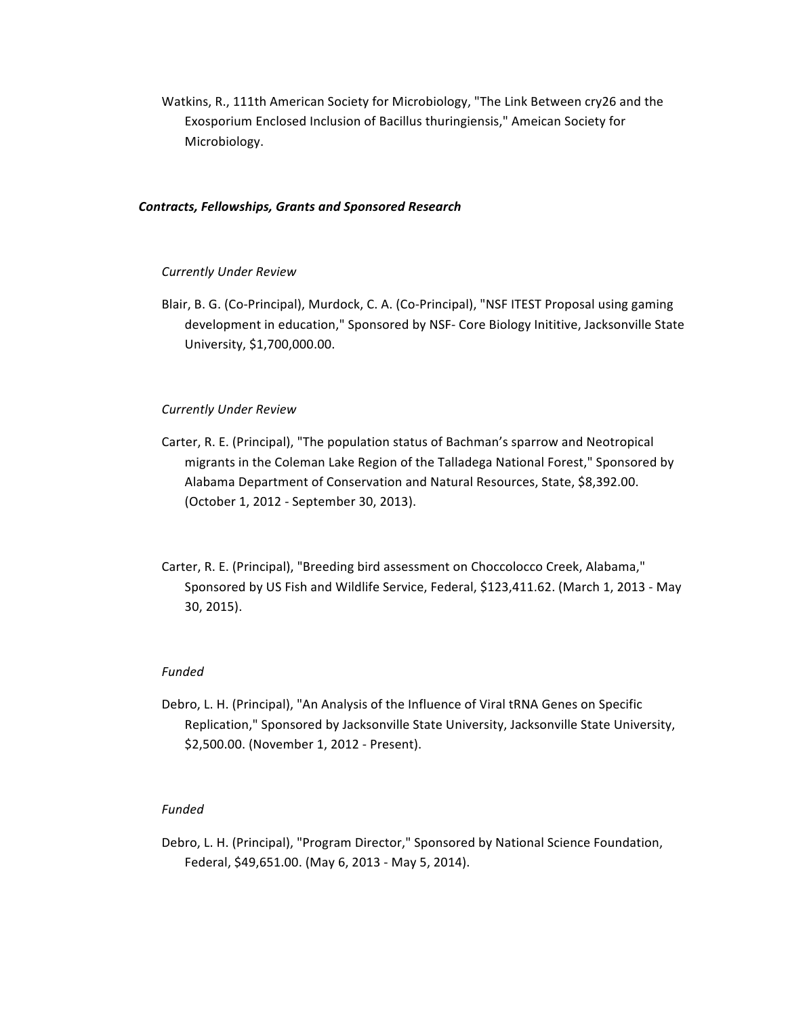Watkins, R., 111th American Society for Microbiology, "The Link Between cry26 and the Exosporium Enclosed Inclusion of Bacillus thuringiensis," Ameican Society for Microbiology.

## *Contracts, Fellowships, Grants and Sponsored Research*

## *Currently Under Review*

Blair, B. G. (Co-Principal), Murdock, C. A. (Co-Principal), "NSF ITEST Proposal using gaming development in education," Sponsored by NSF- Core Biology Inititive, Jacksonville State University, \$1,700,000.00.

## *Currently Under Review*

- Carter, R. E. (Principal), "The population status of Bachman's sparrow and Neotropical migrants in the Coleman Lake Region of the Talladega National Forest," Sponsored by Alabama Department of Conservation and Natural Resources, State, \$8,392.00. (October 1, 2012 - September 30, 2013).
- Carter, R. E. (Principal), "Breeding bird assessment on Choccolocco Creek, Alabama," Sponsored by US Fish and Wildlife Service, Federal, \$123,411.62. (March 1, 2013 - May 30, 2015).

## *Funded*

Debro, L. H. (Principal), "An Analysis of the Influence of Viral tRNA Genes on Specific Replication," Sponsored by Jacksonville State University, Jacksonville State University, \$2,500.00. (November 1, 2012 - Present).

## *Funded*

Debro, L. H. (Principal), "Program Director," Sponsored by National Science Foundation, Federal, \$49,651.00. (May 6, 2013 - May 5, 2014).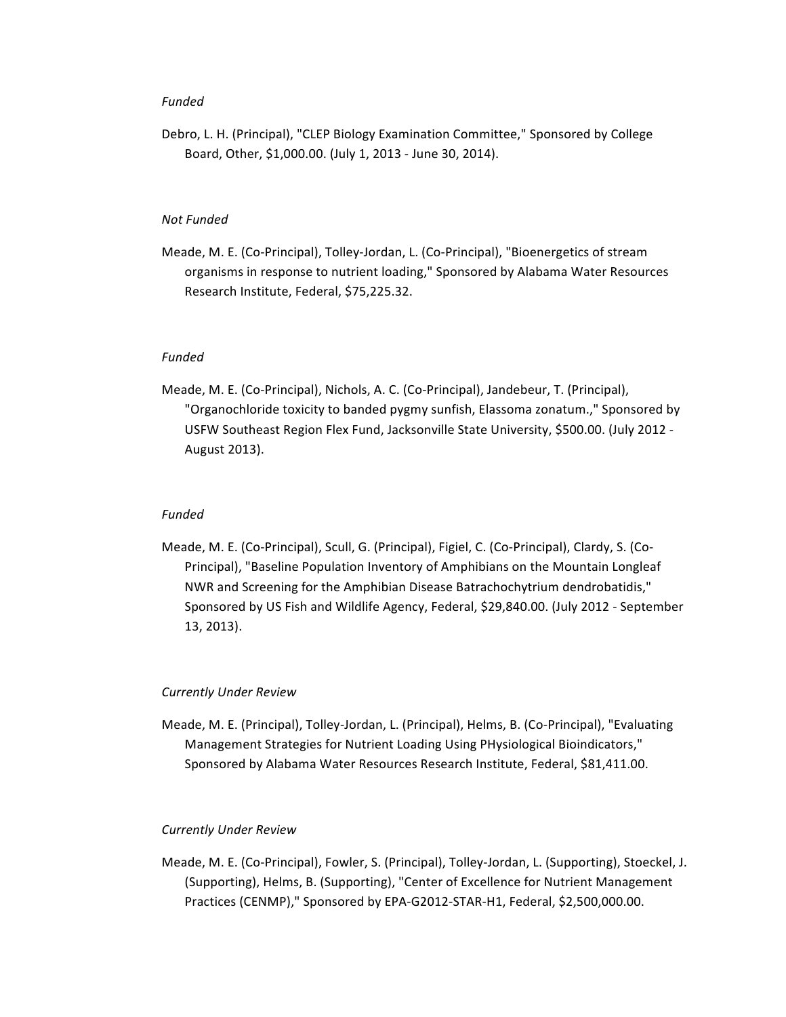## *Funded*

Debro, L. H. (Principal), "CLEP Biology Examination Committee," Sponsored by College Board, Other, \$1,000.00. (July 1, 2013 - June 30, 2014).

## *Not Funded*

Meade, M. E. (Co-Principal), Tolley-Jordan, L. (Co-Principal), "Bioenergetics of stream organisms in response to nutrient loading," Sponsored by Alabama Water Resources Research Institute, Federal, \$75,225.32.

## *Funded*

Meade, M. E. (Co-Principal), Nichols, A. C. (Co-Principal), Jandebeur, T. (Principal), "Organochloride toxicity to banded pygmy sunfish, Elassoma zonatum.," Sponsored by USFW Southeast Region Flex Fund, Jacksonville State University, \$500.00. (July 2012 -August 2013).

## *Funded*

Meade, M. E. (Co-Principal), Scull, G. (Principal), Figiel, C. (Co-Principal), Clardy, S. (Co-Principal), "Baseline Population Inventory of Amphibians on the Mountain Longleaf NWR and Screening for the Amphibian Disease Batrachochytrium dendrobatidis," Sponsored by US Fish and Wildlife Agency, Federal, \$29,840.00. (July 2012 - September 13, 2013).

## *Currently Under Review*

Meade, M. E. (Principal), Tolley-Jordan, L. (Principal), Helms, B. (Co-Principal), "Evaluating Management Strategies for Nutrient Loading Using PHysiological Bioindicators," Sponsored by Alabama Water Resources Research Institute, Federal, \$81,411.00.

### *Currently Under Review*

Meade, M. E. (Co-Principal), Fowler, S. (Principal), Tolley-Jordan, L. (Supporting), Stoeckel, J. (Supporting), Helms, B. (Supporting), "Center of Excellence for Nutrient Management Practices (CENMP)," Sponsored by EPA-G2012-STAR-H1, Federal, \$2,500,000.00.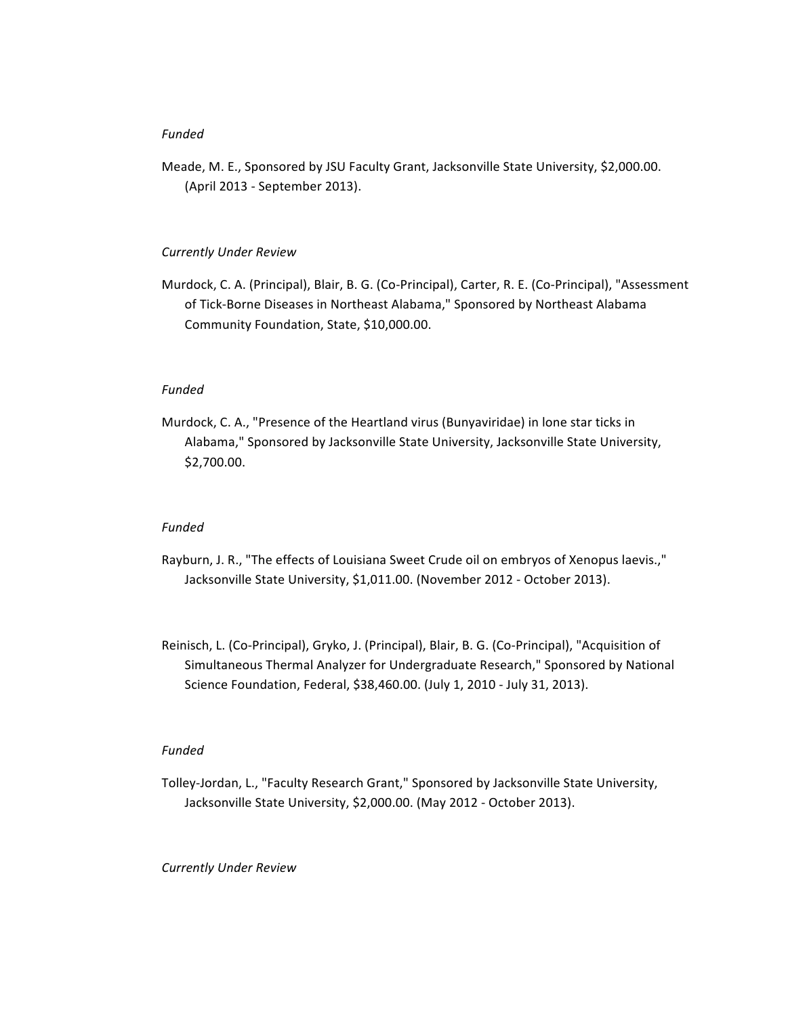## *Funded*

Meade, M. E., Sponsored by JSU Faculty Grant, Jacksonville State University, \$2,000.00. (April 2013 - September 2013).

#### *Currently Under Review*

Murdock, C. A. (Principal), Blair, B. G. (Co-Principal), Carter, R. E. (Co-Principal), "Assessment of Tick-Borne Diseases in Northeast Alabama," Sponsored by Northeast Alabama Community Foundation, State, \$10,000.00.

## *Funded*

Murdock, C. A., "Presence of the Heartland virus (Bunyaviridae) in lone star ticks in Alabama," Sponsored by Jacksonville State University, Jacksonville State University, \$2,700.00.

### *Funded*

- Rayburn, J. R., "The effects of Louisiana Sweet Crude oil on embryos of Xenopus laevis.," Jacksonville State University, \$1,011.00. (November 2012 - October 2013).
- Reinisch, L. (Co-Principal), Gryko, J. (Principal), Blair, B. G. (Co-Principal), "Acquisition of Simultaneous Thermal Analyzer for Undergraduate Research," Sponsored by National Science Foundation, Federal, \$38,460.00. (July 1, 2010 - July 31, 2013).

### *Funded*

Tolley-Jordan, L., "Faculty Research Grant," Sponsored by Jacksonville State University, Jacksonville State University, \$2,000.00. (May 2012 - October 2013).

### *Currently Under Review*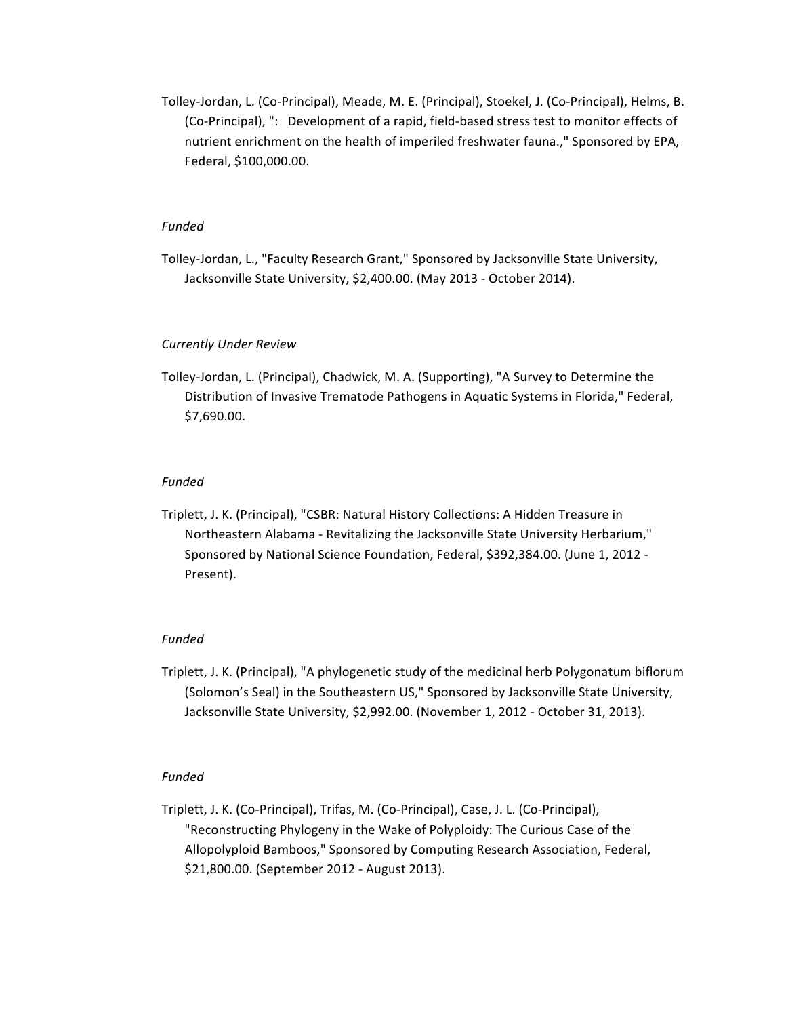Tolley-Jordan, L. (Co-Principal), Meade, M. E. (Principal), Stoekel, J. (Co-Principal), Helms, B. (Co-Principal), ": Development of a rapid, field-based stress test to monitor effects of nutrient enrichment on the health of imperiled freshwater fauna.," Sponsored by EPA, Federal, \$100,000.00.

## *Funded*

Tolley-Jordan, L., "Faculty Research Grant," Sponsored by Jacksonville State University, Jacksonville State University, \$2,400.00. (May 2013 - October 2014).

#### *Currently Under Review*

Tolley-Jordan, L. (Principal), Chadwick, M. A. (Supporting), "A Survey to Determine the Distribution of Invasive Trematode Pathogens in Aquatic Systems in Florida," Federal, \$7,690.00.

### *Funded*

Triplett, J. K. (Principal), "CSBR: Natural History Collections: A Hidden Treasure in Northeastern Alabama - Revitalizing the Jacksonville State University Herbarium," Sponsored by National Science Foundation, Federal, \$392,384.00. (June 1, 2012 -Present).

## *Funded*

Triplett, J. K. (Principal), "A phylogenetic study of the medicinal herb Polygonatum biflorum (Solomon's Seal) in the Southeastern US," Sponsored by Jacksonville State University, Jacksonville State University, \$2,992.00. (November 1, 2012 - October 31, 2013).

## *Funded*

Triplett, J. K. (Co-Principal), Trifas, M. (Co-Principal), Case, J. L. (Co-Principal), "Reconstructing Phylogeny in the Wake of Polyploidy: The Curious Case of the Allopolyploid Bamboos," Sponsored by Computing Research Association, Federal, \$21,800.00. (September 2012 - August 2013).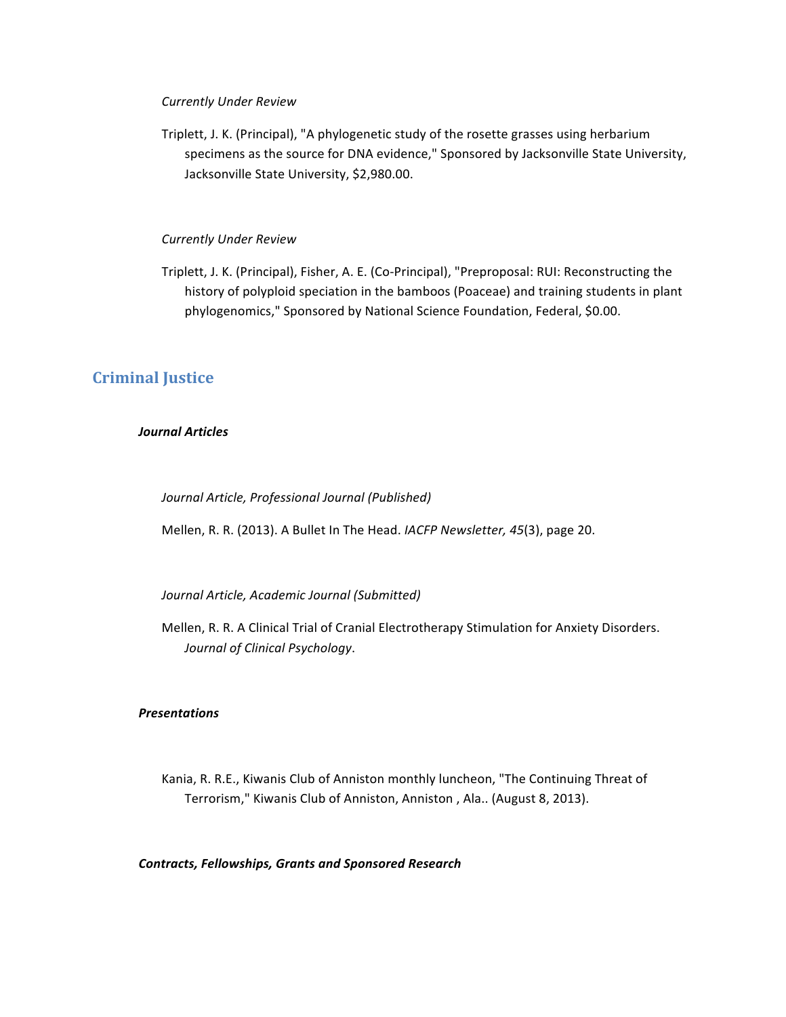### *Currently Under Review*

Triplett, J. K. (Principal), "A phylogenetic study of the rosette grasses using herbarium specimens as the source for DNA evidence," Sponsored by Jacksonville State University, Jacksonville State University, \$2,980.00.

## *Currently Under Review*

Triplett, J. K. (Principal), Fisher, A. E. (Co-Principal), "Preproposal: RUI: Reconstructing the history of polyploid speciation in the bamboos (Poaceae) and training students in plant phylogenomics," Sponsored by National Science Foundation, Federal, \$0.00.

## **Criminal Justice**

## *Journal Articles*

*Journal Article, Professional Journal (Published)*

Mellen, R. R. (2013). A Bullet In The Head. *IACFP Newsletter, 45*(3), page 20.

*Journal Article, Academic Journal (Submitted)*

Mellen, R. R. A Clinical Trial of Cranial Electrotherapy Stimulation for Anxiety Disorders. *Journal of Clinical Psychology*.

## *Presentations*

Kania, R. R.E., Kiwanis Club of Anniston monthly luncheon, "The Continuing Threat of Terrorism," Kiwanis Club of Anniston, Anniston, Ala.. (August 8, 2013).

### *Contracts, Fellowships, Grants and Sponsored Research*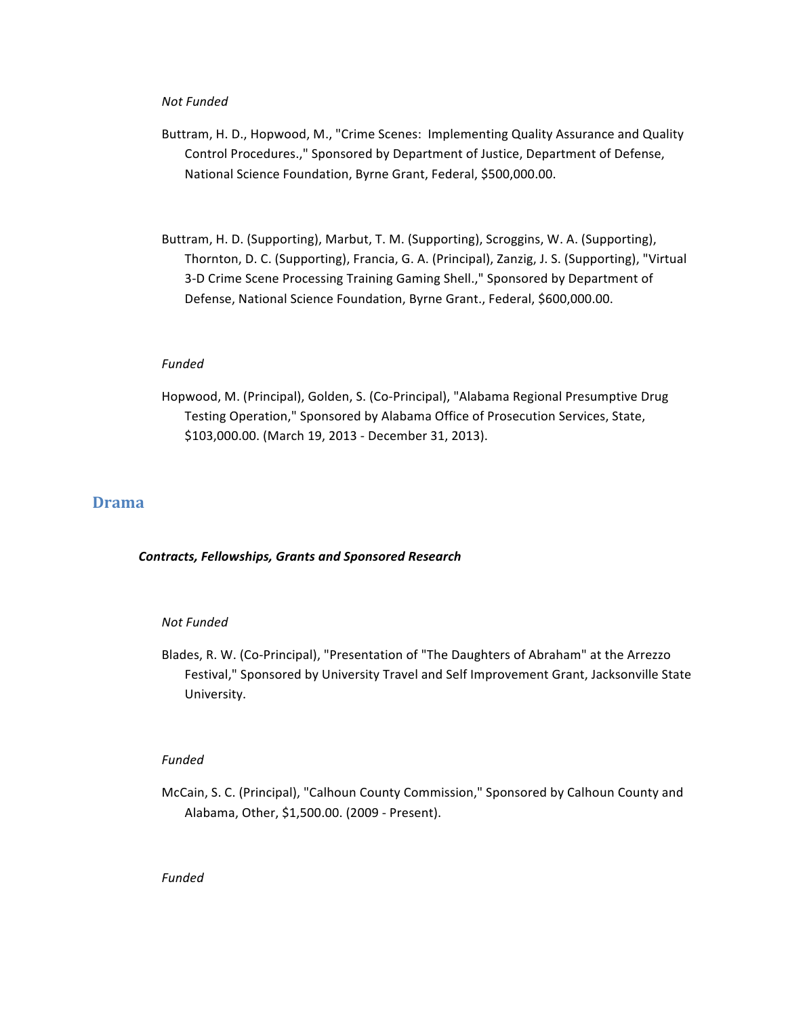### *Not Funded*

- Buttram, H. D., Hopwood, M., "Crime Scenes: Implementing Quality Assurance and Quality Control Procedures.," Sponsored by Department of Justice, Department of Defense, National Science Foundation, Byrne Grant, Federal, \$500,000.00.
- Buttram, H. D. (Supporting), Marbut, T. M. (Supporting), Scroggins, W. A. (Supporting), Thornton, D. C. (Supporting), Francia, G. A. (Principal), Zanzig, J. S. (Supporting), "Virtual 3-D Crime Scene Processing Training Gaming Shell.," Sponsored by Department of Defense, National Science Foundation, Byrne Grant., Federal, \$600,000.00.

## *Funded*

Hopwood, M. (Principal), Golden, S. (Co-Principal), "Alabama Regional Presumptive Drug Testing Operation," Sponsored by Alabama Office of Prosecution Services, State, \$103,000.00. (March 19, 2013 - December 31, 2013).

## **Drama**

## *Contracts, Fellowships, Grants and Sponsored Research*

### *Not Funded*

Blades, R. W. (Co-Principal), "Presentation of "The Daughters of Abraham" at the Arrezzo Festival," Sponsored by University Travel and Self Improvement Grant, Jacksonville State University.

### *Funded*

McCain, S. C. (Principal), "Calhoun County Commission," Sponsored by Calhoun County and Alabama, Other, \$1,500.00. (2009 - Present).

## *Funded*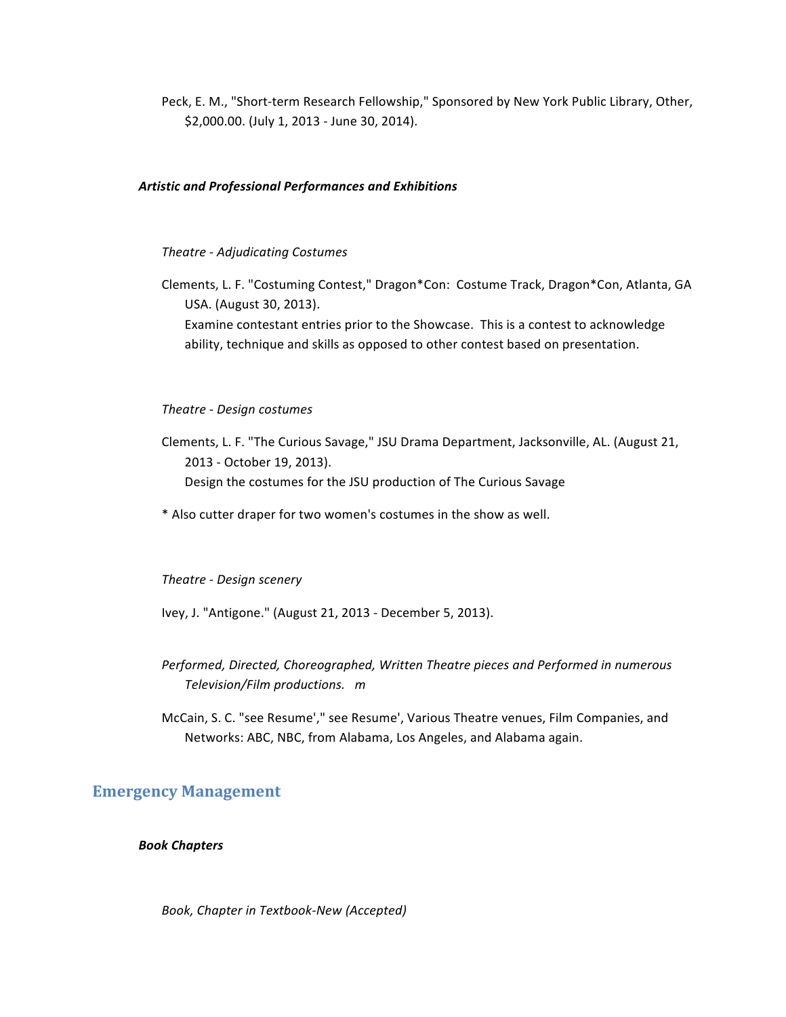Peck, E. M., "Short-term Research Fellowship," Sponsored by New York Public Library, Other, \$2,000.00. (July 1, 2013 - June 30, 2014).

### *Artistic and Professional Performances and Exhibitions*

### *Theatre - Adjudicating Costumes*

Clements, L. F. "Costuming Contest," Dragon\*Con: Costume Track, Dragon\*Con, Atlanta, GA USA. (August 30, 2013).

Examine contestant entries prior to the Showcase. This is a contest to acknowledge ability, technique and skills as opposed to other contest based on presentation.

### *Theatre - Design costumes*

Clements, L. F. "The Curious Savage," JSU Drama Department, Jacksonville, AL. (August 21, 2013 - October 19, 2013). Design the costumes for the JSU production of The Curious Savage

\* Also cutter draper for two women's costumes in the show as well.

### *Theatre - Design scenery*

Ivey, J. "Antigone." (August 21, 2013 - December 5, 2013).

- *Performed, Directed, Choreographed, Written Theatre pieces and Performed in numerous Television/Film productions. m*
- McCain, S. C. "see Resume'," see Resume', Various Theatre venues, Film Companies, and Networks: ABC, NBC, from Alabama, Los Angeles, and Alabama again.

## **Emergency Management**

*Book Chapters*

*Book, Chapter in Textbook-New (Accepted)*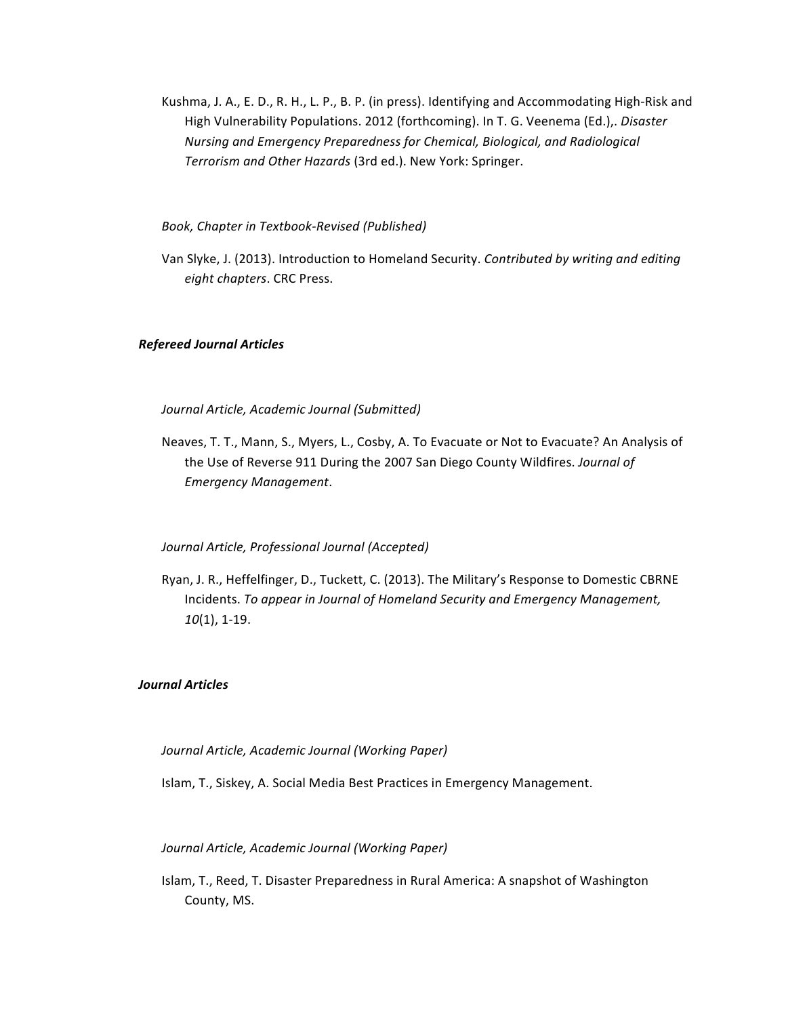Kushma, J. A., E. D., R. H., L. P., B. P. (in press). Identifying and Accommodating High-Risk and High Vulnerability Populations. 2012 (forthcoming). In T. G. Veenema (Ed.),. Disaster *Nursing and Emergency Preparedness for Chemical, Biological, and Radiological* Terrorism and Other Hazards (3rd ed.). New York: Springer.

*Book, Chapter in Textbook-Revised (Published)*

Van Slyke, J. (2013). Introduction to Homeland Security. *Contributed by writing and editing eight chapters*. CRC Press.

### *Refereed Journal Articles*

*Journal Article, Academic Journal (Submitted)*

Neaves, T. T., Mann, S., Myers, L., Cosby, A. To Evacuate or Not to Evacuate? An Analysis of the Use of Reverse 911 During the 2007 San Diego County Wildfires. *Journal of Emergency Management*.

## *Journal Article, Professional Journal (Accepted)*

Ryan, J. R., Heffelfinger, D., Tuckett, C. (2013). The Military's Response to Domestic CBRNE Incidents. To appear in Journal of Homeland Security and Emergency Management, *10*(1), 1-19.

## *Journal Articles*

### *Journal Article, Academic Journal (Working Paper)*

Islam, T., Siskey, A. Social Media Best Practices in Emergency Management.

## *Journal Article, Academic Journal (Working Paper)*

Islam, T., Reed, T. Disaster Preparedness in Rural America: A snapshot of Washington County, MS.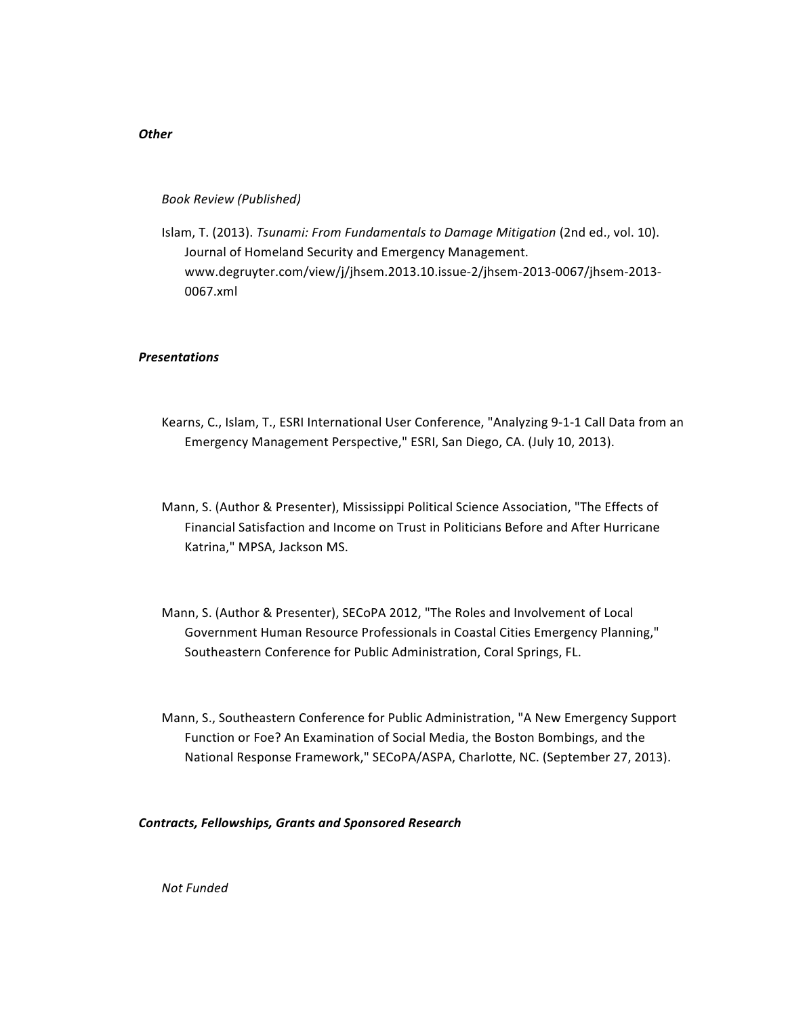### *Book Review (Published)*

Islam, T. (2013). *Tsunami: From Fundamentals to Damage Mitigation* (2nd ed., vol. 10). Journal of Homeland Security and Emergency Management. www.degruyter.com/view/j/jhsem.2013.10.issue-2/jhsem-2013-0067/jhsem-2013- 0067.xml

## *Presentations*

- Kearns, C., Islam, T., ESRI International User Conference, "Analyzing 9-1-1 Call Data from an Emergency Management Perspective," ESRI, San Diego, CA. (July 10, 2013).
- Mann, S. (Author & Presenter), Mississippi Political Science Association, "The Effects of Financial Satisfaction and Income on Trust in Politicians Before and After Hurricane Katrina," MPSA, Jackson MS.
- Mann, S. (Author & Presenter), SECoPA 2012, "The Roles and Involvement of Local Government Human Resource Professionals in Coastal Cities Emergency Planning," Southeastern Conference for Public Administration, Coral Springs, FL.
- Mann, S., Southeastern Conference for Public Administration, "A New Emergency Support Function or Foe? An Examination of Social Media, the Boston Bombings, and the National Response Framework," SECoPA/ASPA, Charlotte, NC. (September 27, 2013).

### *Contracts, Fellowships, Grants and Sponsored Research*

*Not Funded*

## *Other*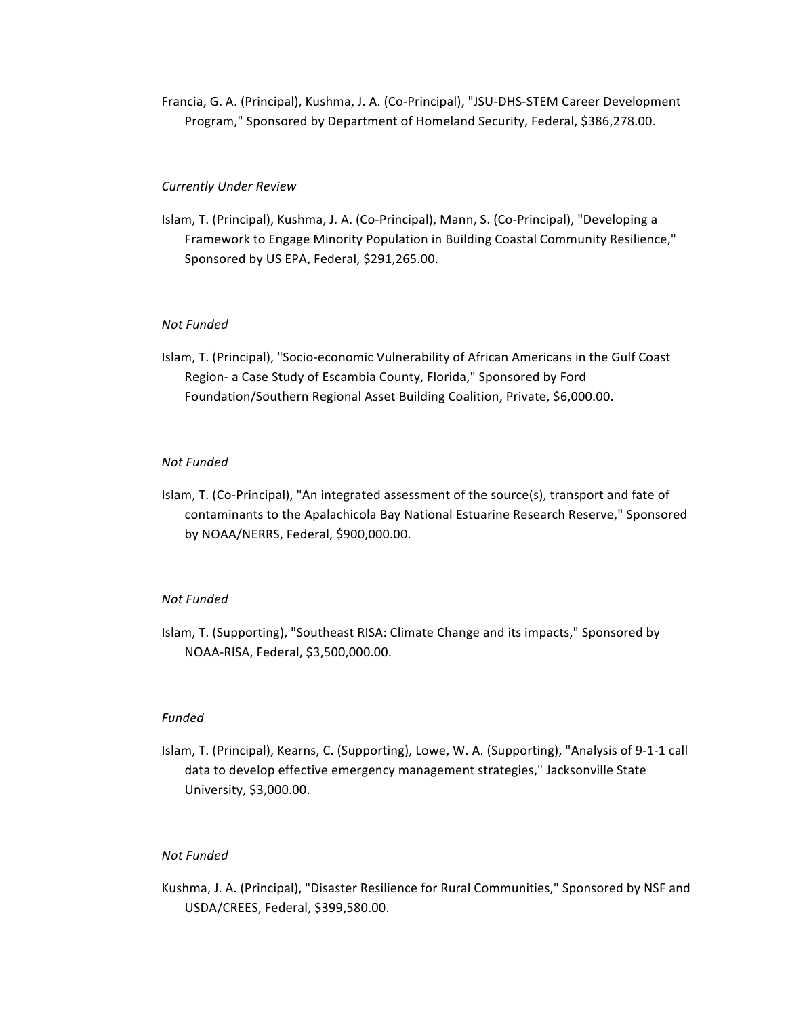Francia, G. A. (Principal), Kushma, J. A. (Co-Principal), "JSU-DHS-STEM Career Development Program," Sponsored by Department of Homeland Security, Federal, \$386,278.00.

## *Currently Under Review*

Islam, T. (Principal), Kushma, J. A. (Co-Principal), Mann, S. (Co-Principal), "Developing a Framework to Engage Minority Population in Building Coastal Community Resilience," Sponsored by US EPA, Federal, \$291,265.00.

## *Not Funded*

Islam, T. (Principal), "Socio-economic Vulnerability of African Americans in the Gulf Coast Region- a Case Study of Escambia County, Florida," Sponsored by Ford Foundation/Southern Regional Asset Building Coalition, Private, \$6,000.00.

### *Not Funded*

Islam, T. (Co-Principal), "An integrated assessment of the source(s), transport and fate of contaminants to the Apalachicola Bay National Estuarine Research Reserve," Sponsored by NOAA/NERRS, Federal, \$900,000.00.

### *Not Funded*

Islam, T. (Supporting), "Southeast RISA: Climate Change and its impacts," Sponsored by NOAA-RISA, Federal, \$3,500,000.00.

## *Funded*

Islam, T. (Principal), Kearns, C. (Supporting), Lowe, W. A. (Supporting), "Analysis of 9-1-1 call data to develop effective emergency management strategies," Jacksonville State University, \$3,000.00.

## *Not Funded*

Kushma, J. A. (Principal), "Disaster Resilience for Rural Communities," Sponsored by NSF and USDA/CREES, Federal, \$399,580.00.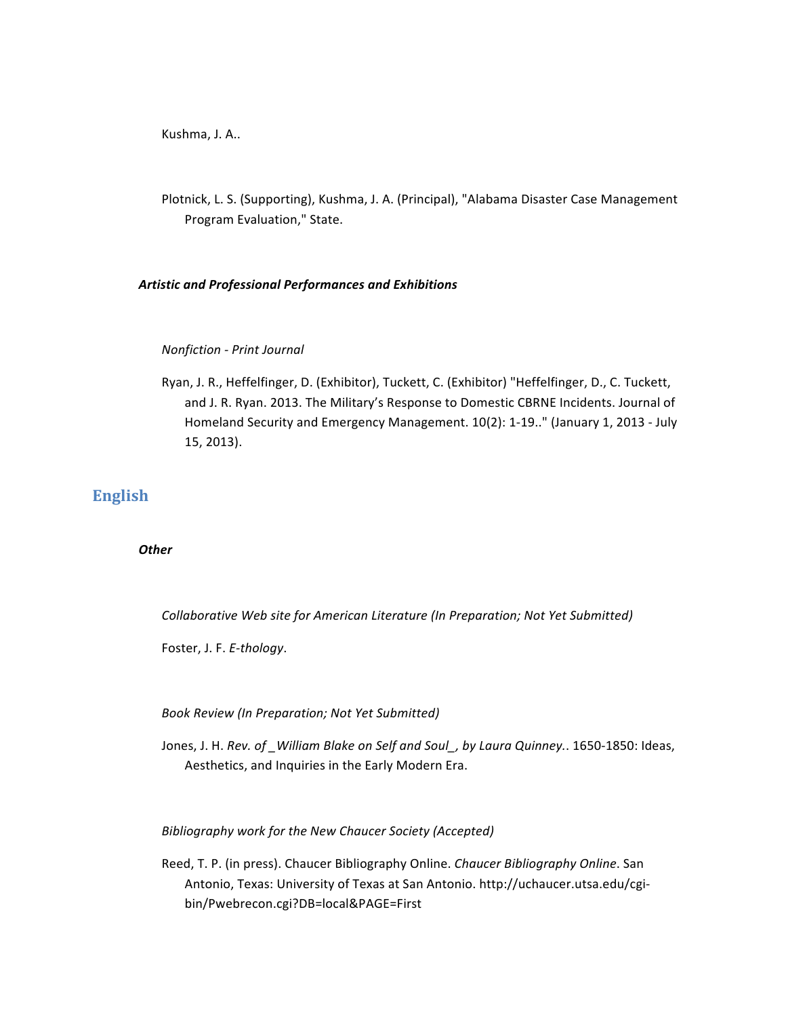Kushma, J. A..

Plotnick, L. S. (Supporting), Kushma, J. A. (Principal), "Alabama Disaster Case Management Program Evaluation," State.

## *Artistic and Professional Performances and Exhibitions*

## *Nonfiction - Print Journal*

Ryan, J. R., Heffelfinger, D. (Exhibitor), Tuckett, C. (Exhibitor) "Heffelfinger, D., C. Tuckett, and J. R. Ryan. 2013. The Military's Response to Domestic CBRNE Incidents. Journal of Homeland Security and Emergency Management. 10(2): 1-19.." (January 1, 2013 - July 15, 2013).

# **English**

## *Other*

*Collaborative Web site for American Literature (In Preparation; Not Yet Submitted)* 

Foster, J. F. E-thology.

*Book Review (In Preparation; Not Yet Submitted)*

Jones, J. H. Rev. of \_William Blake on Self and Soul\_, by Laura Quinney.. 1650-1850: Ideas, Aesthetics, and Inquiries in the Early Modern Era.

## *Bibliography work for the New Chaucer Society (Accepted)*

Reed, T. P. (in press). Chaucer Bibliography Online. *Chaucer Bibliography Online*. San Antonio, Texas: University of Texas at San Antonio. http://uchaucer.utsa.edu/cgibin/Pwebrecon.cgi?DB=local&PAGE=First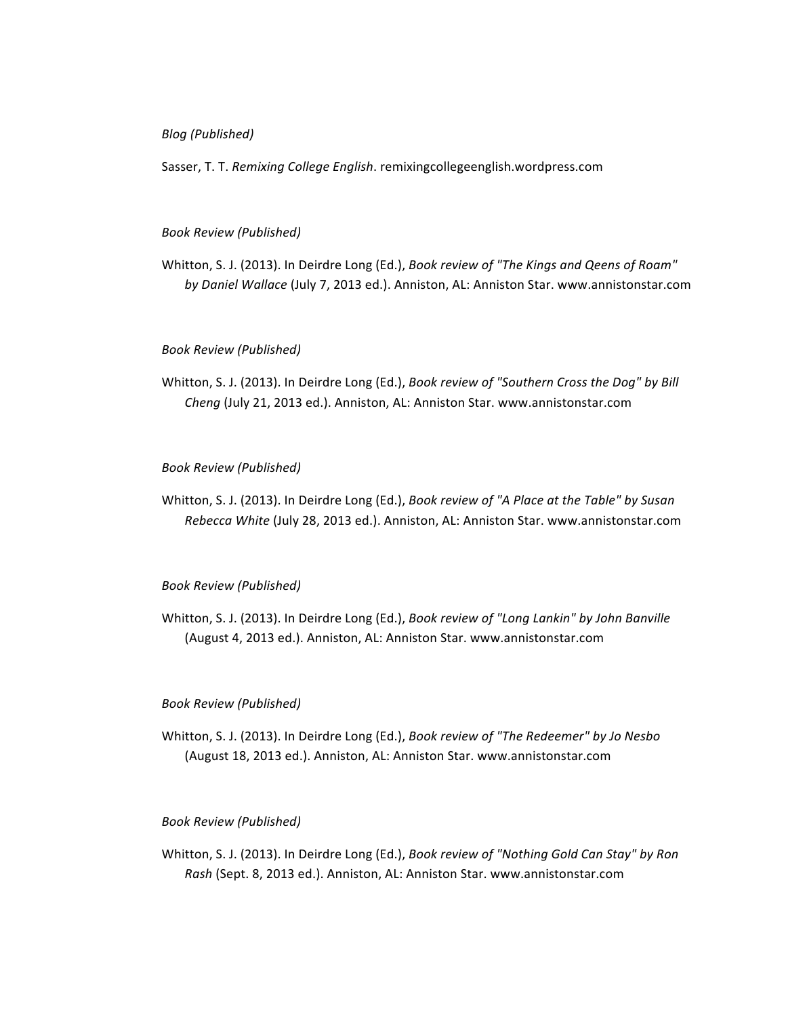## *Blog (Published)*

Sasser, T. T. *Remixing College English*. remixingcollegeenglish.wordpress.com

### *Book Review (Published)*

Whitton, S. J. (2013). In Deirdre Long (Ed.), *Book review of "The Kings and Qeens of Roam"* by Daniel Wallace (July 7, 2013 ed.). Anniston, AL: Anniston Star. www.annistonstar.com

### *Book Review (Published)*

Whitton, S. J. (2013). In Deirdre Long (Ed.), *Book review of "Southern Cross the Dog" by Bill Cheng* (July 21, 2013 ed.). Anniston, AL: Anniston Star. www.annistonstar.com

### *Book Review (Published)*

Whitton, S. J. (2013). In Deirdre Long (Ed.), *Book review of "A Place at the Table" by Susan Rebecca White* (July 28, 2013 ed.). Anniston, AL: Anniston Star. www.annistonstar.com

#### *Book Review (Published)*

Whitton, S. J. (2013). In Deirdre Long (Ed.), *Book review of "Long Lankin" by John Banville* (August 4, 2013 ed.). Anniston, AL: Anniston Star. www.annistonstar.com

### *Book Review (Published)*

Whitton, S. J. (2013). In Deirdre Long (Ed.), *Book review of "The Redeemer" by Jo Nesbo* (August 18, 2013 ed.). Anniston, AL: Anniston Star. www.annistonstar.com

## *Book Review (Published)*

Whitton, S. J. (2013). In Deirdre Long (Ed.), *Book review of "Nothing Gold Can Stay" by Ron Rash* (Sept. 8, 2013 ed.). Anniston, AL: Anniston Star. www.annistonstar.com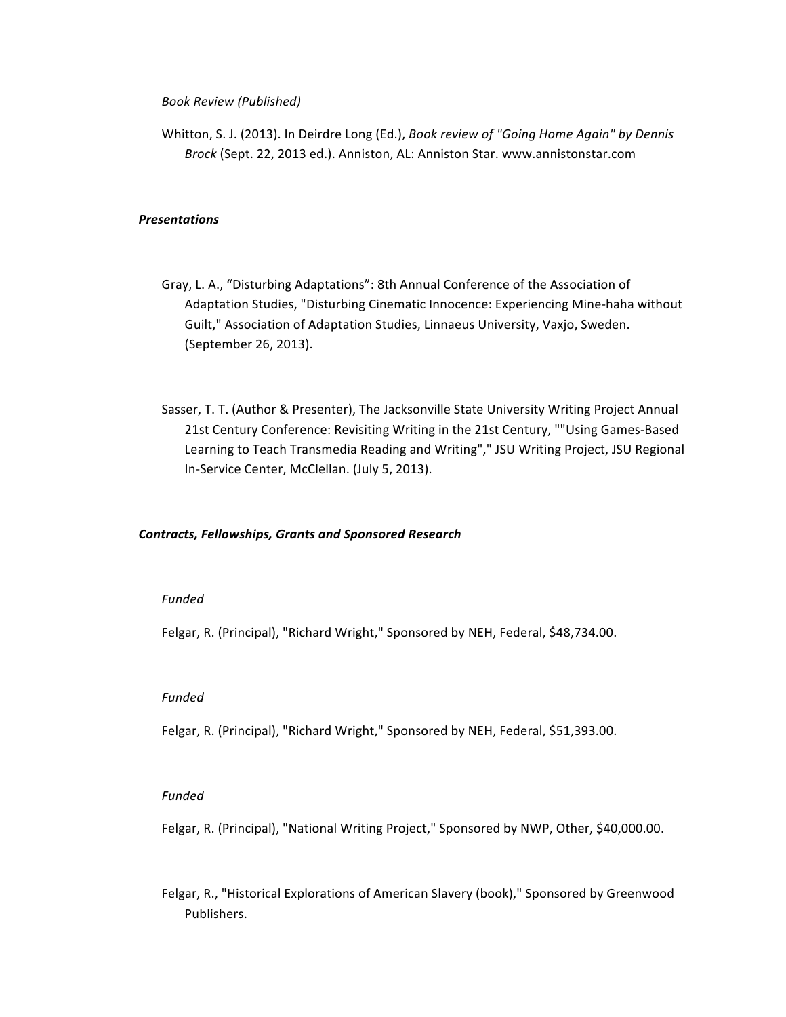### *Book Review (Published)*

Whitton, S. J. (2013). In Deirdre Long (Ed.), *Book review of "Going Home Again" by Dennis Brock* (Sept. 22, 2013 ed.). Anniston, AL: Anniston Star. www.annistonstar.com

## *Presentations*

- Gray, L. A., "Disturbing Adaptations": 8th Annual Conference of the Association of Adaptation Studies, "Disturbing Cinematic Innocence: Experiencing Mine-haha without Guilt," Association of Adaptation Studies, Linnaeus University, Vaxjo, Sweden. (September 26, 2013).
- Sasser, T. T. (Author & Presenter), The Jacksonville State University Writing Project Annual 21st Century Conference: Revisiting Writing in the 21st Century, ""Using Games-Based Learning to Teach Transmedia Reading and Writing"," JSU Writing Project, JSU Regional In-Service Center, McClellan. (July 5, 2013).

### *Contracts, Fellowships, Grants and Sponsored Research*

#### *Funded*

Felgar, R. (Principal), "Richard Wright," Sponsored by NEH, Federal, \$48,734.00.

#### *Funded*

Felgar, R. (Principal), "Richard Wright," Sponsored by NEH, Federal, \$51,393.00.

## *Funded*

Felgar, R. (Principal), "National Writing Project," Sponsored by NWP, Other, \$40,000.00.

Felgar, R., "Historical Explorations of American Slavery (book)," Sponsored by Greenwood Publishers.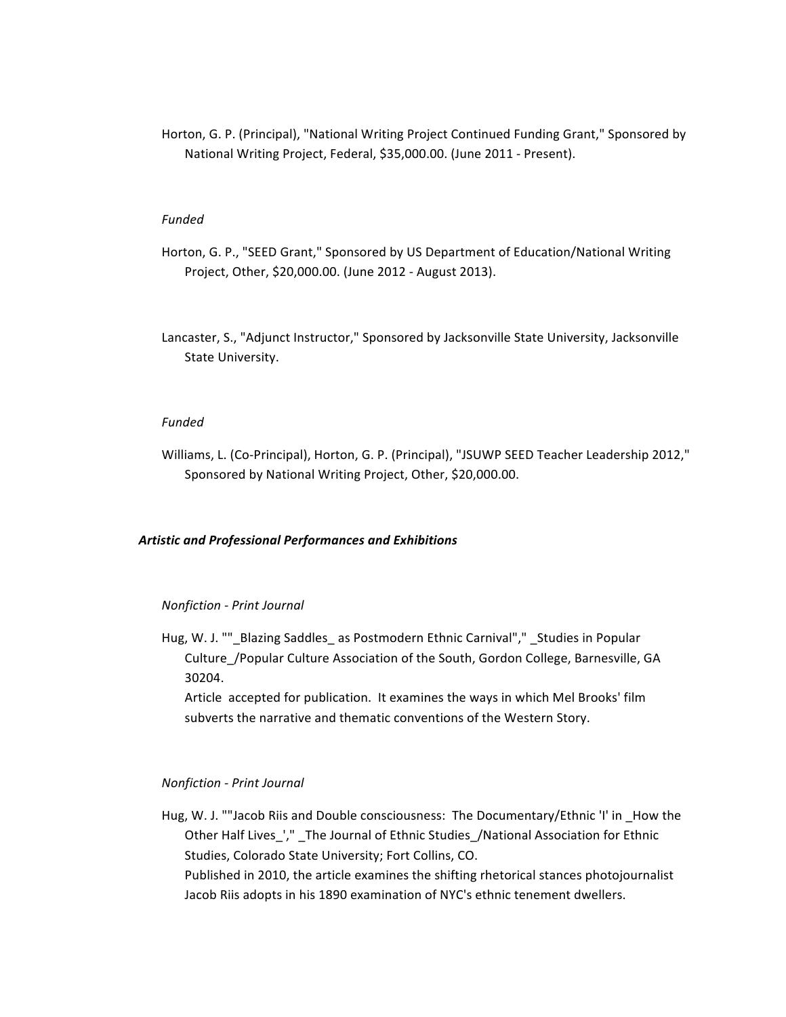Horton, G. P. (Principal), "National Writing Project Continued Funding Grant," Sponsored by National Writing Project, Federal, \$35,000.00. (June 2011 - Present).

## *Funded*

- Horton, G. P., "SEED Grant," Sponsored by US Department of Education/National Writing Project, Other, \$20,000.00. (June 2012 - August 2013).
- Lancaster, S., "Adjunct Instructor," Sponsored by Jacksonville State University, Jacksonville State University.

### *Funded*

Williams, L. (Co-Principal), Horton, G. P. (Principal), "JSUWP SEED Teacher Leadership 2012," Sponsored by National Writing Project, Other, \$20,000.00.

## *Artistic and Professional Performances and Exhibitions*

#### *Nonfiction - Print Journal*

Hug, W. J. ""\_Blazing Saddles\_ as Postmodern Ethnic Carnival"," \_Studies in Popular Culture / Popular Culture Association of the South, Gordon College, Barnesville, GA 30204.

Article accepted for publication. It examines the ways in which Mel Brooks' film subverts the narrative and thematic conventions of the Western Story.

### *Nonfiction - Print Journal*

Hug, W. J. ""Jacob Riis and Double consciousness: The Documentary/Ethnic 'I' in How the Other Half Lives\_'," \_The Journal of Ethnic Studies\_/National Association for Ethnic Studies, Colorado State University; Fort Collins, CO. Published in 2010, the article examines the shifting rhetorical stances photojournalist Jacob Riis adopts in his 1890 examination of NYC's ethnic tenement dwellers.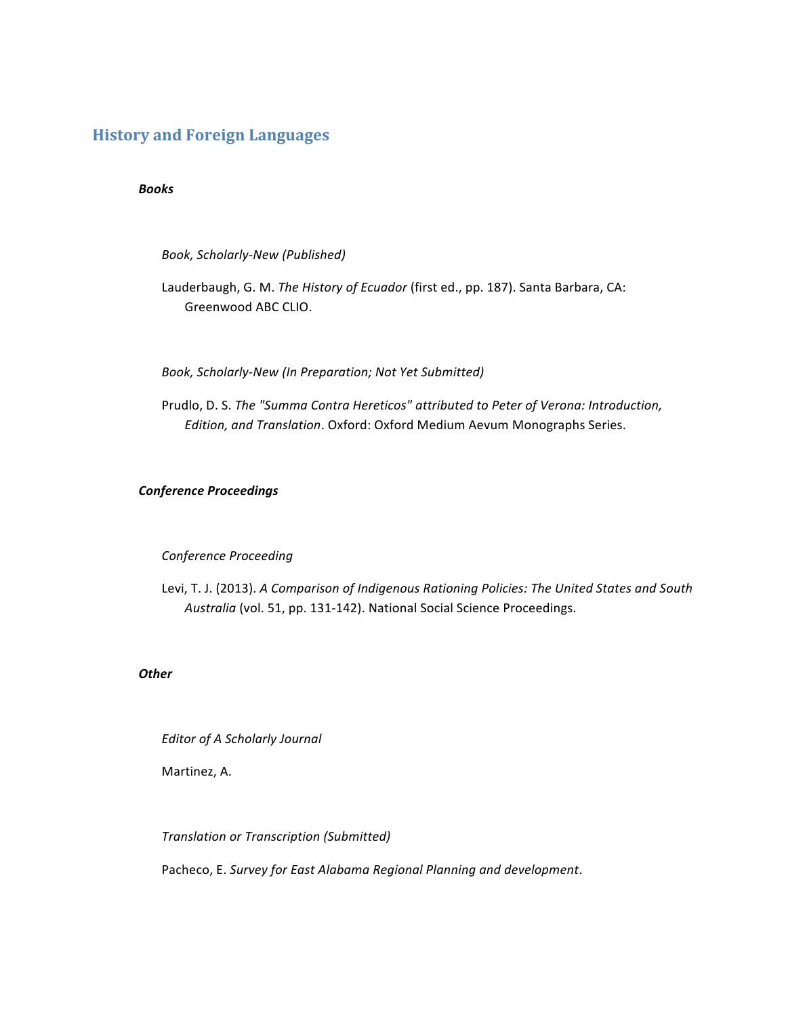# **History and Foreign Languages**

## *Books*

*Book, Scholarly-New (Published)*

Lauderbaugh, G. M. The History of Ecuador (first ed., pp. 187). Santa Barbara, CA: Greenwood ABC CLIO.

*Book, Scholarly-New (In Preparation; Not Yet Submitted)*

Prudlo, D. S. The "Summa Contra Hereticos" attributed to Peter of Verona: Introduction, *Edition, and Translation.* Oxford: Oxford Medium Aevum Monographs Series.

## *Conference Proceedings*

## *Conference Proceeding*

Levi, T. J. (2013). A Comparison of Indigenous Rationing Policies: The United States and South Australia (vol. 51, pp. 131-142). National Social Science Proceedings.

## *Other*

*Editor of A Scholarly Journal* 

Martinez, A.

*Translation or Transcription (Submitted)*

Pacheco, E. Survey for East Alabama Regional Planning and development.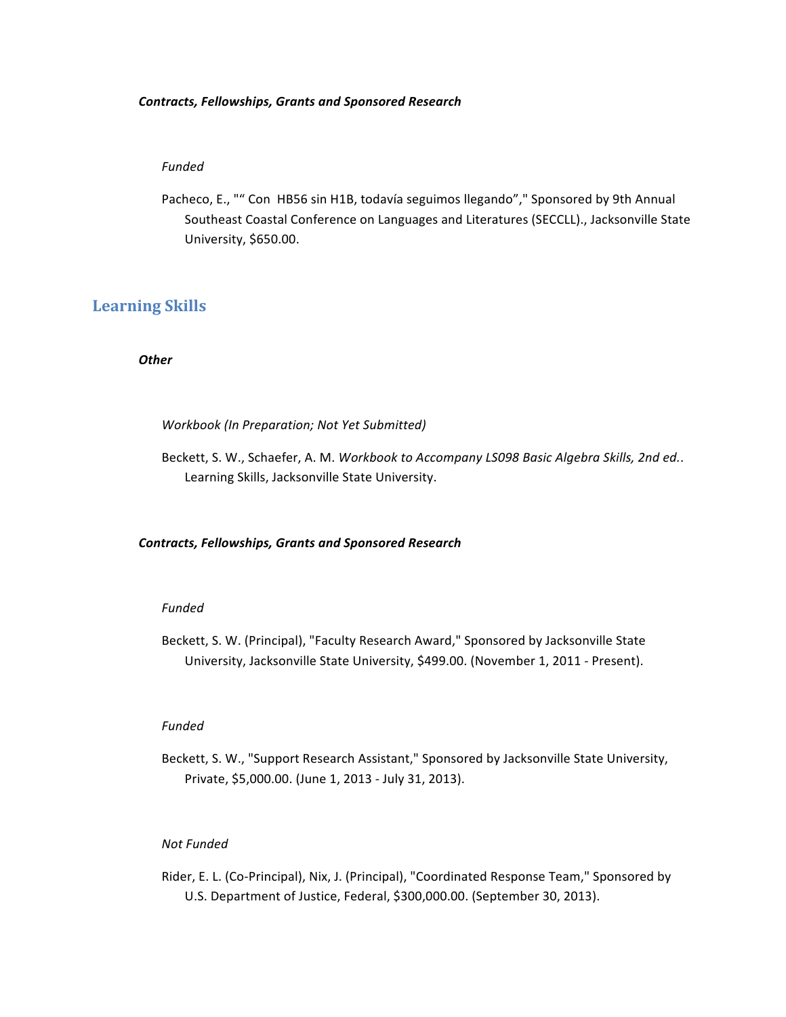### *Contracts, Fellowships, Grants and Sponsored Research*

## *Funded*

Pacheco, E., "" Con HB56 sin H1B, todavía seguimos llegando"," Sponsored by 9th Annual Southeast Coastal Conference on Languages and Literatures (SECCLL)., Jacksonville State University, \$650.00.

## **Learning Skills**

## *Other*

### *Workbook (In Preparation; Not Yet Submitted)*

Beckett, S. W., Schaefer, A. M. Workbook to Accompany LS098 Basic Algebra Skills, 2nd ed.. Learning Skills, Jacksonville State University.

### *Contracts, Fellowships, Grants and Sponsored Research*

### *Funded*

Beckett, S. W. (Principal), "Faculty Research Award," Sponsored by Jacksonville State University, Jacksonville State University, \$499.00. (November 1, 2011 - Present).

### *Funded*

Beckett, S. W., "Support Research Assistant," Sponsored by Jacksonville State University, Private, \$5,000.00. (June 1, 2013 - July 31, 2013).

## *Not Funded*

Rider, E. L. (Co-Principal), Nix, J. (Principal), "Coordinated Response Team," Sponsored by U.S. Department of Justice, Federal, \$300,000.00. (September 30, 2013).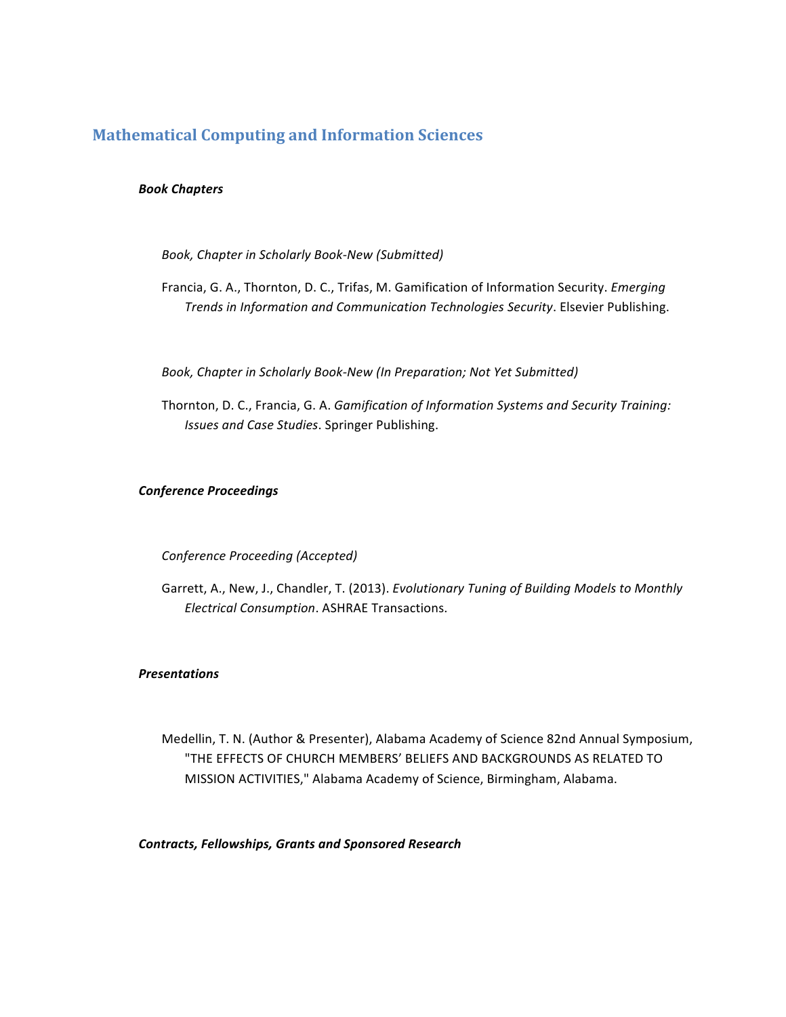## **Mathematical Computing and Information Sciences**

## *Book Chapters*

Book, Chapter in Scholarly Book-New (Submitted)

Francia, G. A., Thornton, D. C., Trifas, M. Gamification of Information Security. *Emerging* **Trends in Information and Communication Technologies Security.** Elsevier Publishing.

Book, Chapter in Scholarly Book-New (In Preparation; Not Yet Submitted)

Thornton, D. C., Francia, G. A. *Gamification of Information Systems and Security Training: Issues and Case Studies*. Springer Publishing.

## *Conference Proceedings*

## *Conference Proceeding (Accepted)*

Garrett, A., New, J., Chandler, T. (2013). *Evolutionary Tuning of Building Models to Monthly Electrical Consumption*. ASHRAE Transactions.

## *Presentations*

Medellin, T. N. (Author & Presenter), Alabama Academy of Science 82nd Annual Symposium, "THE EFFECTS OF CHURCH MEMBERS' BELIEFS AND BACKGROUNDS AS RELATED TO MISSION ACTIVITIES," Alabama Academy of Science, Birmingham, Alabama.

*Contracts, Fellowships, Grants and Sponsored Research*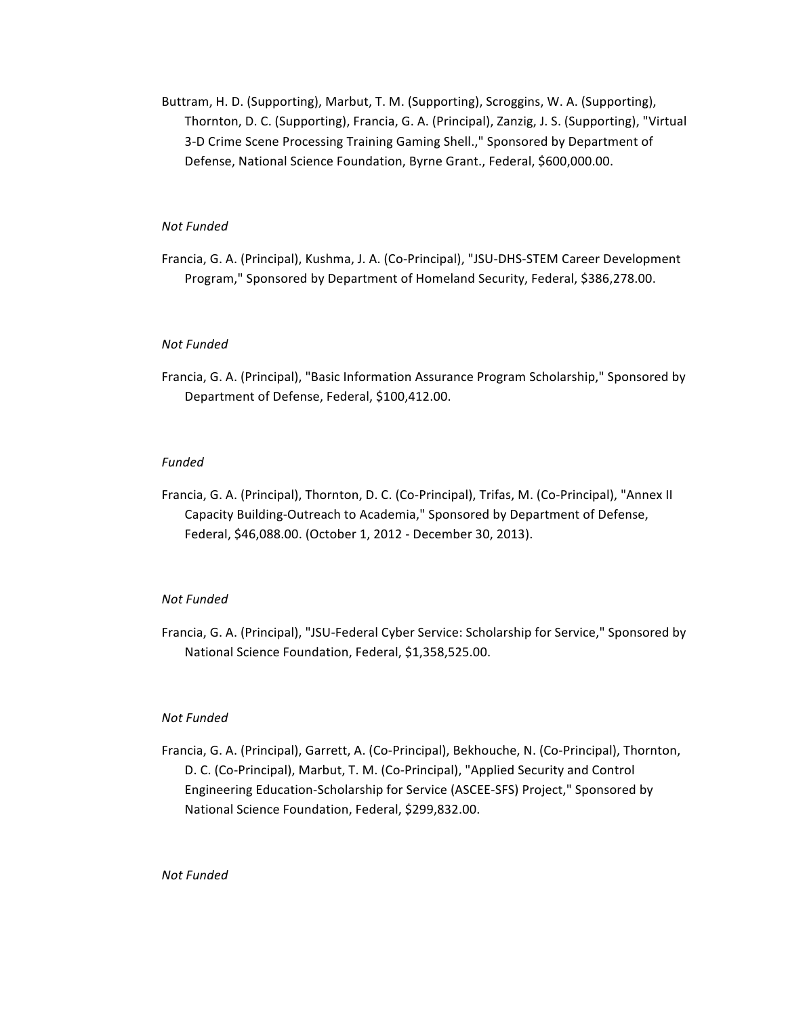Buttram, H. D. (Supporting), Marbut, T. M. (Supporting), Scroggins, W. A. (Supporting), Thornton, D. C. (Supporting), Francia, G. A. (Principal), Zanzig, J. S. (Supporting), "Virtual 3-D Crime Scene Processing Training Gaming Shell.," Sponsored by Department of Defense, National Science Foundation, Byrne Grant., Federal, \$600,000.00.

## *Not Funded*

Francia, G. A. (Principal), Kushma, J. A. (Co-Principal), "JSU-DHS-STEM Career Development Program," Sponsored by Department of Homeland Security, Federal, \$386,278.00.

### *Not Funded*

Francia, G. A. (Principal), "Basic Information Assurance Program Scholarship," Sponsored by Department of Defense, Federal, \$100,412.00.

### *Funded*

Francia, G. A. (Principal), Thornton, D. C. (Co-Principal), Trifas, M. (Co-Principal), "Annex II Capacity Building-Outreach to Academia," Sponsored by Department of Defense, Federal, \$46,088.00. (October 1, 2012 - December 30, 2013).

### *Not Funded*

Francia, G. A. (Principal), "JSU-Federal Cyber Service: Scholarship for Service," Sponsored by National Science Foundation, Federal, \$1,358,525.00.

### *Not Funded*

Francia, G. A. (Principal), Garrett, A. (Co-Principal), Bekhouche, N. (Co-Principal), Thornton, D. C. (Co-Principal), Marbut, T. M. (Co-Principal), "Applied Security and Control Engineering Education-Scholarship for Service (ASCEE-SFS) Project," Sponsored by National Science Foundation, Federal, \$299,832.00.

## *Not Funded*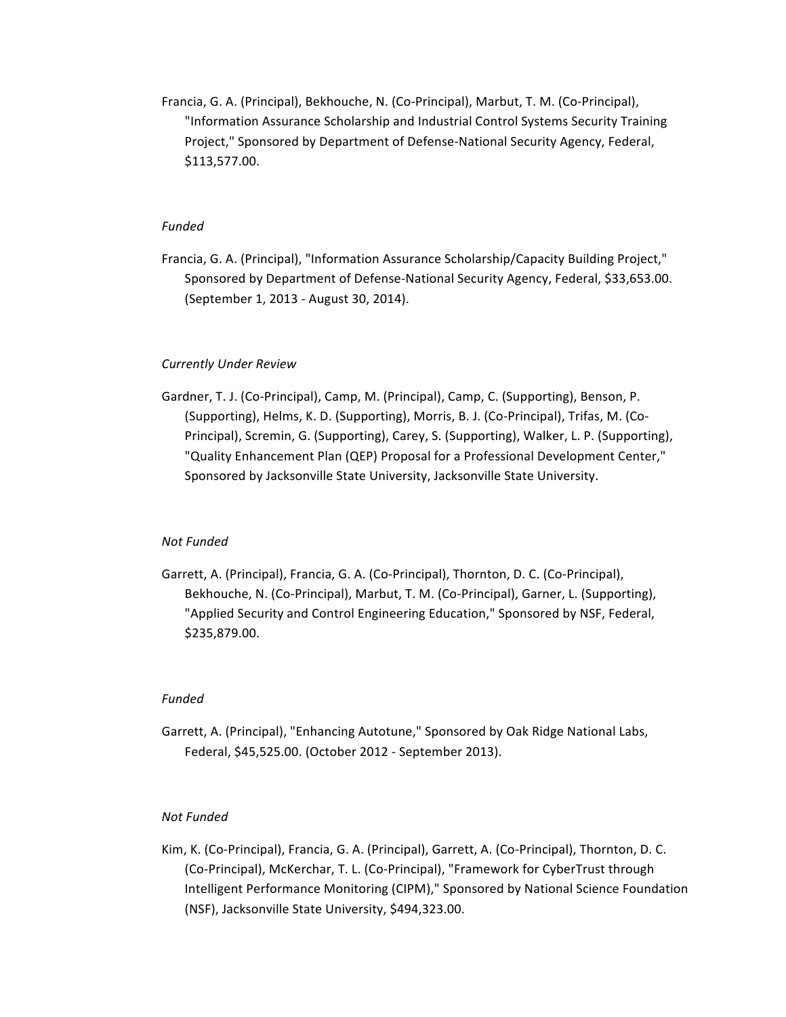Francia, G. A. (Principal), Bekhouche, N. (Co-Principal), Marbut, T. M. (Co-Principal), "Information Assurance Scholarship and Industrial Control Systems Security Training Project," Sponsored by Department of Defense-National Security Agency, Federal, \$113,577.00.

## *Funded*

Francia, G. A. (Principal), "Information Assurance Scholarship/Capacity Building Project," Sponsored by Department of Defense-National Security Agency, Federal, \$33,653.00. (September 1, 2013 - August 30, 2014).

### *Currently Under Review*

Gardner, T. J. (Co-Principal), Camp, M. (Principal), Camp, C. (Supporting), Benson, P. (Supporting), Helms, K. D. (Supporting), Morris, B. J. (Co-Principal), Trifas, M. (Co-Principal), Scremin, G. (Supporting), Carey, S. (Supporting), Walker, L. P. (Supporting), "Quality Enhancement Plan (QEP) Proposal for a Professional Development Center," Sponsored by Jacksonville State University, Jacksonville State University.

### *Not Funded*

Garrett, A. (Principal), Francia, G. A. (Co-Principal), Thornton, D. C. (Co-Principal), Bekhouche, N. (Co-Principal), Marbut, T. M. (Co-Principal), Garner, L. (Supporting), "Applied Security and Control Engineering Education," Sponsored by NSF, Federal, \$235,879.00.

### *Funded*

Garrett, A. (Principal), "Enhancing Autotune," Sponsored by Oak Ridge National Labs, Federal, \$45,525.00. (October 2012 - September 2013).

### *Not Funded*

Kim, K. (Co-Principal), Francia, G. A. (Principal), Garrett, A. (Co-Principal), Thornton, D. C. (Co-Principal), McKerchar, T. L. (Co-Principal), "Framework for CyberTrust through Intelligent Performance Monitoring (CIPM)," Sponsored by National Science Foundation (NSF), Jacksonville State University, \$494,323.00.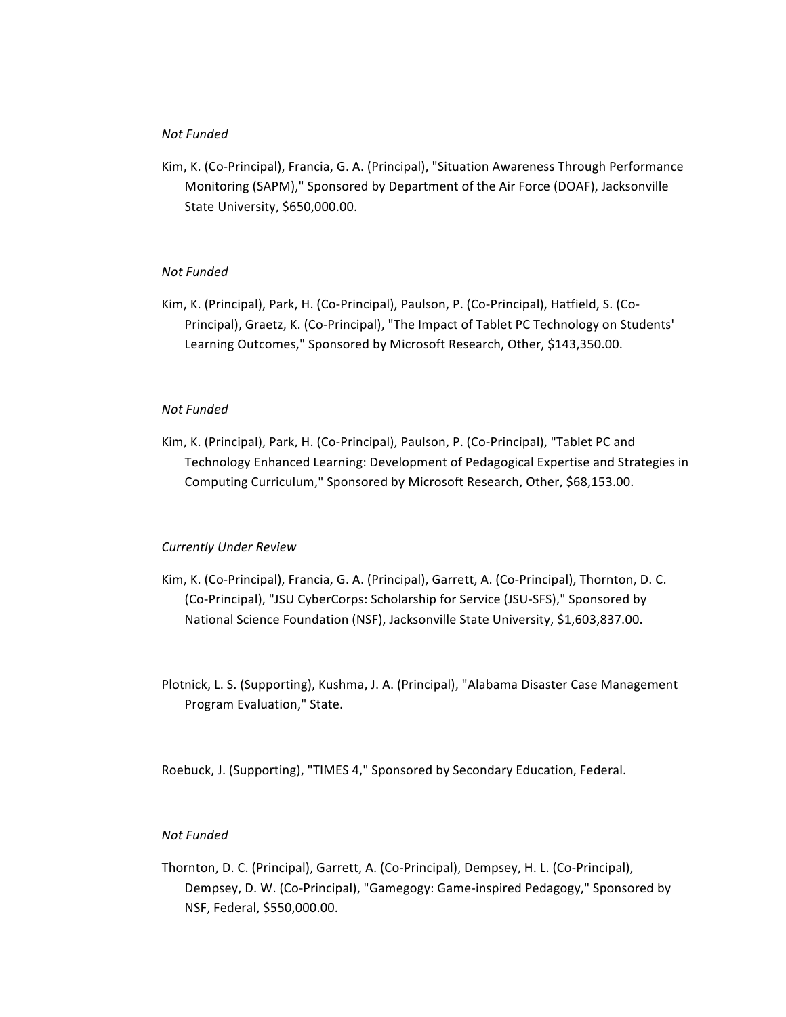## *Not Funded*

Kim, K. (Co-Principal), Francia, G. A. (Principal), "Situation Awareness Through Performance Monitoring (SAPM)," Sponsored by Department of the Air Force (DOAF), Jacksonville State University, \$650,000.00.

### *Not Funded*

Kim, K. (Principal), Park, H. (Co-Principal), Paulson, P. (Co-Principal), Hatfield, S. (Co-Principal), Graetz, K. (Co-Principal), "The Impact of Tablet PC Technology on Students' Learning Outcomes," Sponsored by Microsoft Research, Other, \$143,350.00.

### *Not Funded*

Kim, K. (Principal), Park, H. (Co-Principal), Paulson, P. (Co-Principal), "Tablet PC and Technology Enhanced Learning: Development of Pedagogical Expertise and Strategies in Computing Curriculum," Sponsored by Microsoft Research, Other, \$68,153.00.

## *Currently Under Review*

- Kim, K. (Co-Principal), Francia, G. A. (Principal), Garrett, A. (Co-Principal), Thornton, D. C. (Co-Principal), "JSU CyberCorps: Scholarship for Service (JSU-SFS)," Sponsored by National Science Foundation (NSF), Jacksonville State University, \$1,603,837.00.
- Plotnick, L. S. (Supporting), Kushma, J. A. (Principal), "Alabama Disaster Case Management Program Evaluation," State.

Roebuck, J. (Supporting), "TIMES 4," Sponsored by Secondary Education, Federal.

### *Not Funded*

Thornton, D. C. (Principal), Garrett, A. (Co-Principal), Dempsey, H. L. (Co-Principal), Dempsey, D. W. (Co-Principal), "Gamegogy: Game-inspired Pedagogy," Sponsored by NSF, Federal, \$550,000.00.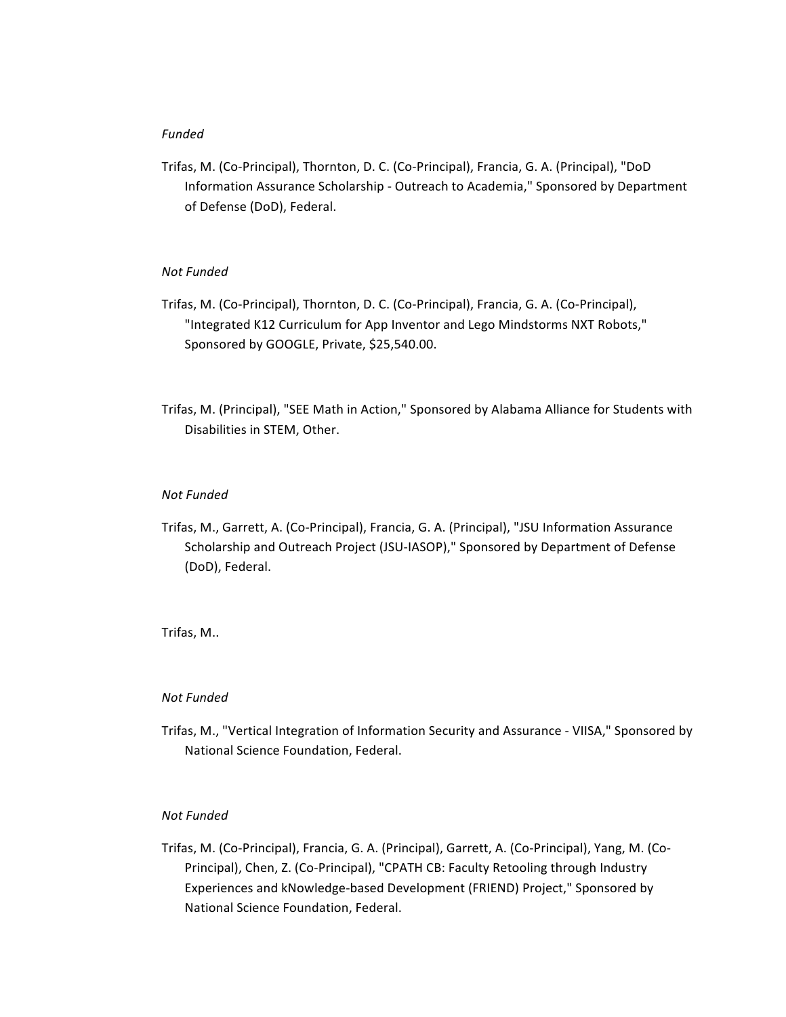# *Funded*

Trifas, M. (Co-Principal), Thornton, D. C. (Co-Principal), Francia, G. A. (Principal), "DoD Information Assurance Scholarship - Outreach to Academia," Sponsored by Department of Defense (DoD), Federal.

# *Not Funded*

- Trifas, M. (Co-Principal), Thornton, D. C. (Co-Principal), Francia, G. A. (Co-Principal), "Integrated K12 Curriculum for App Inventor and Lego Mindstorms NXT Robots," Sponsored by GOOGLE, Private, \$25,540.00.
- Trifas, M. (Principal), "SEE Math in Action," Sponsored by Alabama Alliance for Students with Disabilities in STEM, Other.

## *Not Funded*

Trifas, M., Garrett, A. (Co-Principal), Francia, G. A. (Principal), "JSU Information Assurance Scholarship and Outreach Project (JSU-IASOP)," Sponsored by Department of Defense (DoD), Federal.

# Trifas, M..

### *Not Funded*

Trifas, M., "Vertical Integration of Information Security and Assurance - VIISA," Sponsored by National Science Foundation, Federal.

## *Not Funded*

Trifas, M. (Co-Principal), Francia, G. A. (Principal), Garrett, A. (Co-Principal), Yang, M. (Co-Principal), Chen, Z. (Co-Principal), "CPATH CB: Faculty Retooling through Industry Experiences and kNowledge-based Development (FRIEND) Project," Sponsored by National Science Foundation, Federal.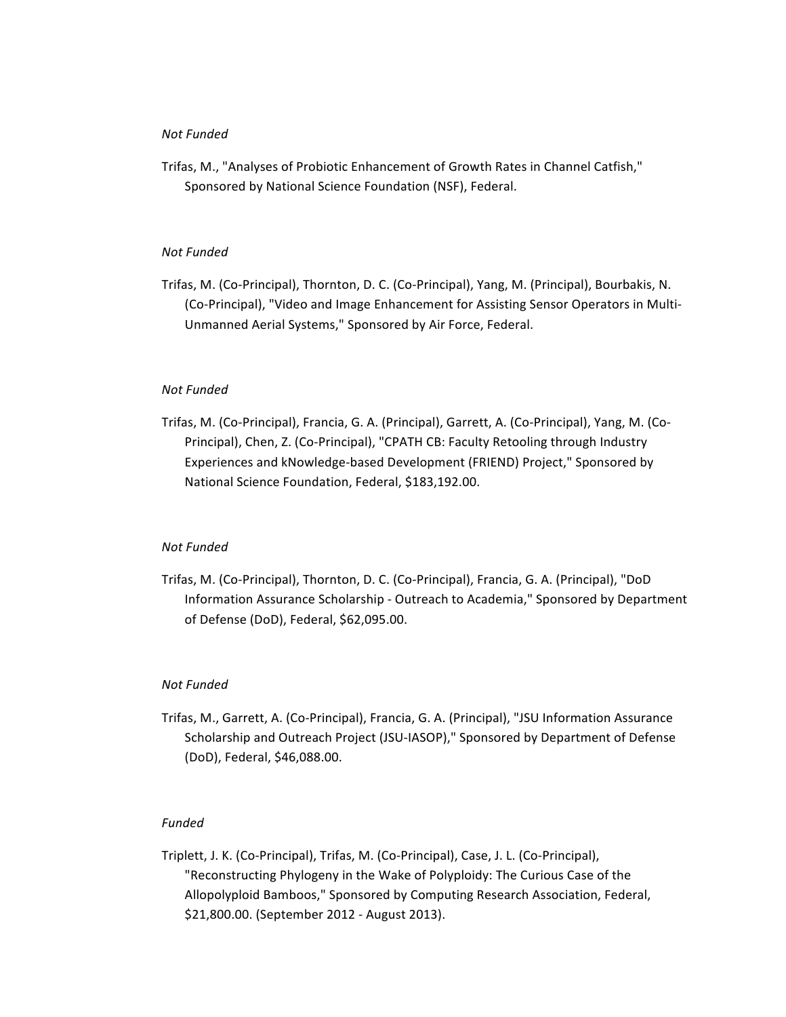## *Not Funded*

Trifas, M., "Analyses of Probiotic Enhancement of Growth Rates in Channel Catfish," Sponsored by National Science Foundation (NSF), Federal.

# *Not Funded*

Trifas, M. (Co-Principal), Thornton, D. C. (Co-Principal), Yang, M. (Principal), Bourbakis, N. (Co-Principal), "Video and Image Enhancement for Assisting Sensor Operators in Multi-Unmanned Aerial Systems," Sponsored by Air Force, Federal.

## *Not Funded*

Trifas, M. (Co-Principal), Francia, G. A. (Principal), Garrett, A. (Co-Principal), Yang, M. (Co-Principal), Chen, Z. (Co-Principal), "CPATH CB: Faculty Retooling through Industry Experiences and kNowledge-based Development (FRIEND) Project," Sponsored by National Science Foundation, Federal, \$183,192.00.

# *Not Funded*

Trifas, M. (Co-Principal), Thornton, D. C. (Co-Principal), Francia, G. A. (Principal), "DoD Information Assurance Scholarship - Outreach to Academia," Sponsored by Department of Defense (DoD), Federal, \$62,095.00.

# *Not Funded*

Trifas, M., Garrett, A. (Co-Principal), Francia, G. A. (Principal), "JSU Information Assurance Scholarship and Outreach Project (JSU-IASOP)," Sponsored by Department of Defense (DoD), Federal, \$46,088.00.

## *Funded*

Triplett, J. K. (Co-Principal), Trifas, M. (Co-Principal), Case, J. L. (Co-Principal), "Reconstructing Phylogeny in the Wake of Polyploidy: The Curious Case of the Allopolyploid Bamboos," Sponsored by Computing Research Association, Federal, \$21,800.00. (September 2012 - August 2013).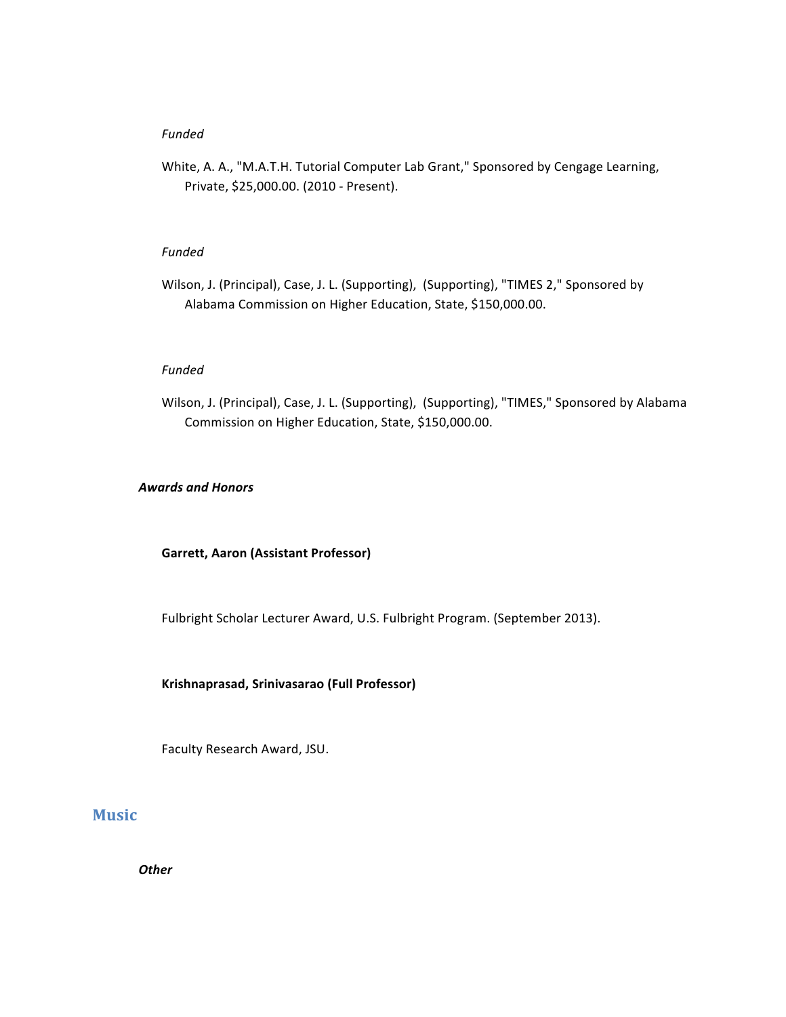# *Funded*

White, A. A., "M.A.T.H. Tutorial Computer Lab Grant," Sponsored by Cengage Learning, Private, \$25,000.00. (2010 - Present).

## *Funded*

Wilson, J. (Principal), Case, J. L. (Supporting), (Supporting), "TIMES 2," Sponsored by Alabama Commission on Higher Education, State, \$150,000.00.

### *Funded*

Wilson, J. (Principal), Case, J. L. (Supporting), (Supporting), "TIMES," Sponsored by Alabama Commission on Higher Education, State, \$150,000.00.

### *Awards and Honors*

## **Garrett, Aaron (Assistant Professor)**

Fulbright Scholar Lecturer Award, U.S. Fulbright Program. (September 2013).

## **Krishnaprasad, Srinivasarao (Full Professor)**

Faculty Research Award, JSU.

# **Music**

*Other*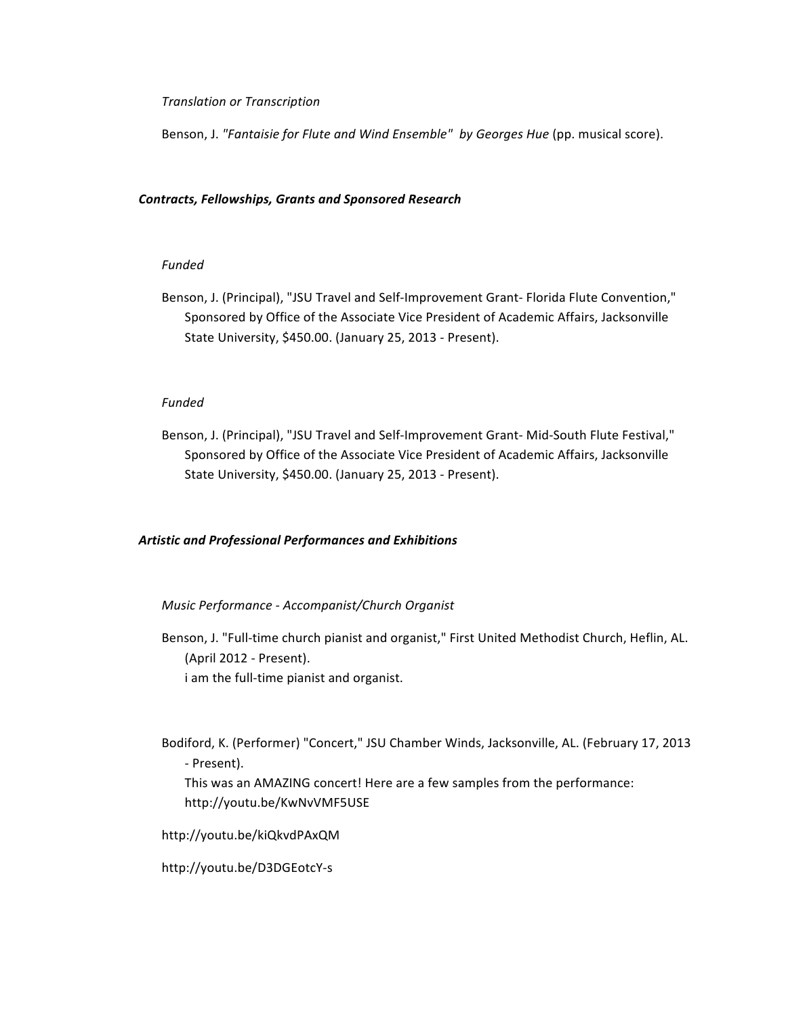*Translation or Transcription* 

Benson, J. "Fantaisie for Flute and Wind Ensemble" by Georges Hue (pp. musical score).

# *Contracts, Fellowships, Grants and Sponsored Research*

# *Funded*

Benson, J. (Principal), "JSU Travel and Self-Improvement Grant- Florida Flute Convention," Sponsored by Office of the Associate Vice President of Academic Affairs, Jacksonville State University, \$450.00. (January 25, 2013 - Present).

# *Funded*

Benson, J. (Principal), "JSU Travel and Self-Improvement Grant- Mid-South Flute Festival," Sponsored by Office of the Associate Vice President of Academic Affairs, Jacksonville State University, \$450.00. (January 25, 2013 - Present).

# *Artistic and Professional Performances and Exhibitions*

# *Music Performance - Accompanist/Church Organist*

- Benson, J. "Full-time church pianist and organist," First United Methodist Church, Heflin, AL. (April 2012 - Present). i am the full-time pianist and organist.
- Bodiford, K. (Performer) "Concert," JSU Chamber Winds, Jacksonville, AL. (February 17, 2013 - Present).
	- This was an AMAZING concert! Here are a few samples from the performance: http://youtu.be/KwNvVMF5USE

http://youtu.be/kiQkvdPAxQM

http://youtu.be/D3DGEotcY-s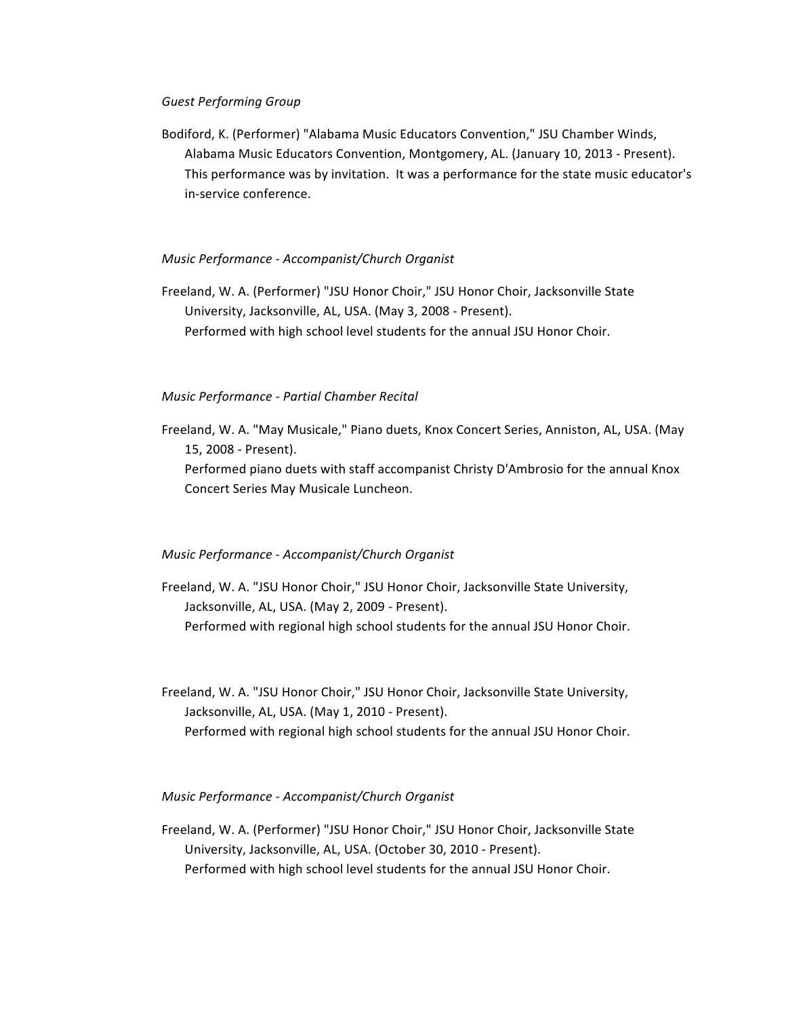### *Guest Performing Group*

Bodiford, K. (Performer) "Alabama Music Educators Convention," JSU Chamber Winds, Alabama Music Educators Convention, Montgomery, AL. (January 10, 2013 - Present). This performance was by invitation. It was a performance for the state music educator's in-service conference.

## *Music Performance - Accompanist/Church Organist*

Freeland, W. A. (Performer) "JSU Honor Choir," JSU Honor Choir, Jacksonville State University, Jacksonville, AL, USA. (May 3, 2008 - Present). Performed with high school level students for the annual JSU Honor Choir.

## *Music Performance - Partial Chamber Recital*

Freeland, W. A. "May Musicale," Piano duets, Knox Concert Series, Anniston, AL, USA. (May 15, 2008 - Present).

Performed piano duets with staff accompanist Christy D'Ambrosio for the annual Knox Concert Series May Musicale Luncheon.

# *Music Performance - Accompanist/Church Organist*

- Freeland, W. A. "JSU Honor Choir," JSU Honor Choir, Jacksonville State University, Jacksonville, AL, USA. (May 2, 2009 - Present). Performed with regional high school students for the annual JSU Honor Choir.
- Freeland, W. A. "JSU Honor Choir," JSU Honor Choir, Jacksonville State University, Jacksonville, AL, USA. (May 1, 2010 - Present). Performed with regional high school students for the annual JSU Honor Choir.

# *Music Performance - Accompanist/Church Organist*

Freeland, W. A. (Performer) "JSU Honor Choir," JSU Honor Choir, Jacksonville State University, Jacksonville, AL, USA. (October 30, 2010 - Present). Performed with high school level students for the annual JSU Honor Choir.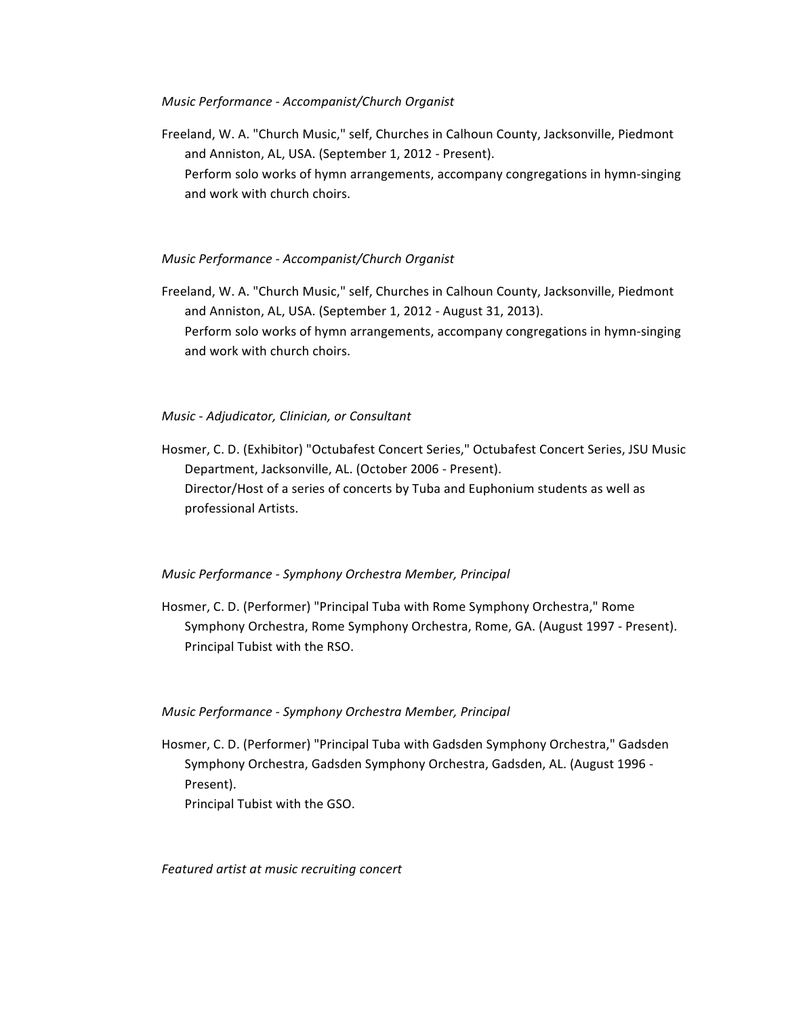# *Music Performance - Accompanist/Church Organist*

Freeland, W. A. "Church Music," self, Churches in Calhoun County, Jacksonville, Piedmont and Anniston, AL, USA. (September 1, 2012 - Present). Perform solo works of hymn arrangements, accompany congregations in hymn-singing and work with church choirs.

# *Music Performance - Accompanist/Church Organist*

Freeland, W. A. "Church Music," self, Churches in Calhoun County, Jacksonville, Piedmont and Anniston, AL, USA. (September 1, 2012 - August 31, 2013). Perform solo works of hymn arrangements, accompany congregations in hymn-singing and work with church choirs.

# *Music - Adjudicator, Clinician, or Consultant*

Hosmer, C. D. (Exhibitor) "Octubafest Concert Series," Octubafest Concert Series, JSU Music Department, Jacksonville, AL. (October 2006 - Present). Director/Host of a series of concerts by Tuba and Euphonium students as well as professional Artists.

# *Music Performance - Symphony Orchestra Member, Principal*

Hosmer, C. D. (Performer) "Principal Tuba with Rome Symphony Orchestra," Rome Symphony Orchestra, Rome Symphony Orchestra, Rome, GA. (August 1997 - Present). Principal Tubist with the RSO.

# *Music Performance - Symphony Orchestra Member, Principal*

Hosmer, C. D. (Performer) "Principal Tuba with Gadsden Symphony Orchestra," Gadsden Symphony Orchestra, Gadsden Symphony Orchestra, Gadsden, AL. (August 1996 -Present). Principal Tubist with the GSO.

*Featured artist at music recruiting concert*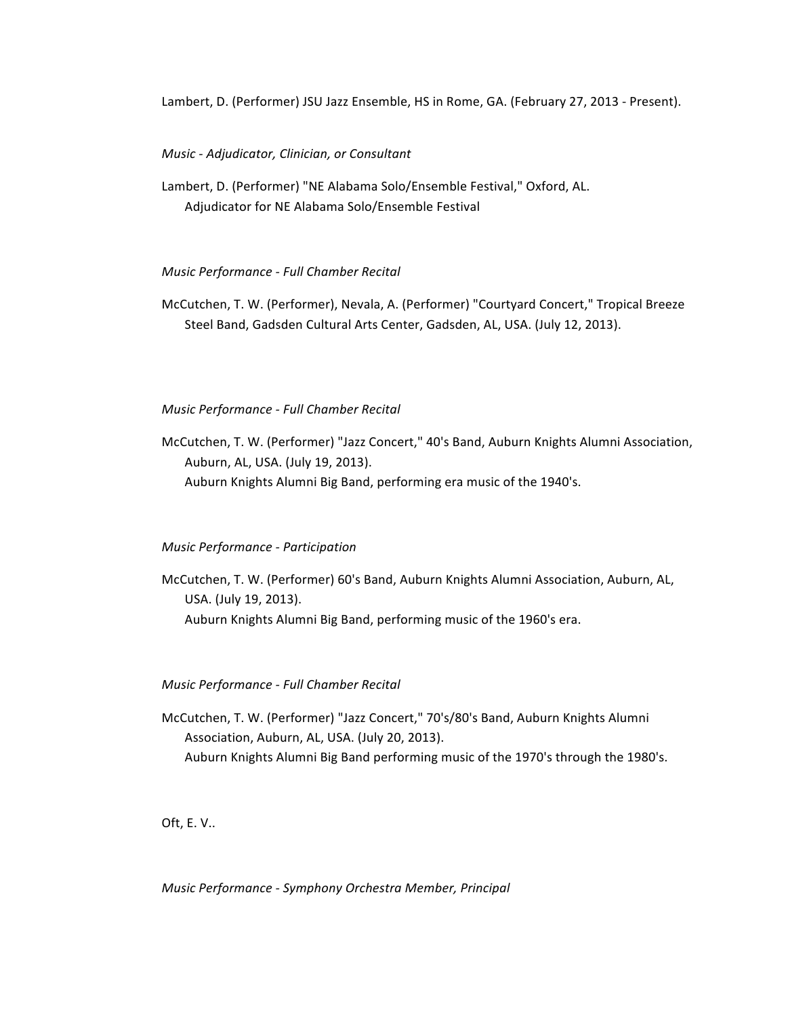Lambert, D. (Performer) JSU Jazz Ensemble, HS in Rome, GA. (February 27, 2013 - Present).

## *Music - Adjudicator, Clinician, or Consultant*

Lambert, D. (Performer) "NE Alabama Solo/Ensemble Festival," Oxford, AL. Adjudicator for NE Alabama Solo/Ensemble Festival

# *Music Performance - Full Chamber Recital*

McCutchen, T. W. (Performer), Nevala, A. (Performer) "Courtyard Concert," Tropical Breeze Steel Band, Gadsden Cultural Arts Center, Gadsden, AL, USA. (July 12, 2013).

# *Music Performance - Full Chamber Recital*

McCutchen, T. W. (Performer) "Jazz Concert," 40's Band, Auburn Knights Alumni Association, Auburn, AL, USA. (July 19, 2013). Auburn Knights Alumni Big Band, performing era music of the 1940's.

### *Music Performance - Participation*

McCutchen, T. W. (Performer) 60's Band, Auburn Knights Alumni Association, Auburn, AL, USA. (July 19, 2013). Auburn Knights Alumni Big Band, performing music of the 1960's era.

# *Music Performance - Full Chamber Recital*

McCutchen, T. W. (Performer) "Jazz Concert," 70's/80's Band, Auburn Knights Alumni Association, Auburn, AL, USA. (July 20, 2013). Auburn Knights Alumni Big Band performing music of the 1970's through the 1980's.

Oft,  $E. V$ ..

*Music Performance - Symphony Orchestra Member, Principal*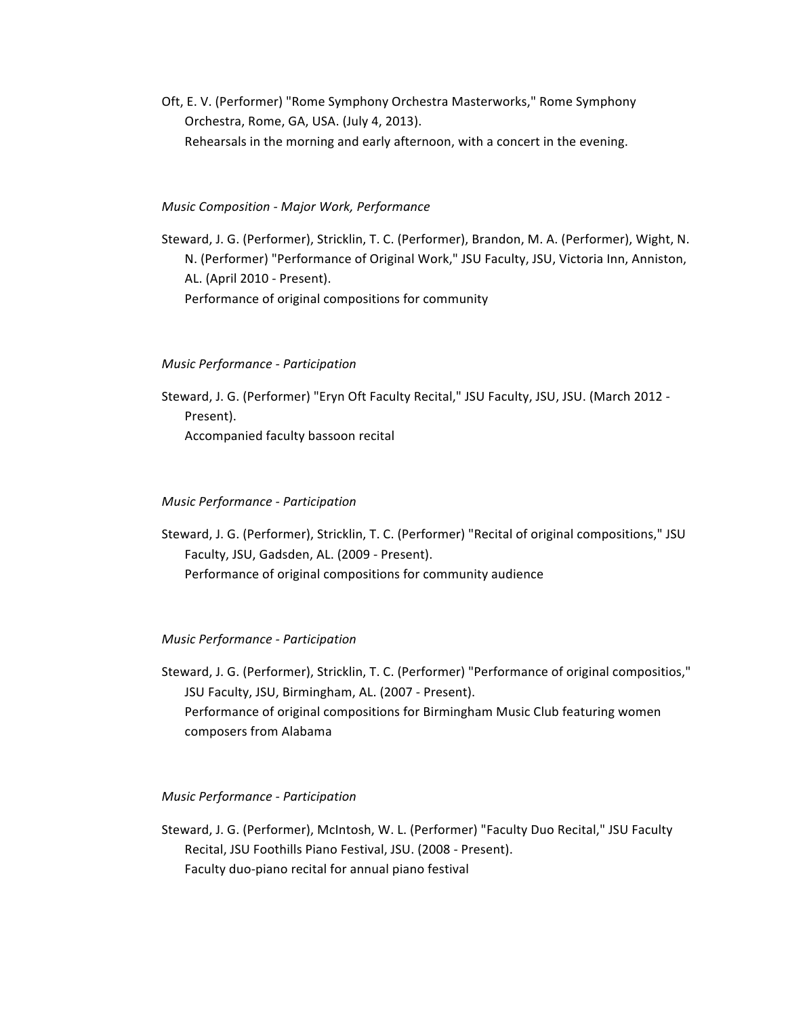Oft, E. V. (Performer) "Rome Symphony Orchestra Masterworks," Rome Symphony Orchestra, Rome, GA, USA. (July 4, 2013). Rehearsals in the morning and early afternoon, with a concert in the evening.

## *Music Composition - Major Work, Performance*

Steward, J. G. (Performer), Stricklin, T. C. (Performer), Brandon, M. A. (Performer), Wight, N. N. (Performer) "Performance of Original Work," JSU Faculty, JSU, Victoria Inn, Anniston, AL. (April 2010 - Present). Performance of original compositions for community

### *Music Performance - Participation*

Steward, J. G. (Performer) "Eryn Oft Faculty Recital," JSU Faculty, JSU, JSU. (March 2012 -Present). Accompanied faculty bassoon recital

### *Music Performance - Participation*

Steward, J. G. (Performer), Stricklin, T. C. (Performer) "Recital of original compositions," JSU Faculty, JSU, Gadsden, AL. (2009 - Present). Performance of original compositions for community audience

### *Music Performance - Participation*

Steward, J. G. (Performer), Stricklin, T. C. (Performer) "Performance of original compositios," JSU Faculty, JSU, Birmingham, AL. (2007 - Present). Performance of original compositions for Birmingham Music Club featuring women composers from Alabama

# *Music Performance - Participation*

Steward, J. G. (Performer), McIntosh, W. L. (Performer) "Faculty Duo Recital," JSU Faculty Recital, JSU Foothills Piano Festival, JSU. (2008 - Present). Faculty duo-piano recital for annual piano festival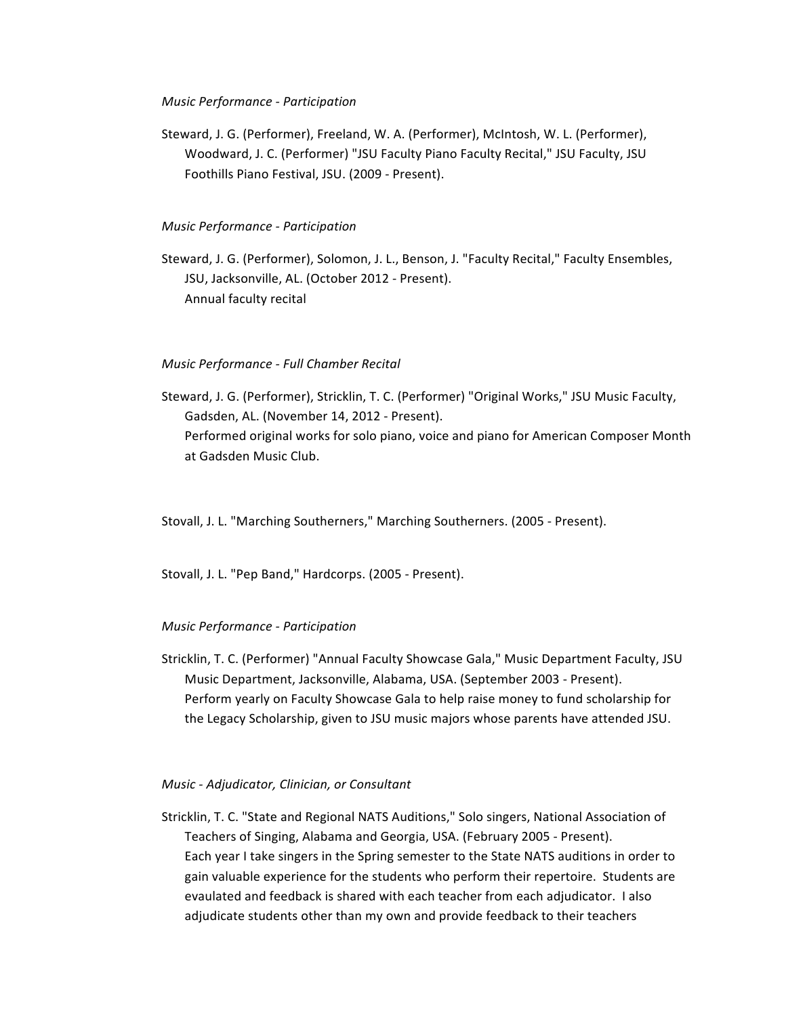### *Music Performance - Participation*

Steward, J. G. (Performer), Freeland, W. A. (Performer), McIntosh, W. L. (Performer), Woodward, J. C. (Performer) "JSU Faculty Piano Faculty Recital," JSU Faculty, JSU Foothills Piano Festival, JSU. (2009 - Present).

# *Music Performance - Participation*

Steward, J. G. (Performer), Solomon, J. L., Benson, J. "Faculty Recital," Faculty Ensembles, JSU, Jacksonville, AL. (October 2012 - Present). Annual faculty recital

# *Music Performance - Full Chamber Recital*

Steward, J. G. (Performer), Stricklin, T. C. (Performer) "Original Works," JSU Music Faculty, Gadsden, AL. (November 14, 2012 - Present). Performed original works for solo piano, voice and piano for American Composer Month at Gadsden Music Club.

Stovall, J. L. "Marching Southerners," Marching Southerners. (2005 - Present).

Stovall, J. L. "Pep Band," Hardcorps. (2005 - Present).

# *Music Performance - Participation*

Stricklin, T. C. (Performer) "Annual Faculty Showcase Gala," Music Department Faculty, JSU Music Department, Jacksonville, Alabama, USA. (September 2003 - Present). Perform yearly on Faculty Showcase Gala to help raise money to fund scholarship for the Legacy Scholarship, given to JSU music majors whose parents have attended JSU.

*Music - Adjudicator, Clinician, or Consultant*

Stricklin, T. C. "State and Regional NATS Auditions," Solo singers, National Association of Teachers of Singing, Alabama and Georgia, USA. (February 2005 - Present). Each year I take singers in the Spring semester to the State NATS auditions in order to gain valuable experience for the students who perform their repertoire. Students are evaulated and feedback is shared with each teacher from each adjudicator. I also adjudicate students other than my own and provide feedback to their teachers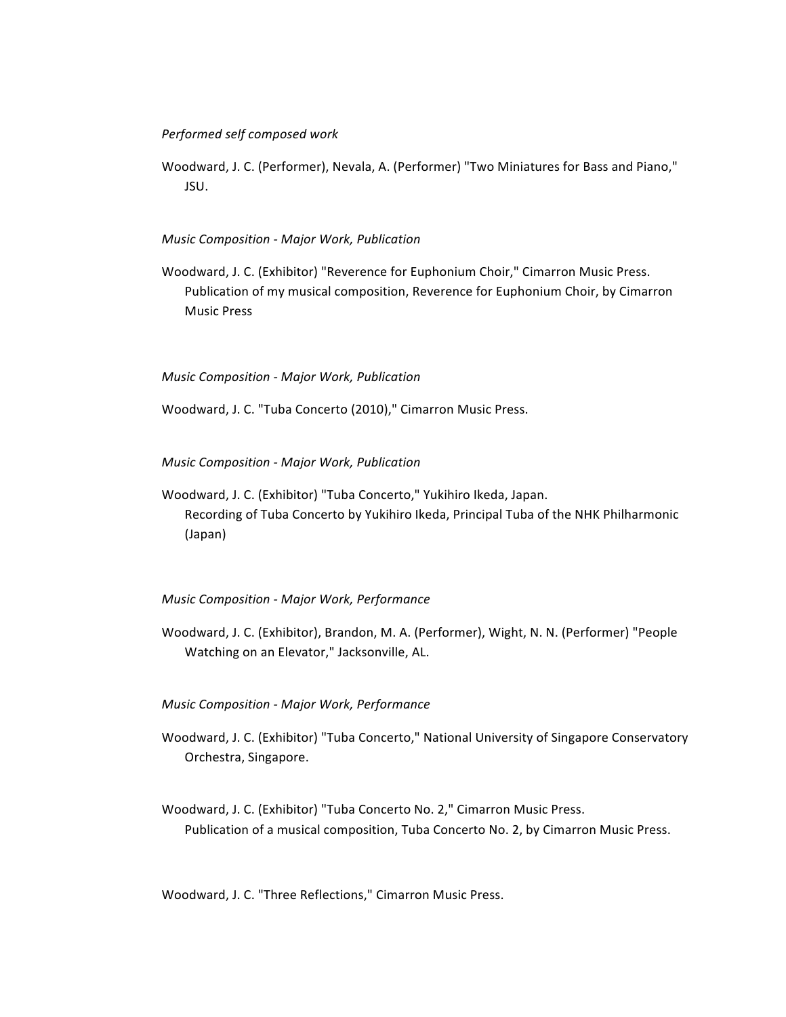# *Performed self composed work*

Woodward, J. C. (Performer), Nevala, A. (Performer) "Two Miniatures for Bass and Piano," JSU.

## *Music Composition - Major Work, Publication*

Woodward, J. C. (Exhibitor) "Reverence for Euphonium Choir," Cimarron Music Press. Publication of my musical composition, Reverence for Euphonium Choir, by Cimarron Music Press

### *Music Composition - Major Work, Publication*

Woodward, J. C. "Tuba Concerto (2010)," Cimarron Music Press.

*Music Composition - Major Work, Publication*

Woodward, J. C. (Exhibitor) "Tuba Concerto," Yukihiro Ikeda, Japan. Recording of Tuba Concerto by Yukihiro Ikeda, Principal Tuba of the NHK Philharmonic (Japan)

## *Music Composition - Major Work, Performance*

Woodward, J. C. (Exhibitor), Brandon, M. A. (Performer), Wight, N. N. (Performer) "People Watching on an Elevator," Jacksonville, AL.

*Music Composition - Major Work, Performance*

- Woodward, J. C. (Exhibitor) "Tuba Concerto," National University of Singapore Conservatory Orchestra, Singapore.
- Woodward, J. C. (Exhibitor) "Tuba Concerto No. 2," Cimarron Music Press. Publication of a musical composition, Tuba Concerto No. 2, by Cimarron Music Press.

Woodward, J. C. "Three Reflections," Cimarron Music Press.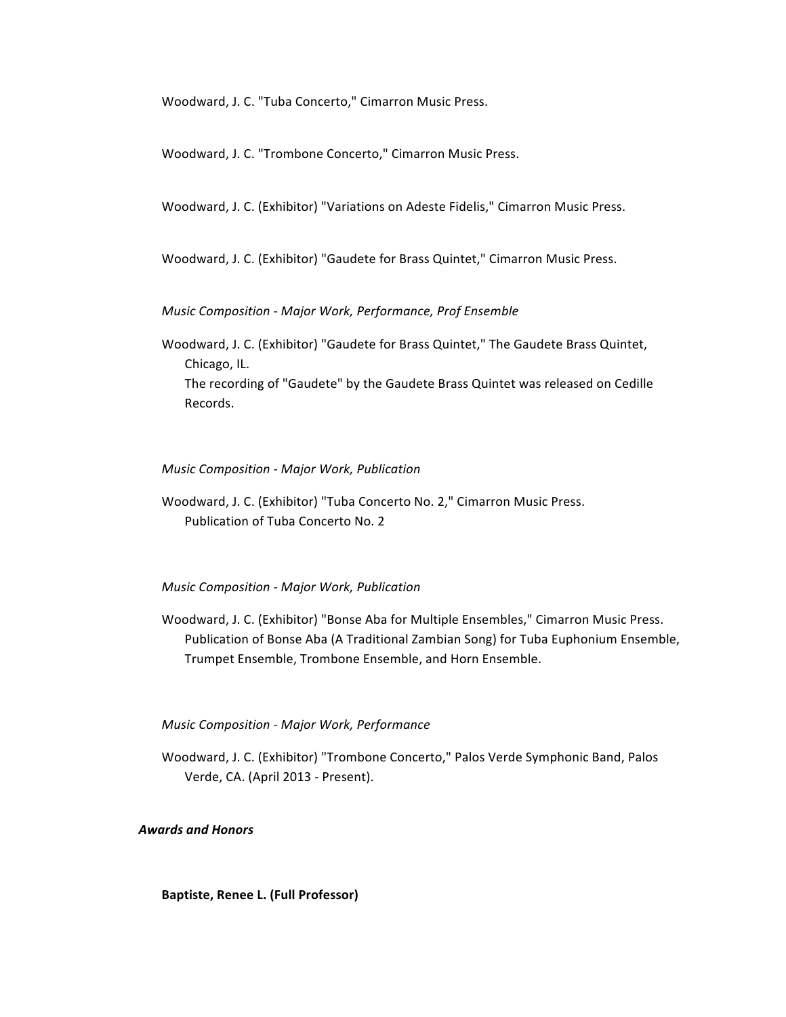Woodward, J. C. "Tuba Concerto," Cimarron Music Press.

Woodward, J. C. "Trombone Concerto," Cimarron Music Press.

Woodward, J. C. (Exhibitor) "Variations on Adeste Fidelis," Cimarron Music Press.

Woodward, J. C. (Exhibitor) "Gaudete for Brass Quintet," Cimarron Music Press.

*Music Composition - Major Work, Performance, Prof Ensemble*

Woodward, J. C. (Exhibitor) "Gaudete for Brass Quintet," The Gaudete Brass Quintet, Chicago, IL. The recording of "Gaudete" by the Gaudete Brass Quintet was released on Cedille Records.

*Music Composition - Major Work, Publication*

Woodward, J. C. (Exhibitor) "Tuba Concerto No. 2," Cimarron Music Press. Publication of Tuba Concerto No. 2

*Music Composition - Major Work, Publication*

Woodward, J. C. (Exhibitor) "Bonse Aba for Multiple Ensembles," Cimarron Music Press. Publication of Bonse Aba (A Traditional Zambian Song) for Tuba Euphonium Ensemble, Trumpet Ensemble, Trombone Ensemble, and Horn Ensemble.

*Music Composition - Major Work, Performance*

Woodward, J. C. (Exhibitor) "Trombone Concerto," Palos Verde Symphonic Band, Palos Verde, CA. (April 2013 - Present).

*Awards and Honors*

**Baptiste, Renee L. (Full Professor)**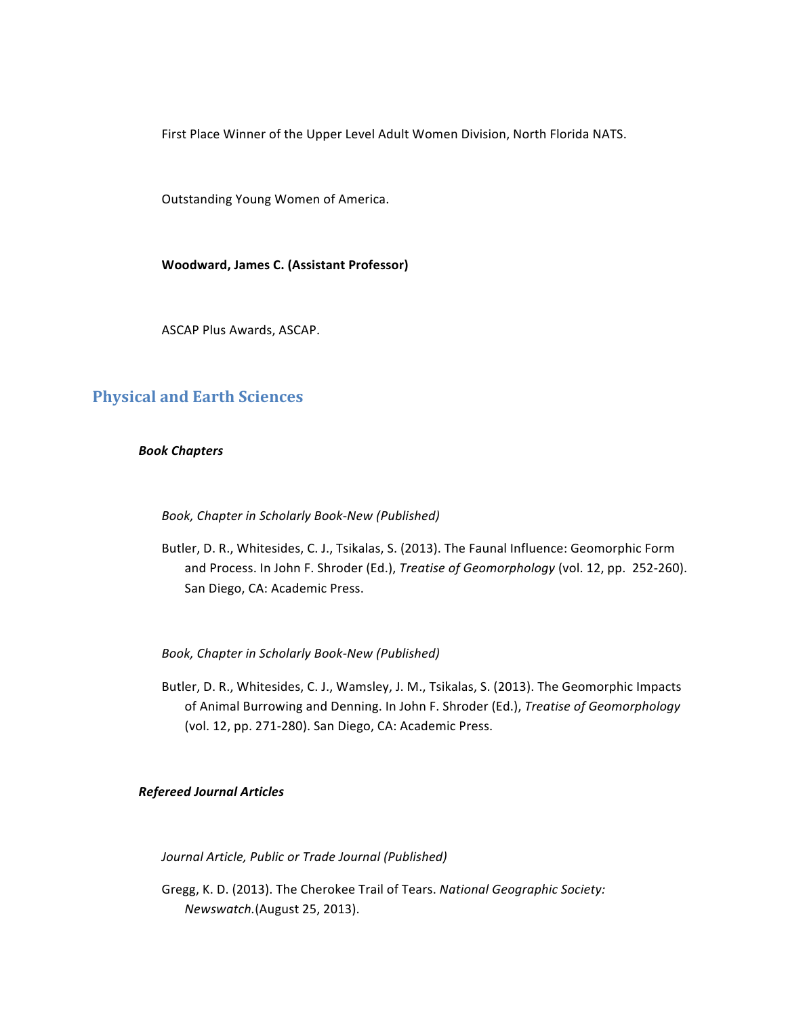First Place Winner of the Upper Level Adult Women Division, North Florida NATS.

Outstanding Young Women of America.

**Woodward, James C. (Assistant Professor)**

ASCAP Plus Awards, ASCAP.

# **Physical and Earth Sciences**

## *Book Chapters*

Book, Chapter in Scholarly Book-New (Published)

Butler, D. R., Whitesides, C. J., Tsikalas, S. (2013). The Faunal Influence: Geomorphic Form and Process. In John F. Shroder (Ed.), *Treatise of Geomorphology* (vol. 12, pp. 252-260). San Diego, CA: Academic Press.

*Book, Chapter in Scholarly Book-New (Published)*

Butler, D. R., Whitesides, C. J., Wamsley, J. M., Tsikalas, S. (2013). The Geomorphic Impacts of Animal Burrowing and Denning. In John F. Shroder (Ed.), *Treatise of Geomorphology* (vol. 12, pp. 271-280). San Diego, CA: Academic Press.

# *Refereed Journal Articles*

*Journal Article, Public or Trade Journal (Published)*

Gregg, K. D. (2013). The Cherokee Trail of Tears. *National Geographic Society: Newswatch.*(August 25, 2013).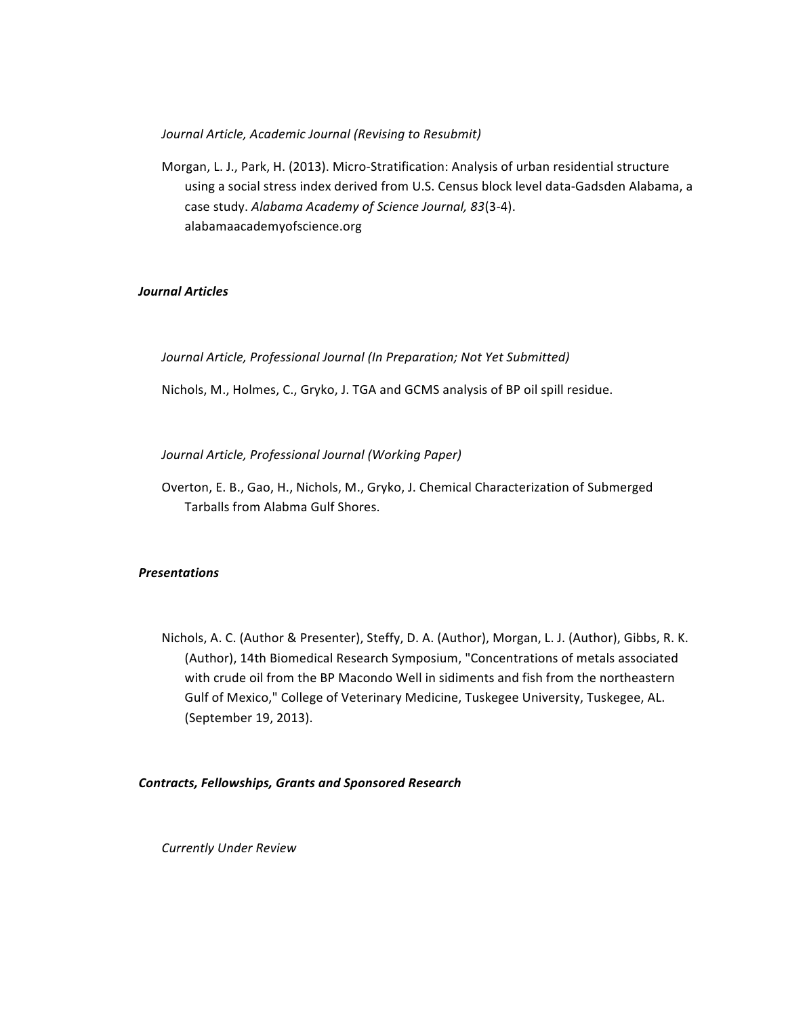Journal Article, Academic Journal (Revising to Resubmit)

Morgan, L. J., Park, H. (2013). Micro-Stratification: Analysis of urban residential structure using a social stress index derived from U.S. Census block level data-Gadsden Alabama, a case study. Alabama Academy of Science Journal, 83(3-4). alabamaacademyofscience.org

# *Journal Articles*

Journal Article, Professional Journal (In Preparation; Not Yet Submitted)

Nichols, M., Holmes, C., Gryko, J. TGA and GCMS analysis of BP oil spill residue.

*Journal Article, Professional Journal (Working Paper)*

Overton, E. B., Gao, H., Nichols, M., Gryko, J. Chemical Characterization of Submerged Tarballs from Alabma Gulf Shores.

# *Presentations*

Nichols, A. C. (Author & Presenter), Steffy, D. A. (Author), Morgan, L. J. (Author), Gibbs, R. K. (Author), 14th Biomedical Research Symposium, "Concentrations of metals associated with crude oil from the BP Macondo Well in sidiments and fish from the northeastern Gulf of Mexico," College of Veterinary Medicine, Tuskegee University, Tuskegee, AL. (September 19, 2013).

# *Contracts, Fellowships, Grants and Sponsored Research*

*Currently Under Review*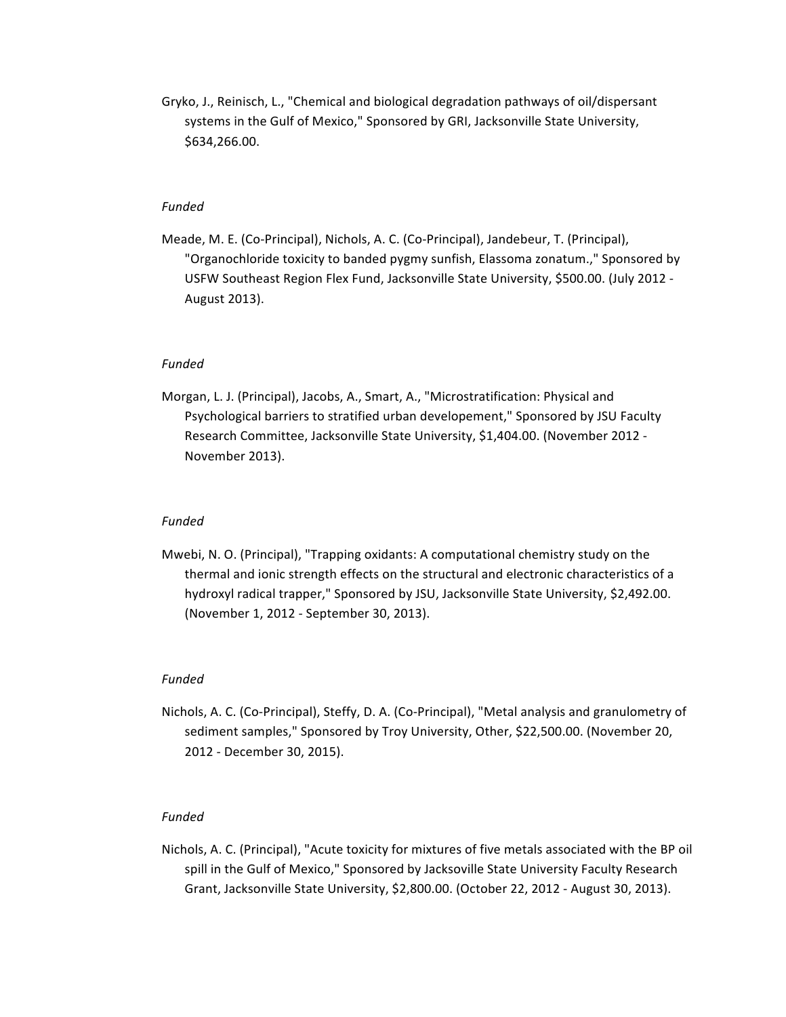Gryko, J., Reinisch, L., "Chemical and biological degradation pathways of oil/dispersant systems in the Gulf of Mexico," Sponsored by GRI, Jacksonville State University, \$634,266.00.

## *Funded*

Meade, M. E. (Co-Principal), Nichols, A. C. (Co-Principal), Jandebeur, T. (Principal), "Organochloride toxicity to banded pygmy sunfish, Elassoma zonatum.," Sponsored by USFW Southeast Region Flex Fund, Jacksonville State University, \$500.00. (July 2012 -August 2013).

## *Funded*

Morgan, L. J. (Principal), Jacobs, A., Smart, A., "Microstratification: Physical and Psychological barriers to stratified urban developement," Sponsored by JSU Faculty Research Committee, Jacksonville State University, \$1,404.00. (November 2012 -November 2013).

### *Funded*

Mwebi, N. O. (Principal), "Trapping oxidants: A computational chemistry study on the thermal and ionic strength effects on the structural and electronic characteristics of a hydroxyl radical trapper," Sponsored by JSU, Jacksonville State University, \$2,492.00. (November 1, 2012 - September 30, 2013).

## *Funded*

Nichols, A. C. (Co-Principal), Steffy, D. A. (Co-Principal), "Metal analysis and granulometry of sediment samples," Sponsored by Troy University, Other, \$22,500.00. (November 20, 2012 - December 30, 2015).

### *Funded*

Nichols, A. C. (Principal), "Acute toxicity for mixtures of five metals associated with the BP oil spill in the Gulf of Mexico," Sponsored by Jacksoville State University Faculty Research Grant, Jacksonville State University, \$2,800.00. (October 22, 2012 - August 30, 2013).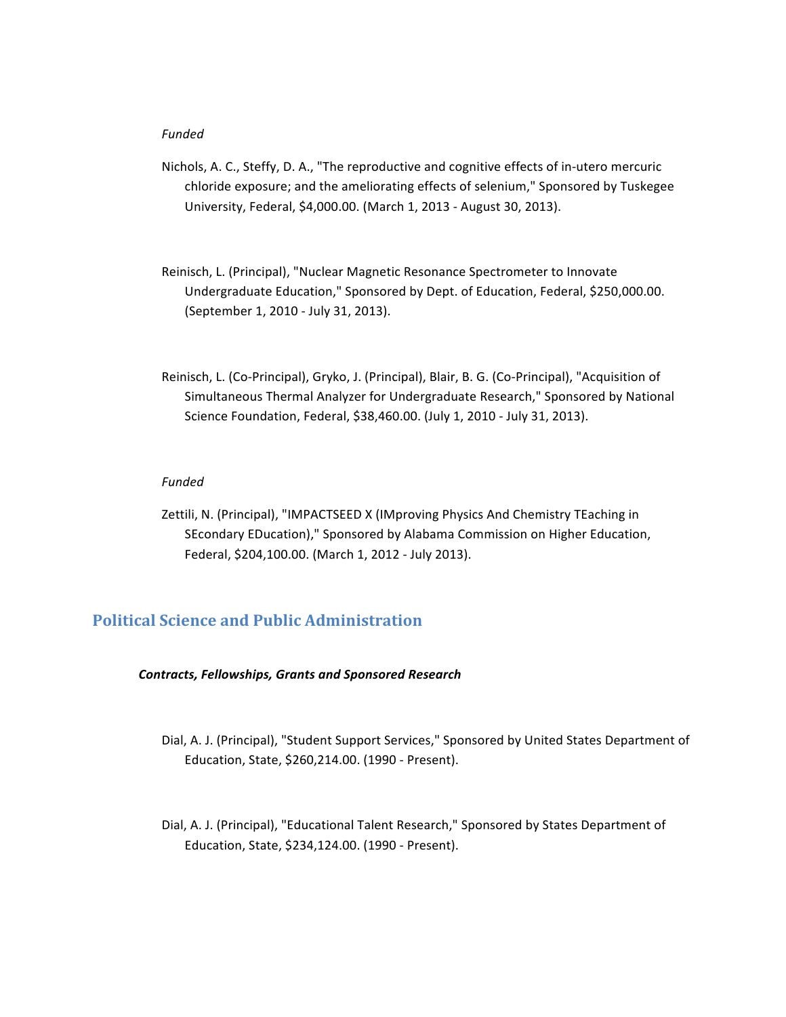# *Funded*

- Nichols, A. C., Steffy, D. A., "The reproductive and cognitive effects of in-utero mercuric chloride exposure; and the ameliorating effects of selenium," Sponsored by Tuskegee University, Federal, \$4,000.00. (March 1, 2013 - August 30, 2013).
- Reinisch, L. (Principal), "Nuclear Magnetic Resonance Spectrometer to Innovate Undergraduate Education," Sponsored by Dept. of Education, Federal, \$250,000.00. (September 1, 2010 - July 31, 2013).
- Reinisch, L. (Co-Principal), Gryko, J. (Principal), Blair, B. G. (Co-Principal), "Acquisition of Simultaneous Thermal Analyzer for Undergraduate Research," Sponsored by National Science Foundation, Federal, \$38,460.00. (July 1, 2010 - July 31, 2013).

## *Funded*

Zettili, N. (Principal), "IMPACTSEED X (IMproving Physics And Chemistry TEaching in SEcondary EDucation)," Sponsored by Alabama Commission on Higher Education, Federal, \$204,100.00. (March 1, 2012 - July 2013).

# **Political Science and Public Administration**

# *Contracts, Fellowships, Grants and Sponsored Research*

- Dial, A. J. (Principal), "Student Support Services," Sponsored by United States Department of Education, State, \$260,214.00. (1990 - Present).
- Dial, A. J. (Principal), "Educational Talent Research," Sponsored by States Department of Education, State, \$234,124.00. (1990 - Present).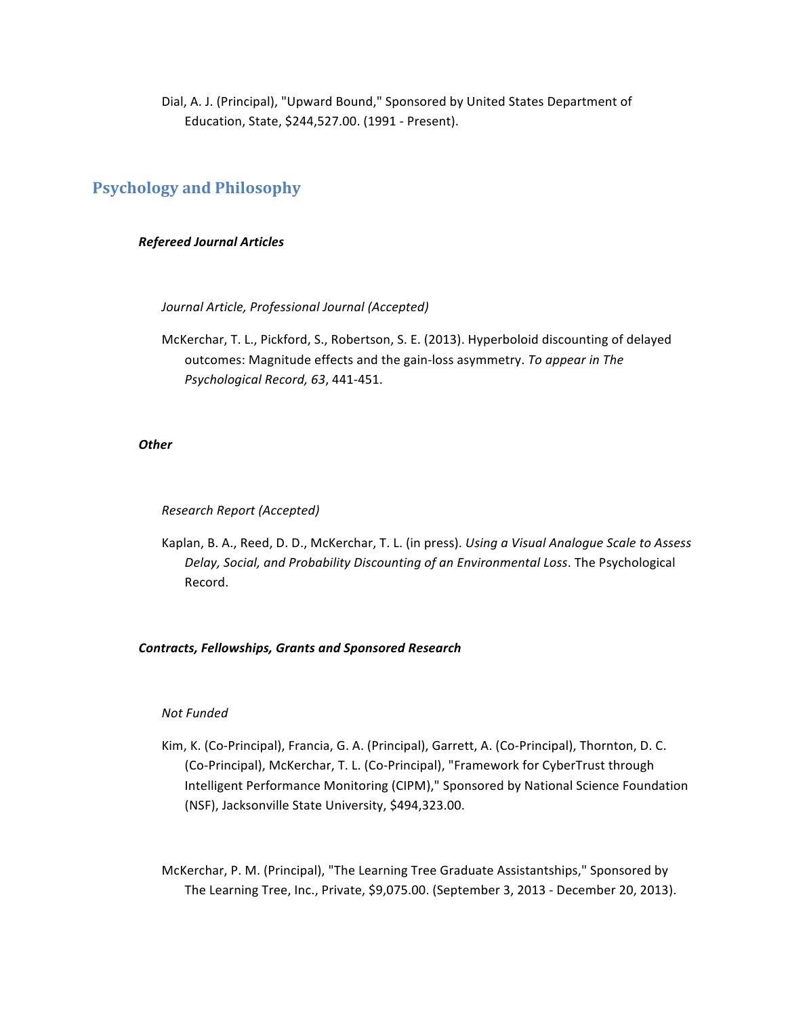Dial, A. J. (Principal), "Upward Bound," Sponsored by United States Department of Education, State, \$244,527.00. (1991 - Present).

# **Psychology and Philosophy**

# *Refereed Journal Articles*

*Journal Article, Professional Journal (Accepted)*

McKerchar, T. L., Pickford, S., Robertson, S. E. (2013). Hyperboloid discounting of delayed outcomes: Magnitude effects and the gain-loss asymmetry. To appear in The *Psychological Record, 63*, 441-451.

# *Other*

*Research Report (Accepted)*

Kaplan, B. A., Reed, D. D., McKerchar, T. L. (in press). *Using a Visual Analogue Scale to Assess* Delay, Social, and Probability Discounting of an Environmental Loss. The Psychological Record.

# *Contracts, Fellowships, Grants and Sponsored Research*

# *Not Funded*

Kim, K. (Co-Principal), Francia, G. A. (Principal), Garrett, A. (Co-Principal), Thornton, D. C. (Co-Principal), McKerchar, T. L. (Co-Principal), "Framework for CyberTrust through Intelligent Performance Monitoring (CIPM)," Sponsored by National Science Foundation (NSF), Jacksonville State University, \$494,323.00.

McKerchar, P. M. (Principal), "The Learning Tree Graduate Assistantships," Sponsored by The Learning Tree, Inc., Private, \$9,075.00. (September 3, 2013 - December 20, 2013).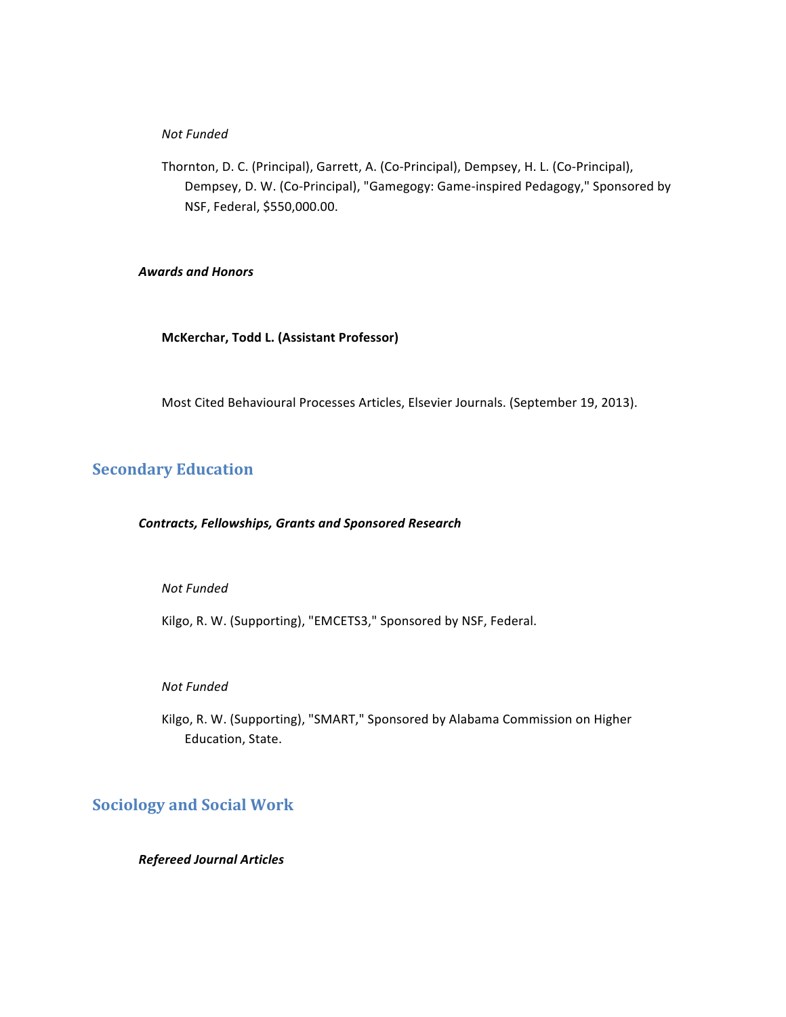# *Not Funded*

Thornton, D. C. (Principal), Garrett, A. (Co-Principal), Dempsey, H. L. (Co-Principal), Dempsey, D. W. (Co-Principal), "Gamegogy: Game-inspired Pedagogy," Sponsored by NSF, Federal, \$550,000.00.

# *Awards and Honors*

**McKerchar, Todd L. (Assistant Professor)**

Most Cited Behavioural Processes Articles, Elsevier Journals. (September 19, 2013).

# **Secondary Education**

# *Contracts, Fellowships, Grants and Sponsored Research*

# *Not Funded*

Kilgo, R. W. (Supporting), "EMCETS3," Sponsored by NSF, Federal.

# *Not Funded*

Kilgo, R. W. (Supporting), "SMART," Sponsored by Alabama Commission on Higher Education, State.

# **Sociology and Social Work**

# *Refereed Journal Articles*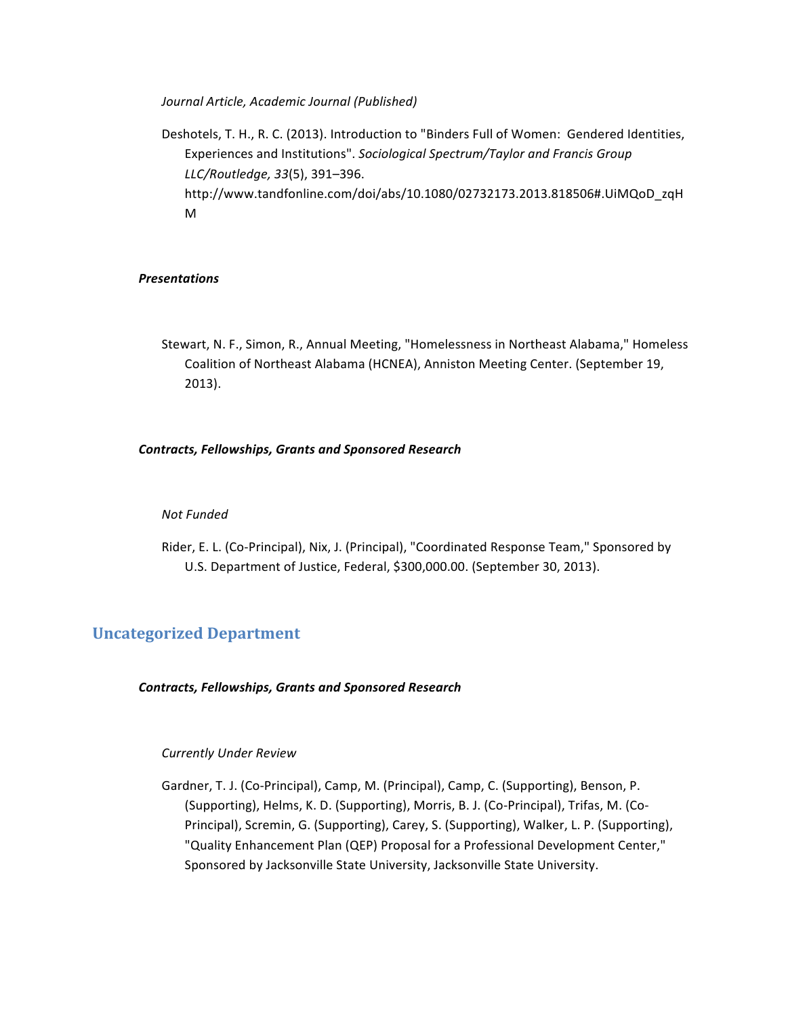*Journal Article, Academic Journal (Published)*

Deshotels, T. H., R. C. (2013). Introduction to "Binders Full of Women: Gendered Identities, Experiences and Institutions". *Sociological Spectrum/Taylor and Francis Group LLC/Routledge, 33*(5), 391–396. http://www.tandfonline.com/doi/abs/10.1080/02732173.2013.818506#.UiMQoD\_zqH M

# *Presentations*

Stewart, N. F., Simon, R., Annual Meeting, "Homelessness in Northeast Alabama," Homeless Coalition of Northeast Alabama (HCNEA), Anniston Meeting Center. (September 19, 2013).

# *Contracts, Fellowships, Grants and Sponsored Research*

# *Not Funded*

Rider, E. L. (Co-Principal), Nix, J. (Principal), "Coordinated Response Team," Sponsored by U.S. Department of Justice, Federal, \$300,000.00. (September 30, 2013).

# **Uncategorized Department**

# *Contracts, Fellowships, Grants and Sponsored Research*

# *Currently Under Review*

Gardner, T. J. (Co-Principal), Camp, M. (Principal), Camp, C. (Supporting), Benson, P. (Supporting), Helms, K. D. (Supporting), Morris, B. J. (Co-Principal), Trifas, M. (Co-Principal), Scremin, G. (Supporting), Carey, S. (Supporting), Walker, L. P. (Supporting), "Quality Enhancement Plan (QEP) Proposal for a Professional Development Center," Sponsored by Jacksonville State University, Jacksonville State University.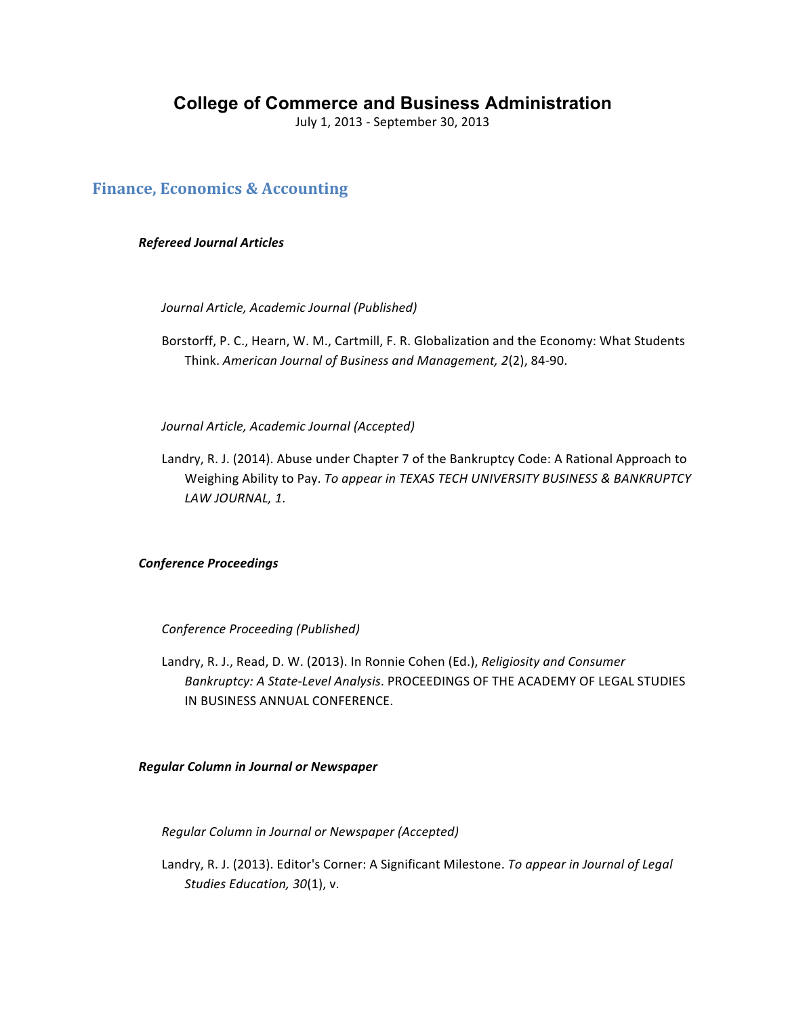# **College of Commerce and Business Administration**

July 1, 2013 - September 30, 2013

# **Finance, Economics & Accounting**

# *Refereed Journal Articles*

*Journal Article, Academic Journal (Published)*

Borstorff, P. C., Hearn, W. M., Cartmill, F. R. Globalization and the Economy: What Students Think. American Journal of Business and Management, 2(2), 84-90.

*Journal Article, Academic Journal (Accepted)*

Landry, R. J. (2014). Abuse under Chapter 7 of the Bankruptcy Code: A Rational Approach to Weighing Ability to Pay. To appear in TEXAS TECH UNIVERSITY BUSINESS & BANKRUPTCY *LAW JOURNAL, 1*.

# *Conference Proceedings*

*Conference Proceeding (Published)*

Landry, R. J., Read, D. W. (2013). In Ronnie Cohen (Ed.), *Religiosity and Consumer Bankruptcy: A State-Level Analysis.* PROCEEDINGS OF THE ACADEMY OF LEGAL STUDIES IN BUSINESS ANNUAL CONFERENCE.

*Regular Column in Journal or Newspaper*

*Regular Column in Journal or Newspaper (Accepted)*

Landry, R. J. (2013). Editor's Corner: A Significant Milestone. To appear in Journal of Legal Studies Education, 30(1), v.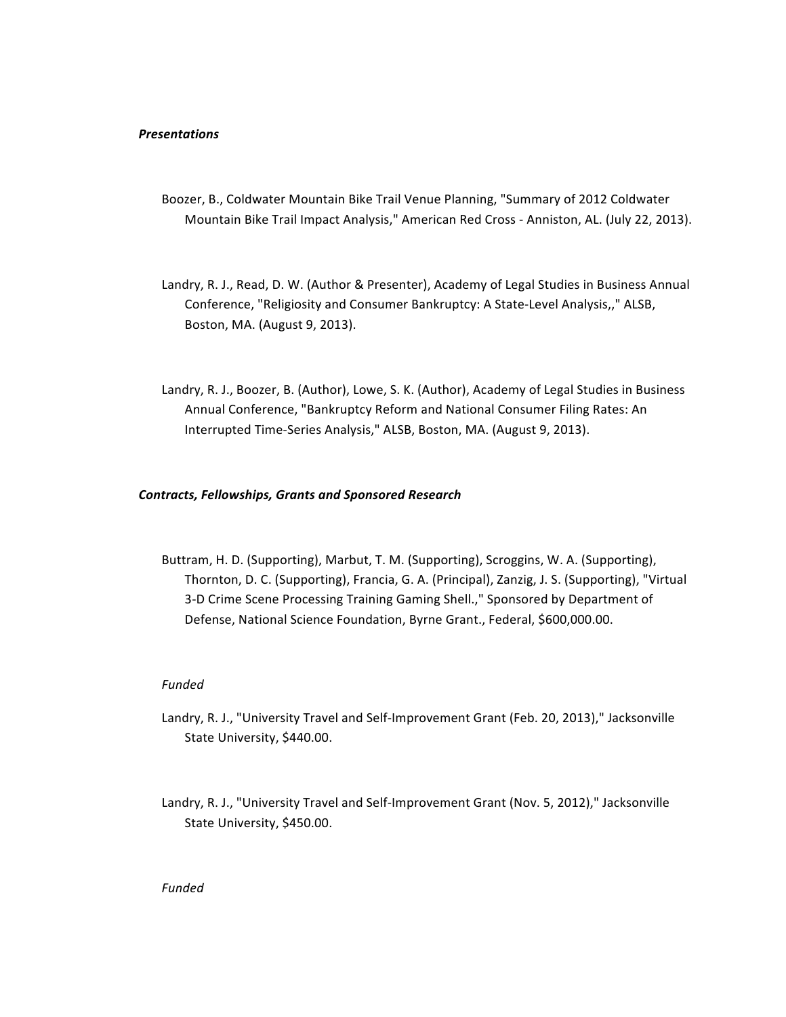## *Presentations*

- Boozer, B., Coldwater Mountain Bike Trail Venue Planning, "Summary of 2012 Coldwater Mountain Bike Trail Impact Analysis," American Red Cross - Anniston, AL. (July 22, 2013).
- Landry, R. J., Read, D. W. (Author & Presenter), Academy of Legal Studies in Business Annual Conference, "Religiosity and Consumer Bankruptcy: A State-Level Analysis,," ALSB, Boston, MA. (August 9, 2013).
- Landry, R. J., Boozer, B. (Author), Lowe, S. K. (Author), Academy of Legal Studies in Business Annual Conference, "Bankruptcy Reform and National Consumer Filing Rates: An Interrupted Time-Series Analysis," ALSB, Boston, MA. (August 9, 2013).

### *Contracts, Fellowships, Grants and Sponsored Research*

Buttram, H. D. (Supporting), Marbut, T. M. (Supporting), Scroggins, W. A. (Supporting), Thornton, D. C. (Supporting), Francia, G. A. (Principal), Zanzig, J. S. (Supporting), "Virtual 3-D Crime Scene Processing Training Gaming Shell.," Sponsored by Department of Defense, National Science Foundation, Byrne Grant., Federal, \$600,000.00.

### *Funded*

- Landry, R. J., "University Travel and Self-Improvement Grant (Feb. 20, 2013)," Jacksonville State University, \$440.00.
- Landry, R. J., "University Travel and Self-Improvement Grant (Nov. 5, 2012)," Jacksonville State University, \$450.00.

### *Funded*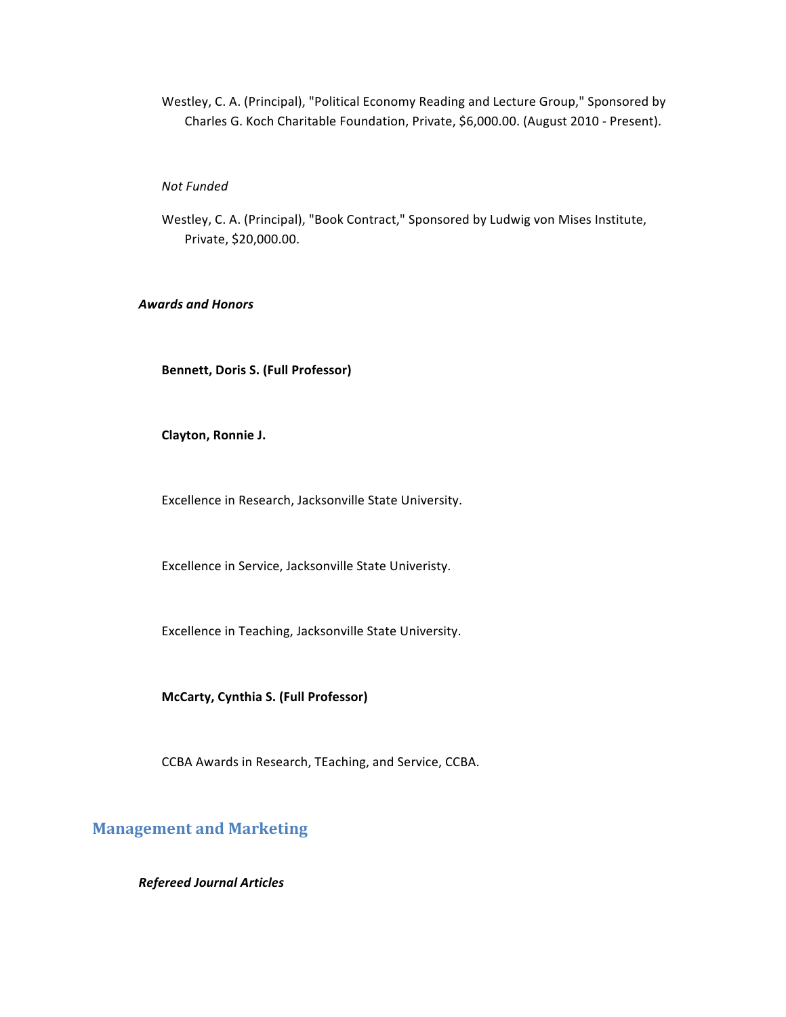Westley, C. A. (Principal), "Political Economy Reading and Lecture Group," Sponsored by Charles G. Koch Charitable Foundation, Private, \$6,000.00. (August 2010 - Present).

### *Not Funded*

Westley, C. A. (Principal), "Book Contract," Sponsored by Ludwig von Mises Institute, Private, \$20,000.00.

# *Awards and Honors*

**Bennett, Doris S. (Full Professor)** 

**Clayton, Ronnie J.** 

Excellence in Research, Jacksonville State University.

Excellence in Service, Jacksonville State Univeristy.

Excellence in Teaching, Jacksonville State University.

**McCarty, Cynthia S. (Full Professor)**

CCBA Awards in Research, TEaching, and Service, CCBA.

# **Management and Marketing**

*Refereed Journal Articles*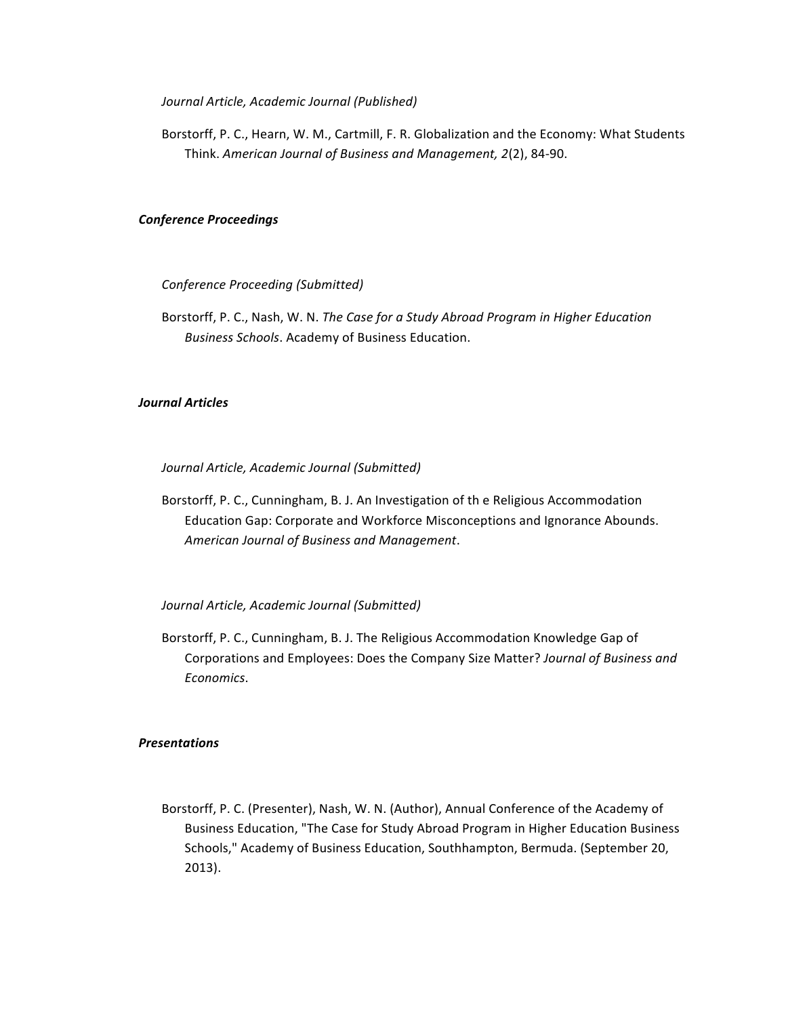*Journal Article, Academic Journal (Published)*

Borstorff, P. C., Hearn, W. M., Cartmill, F. R. Globalization and the Economy: What Students Think. American Journal of Business and Management, 2(2), 84-90.

# *Conference Proceedings*

*Conference Proceeding (Submitted)*

Borstorff, P. C., Nash, W. N. The Case for a Study Abroad Program in Higher Education *Business Schools*. Academy of Business Education.

# *Journal Articles*

*Journal Article, Academic Journal (Submitted)*

Borstorff, P. C., Cunningham, B. J. An Investigation of the Religious Accommodation Education Gap: Corporate and Workforce Misconceptions and Ignorance Abounds. *American Journal of Business and Management*.

*Journal Article, Academic Journal (Submitted)*

Borstorff, P. C., Cunningham, B. J. The Religious Accommodation Knowledge Gap of Corporations and Employees: Does the Company Size Matter? *Journal of Business and Economics*.

## *Presentations*

Borstorff, P. C. (Presenter), Nash, W. N. (Author), Annual Conference of the Academy of Business Education, "The Case for Study Abroad Program in Higher Education Business Schools," Academy of Business Education, Southhampton, Bermuda. (September 20, 2013).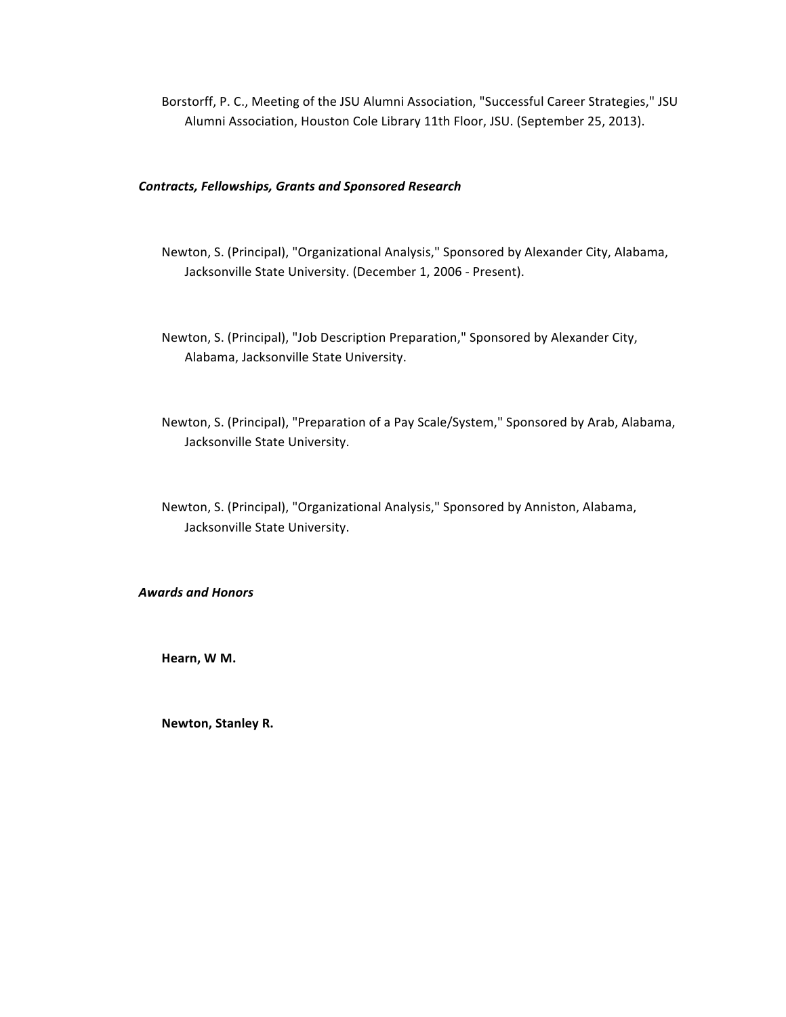Borstorff, P. C., Meeting of the JSU Alumni Association, "Successful Career Strategies," JSU Alumni Association, Houston Cole Library 11th Floor, JSU. (September 25, 2013).

## *Contracts, Fellowships, Grants and Sponsored Research*

- Newton, S. (Principal), "Organizational Analysis," Sponsored by Alexander City, Alabama, Jacksonville State University. (December 1, 2006 - Present).
- Newton, S. (Principal), "Job Description Preparation," Sponsored by Alexander City, Alabama, Jacksonville State University.
- Newton, S. (Principal), "Preparation of a Pay Scale/System," Sponsored by Arab, Alabama, Jacksonville State University.
- Newton, S. (Principal), "Organizational Analysis," Sponsored by Anniston, Alabama, Jacksonville State University.

### *Awards and Honors*

**Hearn, W M.** 

**Newton, Stanley R.**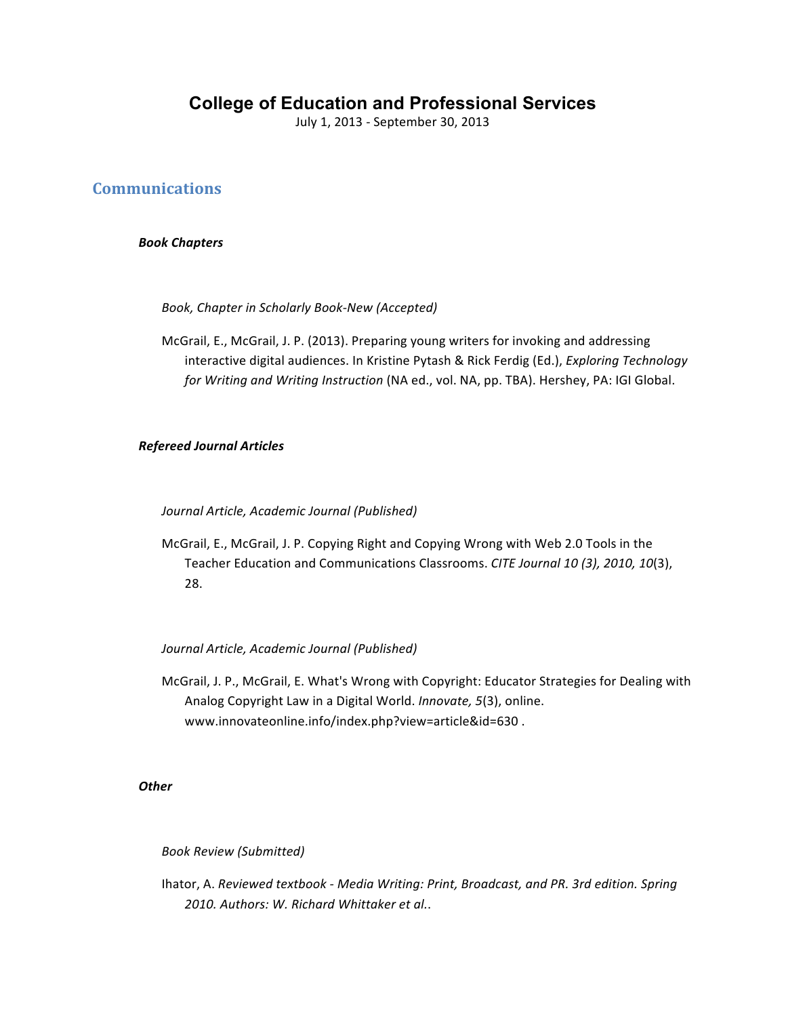# **College of Education and Professional Services**

July 1, 2013 - September 30, 2013

# **Communications**

# *Book Chapters*

Book, Chapter in Scholarly Book-New (Accepted)

McGrail, E., McGrail, J. P. (2013). Preparing young writers for invoking and addressing interactive digital audiences. In Kristine Pytash & Rick Ferdig (Ed.), *Exploring Technology for Writing and Writing Instruction* (NA ed., vol. NA, pp. TBA). Hershey, PA: IGI Global.

# *Refereed Journal Articles*

*Journal Article, Academic Journal (Published)*

McGrail, E., McGrail, J. P. Copying Right and Copying Wrong with Web 2.0 Tools in the Teacher Education and Communications Classrooms. *CITE Journal 10 (3), 2010, 10*(3), 28.

# *Journal Article, Academic Journal (Published)*

McGrail, J. P., McGrail, E. What's Wrong with Copyright: Educator Strategies for Dealing with Analog Copyright Law in a Digital World. *Innovate*, 5(3), online. www.innovateonline.info/index.php?view=article&id=630 .

# *Other*

*Book Review (Submitted)*

Ihator, A. Reviewed textbook - Media Writing: Print, Broadcast, and PR. 3rd edition. Spring *2010. Authors: W. Richard Whittaker et al.*.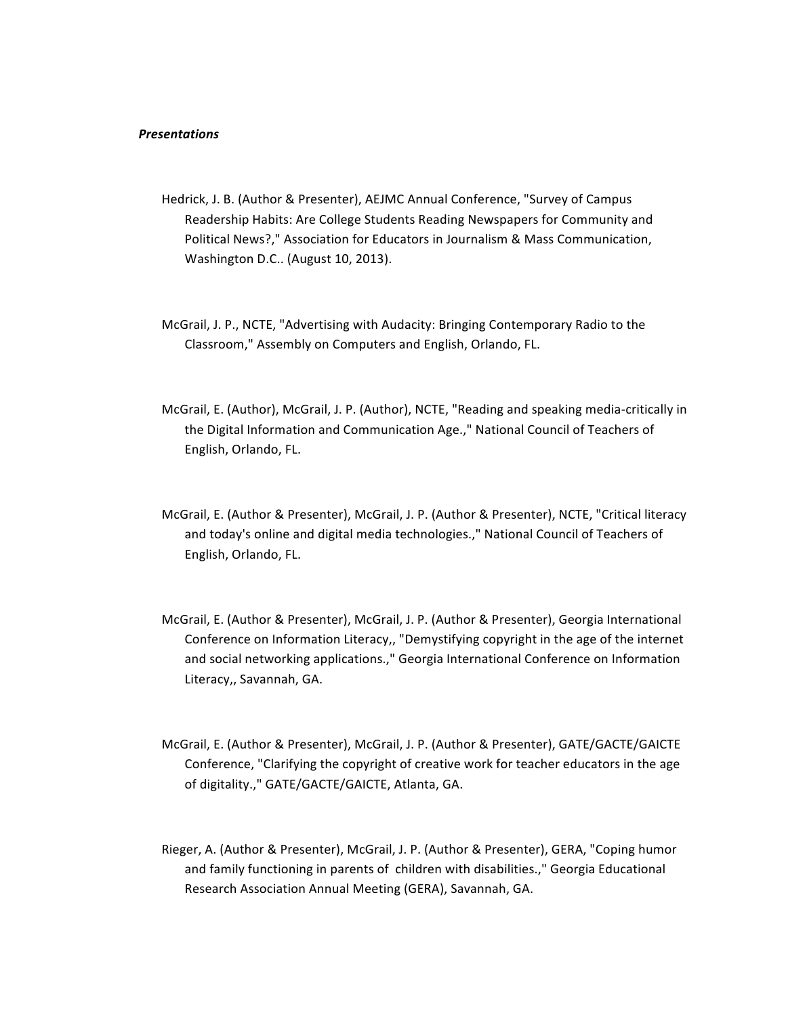### *Presentations*

- Hedrick, J. B. (Author & Presenter), AEJMC Annual Conference, "Survey of Campus Readership Habits: Are College Students Reading Newspapers for Community and Political News?," Association for Educators in Journalism & Mass Communication, Washington D.C.. (August 10, 2013).
- McGrail, J. P., NCTE, "Advertising with Audacity: Bringing Contemporary Radio to the Classroom," Assembly on Computers and English, Orlando, FL.
- McGrail, E. (Author), McGrail, J. P. (Author), NCTE, "Reading and speaking media-critically in the Digital Information and Communication Age.," National Council of Teachers of English, Orlando, FL.
- McGrail, E. (Author & Presenter), McGrail, J. P. (Author & Presenter), NCTE, "Critical literacy and today's online and digital media technologies.," National Council of Teachers of English, Orlando, FL.
- McGrail, E. (Author & Presenter), McGrail, J. P. (Author & Presenter), Georgia International Conference on Information Literacy,, "Demystifying copyright in the age of the internet and social networking applications.," Georgia International Conference on Information Literacy,, Savannah, GA.
- McGrail, E. (Author & Presenter), McGrail, J. P. (Author & Presenter), GATE/GACTE/GAICTE Conference, "Clarifying the copyright of creative work for teacher educators in the age of digitality.," GATE/GACTE/GAICTE, Atlanta, GA.
- Rieger, A. (Author & Presenter), McGrail, J. P. (Author & Presenter), GERA, "Coping humor and family functioning in parents of children with disabilities.," Georgia Educational Research Association Annual Meeting (GERA), Savannah, GA.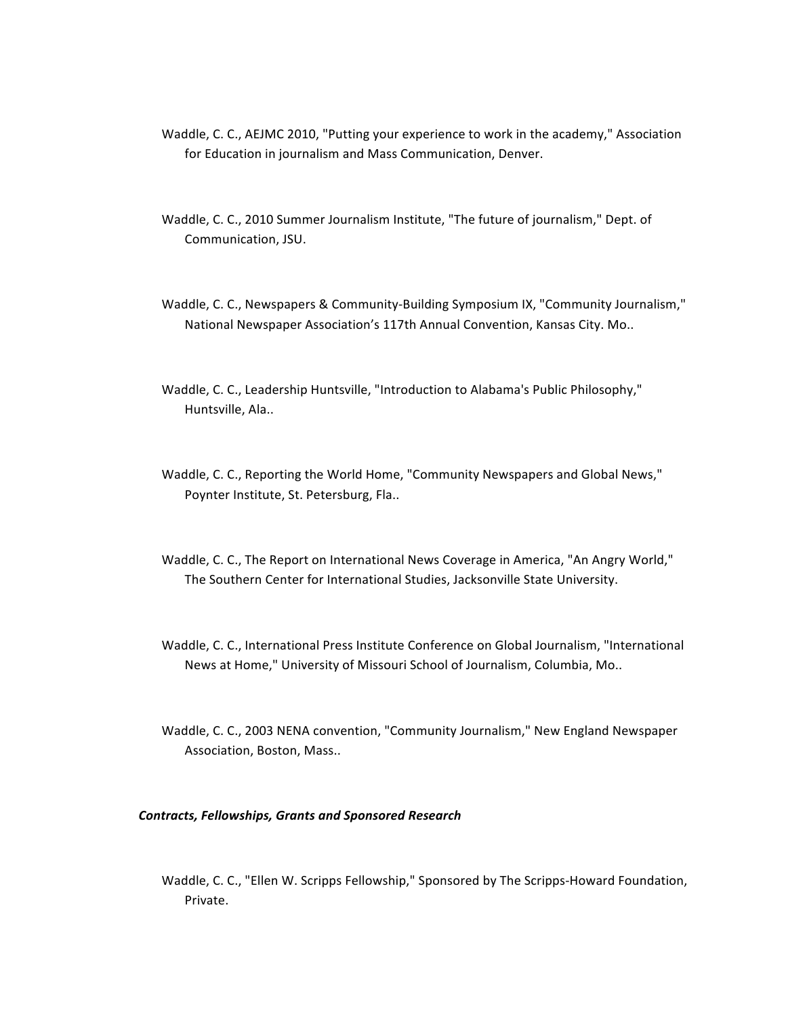- Waddle, C. C., AEJMC 2010, "Putting your experience to work in the academy," Association for Education in journalism and Mass Communication, Denver.
- Waddle, C. C., 2010 Summer Journalism Institute, "The future of journalism," Dept. of Communication, JSU.
- Waddle, C. C., Newspapers & Community-Building Symposium IX, "Community Journalism," National Newspaper Association's 117th Annual Convention, Kansas City. Mo..
- Waddle, C. C., Leadership Huntsville, "Introduction to Alabama's Public Philosophy," Huntsville, Ala..
- Waddle, C. C., Reporting the World Home, "Community Newspapers and Global News," Poynter Institute, St. Petersburg, Fla..
- Waddle, C. C., The Report on International News Coverage in America, "An Angry World," The Southern Center for International Studies, Jacksonville State University.
- Waddle, C. C., International Press Institute Conference on Global Journalism, "International News at Home," University of Missouri School of Journalism, Columbia, Mo..
- Waddle, C. C., 2003 NENA convention, "Community Journalism," New England Newspaper Association, Boston, Mass..

### *Contracts, Fellowships, Grants and Sponsored Research*

Waddle, C. C., "Ellen W. Scripps Fellowship," Sponsored by The Scripps-Howard Foundation, Private.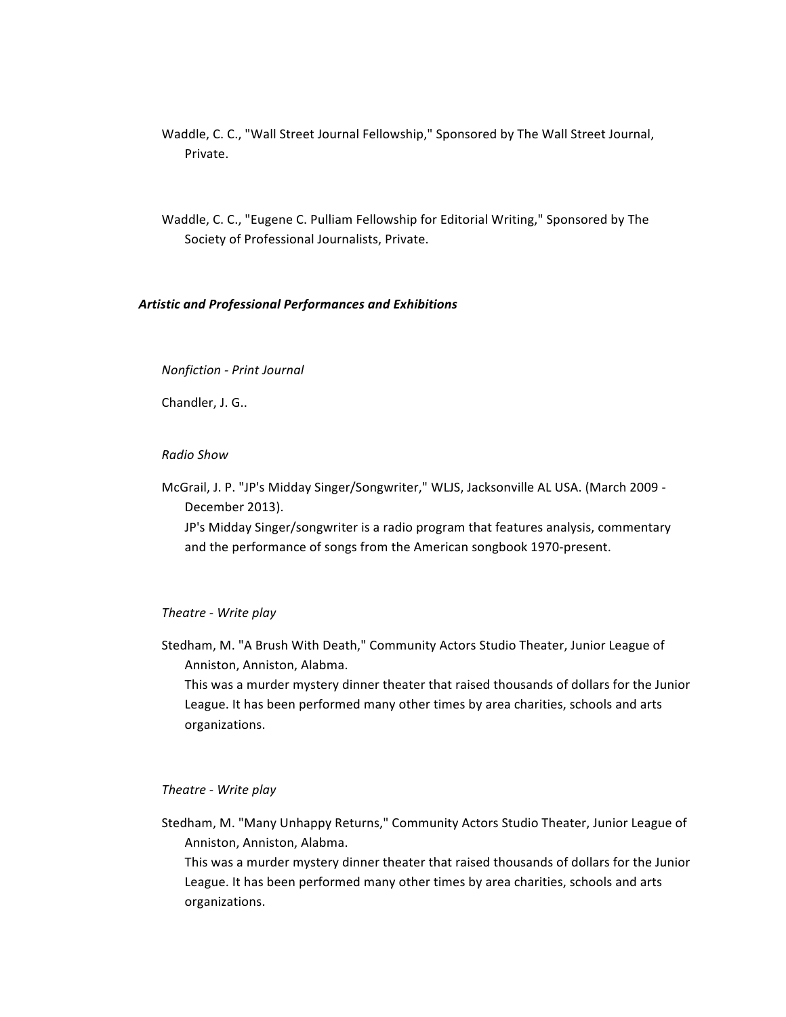- Waddle, C. C., "Wall Street Journal Fellowship," Sponsored by The Wall Street Journal, Private.
- Waddle, C. C., "Eugene C. Pulliam Fellowship for Editorial Writing," Sponsored by The Society of Professional Journalists, Private.

## *Artistic and Professional Performances and Exhibitions*

### *Nonfiction - Print Journal*

Chandler, J. G..

*Radio Show*

McGrail, J. P. "JP's Midday Singer/Songwriter," WLJS, Jacksonville AL USA. (March 2009 -December 2013). JP's Midday Singer/songwriter is a radio program that features analysis, commentary

and the performance of songs from the American songbook 1970-present.

## *Theatre - Write play*

Stedham, M. "A Brush With Death," Community Actors Studio Theater, Junior League of Anniston, Anniston, Alabma.

This was a murder mystery dinner theater that raised thousands of dollars for the Junior League. It has been performed many other times by area charities, schools and arts organizations.

### *Theatre - Write play*

Stedham, M. "Many Unhappy Returns," Community Actors Studio Theater, Junior League of Anniston, Anniston, Alabma.

This was a murder mystery dinner theater that raised thousands of dollars for the Junior League. It has been performed many other times by area charities, schools and arts organizations.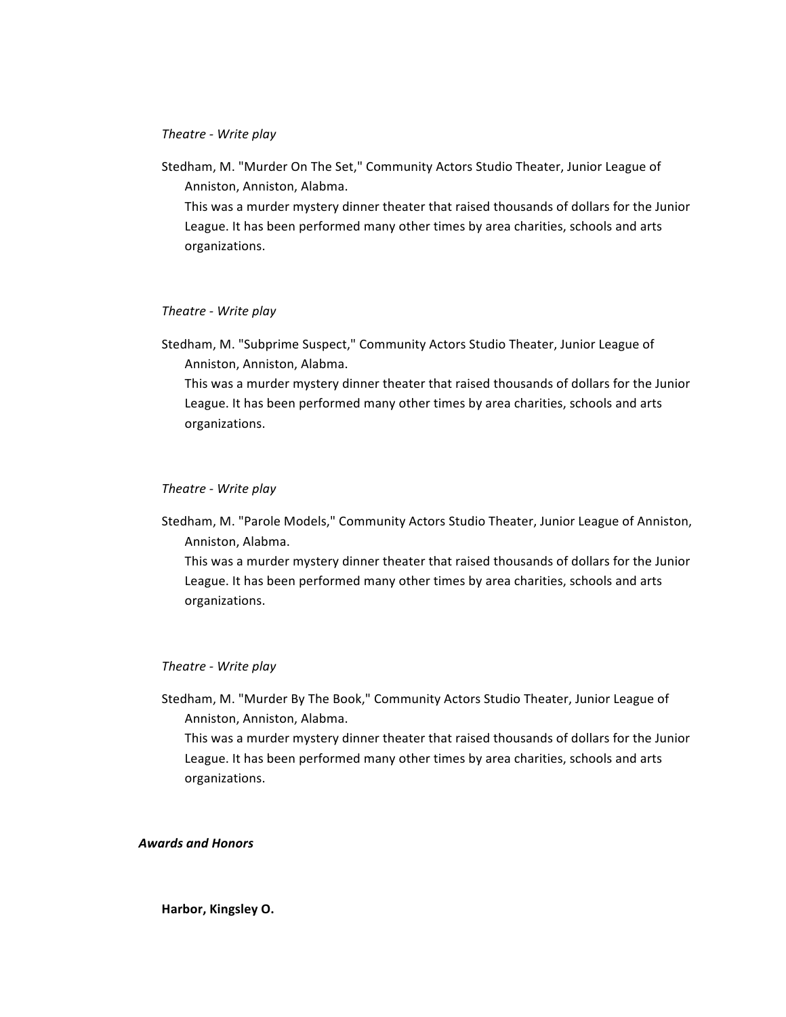# *Theatre - Write play*

Stedham, M. "Murder On The Set," Community Actors Studio Theater, Junior League of Anniston, Anniston, Alabma.

This was a murder mystery dinner theater that raised thousands of dollars for the Junior League. It has been performed many other times by area charities, schools and arts organizations.

## *Theatre - Write play*

Stedham, M. "Subprime Suspect," Community Actors Studio Theater, Junior League of Anniston, Anniston, Alabma. This was a murder mystery dinner theater that raised thousands of dollars for the Junior

League. It has been performed many other times by area charities, schools and arts organizations.

# *Theatre - Write play*

Stedham, M. "Parole Models," Community Actors Studio Theater, Junior League of Anniston, Anniston, Alabma.

This was a murder mystery dinner theater that raised thousands of dollars for the Junior League. It has been performed many other times by area charities, schools and arts organizations.

### *Theatre - Write play*

Stedham, M. "Murder By The Book," Community Actors Studio Theater, Junior League of Anniston, Anniston, Alabma.

This was a murder mystery dinner theater that raised thousands of dollars for the Junior League. It has been performed many other times by area charities, schools and arts organizations.

### *Awards and Honors*

**Harbor, Kingsley O.**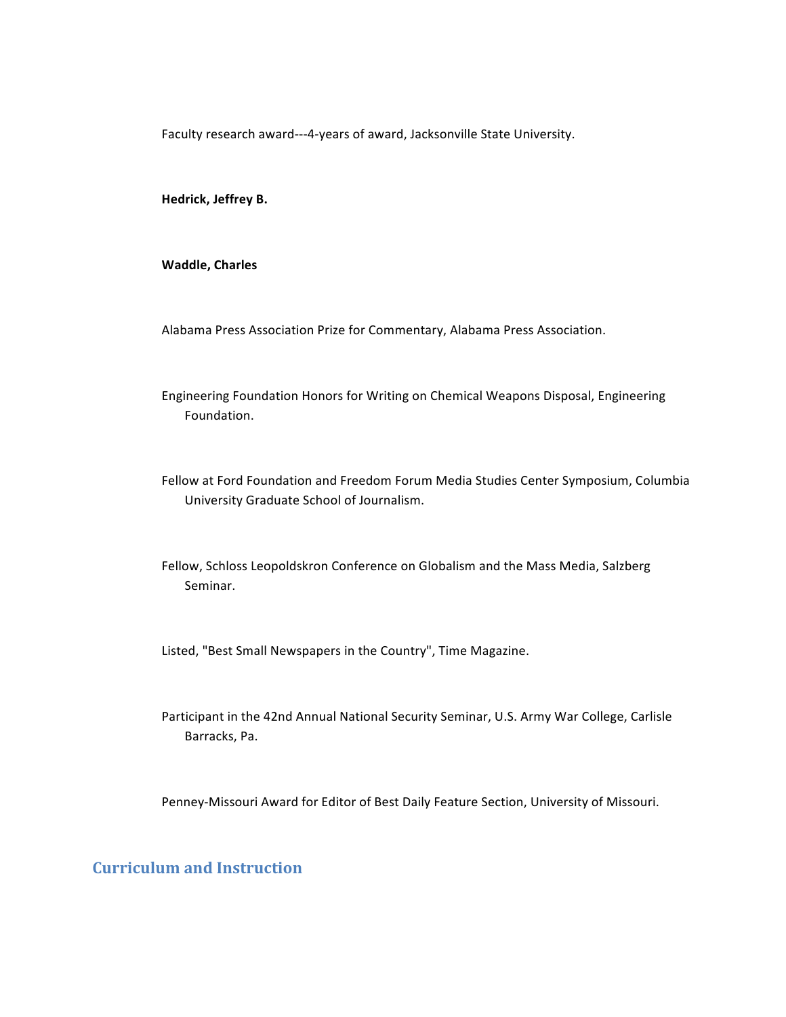Faculty research award---4-years of award, Jacksonville State University.

**Hedrick, Jeffrey B.**

**Waddle, Charles**

Alabama Press Association Prize for Commentary, Alabama Press Association.

Engineering Foundation Honors for Writing on Chemical Weapons Disposal, Engineering Foundation.

Fellow at Ford Foundation and Freedom Forum Media Studies Center Symposium, Columbia University Graduate School of Journalism.

Fellow, Schloss Leopoldskron Conference on Globalism and the Mass Media, Salzberg Seminar.

Listed, "Best Small Newspapers in the Country", Time Magazine.

Participant in the 42nd Annual National Security Seminar, U.S. Army War College, Carlisle Barracks, Pa.

Penney-Missouri Award for Editor of Best Daily Feature Section, University of Missouri.

# **Curriculum and Instruction**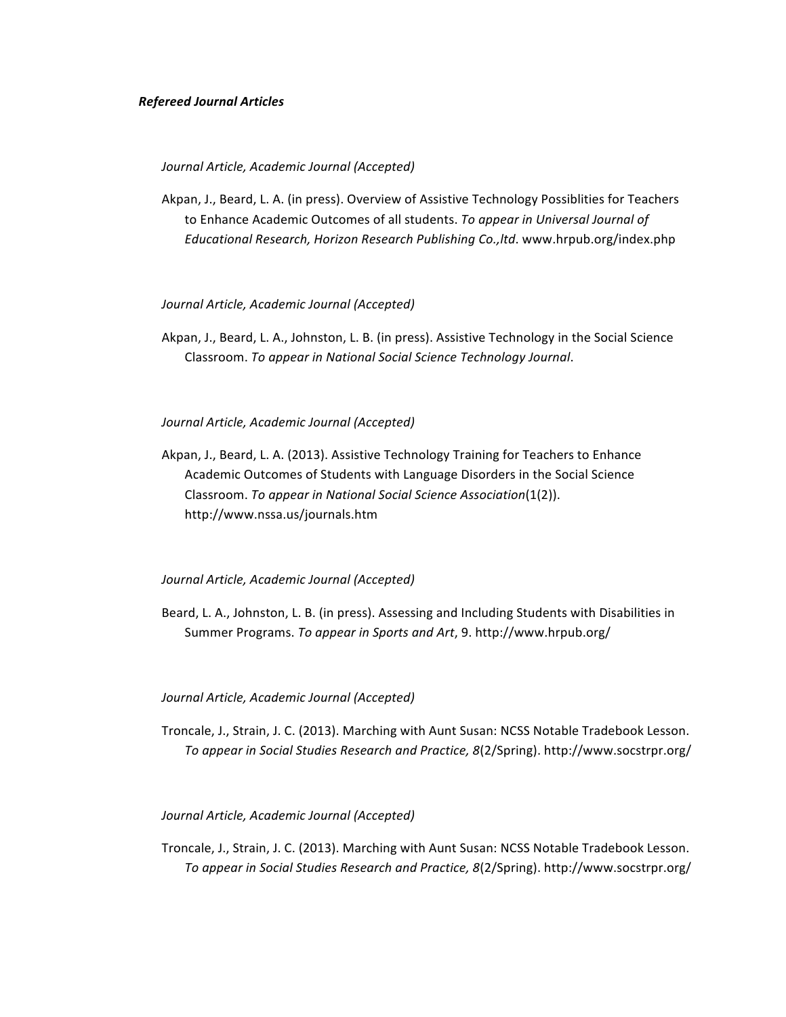### *Refereed Journal Articles*

#### *Journal Article, Academic Journal (Accepted)*

Akpan, J., Beard, L. A. (in press). Overview of Assistive Technology Possiblities for Teachers to Enhance Academic Outcomes of all students. To appear in Universal Journal of Educational Research, Horizon Research Publishing Co., ltd. www.hrpub.org/index.php

#### *Journal Article, Academic Journal (Accepted)*

Akpan, J., Beard, L. A., Johnston, L. B. (in press). Assistive Technology in the Social Science Classroom. *To appear in National Social Science Technology Journal*.

# *Journal Article, Academic Journal (Accepted)*

Akpan, J., Beard, L. A. (2013). Assistive Technology Training for Teachers to Enhance Academic Outcomes of Students with Language Disorders in the Social Science Classroom. *To appear in National Social Science Association*(1(2)). http://www.nssa.us/journals.htm

# *Journal Article, Academic Journal (Accepted)*

Beard, L. A., Johnston, L. B. (in press). Assessing and Including Students with Disabilities in Summer Programs. To appear in Sports and Art, 9. http://www.hrpub.org/

#### *Journal Article, Academic Journal (Accepted)*

Troncale, J., Strain, J. C. (2013). Marching with Aunt Susan: NCSS Notable Tradebook Lesson. To appear in Social Studies Research and Practice, 8(2/Spring). http://www.socstrpr.org/

### *Journal Article, Academic Journal (Accepted)*

Troncale, J., Strain, J. C. (2013). Marching with Aunt Susan: NCSS Notable Tradebook Lesson. To appear in Social Studies Research and Practice, 8(2/Spring). http://www.socstrpr.org/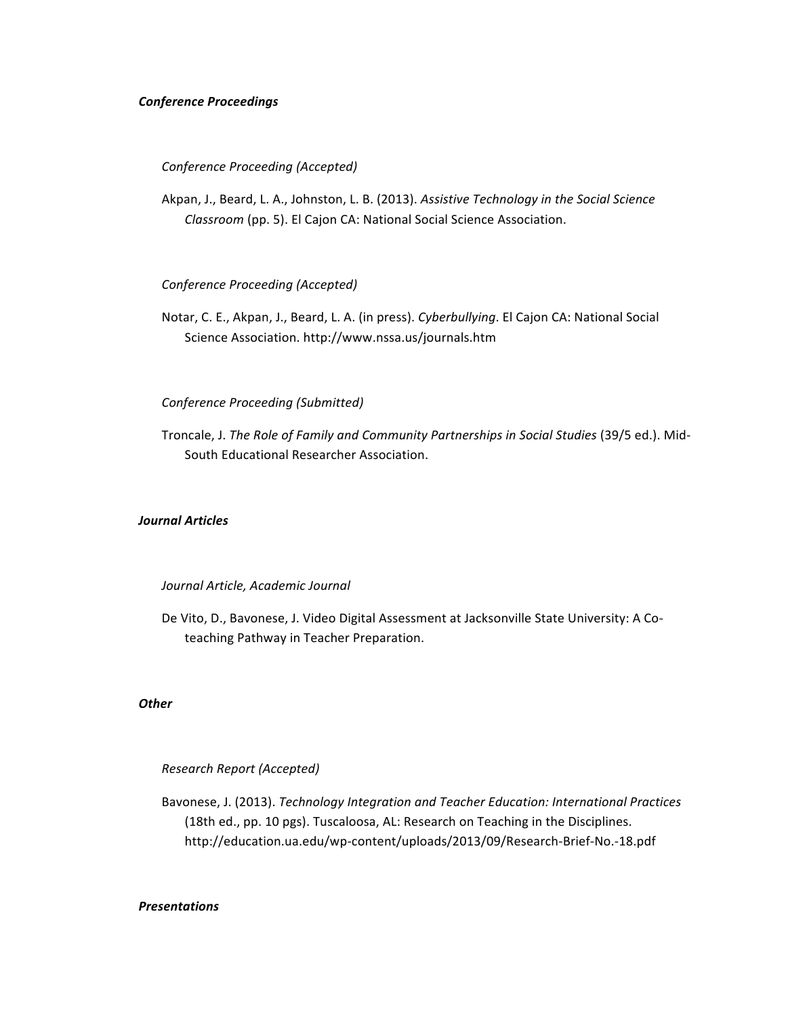# *Conference Proceedings*

## *Conference Proceeding (Accepted)*

Akpan, J., Beard, L. A., Johnston, L. B. (2013). Assistive Technology in the Social Science *Classroom* (pp. 5). El Cajon CA: National Social Science Association.

### *Conference Proceeding (Accepted)*

Notar, C. E., Akpan, J., Beard, L. A. (in press). *Cyberbullying*. El Cajon CA: National Social Science Association. http://www.nssa.us/journals.htm

# *Conference Proceeding (Submitted)*

Troncale, J. The Role of Family and Community Partnerships in Social Studies (39/5 ed.). Mid-South Educational Researcher Association.

# *Journal Articles*

### *Journal Article, Academic Journal*

De Vito, D., Bavonese, J. Video Digital Assessment at Jacksonville State University: A Coteaching Pathway in Teacher Preparation.

# *Other*

# *Research Report (Accepted)*

Bavonese, J. (2013). *Technology Integration and Teacher Education: International Practices* (18th ed., pp. 10 pgs). Tuscaloosa, AL: Research on Teaching in the Disciplines. http://education.ua.edu/wp-content/uploads/2013/09/Research-Brief-No.-18.pdf

# *Presentations*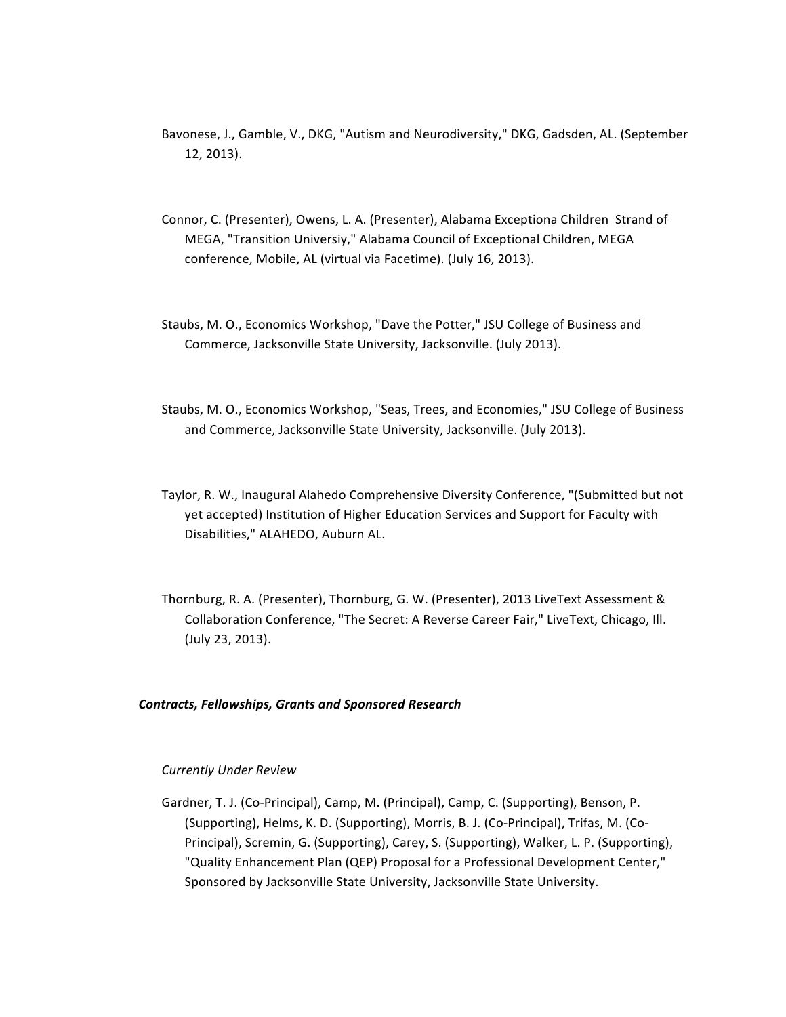- Bavonese, J., Gamble, V., DKG, "Autism and Neurodiversity," DKG, Gadsden, AL. (September 12, 2013).
- Connor, C. (Presenter), Owens, L. A. (Presenter), Alabama Exceptiona Children Strand of MEGA, "Transition Universiy," Alabama Council of Exceptional Children, MEGA conference, Mobile, AL (virtual via Facetime). (July 16, 2013).
- Staubs, M. O., Economics Workshop, "Dave the Potter," JSU College of Business and Commerce, Jacksonville State University, Jacksonville. (July 2013).
- Staubs, M. O., Economics Workshop, "Seas, Trees, and Economies," JSU College of Business and Commerce, Jacksonville State University, Jacksonville. (July 2013).
- Taylor, R. W., Inaugural Alahedo Comprehensive Diversity Conference, "(Submitted but not yet accepted) Institution of Higher Education Services and Support for Faculty with Disabilities," ALAHEDO, Auburn AL.
- Thornburg, R. A. (Presenter), Thornburg, G. W. (Presenter), 2013 LiveText Assessment & Collaboration Conference, "The Secret: A Reverse Career Fair," LiveText, Chicago, Ill. (July 23, 2013).

# *Contracts, Fellowships, Grants and Sponsored Research*

### *Currently Under Review*

Gardner, T. J. (Co-Principal), Camp, M. (Principal), Camp, C. (Supporting), Benson, P. (Supporting), Helms, K. D. (Supporting), Morris, B. J. (Co-Principal), Trifas, M. (Co-Principal), Scremin, G. (Supporting), Carey, S. (Supporting), Walker, L. P. (Supporting), "Quality Enhancement Plan (QEP) Proposal for a Professional Development Center," Sponsored by Jacksonville State University, Jacksonville State University.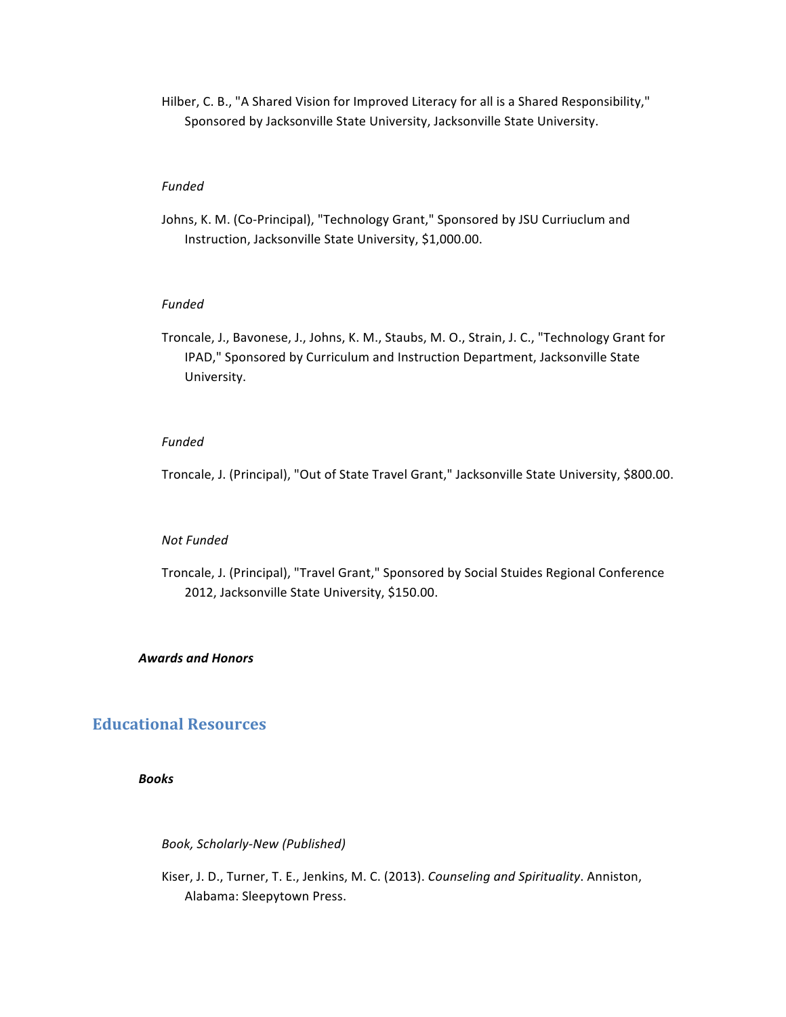Hilber, C. B., "A Shared Vision for Improved Literacy for all is a Shared Responsibility," Sponsored by Jacksonville State University, Jacksonville State University.

### *Funded*

Johns, K. M. (Co-Principal), "Technology Grant," Sponsored by JSU Curriuclum and Instruction, Jacksonville State University, \$1,000.00.

# *Funded*

Troncale, J., Bavonese, J., Johns, K. M., Staubs, M. O., Strain, J. C., "Technology Grant for IPAD," Sponsored by Curriculum and Instruction Department, Jacksonville State University.

# *Funded*

Troncale, J. (Principal), "Out of State Travel Grant," Jacksonville State University, \$800.00.

### *Not Funded*

Troncale, J. (Principal), "Travel Grant," Sponsored by Social Stuides Regional Conference 2012, Jacksonville State University, \$150.00.

## *Awards and Honors*

# **Educational Resources**

*Books*

*Book, Scholarly-New (Published)*

Kiser, J. D., Turner, T. E., Jenkins, M. C. (2013). *Counseling and Spirituality*. Anniston, Alabama: Sleepytown Press.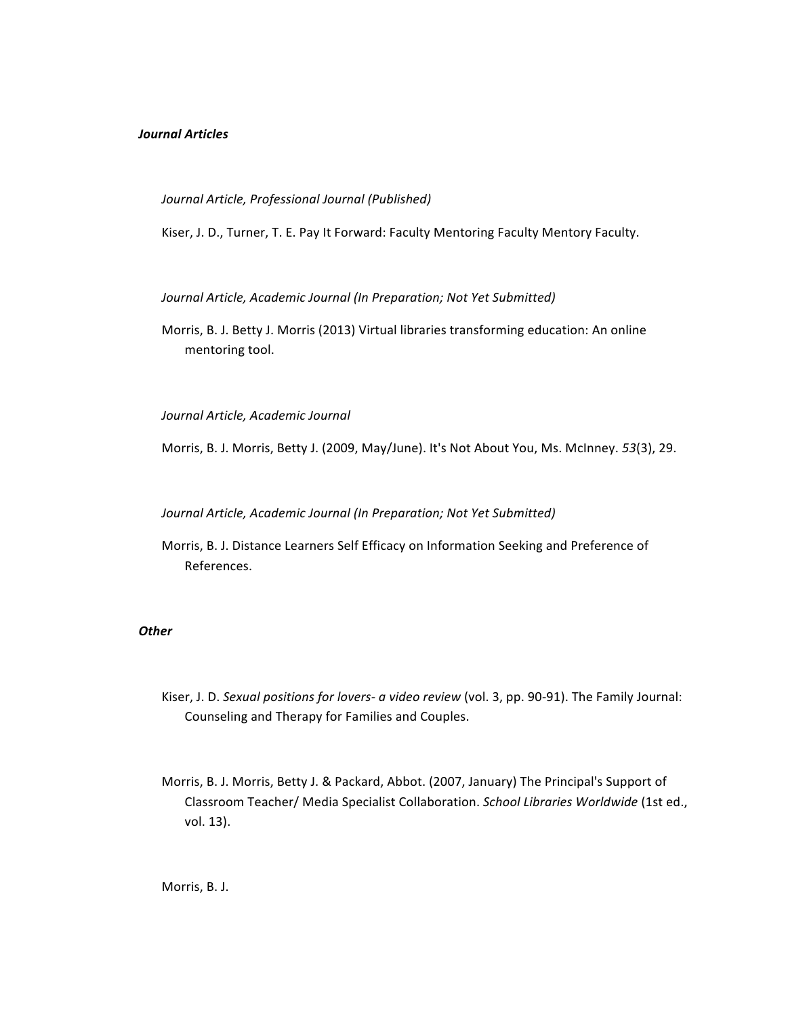# *Journal Articles*

### *Journal Article, Professional Journal (Published)*

Kiser, J. D., Turner, T. E. Pay It Forward: Faculty Mentoring Faculty Mentory Faculty.

Journal Article, Academic Journal (In Preparation; Not Yet Submitted)

Morris, B. J. Betty J. Morris (2013) Virtual libraries transforming education: An online mentoring tool.

*Journal Article, Academic Journal* 

Morris, B. J. Morris, Betty J. (2009, May/June). It's Not About You, Ms. McInney. 53(3), 29.

Journal Article, Academic Journal (In Preparation; Not Yet Submitted)

Morris, B. J. Distance Learners Self Efficacy on Information Seeking and Preference of References.

### *Other*

- Kiser, J. D. Sexual positions for lovers- a video review (vol. 3, pp. 90-91). The Family Journal: Counseling and Therapy for Families and Couples.
- Morris, B. J. Morris, Betty J. & Packard, Abbot. (2007, January) The Principal's Support of Classroom Teacher/ Media Specialist Collaboration. *School Libraries Worldwide* (1st ed., vol. 13).

Morris, B. J.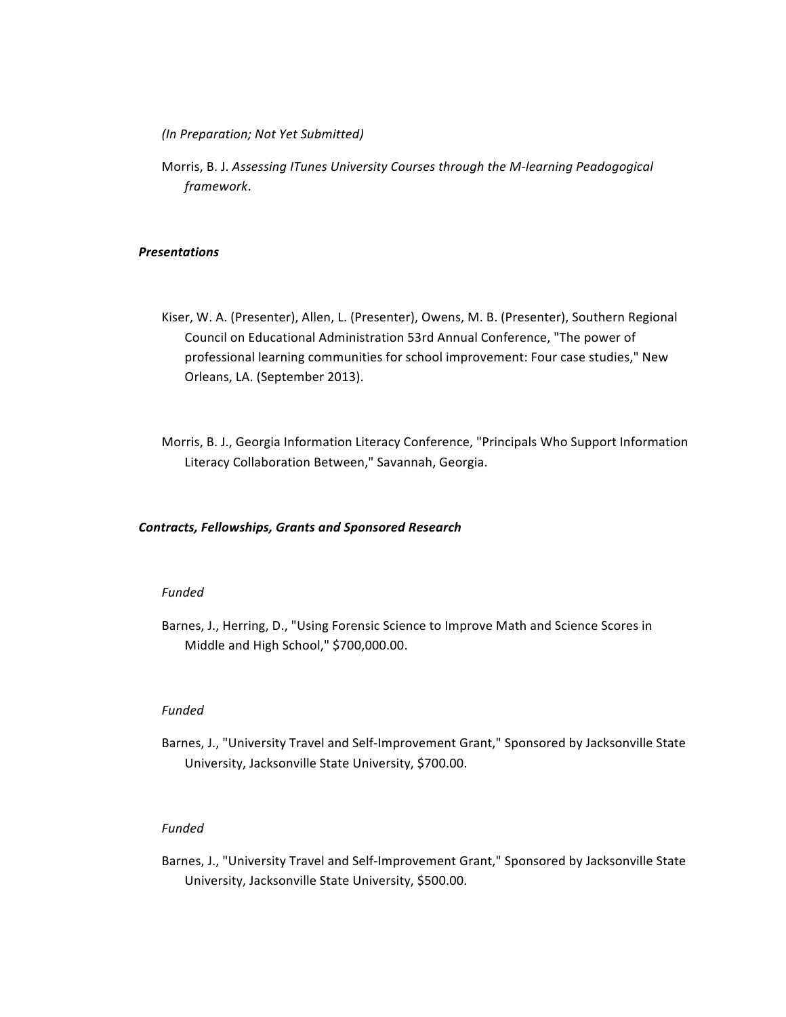*(In Preparation; Not Yet Submitted)*

Morris, B. J. Assessing *ITunes University Courses through the M-learning Peadogogical framework*.

## *Presentations*

- Kiser, W. A. (Presenter), Allen, L. (Presenter), Owens, M. B. (Presenter), Southern Regional Council on Educational Administration 53rd Annual Conference, "The power of professional learning communities for school improvement: Four case studies," New Orleans, LA. (September 2013).
- Morris, B. J., Georgia Information Literacy Conference, "Principals Who Support Information Literacy Collaboration Between," Savannah, Georgia.

#### *Contracts, Fellowships, Grants and Sponsored Research*

### *Funded*

Barnes, J., Herring, D., "Using Forensic Science to Improve Math and Science Scores in Middle and High School," \$700,000.00.

### *Funded*

Barnes, J., "University Travel and Self-Improvement Grant," Sponsored by Jacksonville State University, Jacksonville State University, \$700.00.

# *Funded*

Barnes, J., "University Travel and Self-Improvement Grant," Sponsored by Jacksonville State University, Jacksonville State University, \$500.00.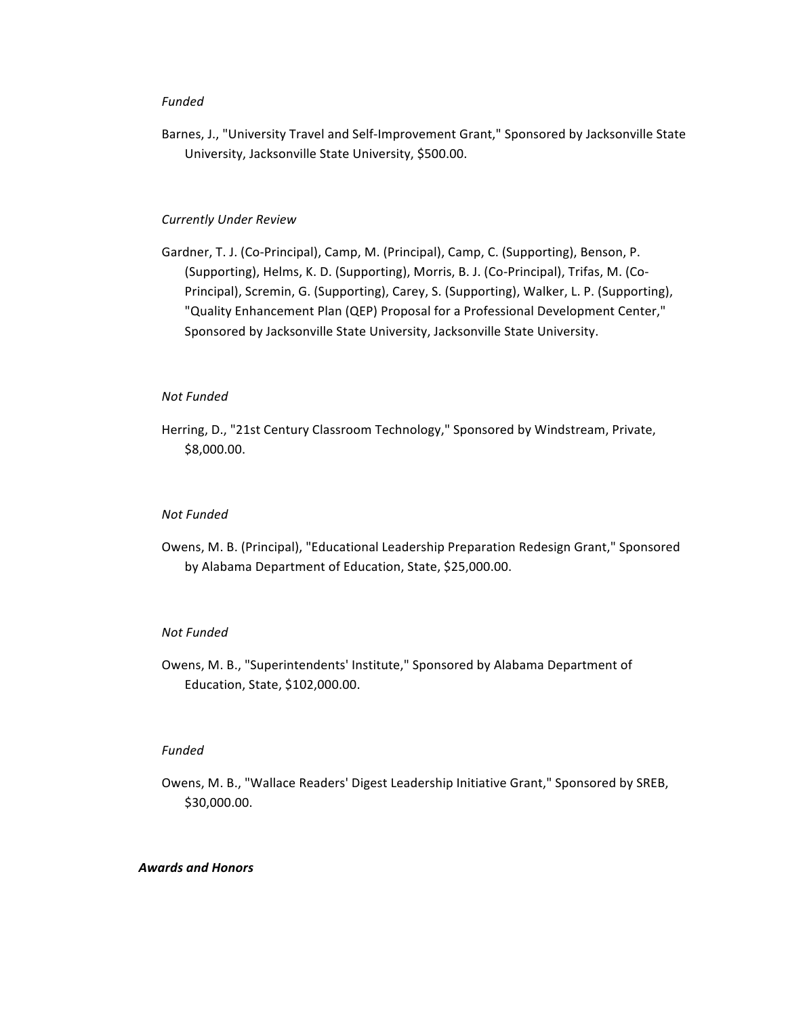## *Funded*

Barnes, J., "University Travel and Self-Improvement Grant," Sponsored by Jacksonville State University, Jacksonville State University, \$500.00.

# *Currently Under Review*

Gardner, T. J. (Co-Principal), Camp, M. (Principal), Camp, C. (Supporting), Benson, P. (Supporting), Helms, K. D. (Supporting), Morris, B. J. (Co-Principal), Trifas, M. (Co-Principal), Scremin, G. (Supporting), Carey, S. (Supporting), Walker, L. P. (Supporting), "Quality Enhancement Plan (QEP) Proposal for a Professional Development Center," Sponsored by Jacksonville State University, Jacksonville State University.

## *Not Funded*

Herring, D., "21st Century Classroom Technology," Sponsored by Windstream, Private, \$8,000.00.

### *Not Funded*

Owens, M. B. (Principal), "Educational Leadership Preparation Redesign Grant," Sponsored by Alabama Department of Education, State, \$25,000.00.

## *Not Funded*

Owens, M. B., "Superintendents' Institute," Sponsored by Alabama Department of Education, State, \$102,000.00.

### *Funded*

Owens, M. B., "Wallace Readers' Digest Leadership Initiative Grant," Sponsored by SREB, \$30,000.00.

## *Awards and Honors*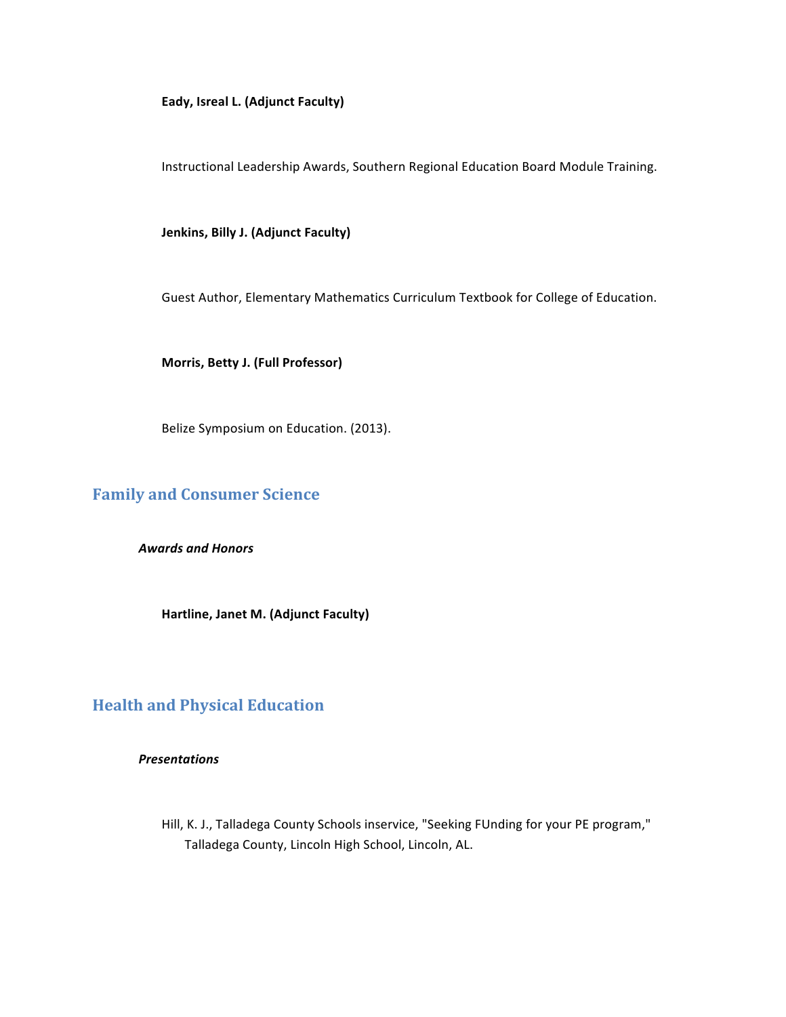## Eady, Isreal L. (Adjunct Faculty)

Instructional Leadership Awards, Southern Regional Education Board Module Training.

**Jenkins, Billy J. (Adjunct Faculty)** 

Guest Author, Elementary Mathematics Curriculum Textbook for College of Education.

**Morris, Betty J. (Full Professor)** 

Belize Symposium on Education. (2013).

# **Family and Consumer Science**

*Awards and Honors*

Hartline, Janet M. (Adjunct Faculty)

# **Health and Physical Education**

## *Presentations*

Hill, K. J., Talladega County Schools inservice, "Seeking FUnding for your PE program," Talladega County, Lincoln High School, Lincoln, AL.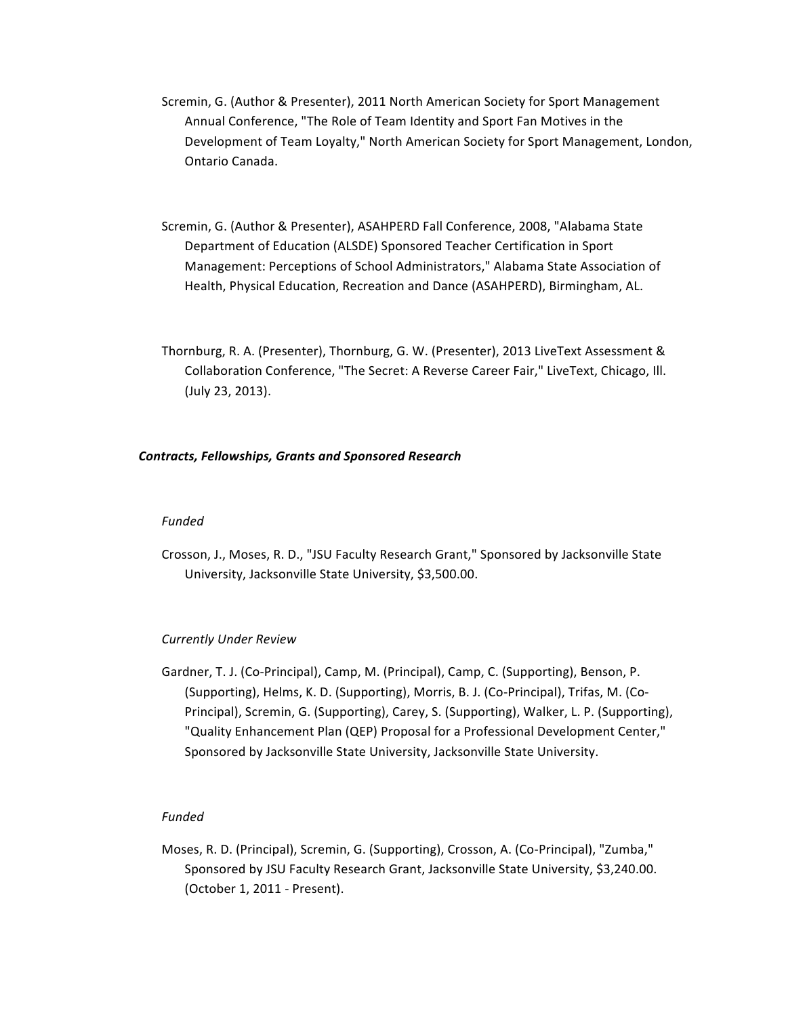- Scremin, G. (Author & Presenter), 2011 North American Society for Sport Management Annual Conference, "The Role of Team Identity and Sport Fan Motives in the Development of Team Loyalty," North American Society for Sport Management, London, Ontario Canada.
- Scremin, G. (Author & Presenter), ASAHPERD Fall Conference, 2008, "Alabama State Department of Education (ALSDE) Sponsored Teacher Certification in Sport Management: Perceptions of School Administrators," Alabama State Association of Health, Physical Education, Recreation and Dance (ASAHPERD), Birmingham, AL.
- Thornburg, R. A. (Presenter), Thornburg, G. W. (Presenter), 2013 LiveText Assessment & Collaboration Conference, "The Secret: A Reverse Career Fair," LiveText, Chicago, Ill. (July 23, 2013).

## *Contracts, Fellowships, Grants and Sponsored Research*

## *Funded*

Crosson, J., Moses, R. D., "JSU Faculty Research Grant," Sponsored by Jacksonville State University, Jacksonville State University, \$3,500.00.

## *Currently Under Review*

Gardner, T. J. (Co-Principal), Camp, M. (Principal), Camp, C. (Supporting), Benson, P. (Supporting), Helms, K. D. (Supporting), Morris, B. J. (Co-Principal), Trifas, M. (Co-Principal), Scremin, G. (Supporting), Carey, S. (Supporting), Walker, L. P. (Supporting), "Quality Enhancement Plan (QEP) Proposal for a Professional Development Center," Sponsored by Jacksonville State University, Jacksonville State University.

## *Funded*

Moses, R. D. (Principal), Scremin, G. (Supporting), Crosson, A. (Co-Principal), "Zumba," Sponsored by JSU Faculty Research Grant, Jacksonville State University, \$3,240.00. (October 1, 2011 - Present).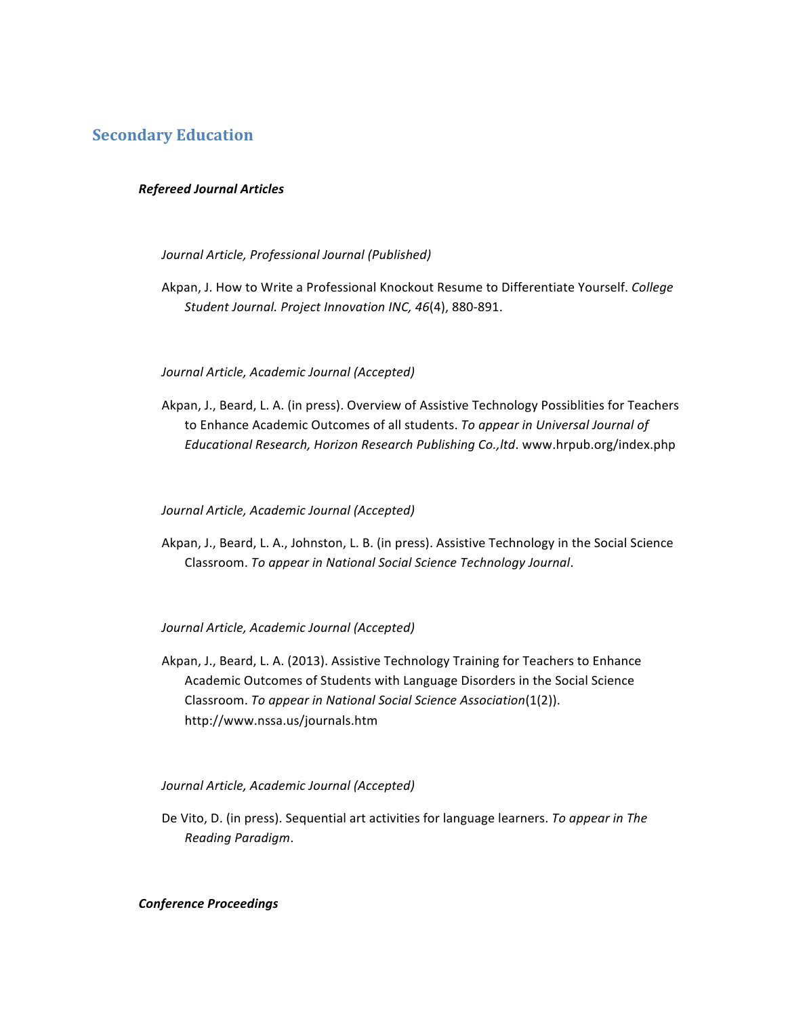# **Secondary Education**

## *Refereed Journal Articles*

## *Journal Article, Professional Journal (Published)*

Akpan, J. How to Write a Professional Knockout Resume to Differentiate Yourself. *College Student Journal. Project Innovation INC, 46*(4), 880-891.

## *Journal Article, Academic Journal (Accepted)*

Akpan, J., Beard, L. A. (in press). Overview of Assistive Technology Possiblities for Teachers to Enhance Academic Outcomes of all students. To appear in Universal Journal of Educational Research, Horizon Research Publishing Co., ltd. www.hrpub.org/index.php

## *Journal Article, Academic Journal (Accepted)*

Akpan, J., Beard, L. A., Johnston, L. B. (in press). Assistive Technology in the Social Science Classroom. *To appear in National Social Science Technology Journal*.

## *Journal Article, Academic Journal (Accepted)*

Akpan, J., Beard, L. A. (2013). Assistive Technology Training for Teachers to Enhance Academic Outcomes of Students with Language Disorders in the Social Science Classroom. *To appear in National Social Science Association*(1(2)). http://www.nssa.us/journals.htm

## *Journal Article, Academic Journal (Accepted)*

De Vito, D. (in press). Sequential art activities for language learners. To appear in The *Reading Paradigm*.

## *Conference Proceedings*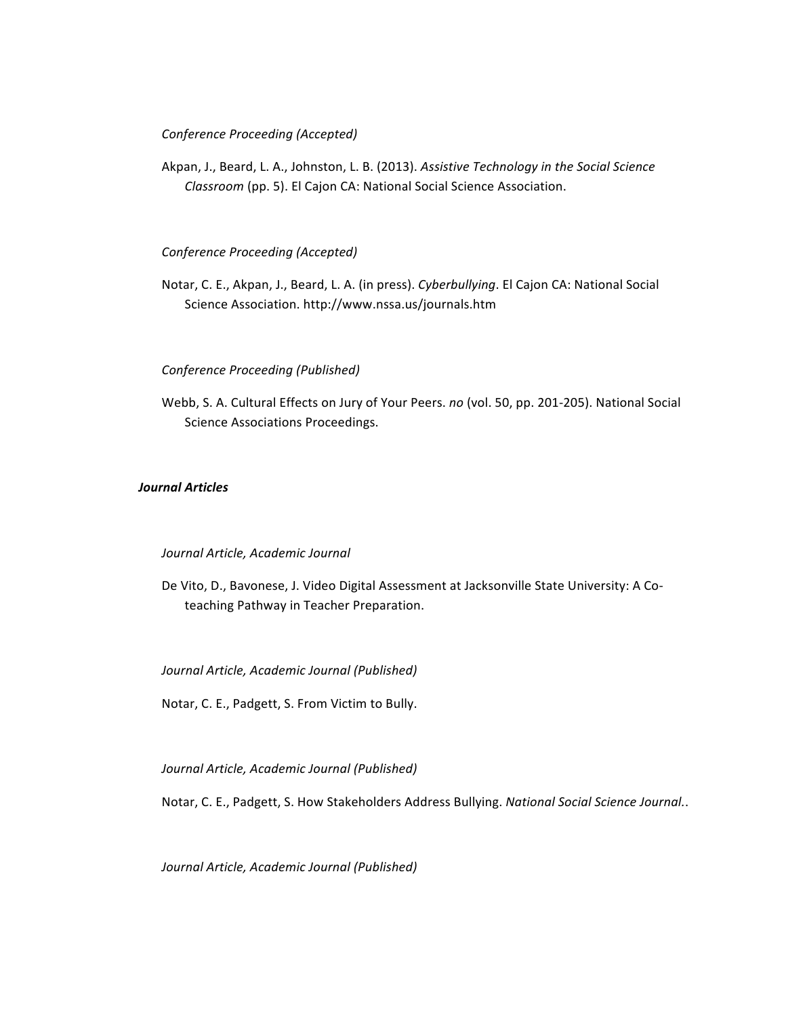## *Conference Proceeding (Accepted)*

Akpan, J., Beard, L. A., Johnston, L. B. (2013). Assistive Technology in the Social Science *Classroom* (pp. 5). El Cajon CA: National Social Science Association.

### *Conference Proceeding (Accepted)*

Notar, C. E., Akpan, J., Beard, L. A. (in press). *Cyberbullying*. El Cajon CA: National Social Science Association. http://www.nssa.us/journals.htm

## *Conference Proceeding (Published)*

Webb, S. A. Cultural Effects on Jury of Your Peers. no (vol. 50, pp. 201-205). National Social Science Associations Proceedings.

## *Journal Articles*

### *Journal Article, Academic Journal*

De Vito, D., Bavonese, J. Video Digital Assessment at Jacksonville State University: A Coteaching Pathway in Teacher Preparation.

*Journal Article, Academic Journal (Published)*

Notar, C. E., Padgett, S. From Victim to Bully.

*Journal Article, Academic Journal (Published)*

Notar, C. E., Padgett, S. How Stakeholders Address Bullying. National Social Science Journal..

*Journal Article, Academic Journal (Published)*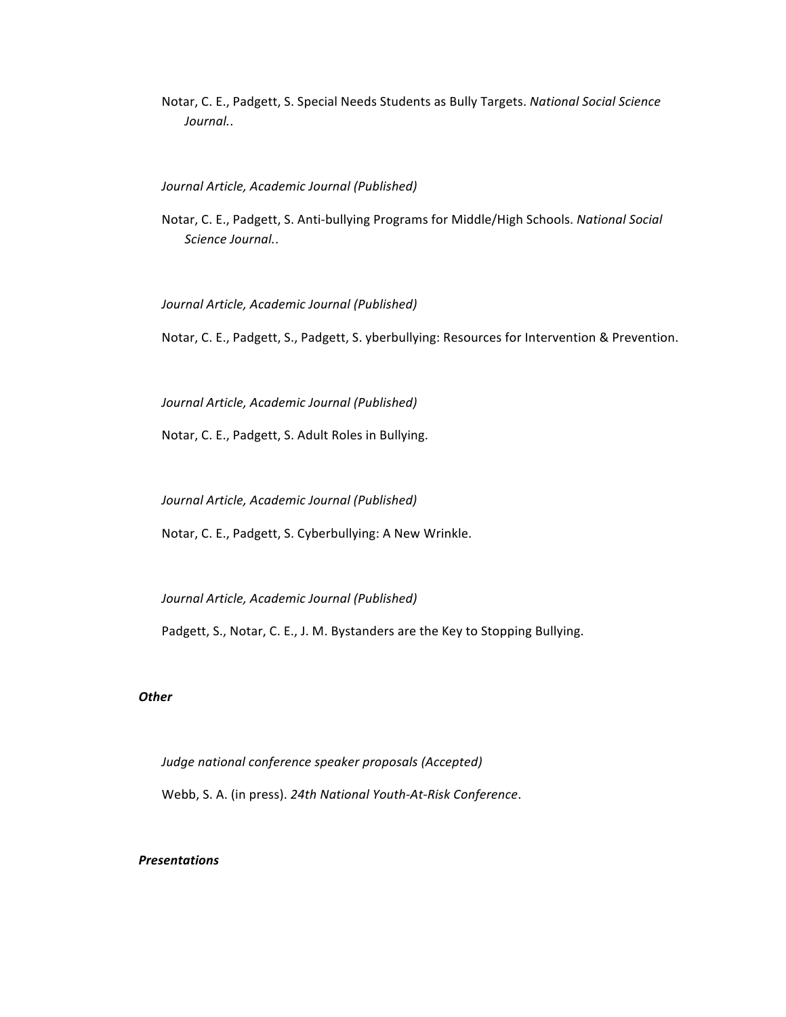Notar, C. E., Padgett, S. Special Needs Students as Bully Targets. *National Social Science Journal.*.

#### *Journal Article, Academic Journal (Published)*

Notar, C. E., Padgett, S. Anti-bullying Programs for Middle/High Schools. *National Social Science Journal.*.

### *Journal Article, Academic Journal (Published)*

Notar, C. E., Padgett, S., Padgett, S. yberbullying: Resources for Intervention & Prevention.

*Journal Article, Academic Journal (Published)*

Notar, C. E., Padgett, S. Adult Roles in Bullying.

*Journal Article, Academic Journal (Published)*

Notar, C. E., Padgett, S. Cyberbullying: A New Wrinkle.

*Journal Article, Academic Journal (Published)*

Padgett, S., Notar, C. E., J. M. Bystanders are the Key to Stopping Bullying.

#### *Other*

Judge national conference speaker proposals (Accepted) Webb, S. A. (in press). 24th National Youth-At-Risk Conference.

## *Presentations*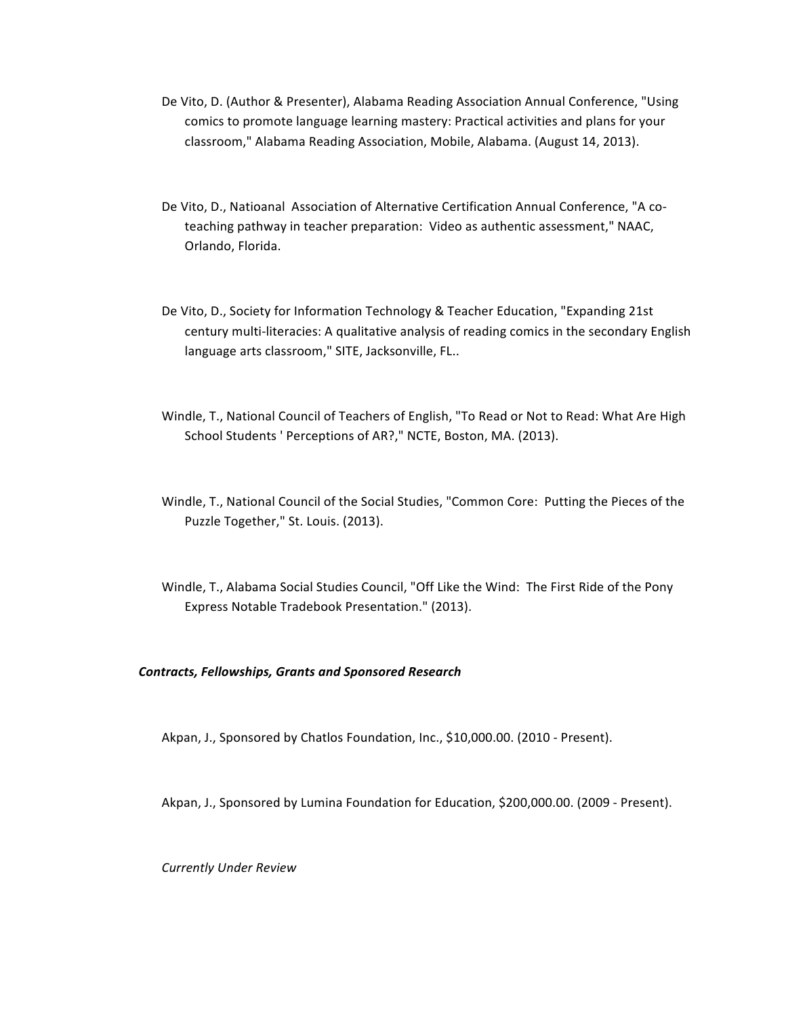- De Vito, D. (Author & Presenter), Alabama Reading Association Annual Conference, "Using comics to promote language learning mastery: Practical activities and plans for your classroom," Alabama Reading Association, Mobile, Alabama. (August 14, 2013).
- De Vito, D., Natioanal Association of Alternative Certification Annual Conference, "A coteaching pathway in teacher preparation: Video as authentic assessment," NAAC, Orlando, Florida.
- De Vito, D., Society for Information Technology & Teacher Education, "Expanding 21st century multi-literacies: A qualitative analysis of reading comics in the secondary English language arts classroom," SITE, Jacksonville, FL..
- Windle, T., National Council of Teachers of English, "To Read or Not to Read: What Are High School Students ' Perceptions of AR?," NCTE, Boston, MA. (2013).
- Windle, T., National Council of the Social Studies, "Common Core: Putting the Pieces of the Puzzle Together," St. Louis. (2013).
- Windle, T., Alabama Social Studies Council, "Off Like the Wind: The First Ride of the Pony Express Notable Tradebook Presentation." (2013).

## *Contracts, Fellowships, Grants and Sponsored Research*

Akpan, J., Sponsored by Chatlos Foundation, Inc., \$10,000.00. (2010 - Present).

Akpan, J., Sponsored by Lumina Foundation for Education, \$200,000.00. (2009 - Present).

*Currently Under Review*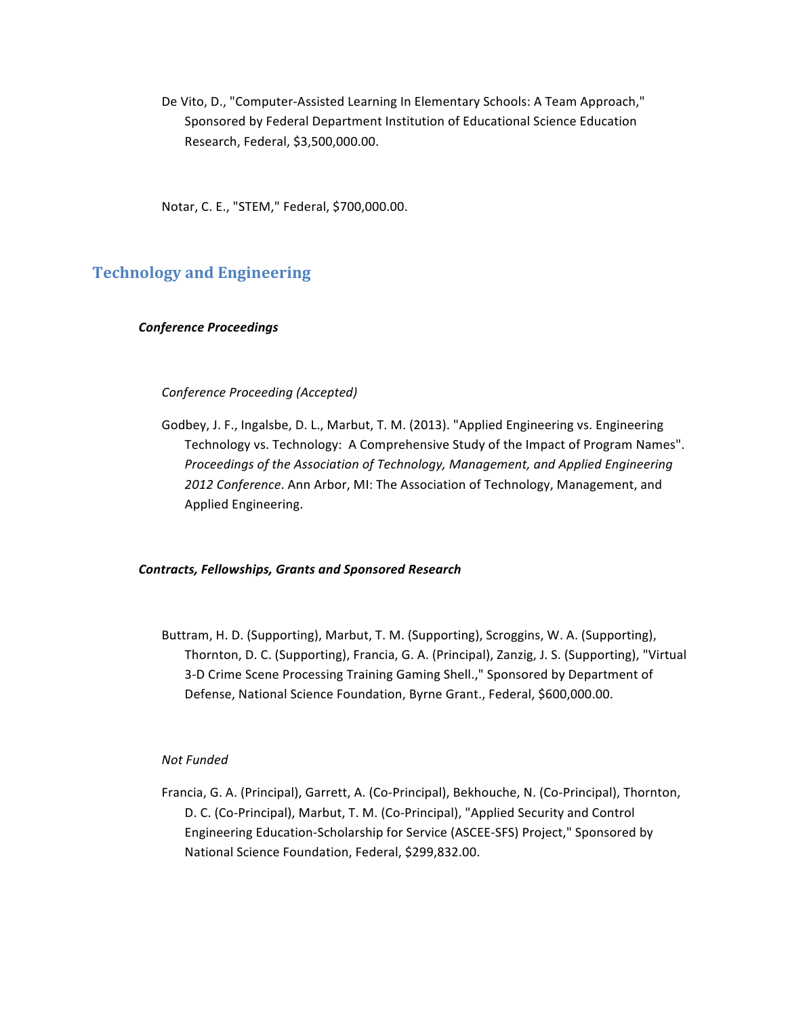De Vito, D., "Computer-Assisted Learning In Elementary Schools: A Team Approach," Sponsored by Federal Department Institution of Educational Science Education Research, Federal, \$3,500,000.00.

Notar, C. E., "STEM," Federal, \$700,000.00.

# **Technology and Engineering**

## *Conference Proceedings*

#### *Conference Proceeding (Accepted)*

Godbey, J. F., Ingalsbe, D. L., Marbut, T. M. (2013). "Applied Engineering vs. Engineering Technology vs. Technology: A Comprehensive Study of the Impact of Program Names". *Proceedings of the Association of Technology, Management, and Applied Engineering* 2012 Conference. Ann Arbor, MI: The Association of Technology, Management, and Applied Engineering.

#### *Contracts, Fellowships, Grants and Sponsored Research*

Buttram, H. D. (Supporting), Marbut, T. M. (Supporting), Scroggins, W. A. (Supporting), Thornton, D. C. (Supporting), Francia, G. A. (Principal), Zanzig, J. S. (Supporting), "Virtual 3-D Crime Scene Processing Training Gaming Shell.," Sponsored by Department of Defense, National Science Foundation, Byrne Grant., Federal, \$600,000.00.

### *Not Funded*

Francia, G. A. (Principal), Garrett, A. (Co-Principal), Bekhouche, N. (Co-Principal), Thornton, D. C. (Co-Principal), Marbut, T. M. (Co-Principal), "Applied Security and Control Engineering Education-Scholarship for Service (ASCEE-SFS) Project," Sponsored by National Science Foundation, Federal, \$299,832.00.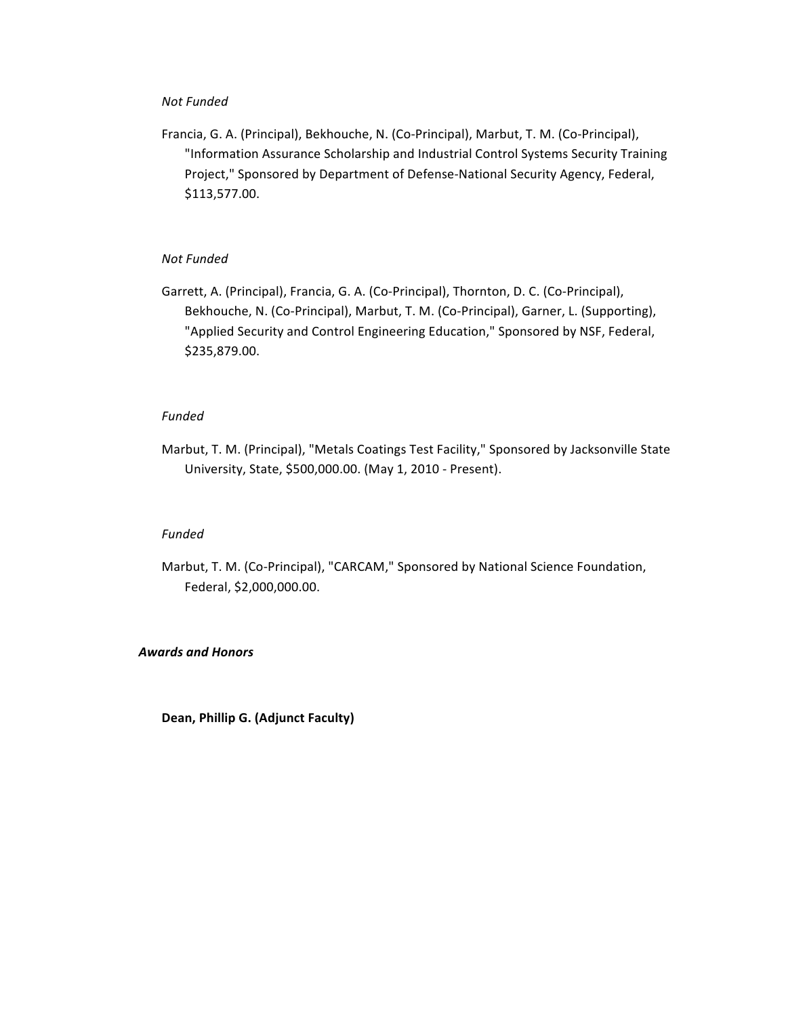### *Not Funded*

Francia, G. A. (Principal), Bekhouche, N. (Co-Principal), Marbut, T. M. (Co-Principal), "Information Assurance Scholarship and Industrial Control Systems Security Training Project," Sponsored by Department of Defense-National Security Agency, Federal, \$113,577.00.

## *Not Funded*

Garrett, A. (Principal), Francia, G. A. (Co-Principal), Thornton, D. C. (Co-Principal), Bekhouche, N. (Co-Principal), Marbut, T. M. (Co-Principal), Garner, L. (Supporting), "Applied Security and Control Engineering Education," Sponsored by NSF, Federal, \$235,879.00.

## *Funded*

Marbut, T. M. (Principal), "Metals Coatings Test Facility," Sponsored by Jacksonville State University, State, \$500,000.00. (May 1, 2010 - Present).

### *Funded*

Marbut, T. M. (Co-Principal), "CARCAM," Sponsored by National Science Foundation, Federal, \$2,000,000.00.

### *Awards and Honors*

Dean, Phillip G. (Adjunct Faculty)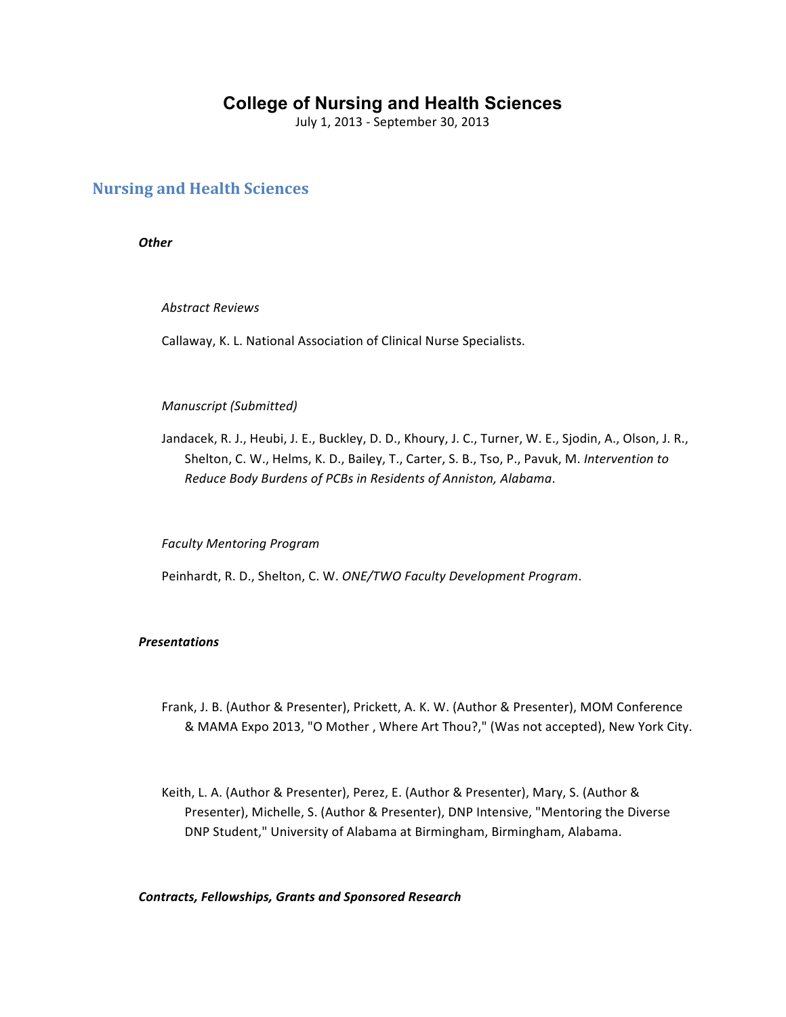# **College of Nursing and Health Sciences**

July 1, 2013 - September 30, 2013

# **Nursing and Health Sciences**

*Other*

*Abstract Reviews* 

Callaway, K. L. National Association of Clinical Nurse Specialists.

### *Manuscript (Submitted)*

Jandacek, R. J., Heubi, J. E., Buckley, D. D., Khoury, J. C., Turner, W. E., Sjodin, A., Olson, J. R., Shelton, C. W., Helms, K. D., Bailey, T., Carter, S. B., Tso, P., Pavuk, M. Intervention to *Reduce Body Burdens of PCBs in Residents of Anniston, Alabama*.

*Faculty Mentoring Program* 

Peinhardt, R. D., Shelton, C. W. ONE/TWO Faculty Development Program.

## *Presentations*

- Frank, J. B. (Author & Presenter), Prickett, A. K. W. (Author & Presenter), MOM Conference & MAMA Expo 2013, "O Mother, Where Art Thou?," (Was not accepted), New York City.
- Keith, L. A. (Author & Presenter), Perez, E. (Author & Presenter), Mary, S. (Author & Presenter), Michelle, S. (Author & Presenter), DNP Intensive, "Mentoring the Diverse DNP Student," University of Alabama at Birmingham, Birmingham, Alabama.

*Contracts, Fellowships, Grants and Sponsored Research*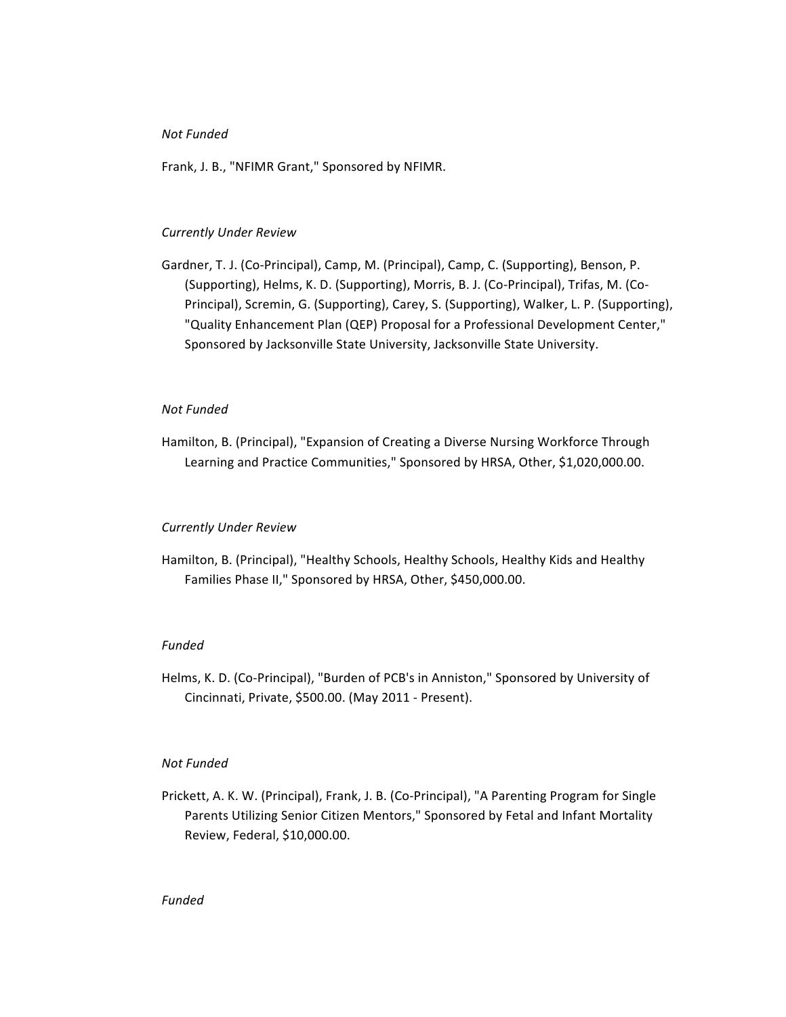## *Not Funded*

Frank, J. B., "NFIMR Grant," Sponsored by NFIMR.

### *Currently Under Review*

Gardner, T. J. (Co-Principal), Camp, M. (Principal), Camp, C. (Supporting), Benson, P. (Supporting), Helms, K. D. (Supporting), Morris, B. J. (Co-Principal), Trifas, M. (Co-Principal), Scremin, G. (Supporting), Carey, S. (Supporting), Walker, L. P. (Supporting), "Quality Enhancement Plan (QEP) Proposal for a Professional Development Center," Sponsored by Jacksonville State University, Jacksonville State University.

## *Not Funded*

Hamilton, B. (Principal), "Expansion of Creating a Diverse Nursing Workforce Through Learning and Practice Communities," Sponsored by HRSA, Other, \$1,020,000.00.

#### *Currently Under Review*

Hamilton, B. (Principal), "Healthy Schools, Healthy Schools, Healthy Kids and Healthy Families Phase II," Sponsored by HRSA, Other, \$450,000.00.

### *Funded*

Helms, K. D. (Co-Principal), "Burden of PCB's in Anniston," Sponsored by University of Cincinnati, Private, \$500.00. (May 2011 - Present).

## *Not Funded*

Prickett, A. K. W. (Principal), Frank, J. B. (Co-Principal), "A Parenting Program for Single Parents Utilizing Senior Citizen Mentors," Sponsored by Fetal and Infant Mortality Review, Federal, \$10,000.00.

## *Funded*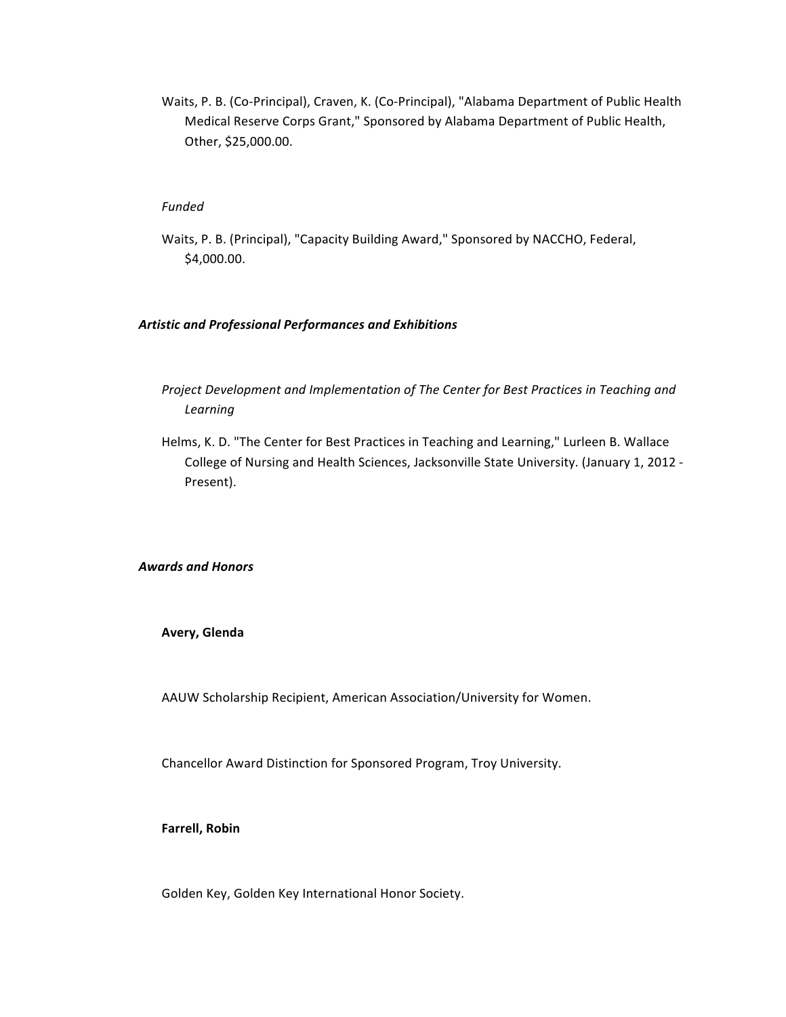Waits, P. B. (Co-Principal), Craven, K. (Co-Principal), "Alabama Department of Public Health Medical Reserve Corps Grant," Sponsored by Alabama Department of Public Health, Other, \$25,000.00.

## *Funded*

Waits, P. B. (Principal), "Capacity Building Award," Sponsored by NACCHO, Federal, \$4,000.00.

### *Artistic and Professional Performances and Exhibitions*

- Project Development and Implementation of The Center for Best Practices in Teaching and *Learning*
- Helms, K. D. "The Center for Best Practices in Teaching and Learning," Lurleen B. Wallace College of Nursing and Health Sciences, Jacksonville State University. (January 1, 2012 -Present).

*Awards and Honors*

**Avery, Glenda**

AAUW Scholarship Recipient, American Association/University for Women.

Chancellor Award Distinction for Sponsored Program, Troy University.

**Farrell, Robin**

Golden Key, Golden Key International Honor Society.